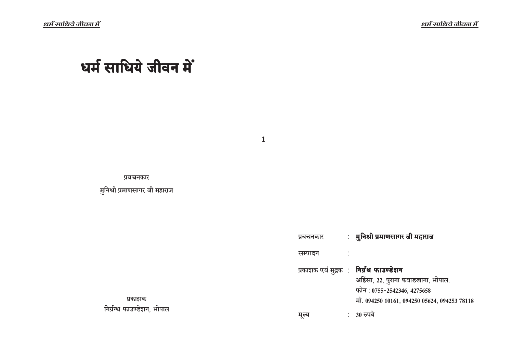$\ell$ धर्म साधिये जीवल में

# धर्म साधिये जीवन में

**1**

प्रवचनकार

मुनिश्री प्रमाणसागर जी महाराज

| प्रवचनकार | : मुनिश्री प्रमाणसागर जी महाराज                                                                                                                                      |
|-----------|----------------------------------------------------------------------------------------------------------------------------------------------------------------------|
| सम्पादन   |                                                                                                                                                                      |
|           | प्रकाशक एवं मुद्रक : <b>निर्ग्रंथ फाउण्डेशन</b><br>अहिंसा, 22, पुराना कबाडखाना, भोपाल.<br>फोन: 0755-2542346, 4275658<br>मो. 094250 10161, 094250 05624, 094253 78118 |
|           | 30 रुपये                                                                                                                                                             |

प्रकाशक निर्ग्रन्थ फाउण्डे**शन, भोपाल**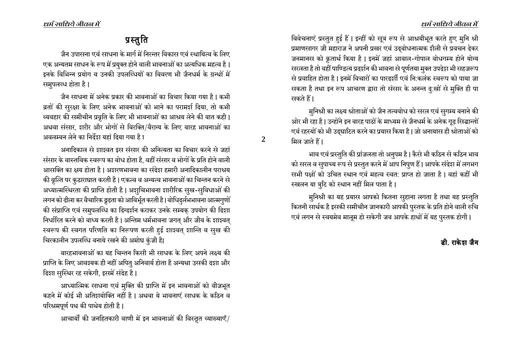# प्रस्तुति

जैन उपासना एवं साधना के मार्ग में निरन्तर विकास एवं स्थायित्व के लिए एक अन्यतम साधन के रूप में प्रयुक्त होने वाली भावनाओं का अत्यधिक महत्व है। इनके विभिन्न प्रयोग व उनकी उपलब्धियों का विवरण भी जैनधर्म के ग्रन्थों में समुपलब्ध होता है।

जैन साधना में अनेक प्रकार की भावनाओं का विचार किया गया है । कभी ब्रतों की सुरक्षा के लिए अनेक भावनाओं को भाने का परामर्श दिया, तो कभी व्यवहार की समीचीन प्रवृति के लिए भी भावनाओं का आश्रय लेने की बात कही। अथवा संसार, शरीर और भोगों से विरक्ति/वैराग्य के लिए बारह भावनाओं का अवलम्बन लेने का निर्देश यहां दिया गया है ा

अनादिकाल से शाश्वत इस संसार की अनित्यता का विचार करने से जहां संसार के वास्तविक स्वरूप का बोध होता है, वहीं संसार व भोगों के प्रति होने वाली आसक्ति का क्षय होता है। अशरणभावना का संदेश हमारी अनादिकालीन पराश्रय की वृत्ति पर कुठाराघात करती है। एकत्व व अन्यत्व भावनाओं का चिन्तन करने से अध्यात्मस्थिरता की प्राप्ति होती है। अशुचिभावना शारीरिक सुख-सुविधाओं की लगन को ढीला कर वैचारिक द्रृढता को आविर्भूत करती है। बोधिदुर्लभभावना आत्मगुणों की संप्राप्ति एवं समुपलब्धि का दिग्दर्शन कराकर उनके सम्यक् उपयोग की दिशा निर्धारित करने को बाध्य करती है | अन्तिम धर्मभावना जगत् और जीव के शाश्वत् स्वरूप की स्वगत परिणति का निरूपण करती हुई शाश्वत् शान्ति व सुख की चिरकालीन उपलब्धि बनाये रखने की अमोघ कुंजी है।

बारहभावनाओं का यह चिन्तन किसी भी साधक के लिए अपने लक्ष्य की प्राप्ति के लिए आवश्यक ही नहीं अपितु अनिवार्य होता है अन्यथा उसकी दशा और दिशा सुस्थिर रह सकेगी, इसमें संदेह है।

आध्यात्मिक साधना एवं मुक्ति की प्राप्ति में इन भावनाओं को बीजभूत कहने में कोई भी अतिशयोक्ति नहीं है। अथवा ये भावनाएं साधक के कठिन व परिश्रमपूर्ण पथ की पाथेय होती है।

आचार्यों की जनहितकारी वाणी में इन भावनाओं की विस्तृत व्याख्याएँ/

विवेचनाएं प्रस्तुत हुई हैं। इन्हीं को सूत्र रूप से आश्रयीभूत करते हुए मनि श्री प्रमाणसागर जी महाराज ने अपनी प्रखर एवं उदबोधनात्मक शैली से प्रवचन देकर जनमानस को कृतार्थ किया है। इनमें जहां आबाल-गोपाल बोधगम्य होने योग्य सरलता है तो वहीं पाण्डित्य प्रदर्शन की भावना से पूर्णतया मुक्त उपदेश भी सहजरूप से प्रवाहित होता है । इनमें विचारों का पारदर्शी एवं नि:कलंक स्वरूप को पाया जा सकता है तथा इन रूप आचरण द्वारा तो संसार के अनन्त दु:खों से मुक्ति ही पा सकते हैं।

मुनिश्री का लक्ष्य श्रोताओं को जैन तत्वबोध को सरल एवं सुगम्य बनाने की ओर भी रहा है। उन्होंने इन बारह पाठों के माध्यम से जैनधर्म के अनेक गूढ़ सिद्धान्तों एवं रहस्यों को भी उद्घाटित करने का प्रयास किया है। जो अनायास ही श्रोताओं को मिल जाते हैं।

 $\overline{2}$ 

भाव एवं प्रस्तुति की प्रांजलता तो अनुपम है। कैसे भी कठिन से कठिन भाव को सरल व सुपाच्य रूप से प्रस्तुत करने में आप निपुण हैं। आपके संदेश में लगभग सभी पक्षों को उचित स्थान एवं महत्व स्वत: प्राप्त हो जाता है। वहां कहीं भी स्खलन या त्रुटि को स्थान नहीं मिल पाता है।

मुनिश्री का यह प्रयास आपको कितना सुहाना लगता है तथा यह प्रस्तुति कितनी सार्थक है इसकी समीचीन जानकारी आपकी पुस्तक के प्रति होने वाली रुचि एवं लगन से स्वयमेव मालूम हो सकेगी जब आपके हाथों में यह पुस्तक होगी।

### डी. राकेश जैन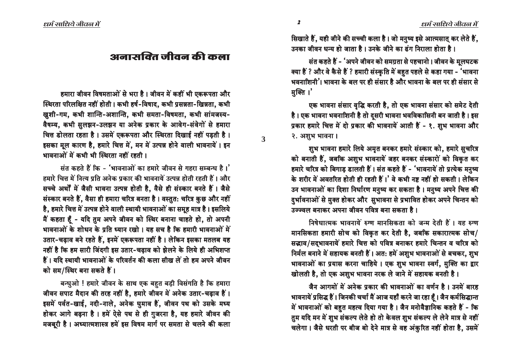सिखाते हैं, यही जीने की सच्ची कला है। जो मनुष्य इसे आत्मसात् कर लेते हैं, उनका जीवन धन्य हो जाता है । उनके जीने का ढंग निराला होता है ।

संत कहते हैं - 'अपने जीवन को समग्रता से पहचानो। जीवन के मुलघटक क्या हैं ? और वे कैसे हैं ? हमारी संस्कृति में बहुत पहले से कहा गया - 'भावना भवनाशिनी'। भावना के बल पर ही संसार है और भावना के बल पर ही संसार से मक्ति ।'

एक भावना संसार वृद्धि करती है, तो एक भावना संसार को समेट देती है। एक भावना भवनाशिनी है तो दुसरी भावना भवविकासिनी बन जाती है। इस प्रकार हमारे चित्त में दो प्रकार की भावनायें आती हैं - १. शुभ भावना और २. अशुभ भावना ।

शुभ भावना हमारे लिये अमृत बनकर हमारे संस्कार को, हमारे सुचरित्र को बनाती हैं, जबकि अशुभ भावनायें जहर बनकर संस्कारों को विकृत कर हमारे चरित्र को बिगाड़ डालती हैं। संत कहते हैं - 'भावनायें तो प्रत्येक मनुष्य के शरीर में अवतरित होती ही रहती हैं।' वे कभी नष्ट नहीं हो सकती। लेकिन उन भावनाओं का दिशा निर्धारण मनुष्य कर सकता है। मनुष्य अपने चित्त की दर्भावनाओं से मुक्त होकर और सुभावना से प्रभावित होकर अपने चिन्तन को उज्ज्वल बनाकर अपना जीवन पवित्र बना सकता है।

निषेधात्मक भावनायें रुग्ण मानसिकता को जन्म देती हैं। यह रुग्ण मानसिकता हमारी सोच को विकृत कर देती है, जबकि सकारात्मक सोच/ सद्भाव/सद्भावनायें हमारे चित्त को पवित्र बनाकर हमारे चिन्तन व चरित्र को निर्मल बनाने में सहायक बनती हैं। अत: हमें अशुभ भावनाओं से बचकर, शुभ भावनाओं का प्रयास करना चाहिये। एक शुभ भावना स्वर्ग, मुक्ति का द्वार खोलती है, तो एक अशुभ भावना नरक ले जाने में सहायक बनती है।

जैन आगमों में अनेक प्रकार की भावनाओं का वर्णन है। उनमें बारह भावनायें प्रसिद्ध हैं। जिनकी चर्चा मैं आज यहाँ करने जा रहा हूँ। जैन कर्मसिद्धान्त में भावनाओं को बहुत महत्व दिया गया है। जैन मनोवैज्ञानिक कहते हैं - कि तुम यदि मन में शुभ संकल्प लेते हो तो केवल शुभ संकल्प ले लेने मात्र से नहीं चलेगा। जैसे धरती पर बीज बो देने मात्र से वह अंकुरित नहीं होता है, उसमें

# अनासक्ति जीवन की कला

हमारा जीवन विषमताओं से भरा है। जीवन में कहीं भी एकरूपता और स्थिरता परिलक्षित नहीं होती। कभी हर्ष-विषाद, कभी प्रसन्नता-खिन्नता, कभी खुशी-गम, कभी शान्ति-अशान्ति, कभी समता-विषमता, कभी सांमजस्य-वैषम्य, कभी सुलझन-उलझन या अनेक प्रकार के आवेग-संवेगों से हमारा चित्त डोलता रहता है। उसमें एकरूपता और स्थिरता दिखाई नहीं पड़ती है। इसका मूल कारण है, हमारे चित्त में, मन में उत्पन्न होने वाली भावनायें । इन भावनाओं में कभी भी स्थिरता नहीं रहती।

संत कहते हैं कि - 'भावनाओं का हमारे जीवन से गहरा सम्बन्ध है।' हमारे चित्त में नित्य प्रति अनेक प्रकार की भावनायें उत्पन्न होती रहती हैं । और सच्चे अर्थों में जैसी भावना उत्पन्न होती है, वैसे ही संस्कार बनते हैं। जैसे संस्कार बनते हैं, वैसा ही हमारा चरित्र बनता है। वस्तुत: चरित्र कुछ और नहीं है, हमारे चित्त में उत्पन्न होने वाली स्थायी भावनाओं का समूह मात्र है। इसलिये मैं कहता हैं - यदि तुम अपने जीवन को स्थिर बनाना चाहते हो, तो अपनी भावनाओं के शोधन के प्रति ध्यान रखो। यह सच है कि हमारी भावनाओं में उतार-चढ़ाव बने रहते हैं, इनमें एकरूपता नहीं है। लेकिन इसका मतलब यह नहीं है कि हम सारी जिंदगी इस उतार-चढ़ाव को झेलने के लिये ही अभिशप्त हैं। यदि स्थायी भावनाओं के परिवर्तन की कला सीख लें तो हम अपने जीवन को सम/स्थिर बना सकते हैं।

बन्धुओ ! हमारे जीवन के साथ एक बहुत बड़ी विसंगति है कि हमारा जीवन सपाट मैदान की तरह नहीं है, हमारे जीवन में अनेक उतार-चढ़ाव हैं। इसमें पर्वत-खाई, नदी-नाले, अनेक घुमाव हैं, जीवन पथ को उसके मध्य होकर आगे बढ़ना है। हमें ऐसे पथ से ही गुजरना है, यह हमारे जीवन की मजबूरी है। अध्यात्मशास्त्र हमें इस विषम मार्ग पर समता से चलने की कला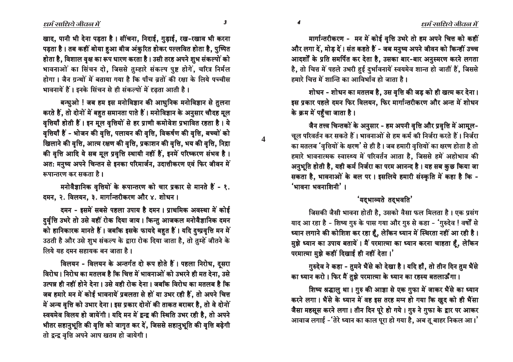खाद, पानी भी देना पड़ता है। सींचना, निदाई, ग़ुड़ाई, रख-रखाव भी करना पड़ता है। तब कहीं बोया हुआ बीज अंकुरित होकर पल्लवित होता है, पुष्पित होता है, विशाल वृक्ष का रूप धारण करता है। उसी तरह अपने शुभ संकल्पों को भावनाओं का सिंचन दो, जिससे तुम्हारे संकल्प पुष्ट होगें, चरित्र निर्मल होगा। जैन गन्थों में बताया गया है कि पाँच वतों की रक्षा के लिये पच्चीस भावनायें हैं। इनके सिंचन से ही संकल्पों में दृढता आती है।

बन्धुओ ! जब हम इस मनोविज्ञान की आधुनिक मनोविज्ञान से तुलना करते हैं. तो दोनों में बहत समानता पाते हैं। मनोविज्ञान के अनुसार चौदह मूल वृत्तियाँ होती हैं। इन मूल वृत्तियों से हर प्राणी कमोवेश प्रभावित रहता है। ये वृत्तियाँ हैं - भोजन की वृत्ति, पलायन की वृत्ति, विकर्षण की वृत्ति, बच्चों को खिलाने की वृत्ति, आत्म रक्षण की वृत्ति, प्रकाशन की वृत्ति, भय की वृत्ति, निद्रा की वृत्ति आदि ये सब मूल प्रवृत्ति स्थायी नहीं हैं, इनमें परिष्करण संभव है। अत: मनुष्य अपने चिन्तन से इनका परिमार्जन, उदात्तीकरण एवं फिर जीवन में रूपान्तरण कर सकता है।

मनोवैज्ञानिक वृत्तियों के रूपान्तरण को चार प्रकार से मानते हैं - १. दमन, २. विलयन, ३. मार्गान्तरीकरण और ४. शोधन।

दमन - इसमें सबसे पहला उपाय है दमन । प्राथमिक अवस्था में कोई दर्वति उभरे तो उसे वहीं रोक दिया जाय। किन्तु आजकल मनोवैज्ञानिक दमन को हानिकारक मानते हैं। जबकि इसके फायदे बहुत हैं। यदि दुष्प्रवृत्ति मन में उठती है और उसे शुभ संकल्प के द्वारा रोक दिया जाता है, तो तुम्हें जीतने के लिये यह दमन सहायक बन जाता है।

विलयन - विलयन के अन्तर्गत दो रूप होते हैं। पहला निरोध, दुसरा विरोध। निरोध का मतलब है कि चित्त में भावनाओं को उभरने ही मत देना, उसे उत्पन्न ही नहीं होने देना। उसे वही रोक देना। जबकि विरोध का मतलब है कि जब हमारे मन में कोई भावनायें प्रबलता से हों या उभर रही हैं, तो अपने चित्त में अन्य वृत्ति को उभार देना। इस प्रकार दोनों की ताकत बराबर है, तो वे दोनों स्वयमेव विलय हो जायेंगी। यदि मन में द्वन्द्व की स्थिति उभर रही है, तो अपने भीतर सहानुभूति की वृत्ति को जागृत कर दें, जिससे सहानुभूति की वृत्ति बढ़ेगी तो द्वन्द्व वृत्ति अपने आप खतम हो जायेगी।

मार्गान्तरीकरण - मन में कोई वृत्ति उभरे तो हम अपने चित्त को कहीं और लगा दें, मोड़ दें। संत कहते हैं - जब मनुष्य अपने जीवन को किन्हीं उच्च आदर्शों के प्रति समर्पित कर देता है, उसका बार-बार अनुस्मरण करने लगता है, तो चित्त में पहले उभरी हुई दुर्भावनायें स्वयमेव शान्त हो जातीं हैं, जिससे हमारे चिन में शान्ति का आविर्भाव हो जाता है ।

शोधन - शोधन का मतलब है, उस वृत्ति की जड़ को ही खत्म कर देना। इस प्रकार पहले दमन फिर विलयन, फिर मार्गान्तरीकरण और अन्त में शोधन के क्रम में पहुँचा जाता है।

जैन तत्त्व चिन्तकों के अनुसार - हम अपनी वृत्ति और प्रवृत्ति में आमूल-चूल परिवर्तन कर सकते हैं। भावनाओं से हम कर्म की निर्जरा करते हैं। निर्जरा का मतलब 'वृत्तियों के क्षरण' से ही है। जब हमारी वृत्तियों का क्षरण होता है तो हमारे भावनात्मक स्वास्थ्य में परिवर्तन आता है, जिससे हमें अहोभाव की अनुभूति होती है, यही कर्म निर्जरा का परम आनन्द है। यह सब कुछ किया जा सकता है, भावनाओं के बल पर। इसलिये हमारी संस्कृति में कहा है कि - $'$ भावना भवनाशिनी $'$  ।

#### 'यदभाव्यते तदभवति'

जिसकी जैसी भावना होती है, उसको वैसा फल मिलता है। एक प्रसंग याद आ रहा है - शिष्य गुरु के पास गया और गुरु से कहा - 'गुरुदेव ! वर्षों से ध्यान लगाने की कोशिश कर रहा हूँ, लेकिन ध्यान में स्थिरता नहीं आ रही है। मुझे ध्यान का उपाय बतायें। मैं परमात्मा का ध्यान करना चाहता हूँ, लेकिन परमात्मा मुझे कहीं दिखाई ही नहीं देता।'

गुरुदेव ने कहा - तुमने भैंसे को देखा है। यदि हाँ, तो तीन दिन तुम भैंसे का ध्यान करो। फिर मैं तुझे परमात्मा के ध्यान का रहस्य बतलाऊँगा।

शिष्य श्रद्धालु था। गुरु की आज्ञा से एक गुफा में जाकर भैंसे का ध्यान करने लगा। भैंसे के ध्यान में वह इस तरह मग्न हो गया कि ख़ुद को ही भैंसा जैसा महसूस करने लगा। तीन दिन पूरे हो गये। गुरु ने गुफा के द्वार पर आकर आवाज लगाई -'तेरे ध्यान का काल पूरा हो गया है, अब तू बाहर निकल आ।'

 $\boldsymbol{\beta}$ 

 $\overline{\mathbf{A}}$ 

 $\blacktriangleleft$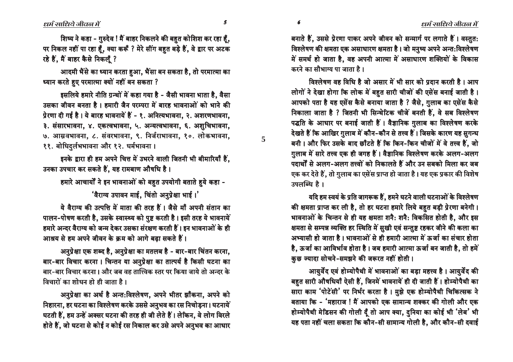शिष्य ने कहा - गुरुदेव ! मैं बाहर निकलने की बहुत कोशिश कर रहा हूँ, पर निकल नहीं पा रहा हूँ, क्या करूँ ? मेरे सींग बहुत बड़े हैं, वे द्वार पर अटक रहे हैं. मैं बाहर कैसे निकलँ ?

आदमी भैंसे का ध्यान करता हुआ, भैंसा बन सकता है, तो परमात्मा का ध्यान करते हुए परमात्मा क्यों नहीं बन सकता ?

इसलिये हमारे नीति ग्रन्थों में कहा गया है - जैसी भावना भाता है. वैसा उसका जीवन बनता है। हमारी जैन परम्परा में बारह भावनाओं को भाने की प्रेरणा दी गई है। ये बारह भावनायें हैं - १. अनित्यभावना, २. अशरणभावना, ३. संसारभावना, ४. एकत्वभावना, ५. अन्यत्वभावना, ६. अशुचिभावना, ७. आम्रवभावना, ८. संवरभावना, ९. निर्जराभावना, १०. लोकभावना, ११. बोधिदुर्लभभावना और १२. धर्मभावना ।

इनके द्वारा ही हम अपने चित्त में उभरने वाली जितनी भी बीमारियाँ हैं. उनका उपचार कर सकते हैं, यह रामबाण औषधि है।

हमारे आचार्यों ने इन भावनाओं को बहुत उपयोगी बताते हुये कहा -

'वैराग्य उपावन माई, चिंतो अनुप्रेक्षा भाई।'

ये वैराग्य की उत्पत्ति में माता की तरह हैं। जैसे माँ अपनी संतान का पालन-पोषण करती है, उसके स्वास्थ्य को पुष्ट करती है। इसी तरह ये भावनायें हमारे अन्दर वैराग्य को जन्म देकर उसका संरक्षण करती हैं। इन भावनाओं के ही आश्रय से हम अपने जीवन के क्रम को आगे बढा सकते हैं।

अनुप्रेक्षा एक शब्द है, अनुप्रेक्षा का मतलब है - बार-बार चिंतन करना, बार-बार विचार करना। चिन्तन या अनुप्रेक्षा का तात्पर्य है किसी घटना का बार-बार विचार करना। और जब वह तात्त्विक स्तर पर किया जाये तो अन्दर के विचारों का शोधन हो ही जाता है ।

अनुप्रेक्षा का अर्थ है अन्त:विश्लेषण, अपने भीतर झाँकना, अपने को निहारना, हर घटना का विश्लेषण करके उससे अनुभव का रस निचोड़ना। घटनायें घटती हैं, हम उन्हें अक्सर घटना की तरह ही जी लेते हैं। लेकिन, वे लोग विरले होते हैं, जो घटना से कोई न कोई रस निकाल कर उसे अपने अनुभव का आधार बनाते हैं, उससे प्रेरणा पाकर अपने जीवन को सन्मार्ग पर लगाते हैं। वस्तुत: विश्लेषण की क्षमता एक असाधारण क्षमता है। जो मनुष्य अपने अन्त:विश्लेषण में समर्थ हो जाता है, वह अपनी आत्मा में असाधारण शक्तियों के विकास करने का सौभाग्य पा जाता है।

विश्लेषण वह विधि है जो असार में भी सार को प्रदान करती है । आप लोगों ने देखा होगा कि लोक में बहुत सारी चीजों की एसेंस बनाई जाती है। आपको पता है यह एसेंस कैसे बनाया जाता है ? जैसे, गुलाब का एसेंस कैसे निकाला जाता है ? जितनी भी सिन्थेटिक चीजें बनती हैं. वे सब विश्लेषण पद्धति के आधार पर बनाई जाती हैं। वैज्ञानिक ग़ुलाब का विश्लेषण करके देखते हैं कि आखिर गुलाब में कौन-कौन से तत्त्व हैं। जिसके कारण यह सुगन्ध बनी। और फिर उसके बाद छाँटते हैं कि किन-किन चीजों में वे तत्त्व हैं, जो गुलाब में सारे तत्त्व एक ही जगह हैं। वैज्ञानिक विश्लेषण करके अलग-अलग पदार्थों से अलग-अलग तत्त्वों को निकालते हैं और उन सबको मिला कर जब एक कर देते हैं, तो गुलाब का एसेंस प्राप्त हो जाता है। यह एक प्रकार की विशेष उपलब्धि है।

यदि हम स्वयं के प्रति जागरूक हैं, हमने घटने वाली घटनाओं के विश्लेषण की क्षमता प्राप्त कर ली है, तो हर घटना हमारे लिये बहुत बड़ी प्रेरणा बनेगी। भावनाओं के चिन्तन से ही यह क्षमता शनै: शनै: विकसित होती है, और इस क्षमता से सम्पन्न व्यक्ति हर स्थिति में सुखी एवं सन्तुष्ट रहकर जीने की कला का अभ्यासी हो जाता है। भावनाओं से ही हमारी आत्मा में ऊर्जा का संचार होता है, ऊर्जा का आविर्भाव होता है। जब हमारी आत्मा ऊर्जा बन जाती है, तो हमें कुछ ज्यादा सोचने-समझने की जरूरत नहीं होती।

आय़र्वेद एवं होम्योपैथी में भावनाओं का बड़ा महत्त्व है। आयुर्वेद की बहुत सारी औषधियाँ ऐसी हैं, जिनमें भावनायें ही दी जाती हैं। होम्योपैथी का सारा काम 'पोटेंसी' पर निर्भर करता है। मुझे एक होम्योपैथी चिकित्सक ने बताया कि - 'महाराज ! मैं आपको एक सामान्य शक्कर की गोली और एक होम्योपैथी मेडिसन की गोली दूँ तो आप क्या, दुनिया का कोई भी 'लेब' भी यह पता नहीं चला सकता कि कौन-सी सामान्य गोली है, और कौन-सी दवाई

 $\boldsymbol{5}$ 

6

 $\overline{\mathbf{5}}$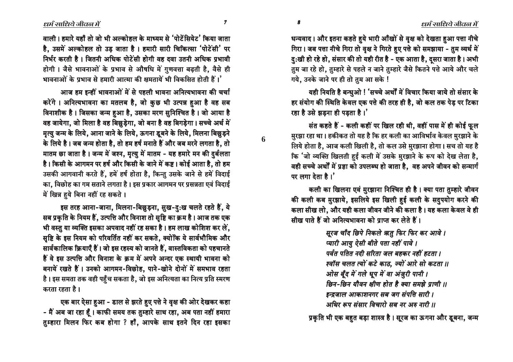धन्यवाद । और इतना कहते हुये भारी आँखों से वृक्ष को देखता हुआ पत्ता नीचे गिरा। जब पत्ता नीचे गिरा तो वृक्ष ने गिरते हुए पत्ते को समझाया - तुम व्यर्थ में हु:खी हो रहे हो, संसार की तो यही रीत है - एक आता है, दूसरा जाता है। अभी तुम जा रहे हो, तुम्हारे से पहले न जाने तुम्हारे जैसे कितने पत्ते आये और चले गये. उनके जाने पर ही तो तुम आ सके !

यही नियति है बन्धुओ ! 'सच्चे अर्थों में विचार किया जाये तो संसार के हर संयोग की स्थिति केवल एक पत्ते की तरह ही है, जो कल तक पेड़ पर टिका रहा है उसे झडना ही पडता है।

संत कहते हैं - कली कहीं पर खिल रही थी, वहीं पास में ही कोई फूल मुरझा रहा था। हकीकत तो यह है कि हर कली का आविर्भाव केवल मुरझाने के लिये होता है, आज कली खिली है, तो कल उसे मुरझाना होगा। सच तो यह है िक 'जो व्यक्ति खिलती हुई कली में उसके मुरझाने के रूप को देख लेता है, वही सच्चे अर्थों में प्रज्ञा को उपलब्ध हो जाता है, वह अपने जीवन को सन्मार्ग  $\pi$  लगा देता है। $'$ 

कली का खिलना एवं मुरझाना निश्चित ही है। क्या पता तुम्हारे जीवन की कली कब मुरझाये, इसलिये इस खिली हई कली के सदपयोग करने की कला सीख लो. और यही कला जीवन जीने की कला है। यह कला केवल वे ही <u>सीख पाते हैं जो अनित्यभावना को प्राप्त कर लेते हैं।</u>

> $R$ रज चाँद छिपे निकले ऋतु फिर फिर कर आवे । *̇bŸa ¿b‡N yCPa ka»C ±»b D´a\* ±bÎC \$ ̇bŸa ¿b‡N yCPa ka»C ±»b D´a\* ±bÎC \$̇bŸa ¿b‡N ka»C ±* पर्वत पतित नदी सरिता जल बहकर नहीं हटता ।  $\bar s$ क्यॉस चलत त्यों कटे काठ. ज्यों आरे सो कटता ।। *ओस बूँद में गले धूप में वा अंज़ुरी पानी । छिन-छिन यौवन क्षीण होत है क्या समझे प्राणी ।। इन्द्र*जाल आकाशनगर सब जग संपत्ति सारी ।  $\overline{x}$ *9 iHz iHHz addit as at 315 and 11*

प्रकृति भी एक बहुत बड़ा शास्त्र है। सूरज का ऊगना और डूबना, जन्म

वाली । हमारे यहाँ तो जो भी अल्कोहल के माध्यम से 'पोटेंसियेट' किया जाता है, उसमें अल्कोहल तो उड़ जाता है। हमारी सारी चिकित्सा 'पोटेंसी' पर निर्भर करती है। जितनी अधिक पोटेंसी होगी वह दवा उतनी अधिक प्रभावी होगी। जैसे भावनाओं के प्रभाव से औषधि में गुणवत्ता बढ़ती है, वैसे ही  $\overline{\text{a}}$ भावनाओं के प्रभाव से हमारी आत्मा की क्षमतायें भी विकसित होती हैं।'

आज हम इन्हीं भावनाओं में से पहली भावना अनित्यभावना की चर्चा करेंगे। अनित्यभावना का मतलब है, जो कुछ भी उत्पन्न हुआ है वह सब विनाशीक है। जिसका जन्म हुआ है, उसका मरण सुनिश्चित है। जो आया है वह जायेगा, जो मिला है वह बिछुड़ेगा, जो बना है वह बिगड़ेगा। सच्चे अर्थ में मृत्यु जन्म के लिये, आना जाने के लिये, ऊगना डुबने के लिये, मिलना बिछुड़ने के लिये है। जब जन्म होता है, तो हम हर्ष मनाते हैं और जब मरने लगता है, तो मातम छा जाता है। जन्म में जश्न, मृत्यु में मातम - यह हमारे मन की दर्बलता है। किसी के आगमन पर हर्ष और किसी के जाने में कष्ट। कोई आता है, तो हम उसकी आगवानी करते हैं, हमें हर्ष होता है, किन्तु उसके जाने से हमें विदाई का, विछोह का गम सताने लगता है। इस प्रकार आगमन पर प्रसन्नता एवं विदाई में खिन्न हुये बिना नहीं रह सकते ।

इस तरह आना-जाना, मिलना-बिछुड़ना, सुख-दु:ख चलते रहते हैं, ये सब प्रकृति के नियम हैं, उत्पत्ति और विनाश तो सृष्टि का क्रम है। आज तक एक भी वस्तु या व्यक्ति इसका अपवाद नहीं रह सका है। हम लाख कोशिश कर लें, सृष्टि के इस नियम को परिवर्तित नहीं कर सकते, क्योंकि ये सार्वभौमिक और सार्वकालिक क्रियाएँ हैं। जो इस रहस्य को जानते हैं. वास्तविकता को पहचानते हैं वे इस उत्पत्ति और विनाश के क्रम में अपने अन्दर एक स्थायी भावना को बनायें रखते हैं। उनको आगमन-विछोह, पाने-खोने दोनों में समभाव रहता है। इस समता तक वही पहुँच सकता है, जो इस अनित्यता का नित्य प्रति स्मरण करता रहता है।

एक बार ऐसा हुआ - डाल से झरते हुए पत्ते ने वृक्ष की ओर देखकर कहा - मैं अब जा रहा हूँ। काफी समय तक तुम्हारे साथ रहा, अब पता नहीं हमारा तुम्हारा मिलन फिर कब होगा ? हाँ, आपके साथ इतने दिन रहा इसका

ó ò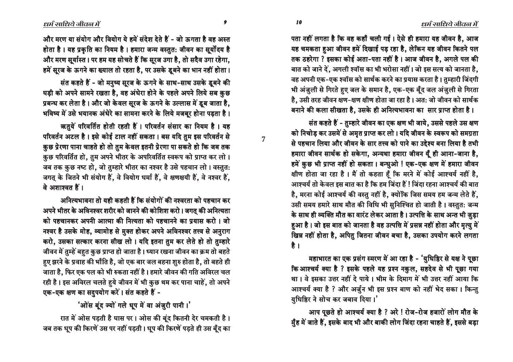पता नहीं लगता है कि वह कहाँ चली गई। ऐसे ही हमारा यह जीवन है, आज यह चमकता हुआ जीवन हमें दिखाई पड़ रहा है, लेकिन यह जीवन कितने पल तक ठहरेगा ? इसका कोई अता-पता नहीं है। आज जीवन है, अगले पल की बात को जाने दें, अगली श्वॉस का भी भरोसा नहीं। जो इस सत्य को जानता है, वह अपनी एक-एक श्वॉस को सार्थक करने का प्रयास करता है। तम्हारी जिंदगी भी अंजुली से गिरते हुए जल के समान है, एक-एक बूँद जल अंजुली से गिरता है, उसी तरह जीवन क्षण-क्षण क्षीण होता जा रहा है। अत: जो जीवन को सार्थक बनाने की कला सीखता है. उसके ही अनित्यभावना का सार प्राप्त होता है।

संत कहते हैं - तुम्हारे जीवन का एक क्षण भी जाये, उससे पहले उस क्षण को निचोड़ कर उसमें से अमृत प्राप्त कर लो। यदि जीवन के स्वरूप को समग्रता <u>से पहचान लिया और जीवन के सार तत्त्व को पाने का उद्देश्य बना लिया है तभी</u> हमारा जीवन सार्थक हो सकेगा, अन्यथा हमारा जीवन यूँ ही आना-जाना है, हमें कुछ भी प्राप्त नहीं हो सकता। बन्धुओ ! एक-एक क्षण में हमारा जीवन क्षीण होता जा रहा है। मैं तो कहता हूँ कि मरने में कोई आश्चर्य नहीं है, आश्चर्य तो केवल इस बात का है कि हम जिंदा हैं ! जिंदा रहना आश्चर्य की बात है, मरना कोई आश्चर्य की वस्तु नहीं है, क्योंकि जिस समय हम जन्म लेते हैं, उसी समय हमारे साथ मौत की विधि भी सुनिश्चित हो जाती है। वस्तुत: जन्म के साथ ही व्यक्ति मौत का वारंट लेकर आता है। उत्पत्ति के साथ अन्त भी ज़ुड़ा हुआ है। जो इस बात को जानता है वह उत्पत्ति में प्रसन्न नहीं होता और मृत्यु में खिन्न नहीं होता है, अपितु जितना जीवन बचा है, उसका उपयोग करने लगता है ।

महाभारत का एक प्रसंग स्मरण में आ रहा है - 'युधिष्ठिर से यक्ष ने पूछा कि आश्चर्य क्या है ? इसके पहले यह प्रश्न नकुल, सहदेव से भी पूछा गया था। वे इसका उत्तर नहीं दे पाये। भीम के दिमाग में भी उत्तर नहीं आया कि आश्चर्य क्या है ? और अर्जुन भी इस प्रश्न बाण को नहीं भेद सका। किन्तु यधिष्ठिर ने सोच कर जबाव दिया।'

आप पूछते हो आश्चर्य क्या है ? अरे ! रोज-रोज हजारों लोग मौत के मुँह में जाते हैं, इसके बाद भी और बाकी लोग जिंदा रहना चाहते हैं, इससे बड़ा

और मरण या संयोग और वियोग ये हमें संदेश देते हैं - जो ऊगता है वह अस्त होता है। यह प्रकृति का नियम है। हमारा जन्म वस्तुत: जीवन का सूर्योदय है और मरण सूर्यास्त। पर हम यह सोचते हैं कि सूरज उगा है, तो सदैव उगा रहेगा, हमें सूरज के ऊगने का ख्याल तो रहता है, पर उसके डूबने का भान नहीं होता।

संत कहते हैं - जो मनुष्य सूरज के ऊगने के साथ-साथ उसके डूबने की घड़ी को अपने सामने रखता है, वह अंधेरा होने के पहले अपने लिये सब कुछ प्रबन्ध कर लेता है। और जो केवल सूरज के ऊगने के उल्लास में डूब जाता है, भविष्य में उसे भयानक अंधेरे का सामना करने के लिये मजबूर होना पड़ता है।

ऋतुयें परिवर्तित होती रहती हैं। परिवर्तन संसार का नियम है। यह परिवर्तन अटल है। इसे कोई टाल नहीं सकता। बस यदि तुम इस परिवर्तन से कुछ प्रेरणा पाना चाहते हो तो तुम केवल इतनी प्रेरणा पा सकते हो कि जब तक कुछ परिवर्तित हो, तुम अपने भीतर के अपरिवर्तित स्वरूप को प्राप्त कर लो । जब तक कुछ नष्ट हो, जो तुम्हारे भीतर का नश्वर है उसे पहचान लो। वस्तुत: जगत् के जितने भी संयोग हैं, वे वियोग धर्मा हैं, वे क्षणक्षयी हैं, वे नश्वर हैं,  $\overrightarrow{a}$  अशाश्वत हैं।

<u>अनित्यभावना तो यही कहती हैं कि संयोगों की नश्वरता को पहचान कर</u> अपने भीतर के अविनश्वर शरीर को जानने की कोशिश करो। जगतु की अनित्यता को पहचानकर अपनी आत्मा की नित्यता को पहचानने का प्रयास करो । जो नश्वर है उसके मोह, व्यामोह से मुक्त होकर अपने अविनश्वर तत्त्व से अनुराग करो, उसका सत्कार करना सीख लो । यदि इतना तुम कर लेते हो तो तुम्हारे जीवन में तुम्हें बहुत कुछ प्राप्त हो जाता है। ध्यान रखना जीवन का क्रम तो बहते हुए झरने के प्रवाह की भाँति है, जो एक बार जल बहना शुरु होता है, तो बहते ही जाता है, फिर एक पल को भी रुकता नहीं है। हमारे जीवन की गति अविरल चल रही है। इस अविरल चलते हुये जीवन में भी कुछ थम कर पाना चाहें, तो अपने एक-एक क्षण का सदुपयोग करें। संत कहते हैं -

'ओंस बूंद ज्यों गले धूप में वा अंज़ूरी पानी।'

रात में ओस पड़ती है घास पर। ओस की बूंद कितनी देर चमकती है। जब तक धूप की किरणें उस पर नहीं पड़ती। धूप की किरणें पड़ते ही उस बूँद का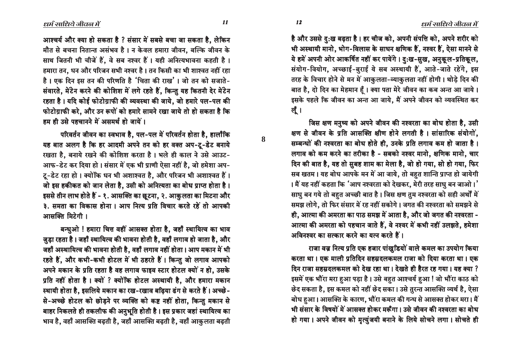आश्चर्य और क्या हो सकता है ? संसार में सबसे बचा जा सकता है, लेकिन मौत से बचना नितान्त असंभव है। न केवल हमारा जीवन, बल्कि जीवन के साथ जितनी भी चीजें हैं, वे सब नश्वर हैं। यही अनित्यभावना कहती है। हमारा तन, धन और परिजन सभी नश्वर है। तन किसी का भी शाश्वत नहीं रहा है। एक दिन इस तन की परिणति है 'चिता की राख'। जो तन को सजाते-संवारते, मेंटेन करने की कोशिश में लगे रहते हैं, किन्तु यह कितनी देर मेंटेन रहता है। यदि कोई फोटोग्राफी की व्यवस्था की जाये, जो हमारे पल-पल की फोटोग्राफी करे, और उन रूपों को हमारे सामने रखा जाये तो हो सकता है कि हम ही उसे पहचानने में असमर्थ हो जायें ।

परिवर्तन जीवन का स्वभाव है, पल-पल में परिवर्तन होता है, हालाँकि यह बात अलग है कि हर आदमी अपने तन को हर वक्त अप-टू-डेट बनाये रखता है, बनाये रखने की कोशिश करता है। भले ही काल ने उसे आउट-आफ-डेट कर दिया हो। संसार में एक भी प्राणी ऐसा नहीं है, जो हमेशा अप-टू-डेट रहा हो। क्योंकि धन भी अशाश्वत है, और परिजन भी अशाश्वत हैं। जो इस हकीकत को जान लेता है, उसी को अनित्यता का बोध प्राप्त होता है। इससे तीन लाभ होते हैं - १. आसक्ति का छूटना, २. आकुलता का मिटना और ३. समता का विकास होना। आप नित्य प्रति विचार करते रहें तो आपकी आसक्ति मिटेगी।

बन्धुओ ! हमारा चित्त वहीं आसक्त होता है, जहाँ स्थायित्व का भाव जुड़ा रहता है। जहाँ स्थायित्व की भावना होती है, वहाँ लगाव हो जाता है, और जहाँ अस्थायित्व की भावना होती है, वहाँ लगाव नहीं होता। आप मकान में भी रहते हैं, और कभी-कभी होटल में भी ठहरते हैं। किन्तु जो लगाव आपको अपने मकान के प्रति रहता है वह लगाव फाइव स्टार होटल क्यों न हो, उसके प्रति नहीं होता है। क्यों ? क्योंकि होटल अस्थायी है, और हमारा मकान स्थायी होता है, इसलिये मकान का रख-रखाव बढ़िया ढंग से करते हैं। अच्छे-से-अच्छे होटल को छोड़ने पर व्यक्ति को कष्ट नहीं होता, किन्तु मकान से बाहर निकलते ही तकलीफ की अनुभूति होती है। इस प्रकार जहां स्थायित्व का भाव है, वहाँ आसक्ति बढ़ती है, जहाँ आसक्ति बढ़ती है, वहाँ आकुलता बढ़ती

है और उससे दु:ख बढ़ता है। हर चीज को, अपनी संपत्ति को, अपने शरीर को भी अस्थायी मानो, भोग-विलास के साधन क्षणिक हैं, नश्वर हैं, ऐसा मानने से ये हमें अपनी ओर आकर्षित नहीं कर पायेंगे। दु:ख-सुख, अनुकूल-प्रतिकूल, संयोग-वियोग, अच्छाई-बुराई ये सब अस्थायी हैं, आते-जाते रहेंगे, इस तरह के विचार होने से मन में आकुलता-व्याकुलता नहीं होगी। थोडे दिन की बात है, दो दिन का मेहमान हूँ। क्या पता मेरे जीवन का कब अन्त आ जाये। इसके पहले कि जीवन का अन्त आ जाये, मैं अपने जीवन को व्यवस्थित कर लूँ ।

जिस क्षण मनुष्य को अपने जीवन की नश्वरता का बोध होता है, उसी क्षण से जीवन के प्रति आसक्ति क्षीण होने लगती है। सांसारिक संयोगों, सम्बन्धों की नश्वरता का बोध होते ही, उनके प्रति लगाव कम हो जाता है। लगाव को कम करने का तरीका है - सबको नश्वर मानो, क्षणिक मानो, चार दिन की बात है, यह तो सुबह शाम का मेला है, जो हो गया, सो हो गया, फिर सब खतम। यह बोध आपके मन में आ जाये, तो बहुत शान्ति प्राप्त हो जायेगी । मैं यह नहीं कहता कि 'आप नश्वरता को देखकर, मेरी तरह साधु बन जाओ।' साधु बन गये तो बहुत अच्छी बात है। जिस क्षण तुम नश्वरता को सही अर्थों में समझ लोगे, तो फिर संसार में रह नहीं सकोगे। जगत की नश्वरता को समझने से ही, आत्मा की अमरता का पाठ समझ में आता है, और जो जगत की नश्वरता -आत्मा की अमरता को पहचान जाते हैं, वे नश्वर में कभी नहीं उलझते, हमेशा अविनश्वर का सत्कार करने का यत्न करते हैं।

राजा वज्र नित्य प्रति एक हजार पांखुडियों वाले कमल का उपयोग किया करता था । एक माली प्रतिदिन सहस्रदलकमल राजा को दिया करता था । एक दिन राजा सहस्रदलकमल को देख रहा था। देखते ही हैरत रह गया। यह क्या ? इसमें एक भौंरा मरा हुआ पड़ा है। उसे बहुत आश्चर्य हुआ ! जो भौंरा काठ को छेद सकता है, इस कमल को नहीं छेद सका। उसे तुरन्त आसक्ति व्यर्थ है, ऐसा बोध हुआ। आसक्ति के कारण, भौंरा कमल की गन्ध से आसक्त होकर मरा। मैं भी संसार के विषयों में आसक्त होकर मरूँगा। उसे जीवन की नश्वरता का बोध हो गया। अपने जीवन को मृत्युंजयी बनाने के लिये सोचने लगा। सोचते ही

12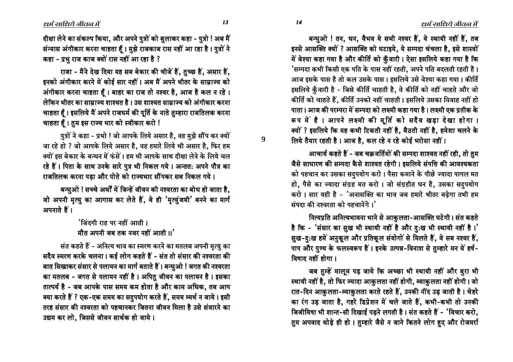बन्धुओ ! तन, धन, वैभव ये सभी नश्वर हैं, ये स्थायी नहीं हैं, तब इनसे आसक्ति क्यों ? आसक्ति को घटाइये, ये सम्पदा चंचला है, इसे शास्त्रों में वेश्या कहा गया है और कीर्ति को कुँवारी। ऐसा इसलिये कहा गया है कि 'सम्पदा कभी किसी एक पति के पास नहीं रहती, अपने पति बदलती रहती है। आज इसके पास है तो कल उसके पास। इसलिये उसे वेश्या कहा गया। कीर्ति इसलिये क़ुँवारी है - जिसे कीर्ति चाहती है, वे कीर्ति को नहीं चाहते और जो कीर्ति को चाहते हैं, कीर्ति उनको नहीं चाहती। इसलिये उसका विवाह नहीं हो पाता। आज की परम्परा में सम्पदा को लक्ष्मी कहा गया है। लक्ष्मी एक प्रतीक के रूप में है। आपने लक्ष्मी की मूर्ति को सदैव खड़ा देखा होगा। क्यों ? इसलिये कि यह कभी टिकती नहीं है. बैठती नहीं है. हमेशा चलने के लिये तैयार रहती है। आज है, कल रहे न रहे कोई भरोसा नहीं।

आचार्य कहते हैं - जब चक्रवर्तियों की सम्पदा शाश्वत नहीं रही. तो तम जैसे साधारण की सम्पदा कैसे शाश्वत रहेगी। इसलिये संपत्ति की आवश्यकता को पहचान कर उसका सदुपयोग करो। पैसा कमाने के पीछे ज्यादा पागल मत हो, पैसे का ज्यादा संग्रह मत करो। जो संग्रहीत धन है, उसका सदुपयोग करो। सार यही है - 'अनासक्ति का भाव जब हमारे भीतर बढ़ेगा तभी हम संपदा की नश्वरता को पहचानेंगे।'

नित्यप्रति अनित्यभावना भाने से आकुलता-आसक्ति घटेगी। संत कहते है कि - 'संसार का सुख भी स्थायी नहीं है और दु:ख भी स्थायी नहीं है।' सुख-द:ख हमें अनुकूल और प्रतिकूल संयोगों से मिलते हैं, वे सब नश्वर हैं, पाप और पुण्य के फलस्वरूप हैं। इनके उत्पन्न-विनाश से तुम्हारे मन में हर्ष-विषाद नहीं होगा ।

जब तुम्हें मालूम पड़ जाये कि अच्छा भी स्थायी नहीं और बुरा भी स्थायी नहीं है, तो फिर ज्यादा आकुलता नहीं होगी, व्याकुलता नहीं होगी। जो रात-दिन आकुलता-व्याकुलता करते रहते हैं, उनकी नींद उड़ जाती है। चेहरे का रंग उड़ जाता है, गहरे डिप्रेशन में चले जाते हैं, कभी-कभी तो उनकी जिजीविषा भी शान्त-सी दिखाई पड़ने लगती है। संत कहते हैं - 'विचार करो, तुम अपवाद थोड़े ही हो । तुम्हारे जैसे न जाने कितने लोग हुए और रोजमर्रा

दीक्षा लेने का संकल्प किया, और अपने पुत्रों को बुलाकर कहा - पुत्रो ! अब मैं संन्यास अंगीकार करना चाहता हैं। मुझे राजकाज रास नहीं आ रहा है। पुत्रों ने कहा - प्रभु राज काज क्यों रास नहीं आ रहा है ?

राजा - मैंने देख दिया यह सब बेकार की चीजें हैं, तुच्छ हैं, असार हैं, इनको अंगीकार करने में कोई सार नहीं। अब मैं अपने भीतर के साम्राज्य को अंगीकार करना चाहता हैं। बाहर का राज तो नश्वर है, आज है कल न रहे। लेकिन भीतर का साम्राज्य शाश्वत है। उस शाश्वत साम्राज्य को अंगीकार करना चाहता हैं। इसलिये मैं अपने राजधर्म की पूर्ति के नाते तुम्हारा राजतिलक करना चाहता हैं। तुम इस राज्य भार को स्वीकार करो !

पुत्रों ने कहा - प्रभो ! जो आपके लिये असार है, वह मुझे सौंप कर क्यों जा रहे हो ? जो आपके लिये असार है, वह हमारे लिये भी असार है, फिर हम क्यों इस बेकार के बन्धन में फंसें। हम भी आपके साथ दीक्षा लेने के लिये चल रहे हैं। पिता के साथ उनके सारे पुत्र भी निकल गये। अन्तत: अपने पौत्र का राजतिलक करना पडा और पोते को राज्यभार सौंपकर सब निकल गये।

बन्धुओ ! सच्चे अर्थों में जिन्हें जीवन की नश्वरता का बोध हो जाता है, जो अपनी मृत्यु का आगास कर लेते हैं, वे ही 'मृत्युंजयी' बनने का मार्ग अपनाते हैं।

> ंजिंदगी राह पर नहीं आती । मौत अपनी जब तक नजर नहीं आती ।।'

संत कहते हैं - अनित्य भाव का स्मरण करने का मतलब अपनी मृत्यु का सदैव स्मरण करके चलना। कई लोग कहते हैं - संत तो संसार की नश्वरता की बात सिखाकर संसार से पलायन का मार्ग बताते हैं। बन्धुओ ! जगत की नश्वरता का मतलब - जगत से पलायन नहीं है। अपितु जीवन का पलायन है। इसका तात्पर्य है - जब आपके पास समय कम होता है और काम अधिक, तब आप क्या करते हैं ? एक-एक समय का सदुपयोग करते हैं, समय व्यर्थ न जाये। इसी तरह संसार की नश्वरता को पहचानकर जितना जीवन मिला है उसे संवारने का उद्यम कर लो, जिससे जीवन सार्थक हो जाये।

13

 $\boldsymbol{9}$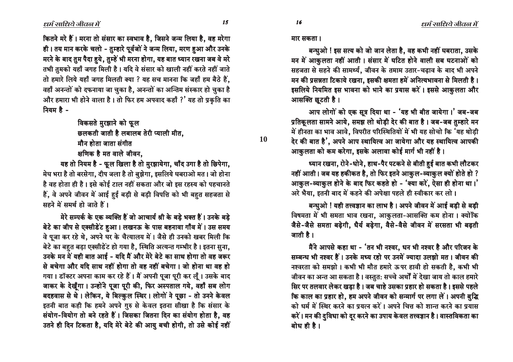कितने मरे हैं। मरना तो संसार का स्वभाव है, जिसने जन्म लिया है, वह मरेगा ही। तय मान करके चलो - तुम्हारे पूर्वजों ने जन्म लिया, मरण हुआ और उनके मरने के बाद तुम पैदा हुये, तुम्हें भी मरना होगा, यह बात ध्यान रखना जब वे मरे तभी तुमको यहाँ जगह मिली है। यदि वे संसार को खाली नहीं करते नहीं जाते तो हमारे लिये यहाँ जगह मिलती क्या ? यह सच मानना कि जहाँ हम बैठे हैं. वहाँ अनन्तों को दफनाया जा चुका है, अनन्तों का अन्तिम संस्कार हो चुका है और हमारा भी होने वाला है। तो फिर हम अपवाद कहाँ ?' यह तो प्रकृति का नियम है -

विकसते मुरझाने को फू**ल** 

छलकती जाती है लबालब तेरी प्याली मीत.

मौन होता जाता संगीत

क्षणिक है मत वाले जीवन,

यह तो नियम है - फूल खिला है तो मुरझायेगा, चाँद उगा है तो छिपेगा, hेघ भरा है तो बरसेगा, दीप जला है तो बुझेगा, इसलिये घबराओ मत। जो होना है वह होता ही है । इसे कोई टाल नहीं सकता और जो इस रहस्य को पहचानते हैं, वे अपने जीवन में आई हुई बड़ी से बड़ी विपत्ति को भी बहुत सहजता से सहने में समर्थ हो जाते हैं।

मेरे सम्पर्क के एक व्यक्ति हैं जो आचार्य श्री के बड़े भक्त हैं। उनके बड़े बेटे का जीप से एक्सीडेंट हुआ। लखनऊ के पास बहनावा गाँव में। उस समय वे पूजा कर रहे थे, अपने घर के चैत्यालय में। जैसे ही उनको खबर मिली कि बेटे का बहुत बड़ा एक्सीडेंट हो गया है, स्थिति अत्यन्त गम्भीर है। इतना सुना, उनके मन में यही बात आई - यदि मैं और मेरे बेटे का साथ होगा तो वह जरूर से बचेगा और यदि साथ नहीं होगा तो वह नहीं बचेगा । जो होना था वह हो गया। डॉक्टर अपना काम कर रहे हैं। मैं अपनी पूजा पूरी कर लूँ। उसके बाद जाकर के देखूँगा। उन्होंने पूजा पूरी की, फिर अस्पताल गये, वहाँ सब लोग बदहवास से थे। लेकिन, ये बिल्कुल स्थिर। लोगों ने पूछा - तो उनने केवल इतनी बात कही कि हमने अपने गुरु से केवल इतना सीखा है कि संसार के संयोग-वियोग तो बने रहते हैं। जिसका जितना दिन का संयोग होता है, वह उतने ही दिन टिकता है, यदि मेरे बेटे की आयु बची होगी, तो उसे कोई नहीं मार सकता ।

**10**

बन्धुओ ! इस सत्य को जो जान लेता है. वह कभी नहीं घबराता. उसके मन में आकुलता नहीं आती। संसार में घटित होने वाली सब घटनाओं को सहजता से सहने की सामर्थ्य, जीवन के तमाम उतार-चढाव के बाद भी अपने मन की प्रसन्नता टिकाये रखना, इसकी क्षमता हमें अनित्यभावना से मिलती है। इसलिये नियमित इस भावना को भाने का प्रयास करें। इससे आकुलता और आसक्ति छुटती है।

आप लोगों को एक सूत्र दिया था - 'यह भी बीत जायेगा।' जब-जब प्रतिकूलता सामने आये, समझ लो थोड़ी देर की बात है। जब-जब तुम्हारे मन में हीनता का भाव आवे, विपरीत परिस्थितियों में भी यह सोचो कि 'यह थोड़ी देर की बात है', अपने आप स्थायित्व आ जायेगा और यह स्थायित्व आपकी आकुलता को कम करेगा, इसके अलावा कोई मार्ग भी नहीं है।

ष्यान रखना, रोने-धोने, हाथ-पैर पटकने से बीती हुई बात कभी लौटकर नहीं आती। जब यह हकीकत है, तो फिर इतने आकुल-व्याकुल क्यों होते हो ? आकुल-व्याकुल होने के बाद फिर कहते हो - 'क्या करें, ऐसा ही होना था।' अरे भैया, इतनी बाद में कहने की अपेक्षा पहले ही स्वीकार कर लो।

बन्धुओ ! यही तत्त्वज्ञान का लाभ है। अपने जीवन में आई बड़ी से बड़ी विषमता में भी समता भाव रखना, आकुलता-आसक्ति कम होना। क्योंकि जैसे-जैसे समता बढ़ेगी, धैर्य बढ़ेगा, वैसे-वैसे जीवन में सरसता भी बढ़ती जाती है।

मैंने आपसे कहा था - 'तन भी नश्वर, धन भी नश्वर है और परिजन के सम्बन्ध भी नश्वर हैं। उनके मध्य रहो पर उनमें ज्यादा उलझो मत। जीवन की नश्वरता को समझो। कभी भी मौत हमारे ऊपर हावी हो सकती है. कभी भी जीवन का अन्त आ सकता है। वस्तुत: सच्चे अर्थों में देखा जाय तो काल हमारे सिर पर तलवार लेकर खडा है। जब चाहे उसका प्रहार हो सकता है। इससे पहले कि काल का प्रहार हो, हम अपने जीवन को सन्मार्ग पर लगा लें। अपनी बुद्धि को धर्म में स्थिर करने का प्रयत्न करें। अपने चित्त को शान्त करने का प्रयास करें। मन की दुविधा को दूर करने का उपाय केवल तत्त्वज्ञान है। वास्तविकता का बोध ही है ।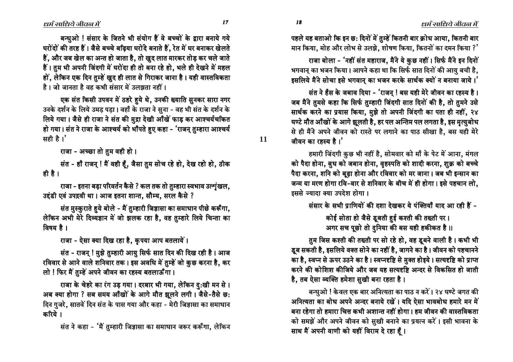ëó ëò

**11**

पहले यह बताओ कि इन छ: दिनों में तुम्हें कितनी बार क्रोध आया, कितनी बार मान किया, मोह और लोभ से उलझे, शोषण किया, कितनों का दमन किया ?'

राजा बोला - 'नहीं संत महाराज, मैंने ये कुछ नहीं। सिर्फ मैंने इन दिनों भगवान् का भजन किया। आपने कहा था कि सिर्फ सात दिनों की आयु बची है, इसलिये मैंने सोचा इसे भगवान् का भजन करके सार्थक क्यों न बनाया जाये।'

संत ने हँस के जबाव दिया - 'राजन ! बस यही मेरे जीवन का रहस्य है। जब मैंने तुमसे कहा कि सिर्फ तुम्हारी जिंदगी सात दिनों की है, तो तुमने उसे सार्थक करने का प्रयास किया, मुझे तो अपनी जिंदगी का पता ही नहीं, २४ घण्टे मौत आँखों के आगे झूलती है, हर पल अन्तिम पल लगता है, इस मृत्युबोध से ही मैंने अपने जीवन को रास्ते पर लगाने का पाठ सीखा है, बस यही मेरे जीवन का रहस्य है। $^{\prime}$ 

हमारी जिंदगी कुछ भी नहीं है, सोमवार को माँ के पेट में आना, मंगल को पैदा होना, बुध को जबान होना, वृहस्पति को शादी करना, शुक्र को बच्चे पैदा करना, शनि को बूढा होना और रविवार को मर जाना । जब भी इन्सान का जन्म या मरण होगा रवि-वार से शनिवार के बीच में ही होगा। इसे पहचान लो. इससे ज्यादा क्या उपदेश होगा ।

संसार के सभी प्राणियों की दशा देखकर ये पंक्तियाँ याद आ रही हैं -

कोई सोता हो जैसे डूबती हुई कश्ती की तख्ती पर। आगर सच पूछो तो दुनिया की बस यही हकीकत है ।।

तुम जिस कश्ती की तख्ती पर सो रहे हो, वह डूबने वाली है। कभी भी डूब सकती है, इसलिये वक्त सोने का नहीं है, जागने का है। जीवन को पहचानने का है, स्वप्न से ऊपर उठने का है। स्वप्नदृष्टि से मुक्त होइये। सत्यदृष्टि को प्राप्त करने की कोशिश कीजिये और जब यह सत्यदृष्टि अन्दर से विकसित हो जाती है, तब ऐसा व्यक्ति हमेशा सुखी बना रहता है।

बन्धुओ ! केवल एक बार अनित्यता का पाठ न करें। २४ घण्टे जगत की आनित्यता का बोध अपने अन्दर बनाये रखें। यदि ऐसा भावबोध हमारे मन में बना रहेगा तो हमारा चित्त कभी अशान्त नहीं होगा। हम जीवन की वास्तविकता को समझें और अपने जीवन को सूखी बनाने का प्रयत्न करें। इसी भावना के साथ मैं अपनी वाणी को यहीं विराम दे रहा हूँ।

बन्धुओ ! संसार के जितने भी संयोग हैं वे बच्चों के द्वारा बनाये गये घरोंदों की तरह हैं। जैसे बच्चे बढ़िया घरोदे बनाते हैं, रेत में घर बनाकर खेलते हैं. और जब खेल का अन्त हो जाता है. तो खुद लात मारकर तोड कर चले जाते हैं। तुम भी अपनी जिंदगी में घरोंदा ही तो बना रहे हो, भले ही देखने में महल हों, लेकिन एक दिन तुम्हें खुद ही लात से गिराकर जाना है। यही वास्तविकता  $\hat{\vec{r}}$  । जो जानता है वह कभी संसार में उलझता नहीं ।

एक संत किसी उपवन में ठहरे हये थे, उनकी ख्याति सुनकर सारा नगर उनके दर्शन के लिये उमड पडा। वहाँ के राजा ने सुना - वह भी संत के दर्शन के लिये गया। जैसे ही राजा ने संत की मुद्रा देखी आँखें फाड़ कर आश्चर्यचकित हो गया। संत ने राजा के आश्चर्य को भाँपते हुए कहा - 'राजन् तुम्हारा आश्चर्य सही है। $'$ 

राजा - अच्छा तो तुम वही हो।

संत - हाँ राजन् ! मैं वही हूँ, जैसा तुम सोच रहे हो, देख रहो हो, ठीक ही है।

राजा - इतना बड़ा परिवर्तन कैसे ? कल तक तो तुम्हारा स्वभाव उत्शृंखल, उद्दंडी एवं उपद्रवी था। आज इतना शान्त, सौम्य, सरल कैसे ?

संत मुस्कुराते हुये बोले - मैं तुम्हारी जिज्ञासा का समाधान पीछे करूँगा, लेकिन अभी मेरे दिव्यज्ञान में जो झलक रहा है, वह तुम्हारे लिये चिन्ता का विषय है।

राजा - ऐसा क्या दिख रहा है, कृपया आप बतलायें।

संत - राजन् ! मुझे तुम्हारी आयु सिर्फ सात दिन की दिख रही है। आज रविवार से आने वाले शनिवार तक । इस अवधि में तुम्हें जो कुछ करना है, कर लो ! फिर मैं तुम्हें अपने जीवन का रहस्य बतलाऊँगा।

राजा के चेहरे का रंग उड़ गया। दरबार भी गया, लेकिन दु:खी मन से। अब क्या होगा ? सब समय आँखों के आगे मौत झूलने लगी। जैसे-तैसे छ: दिन गुजरे, सातवें दिन संत के पास गया और कहा - मेरी जिज्ञासा का समाधान करिये ।

संत ने कहा - 'मैं तुम्हारी जिज्ञासा का समाधान जरूर करूँगा, लेकिन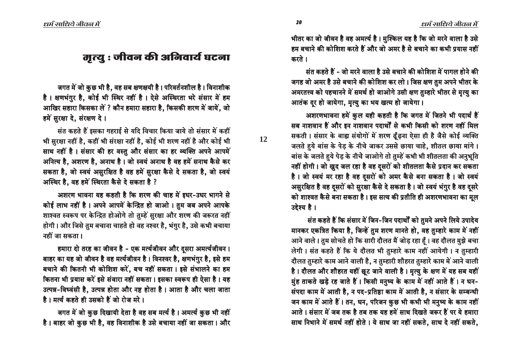भीतर का जो जीवन है वह अमर्त्य है। मुश्किल यह है कि जो मरने वाला है उसे हम बचाने की कोशिश करते हैं और जो अमर है से बचाने का कभी प्रयास नहीं करते ।

संत कहते हैं - जो मरने वाला है उसे बचाने की कोशिश में पागल होने की जगह जो अमर है उसे बचाने की कोशिश कर लो। जिस क्षण तुम अपने भीतर के आमरतत्त्व को पहचानने में समर्थ हो जाओगे उसी क्षण तुम्हारे भीतर से मृत्यु का आतंक दर हो जायेगा, मृत्यु का भय खत्म हो जायेगा।

आशरणभावना हमें कुल यही कहती है कि जगत में जितने भी पदार्थ हैं सब नाशवान हैं और इन नाशवान पदार्थों से कभी किसी को शरण नहीं मिल सकती। संसार के बाह्य संयोगों में शरण ढूँढ़ना ऐसा ही है जैसे कोई व्यक्ति जलते हुये बांस के पेड़ के नीचे जाकर उससे छाया चाहे, शीतल छाया मांगे । बांस के जलते हुये पेड़ के नीचे जाओगे तो तुम्हें कभी भी शीतलता की अनुभूति नहीं होगी। जो खूद जल रहा है वह दूसरों को शीतलता कैसे प्रदान कर सकता है। जो स्वयं मर रहा है वह दूसरों को अमर कैसे बना सकता है। जो स्वयं आसुरक्षित है वह दूसरों को सुरक्षा कैसे दे सकता है। जो स्वयं भंगुर है वह दूसरे को शाश्वत कैसे बना सकता है। इस सत्य की प्रतीति ही अशरणभावना का मूल उद्देश्य है।

संत कहते हैं कि संसार में जिन-जिन पदार्थों को तुमने अपने लिये उपादेय मानकर एकत्रित किया है, जिन्हें तुम शरण मानते हो, वह तुम्हारे काम में नहीं आने वाले। तुम सोचते हो कि सारी दौलत मैं जोड़ रहा हैं। वह दौलत मुझे बचा लेगी। संत कहते हैं कि ये दौलत भी तुम्हारे काम नहीं आयेगी। न तुम्हारी दौलत तुम्हारे काम आने वाली है, न तुम्हारी शौहरत तुम्हारे काम में आने वाली है। दौलत और शौहरत यहीं छूट जाने वाली है। मृत्यु के क्षण में यह सब यहीं मुंह ताकते खड़े रह जाते हैं। किसी मनुष्य के काम में नहीं आते हैं। न धन-संपदा काम में आती है, न पद-प्रतिष्ठा काम में आती है, न संसार के सम्बन्धी जन काम में आते हैं। तन, धन, परिजन कुछ भी कभी भी मनुष्य के काम नहीं आते । संसार में जब तक है तब तक यह हमें साथ दिखते जरूर हैं पर ये हमारा साथ निभाने में समर्थ नहीं होते । ये साथ जा नहीं सकते, साथ दे नहीं सकते,

# मृत्यु : जीवन की अनिवार्य घटना

जगत में जो कुछ भी है, वह सब क्षणक्षयी है। परिवर्तनशील है। विनाशीक है। क्षणभंगुर है, कोई भी स्थिर नहीं है। ऐसे अस्थिरता भरे संसार में हम आखिर सहारा किसका लें ? कौन हमारा सहारा है, किसकी शरण में जायें, जो हमें सरक्षा दे. संरक्षण दे।

संत कहते हैं इसका गहराई से यदि विचार किया जाये तो संसार में कहीं भी सुरक्षा नहीं है, कहीं भी संरक्षा नहीं है, कोई भी शरण नहीं है और कोई भी साथ नहीं है। संसार की हर वस्तु और संसार का हर व्यक्ति अपने आपमें आनित्य है, अशरण है, अनाथ है। जो स्वयं अनाथ है वह हमें सनाथ कैसे कर सकता है, जो स्वयं असुरक्षित है वह हमें सुरक्षा कैसे दे सकता है, जो स्वयं आस्थिर है. वह हमें स्थिरता कैसे दे सकता है ?

आशरण भावना यह कहती है कि शरण की चाह में इधर-उधर भागने से कोई लाभ नहीं है। अपने आपमें केन्द्रित हो जाओ। तुम जब अपने आपके शाश्वत स्वरूप पर केन्द्रित होओगे तो तुम्हें सुरक्षा और शरण की जरूरत नहीं होगी। और जिसे तुम बचाना चाहते हो वह नश्वर है, भंगुर है, उसे कभी बचाया नहीं जा सकता।

हमारा दो तरह का जीवन है - एक मर्त्यजीवन और दुसरा अमर्त्यजीवन । बाहर का यह जो जीवन है वह मर्त्यजीवन है। विनश्वर है, क्षणभंगुर है, इसे हम बचाने की कितनी भी कोशिश करें, बच नहीं सकता। इसे संभालने का हम कितना भी प्रयास करें इसे संवारा नहीं सकता। इसका स्वरूप ही ऐसा है। यह उत्पन्न-विध्वंसी है, उत्पन्न होता और नष्ट होता है। आता है और चला जाता है। मर्त्य कहते ही उसको हैं जो रोज मरे ।

जगत में जो कुछ दिखायी देता है वह सब मर्त्य है। अमर्त्य कुछ भी नहीं है। बाहर जो कुछ भी है, वह विनाशीक है उसे बचाया नहीं जा सकता। और **12**

íê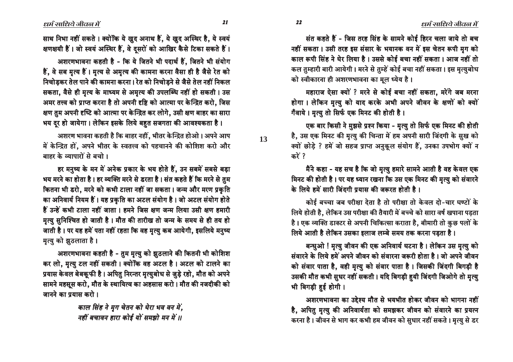संत कहते हैं - जिस तरह सिंह के सामने कोई हिरन चला जाये तो बच नहीं सकता। उसी तरह इस संसार के भयानक वन में इस चेतन रूपी मृग को काल रूपी सिंह ने घेर लिया है। उससे कोई बचा नहीं सकता। आज नहीं तो कल तुम्हारी बारी आयेगी। मरने से तुम्हें कोई बचा नहीं सकता। इस मृत्युबोध को स्वीकारना ही अशरणभावना का मुल ध्येय है।

महाराज ऐसा क्यों ? मरने से कोई बचा नहीं सकता. मरेंगे जब मरना होगा। लेकिन मृत्यु को याद करके अभी अपने जीवन के क्षणों को क्यों गँवाये। मत्यु तो सिर्फ एक मिनट की होती है।

एक बार किसी ने म़झसे प्रश्न किया - मृत्यु तो सिर्फ एक मिनट की होती है, उस एक मिनट की मृत्यु की चिन्ता में हम अपनी सारी जिंदगी के सुख को क्यों छोड़े ? हमें जो सहज प्राप्त अनुकूल संयोग हैं, उनका उपभोग क्यों न करें ?

मैंने कहा - यह सच है कि जो मृत्यु हमारे सामने आती है वह केवल एक मिनट की होती है। पर यह ध्यान रखना कि उस एक मिनट की मृत्यु को संवारने के लिये हमें सारी जिंदगी प्रयास की जरूरत होती है।

कोई बच्चा जब परीक्षा देता है तो परीक्षा तो केवल दो-चार घण्टों के लिये होती है, लेकिन उस परीक्षा की तैयारी में बच्चे को सारा वर्ष खपाना पड़ता है। एक व्यक्ति डाक्टर से अपनी चिकित्सा कराता है, बीमारी तो कुछ पलों के लिये आती है लेकिन उसका इलाज लम्बे समय तक करना पड़ता है।

बन्धुओ ! मृत्यु जीवन की एक अनिवार्य घटना है। लेकिन उस मृत्यु को संवारने के लिये हमें अपने जीवन को संवारना जरूरी होता है। जो अपने जीवन को संवार पाता है, वही मृत्यु को संवार पाता है। जिसकी जिंदगी बिगड़ी है उसकी मौत कभी सुधर नहीं सकती। यदि बिगड़ी हुयी जिंदगी जिओगे तो मृत्यु भी बिगड़ी हुई होगी।

अशरणभावना का उद्देश्य मौत से भयभीत होकर जीवन को भागना नहीं है, अपितु मृत्यु की अनिवार्यता को समझकर जीवन को संवारने का प्रयत्न करना है। जीवन से भाग कर कभी हम जीवन को सुधार नहीं सकते। मृत्यु से डर

साथ निभा नहीं सकते। क्योंकि ये खूद अनाथ हैं, ये खूद अस्थिर है, ये स्वयं क्षणक्षयी हैं। जो स्वयं अस्थिर हैं, वे दुसरों को आखिर कैसे टिका सकते हैं।

अशरणभावना कहती है - कि ये जितने भी पदार्थ हैं. जितने भी संयोग हैं, वे सब मृत्य हैं। मृत्य से अमृत्य की कामना करना वैसा ही है जैसे रेत को निचोडकर तेल पाने की कामना करना। रेत को निचोडने से जैसे तेल नहीं निकल सकता, वैसे ही मृत्य के माध्यम से अमृत्य की उपलब्धि नहीं हो सकती। उस अमर तत्त्व को प्राप्त करना है तो अपनी दृष्टि को आत्मा पर केन्द्रित करो, जिस क्षण तम अपनी दृष्टि को आत्मा पर केन्द्रित कर लोगे. उसी क्षण बाहर का सारा भय दर हो जायेगा। लेकिन इसके लिये बहुत सजगता की आवश्यकता है।

अशरण भावना कहती है कि बाहर नहीं, भीतर केन्द्रित होओ। अपने आप में केन्द्रित हों, अपने भीतर के स्वतत्त्व को पहचानने की कोशिश करो और बाहर के व्यापारों से बचो।

हर मनुष्य के मन में अनेक प्रकार के भय होते हैं, उन सबमें सबसे बड़ा भय मरने का होता है। हर व्यक्ति मरने से डरता है। संत कहते हैं कि मरने से तुम कितना भी डरो, मरने को कभी टाला नहीं जा सकता। जन्म और मरण प्रकृति का अनिवार्य नियम हैं। यह प्रकृति का अटल संयोग है। जो अटल संयोग होते हैं उन्हें कभी टाला नहीं जाता। हमने जिस क्षण जन्म लिया उसी क्षण हमारी मृत्यु सुनिश्चित हो जाती है। मौत की तारीख तो जन्म के समय से ही तय हो जाती है। पर यह हमें पता नहीं रहता कि वह मृत्यु कब आयेगी, इसलिये मनुष्य मृत्यु को झुठलाता है।

अशरणभावना कहती है - तुम मृत्यु को झुठलाने की कितनी भी कोशिश कर लो. मृत्यु टल नहीं सकती। क्योंकि वह अटल है। अटल को टालने का प्रयास केवल बेबकूफी है। अपितु निरन्तर मृत्युबोध से जुड़े रहो, मौत को अपने सामने महसूस करो, मौत के स्थायित्व का अहसास करो। मौत की नजदीकी को जानने का प्रयास करो।

> काल सिंह ने मुग चेतन को घेरा भव वन में. नहीं बचावन हारा कोई यों समझो मन में ॥

13

22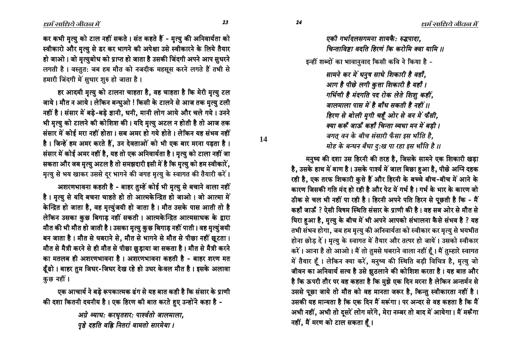*एकी गर्भादलसगमना शायकै: रुद्धपादा.* 

 $\overline{\theta}$ न्ताविष्टा वदति हिरणं कि करोमि क्वा यामि ॥

इन्हीं शब्दों का भावानुवाद किसी कवि ने किया है -

*Pape 4 • PbC + 10 Ppape + 10 + 7 and the H and A and A and A and A and A and A* and *Pb आग है पीछे लगी कुत्ता शिकारी है यहाँ । गर्भिणी है मंदगति पद रोक लेते शिशु कहीं. जालमाला पास में है बाँध सकती है नहीं ॥ हिरण से बोली मृगी चहुँ ओर से वन में फँसी, s‡b •TiTH Æb H •T´bH <™E»b —‡Òb ÓD ÓC\* k˘a \$ s‡b •TiTH H •T´bH <™E»b —‡Òb ÓC\* k˘a \$ •T´bH <™E»b k˘a \$*  $\vec{v}$ *चगत् वन के बीच संसारी फँसा इस भाँति है*. *ÓbC´ •CT kEμD kHμb £È:⁄ ±b Ÿ´b P BbH<» ´º \$\$ •CT kEμD kHμb £È:⁄ ±b Ÿ´b P BbH<» ´º \$\$kEμD kHμb £È:⁄ ±b* 

मनुष्य की दशा उस हिरनी की तरह है, जिसके सामने एक शिकारी खड़ा है, उसके हाथ में बाण है। उसके पार्श्व में जाल बिछा हुआ है, पीछे अग्नि दहक रही है, एक तरफ शिकारी कुत्ते हैं और हिरनी के बच्चे बीच-बीच में आने के कारण जिसकी गति मंद हो रही है और पेट में गर्भ है। गर्भ के भार के कारण जो ठीक से चल भी नहीं पा रही है। हिरनी अपने पति हिरन से पूछती है कि - मैं कहाँ जाऊँ ? ऐसी विषम स्थिति संसार के प्राणी की है। वह सब ओर से मौत से <u>घिरा हुआ है, मृत्यु</u> के बीच में भी अपने आपको संभालना कैसे संभव है ? यह तभी संभव होगा, जब हम मृत्यु की अनिवार्यता को स्वीकार कर मृत्यु से भयभीत होना छोड़ दें। मृत्यु के स्वागत में तैयार और तत्पर हो जायें। उसको स्वीकार करें। आना है तो आओ। मैं तो तुमसे घबराने वाला नहीं हैं। मैं तुम्हारे स्वागत में तैयार हैं। लेकिन क्या करें, मनुष्य की स्थिति बड़ी विचित्र है, मृत्यु जो जीवन का अनिवार्य सत्य है उसे झुठलाने की कोशिश करता है। यह बात और है कि ऊपरी तौर पर वह कहता है कि मुझे एक दिन मरना है लेकिन अन्तर्मन से उससे पूछा जाये तो मौत को वह मानता जरूर है, किन्तु स्वीकारता नहीं है। उसकी यह मान्यता है कि एक दिन मैं मरूंगा। पर अन्दर से वह कहता है कि मैं अभी नहीं, अभी तो दुसरें लोग मरेंगे, मेरा नम्बर तो बाद में आयेगा। मैं मरूँगा नहीं, मैं मरण को टाल सकता हूँ।

कर कभी मृत्यु को टाल नहीं सकते । संत कहते हैं - मृत्यु की अनिवार्यता को स्वीकारो और मृत्यु से डर कर भागने की अपेक्षा उसे स्वीकारने के लिये तैयार हो जाओ। जो मृत्युबोध को प्राप्त हो जाता है उसकी जिंदगी अपने आप सुधरने लगती है। वस्तुत: जब हम मौत को नजदीक महसूस करने लगते हैं तभी से हमारी जिंदगी में सधार शुरु हो जाता है।

हर आदमी मृत्यु को टालना चाहता है, वह चाहता है कि मेरी मृत्यु टल जाये। मौत न आये। लेकिन बन्धुओ ! किसी के टालने से आज तक मृत्यु टली नहीं है। संसार में बडे-बडे ज्ञानी. धनी. मानी लोग आये और चले गये। उनने भी मृत्यु को टालने की कोशिश की। यदि मृत्यु अटल न होती है तो आज तक संसार में कोई मरा नहीं होता। सब अमर हो गये होते। लेकिन यह संभव नहीं है। जिन्हें हम अमर करते हैं, उन देवताओं को भी एक बार मरना पड़ता है। संसार में कोई अमर नहीं है, यह तो एक अनिवार्यता है। मृत्यु को टाला नहीं जा सकता और जब मृत्यु अटल है तो समझदारी इसी में है कि मृत्यु को हम स्वीकारें, मृत्यु से भय खाकर उससे दूर भागने की जगह मृत्यु के स्वागत की तैयारी करें।

अशरणभावना कहती है - बाहर तुम्हें कोई भी मृत्यु से बचाने वाला नहीं है। मृत्यु से यदि बचना चाहते हो तो आत्मकेन्द्रित हो जाओ। जो आत्मा में केन्द्रित हो जाता है, वह मृत्युंजयी हो जाता है। मौत उसके पास आती तो है लेकिन उसका कुछ बिगाड़ नहीं सकती। आत्मकेन्द्रित आत्मसाधक के द्वारा मौत की भी मौत हो जाती है। उसका मृत्यु कुछ बिगाड़ नहीं पाती। वह मृत्युंजयी बन जाता है। मौत से घबराने से, मौत से भागने से मौत से पीछा नहीं छुटता। मौत से मैत्री करने से ही मौत से पीछा छुड़ाया जा सकता है। मौत से मैत्री करने का मतलब ही अशरणभावना है। अशरणभावना कहती है - बाहर शरण मत ढूँढो । बाहर तुम जिधर-जिधर देख रहे हो उधर केवल मौत है । इसके अलावा कुछ नहीं।

एक आचार्य ने बड़े रूपकात्मक ढंग से यह बात कही है कि संसार के प्राणी की दशा कितनी दयनीय है। एक हिरण की बात करते हुए उन्होंने कहा है -

> *¿≥–C —‡bμ: •TŸμ…»~Ÿ: ±bAÎ∂»bC ÆbJÓbJb, ¿≥–C —‡bμ: •TŸμ…»~Ÿ: ±bAÎ∂»bC ±…˛>C £´<» Î<Ö <D»Ÿb} ÎbÓ»bC PbŸÓC‡b \$ ±…˛>C £´<» Î<Ö <D»Ÿb} £´<» ÎbÓ»bC*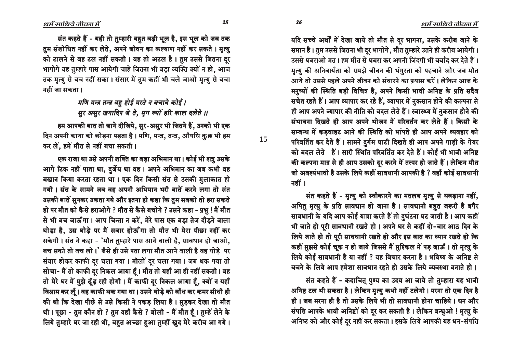यदि सच्चे अर्थों में देखा जाये तो मौत से दर भागना, उसके करीब जाने के समान है। तुम उससे जितना भी दर भागोगे, मौत तुम्हारे उतने ही करीब आयेगी। उससे घबराओ मत। हम मौत से घबरा कर अपनी जिंदगी भी बर्बाद कर देते हैं। मृत्यु की अनिवार्यता को समझे जीवन की भंगुरता को पहचाने और जब मौत आये तो उससे पहले अपने जीवन को संवारने का प्रयास करें। लेकिन आज के मनुष्यों की स्थिति बड़ी विचित्र है, अपने किसी भावी अनिष्ट के प्रति सदैव सचेत रहते हैं। आप व्यापार कर रहे हैं, व्यापार में नुकसान होने की कल्पना से ही आप अपने व्यापार की नीति को बदल लेते हैं। स्वास्थ्य में नुकसान होने की संभावना दिखते ही आप अपने भोजन में परिवर्तन कर लेते हैं। किसी के सम्बन्ध में कडवाहट आने की स्थिति को भांपते ही आप अपने व्यवहार को परिवर्तित कर देते हैं। सामने दुर्गम घाटी दिखते ही आप अपने गाड़ी के गेयर को बदल लेते हैं। सारी स्थिति परिवर्तित कर देते हैं। कोई भी भावी अनिष्ट की कल्पना मात्र से ही आप उसको दुर करने में तत्पर हो जाते हैं। लेकिन मौत जो अवश्यंभावी है उसके लिये कहीं सावधानी आपकी है ? वहाँ कोई सावधानी नहीं ।

संत कहते हैं - मृत्यु को स्वीकारने का मतलब मृत्यु से घबड़ाना नहीं, अपितु मृत्यु के प्रति सावधान हो जाना है। सावधानी बहुत जरूरी है बगैर सावधानी के यदि आप कोई यात्रा करते हैं तो दुर्घटना घट जाती है। आप कहीं भी जाते हो पूरी सावधानी रखते हो। अपने घर से कहीं दो-चार आठ दिन के लिये जाते हो तो पूरी सावधानी रखते हो और इस बात का ध्यान रखते हो कि कहीं मुझसे कोई चूक न हो जाये जिससे मैं मुश्किल में पड़ जाऊँ । तो मृत्यु के लिये कोई सावधानी है या नहीं ? यह विचार करना है। भविष्य के अनिष्ट से बचने के लिये आप हमेशा सावधान रहते हो उसके लिये व्यवस्था बनाते हो।

संत कहते हैं - कदाचित् पुण्य का उदय आ जाये तो तुम्हारा यह भावी अनिष्ट टल भी सकता है। लेकिन मृत्यु कभी नहीं टलेगी। मरना तो एक दिन है ही। जब मरना ही है तो उसके लिये भी तो सावधानी होना चाहिये। धन और संपत्ति आपके भावी अनिष्टों को दूर कर सकती है। लेकिन बन्धुओ ! मृत्यु के अनिष्ट को और कोई दूर नहीं कर सकता। इसके लिये आपकी यह धन-संपत्ति

संत कहते हैं - यही तो तुम्हारी बहुत बड़ी भूल है, इस भूल को जब तक तुम संशोधित नहीं कर लेते, अपने जीवन का कल्याण नहीं कर सकते । मृत्यु को टालने से वह टल नहीं सकती। वह तो अटल है। तुम उससे जितना दुर भागोगे वह तुम्हारे पास आयेगी चाहे जितना भी बड़ा व्यक्ति क्यों न हो, आज तक मत्यु से बच नहीं सका। संसार में तुम कहीं भी चले जाओ मत्यु से बचा

> मणि मन्त्र तन्त्र बह होई मरते न बचावे कोई । सर असर खगादिप जे ते. मग ज्यों हरि काल दलेते ॥

हम आपकी बात तो जाने दीजिये, सुर-असुर भी जितने हैं, उनको भी एक दिन अपनी काया को छोड़ना पड़ता है। मणि, मन्त्र, तन्त्र, औषधि कुछ भी हम कर लें. हमें मौत से नहीं बचा सकती।

एक राजा था उसे अपनी शक्ति का बड़ा अभिमान था। कोई भी शत्रु उसके आगे टिक नहीं पाता था, दुर्जेय था वह। अपने अभिमान का जब कभी वह बखान किया करता रहता था। एक दिन किसी संत से उसकी मुलाकात हो गयी। संत के सामने जब वह अपनी अभिमान भरी बातें करने लगा तो संत उसकी बातें सुनकर उकता गये और इतना ही कहा कि तुम सबको तो हरा सकते हो पर मौत को कैसे हराओगे ? मौत से कैसे बचोगे ? उसने कहा - प्रभु ! मैं मौत से भी बच जाऊँगा। आप चिन्ता न करें, मेरे पास एक बड़ा तेज दौड़ने वाला घोड़ा है. उस घोड़े पर मैं सवार होऊँगा तो मौत भी मेरा पीछा नहीं कर सकेगी। संत ने कहा - 'मौत तुम्हारे पास आने वाली है, सावधान हो जाओ, बच सको तो बच लो।' जैसे ही उसे पता लगा मौत आने वाली है वह घोड़े पर संवार होकर काफी दुर चला गया। मीलों दुर चला गया। जब थक गया तो सोचा- मैं तो काफी दूर निकल आया हूँ। मौत तो यहाँ आ ही नहीं सकती। वह तो मेरे घर में मुझे ढूँढ़ रही होगी। मैं काफी दुर निकल आया हैं, क्यों न यहाँ विश्राम कर लूँ। वह काफी थक गया था। उसने घोड़े को बाँध कर कमर सीधी ही की थी कि देखा पीछे से उसे किसी ने पकड़ लिया है। मुड़कर देखा तो मौत थी। पूछा - तुम कौन हो ? तुम यहाँ कैसे ? बोली - मैं मौत हैं। तुम्हें लेने के लिये तुम्हारे घर जा रही थी, बहुत अच्छा हुआ तुम्हीं खुद मेरे करीब आ गये।

नहीं जा सकता।

15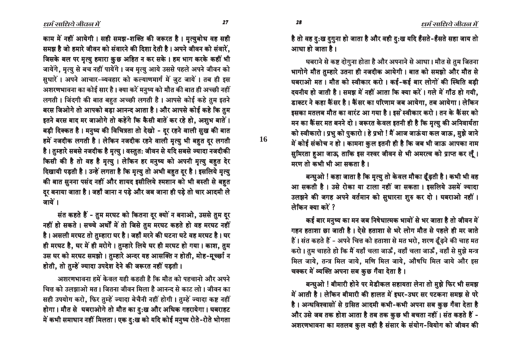$27$ 

28

16

काम में नहीं आयेगी। सही समझ-शक्ति की जरूरत है। मृत्युबोध वह सही समझ है जो हमारे जीवन को संवारने की दिशा देती है। अपने जीवन को संवारें, जिसके बल पर मृत्यु हमारा कुछ अहित न कर सके। हम भाग करके कहीं भी जायेंगे, मृत्यु से बच नहीं पायेंगे। जब मृत्यु आये उससे पहले अपने जीवन को सुधारें। अपने आचार-व्यवहार को कल्याणमार्ग में जुट जायें। तब ही इस अशरणभावना का कोई सार है। क्या करें मनुष्य को मौत की बात ही अच्छी नहीं लगती। जिंदगी की बात बहुत अच्छी लगती है। आपसे कोई कहे तुम इतने बरस जिओगे तो आपको बड़ा आनन्द आता है। और आपसे कोई कहे कि तुम इतने बरस बाद मर जाओगे तो कहेंगे कि कैसी बातें कर रहे हो, अशुभ बातें। बड़ी दिक्कत है। मनुष्य की विचित्रता तो देखो - दुर रहने वाली सुख की बात हमें नजदीक लगती है। लेकिन नजदीक रहने वाली मृत्यु भी बहुत दूर लगती है। तुम्हारे सबसे नजदीक है मृत्यु। वस्तुत: जीवन से यदि सबसे ज्यादा नजदीकी किसी की है तो वह है मृत्यु । लेकिन हर मनुष्य को अपनी मृत्यु बहुत देर दिखायी पड़ती है। उन्हें लगता है कि मृत्यु तो अभी बहुत दूर है। इसलिये मृत्यु की बात सुनना पसंद नहीं और शायद इसीलिये श्मशान को भी बस्ती से बहुत दुर बनाया जाता है। जहाँ जाना न पड़े और जब जाना ही पड़े तो चार आदमी ले जायें ।

संत कहते हैं - तुम मरघट को कितना दूर क्यों न बनाओ, उससे तुम दूर नहीं हो सकते । सच्चे अर्थों में तो जिसे तुम मरघट कहते हो वह मरघट नहीं है। असली मरघट तो तुम्हारा घर है। जहाँ मरने की घटना घटे वह मरघट है। घर ही मरघट है, घर में ही मरोगे। तुम्हारे लिये घर ही मरघट हो गया। काश, तुम उस घर को मरघट समझो। तुम्हारे अन्दर यह आसक्ति न होती, मोह-मूच्छा न होती, तो तुम्हें ज्यादा उपदेश देने की जरूरत नहीं पड़ती।

अशरणभावना हमें केवल यही कहती है कि मौत को पहचानो और अपने चित्त को उलझाओ मत। जितना जीवन मिला है आनन्द से काट लो। जीवन का सही उपयोग करो, फिर तुम्हें ज्यादा बेचैनी नहीं होगी। तुम्हें ज्यादा कष्ट नहीं होगा। मौत से घबराओगे तो मौत का दु:ख और अधिक गहरायेगा। घबराहट में कभी समाधान नहीं मिलता। एक दु:ख को यदि कोई मनुष्य रोते-रोते भोगता है तो वह दु:ख दुग़ुना हो जाता है और वही दु:ख यदि हँसते-हँसते सहा जाय तो आधा हो जाता है।

घबराने से कष्ट दोगुना होता है और अपनाने से आधा। मौत से तुम जितना भागोगे मौत तुम्हारे उतना ही नजदीक आयेगी। बात को समझो और मौत से घबराओ मत। मौत को स्वीकार करो। कई-कई बार लोगों की स्थिति बड़ी दयनीय हो जाती है। समझ में नहीं आता कि क्या करें। गले में गाँठ हो गयी. डाक्टर ने कहा कैंसर है। कैंसर का परिणाम जब आयेगा, तब आयेगा। लेकिन इसका मतलब मौत का वारंट आ गया है। इस स्वीकार करो। तन के कैंसर को मन का कैंसर मत बनने दो। जरूरत केवल इतनी ही है कि मृत्यु की अनिवार्यता को स्वीकारो। प्रभु को पुकारो। हे प्रभो ! मैं आज जाऊंया कल जाऊ, मुझे जाने में कोई संकोच न हो। कामना कुल इतनी ही है कि जब भी जाऊ आपका नाम सुमिरता हुआ जाऊ, ताकि इस नश्वर जीवन से भी अमरत्व को प्राप्त कर लूँ। मरण तो कभी भी आ सकता है।

बन्धुओ ! कहा जाता है कि मृत्यु तो केवल मौका ढूँढ़ती है। कभी भी वह आ सकती है। उसे रोका या टाला नहीं जा सकता। इसलिये उसमें ज्यादा उलझने की जगह अपने वर्तमान को सुधारना शुरु कर दो। घबराओ नहीं। लेकिन क्या करें ?

कई बार मनुष्य का मन जब निषेधात्मक भावों से भर जाता है तो जीवन में गहन हताशा छा जाती है। ऐसे हताशा से भरे लोग मौत से पहले ही मर जाते हैं। संत कहते हैं - अपने चित्त को हताशा से मत भरो, शरण ढूँढ़ने की चाह मत करो। तुम चाहते हो कि मैं यहाँ चला जाऊँ, वहाँ चला जाऊँ, वहाँ से मुझे मन्त्र मिल जाये, तन्त्र मिल जाये, मणि मिल जाये, औषधि मिल जाये और इस चक्कर में व्यक्ति अपना सब कुछ गँवा देता है।

बन्धुओ ! बीमारी होने पर मेडीकल सहायता लेना तो मुझे फिर भी समझ में आती है। लेकिन बीमारी की हालत में इधर-उधर सर पटकना समझ से परे है। अन्धविश्वासों से ग्रसित आदमी कभी-कभी अपना सब कुछ गँवा देता है और उसे जब तक होश आता है तब तक कुछ भी बचता नहीं। संत कहते हैं -अशरणभावना का मतलब कुल यही है संसार के संयोग-वियोग को जीवन की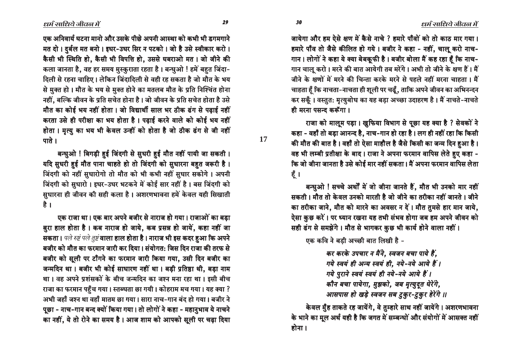जायेगा और हम ऐसे क्षण में कैसे नाचे ? हमारे पाँवों को तो काठ मार गया। हमारे पाँव तो जैसे कीलित हो गये। बजीर ने कहा - नहीं, चालू करो नाच-गान। लोगों ने कहा ये क्या बेबकूफी है। बजीर बोला मैं कह रहा हैं कि नाच-गान चालू करो। मरने की बात आयेगी तब मरेंगे। अभी तो जीने के क्षण हैं। मैं जीने के क्षणों में मरने की चिन्ता करके मरने से पहले नहीं मरना चाहता । मैं चाहता हूँ कि नाचता-नाचता ही शूली पर चढूँ, ताकि अपने जीवन का अभिनन्दन कर सकूँ । वस्तुत: मृत्युबोध का यह बड़ा अच्छा उदाहरण है । मैं नाचते-नाचते ही मरना पसन्द करूँगा।

राजा को मालूम पड़ा। खुफिया विभाग से पूछा यह क्या है ? सेवकों ने कहा - वहाँ तो बड़ा आनन्द है, नाच-गान हो रहा है। लग ही नहीं रहा कि किसी की मौत की बात है। वहाँ तो ऐसा माहौल है जैसे किसी का जन्म दिन हुआ है। वह भी लम्बी प्रतीक्षा के बाद। राजा ने अपना फरमान वापिस लेते हुए कहा -कि जो जीना जानता है उसे कोई मार नहीं सकता। मैं अपना फरमान वापिस लेता  $\vec{\xi}$  ।

बन्धुओ ! सच्चे अर्थों में जो जीना जानते हैं, मौत भी उनको मार नहीं सकती। मौत तो केवल उनको मारती है जो जीने का तरीका नहीं जानते। जीने का तरीका जाने, मौत को मारने का अवसर न दें। मौत तुमसे हार मान जाये, ऐसा कुछ करें। पर ध्यान रखना यह तभी संभव होगा जब हम अपने जीवन को सही ढंग से समझेंगे। मौत से भागकर कुछ भी कार्य होने वाला नहीं।

एक कवि ने बडी अच्छी बात लिखी है -

*कर करके उपचार न मैने, स्वजन बचा पाये हैं,*  $\overline{u}$  *स्वयं ही अन्य स्वयं ही, नये-नये आये हैं ।*  $\overline{u}$ *P*  $\overline{q}$ *z*  $\overline{t}$  *d*  $\overline{t}$  *≥{*  $\overline{t}$  *=\pp{ca} +\pp{ca} }*  $\overline{t}$  *\cd* } *कौन बचा पायेगा, मुझको, जब मृत्युदुत घेरेंगे, ¿bP±bP ´bC ⁄˘C hÎÆD Pk ^N>•NTŸ-^N>•NTŸ ´CŸC\*≥C \$\$ ¿bP±bP ´bC ⁄˘C hÎÆD Pk ^N>•NTŸ-^N>•NTŸ \$\$^N>•NTŸ-^N>•NTŸ* 

केवल मुँह ताकते रह जायेंगे, वे तुम्हारे साथ नहीं जायेंगे। अशरणभावना के भाने का मूल अर्थ यही है कि जगत में सम्बन्धों और संयोगों में आसक्त नहीं होना ।

 $\ell$ धर्म साधिये जीवल में

एक अनिवार्य घटना मानो और उसके पीछे अपनी आस्था को कभी भी डगमगाने मत दो। दुर्बल मत बनो। इधर-उधर सिर न पटको। जो है उसे स्वीकार करो। कैसी भी स्थिति हो, कैसी भी विपत्ति हो, उससे घबराओ मत। जो जीने की कला जानता है, वह हर समय मुस्कुराता रहता है। बन्धुओ ! हमें बहुत जिंदा-दिली से रहना चाहिए । लेकिन जिंदादिली से वही रह सकता है जो मौत के भय से मुक्त हो। मौत के भय से मुक्त होने का मतलब मौत के प्रति निश्चिंत होना नहीं, बल्कि जीवन के प्रति सचेत होना है। जो जीवन के प्रति सचेत होता है उसे मौत का कोई भय नहीं होता। जो विद्यार्थी साल भर ठीक ढंग से पढाई नहीं करता उसे ही परीक्षा का भय होता है। पढाई करने वाले को कोई भय नहीं होता। मृत्यु का भय भी केवल उन्हीं को होता है जो ठीक ढंग से जी नहीं पाते $\overline{1}$ ।

बन्धुओ ! बिगड़ी हुई जिंदगी से सुधरी हुई मौत नहीं पायी जा सकती । यदि सुधरी हुई मौत पाना चाहते हो तो जिंदगी को सुधारना बहुत जरूरी है। जिंदगी को नहीं सुधारोगो तो मौत को भी कभी नहीं सुधार सकोगे। अपनी जिंदगी को सुधारो। इधर-उधर भटकने में कोई सार नहीं है। बस जिंदगी को सुधारना ही जीवन की सही कला है। अशरणभावना हमें केवल यही सिखाती है ।

एक राजा था। एक बार अपने बजीर से नाराज हो गया। राजाओं का बडा सुरा हाल होता है। कब नाराज हो जाये, कब प्रसन्न हो जायें, कहा नहीं जा सकता। *पले रुष्टं पले तुष्टं* वाला हाल होता है। नाराज भी इस कदर हुआ कि अपने बजीर को मौत का फरमान जारी कर दिया। संयोगत: जिस दिन राजा की तरफ से बजीर को सूली पर टाँगने का फरमान जारी किया गया, उसी दिन बजीर का जन्मदिन था। बजीर भी कोई साधारण नहीं था। बड़ी प्रतिष्ठा थी, बड़ा नाम था। वह अपने प्रशंसकों के बीच जन्मदिन का जश्न मना रहा था। इसी बीच राजा का फरमान पहुँच गया। स्तब्धता छा गयी। कोहराम मच गया। यह क्या ? अभी जहाँ जश्न था वहाँ मातम छा गया। सारा नाच-गान बंद हो गया। बजीर ने पूछा - नाच-गान बन्द क्यों किया गया। तो लोगों ने कहा - महानुभाव ये नाचने का नहीं, ये तो रोने का समय है। आज शाम को आपको सूली पर चढ़ा दिया

íô ìê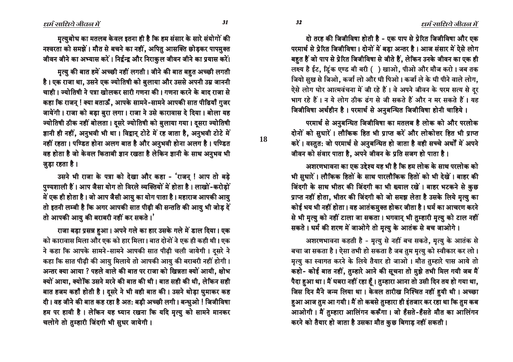दो तरह की जिजीविषा होती है - एक पाप से प्रेरित जिजीविषा और एक परमार्थ से प्रेरित जिजीविषा। दोनों में बड़ा अन्तर है। आज संसार में ऐसे लोग बहुत हैं जो पाप से प्रेरित जिजीविषा से जीते हैं, लेकिन उनके जीवन का एक ही लक्ष्य है ईट, ड्रिंक एण्ड बी बरी ( ) खाओ, पीओ और मौज करो। जब तक जियो सुख से जिओ. कर्जा लो और घी पिओ। कर्जा ले के घी पीने वाले लोग. ऐसे लोग घोर आत्मवंचना में जी रहे हैं। वे अपने जीवन के परम सत्य से दूर भाग रहे हैं। न ये लोग ठीक ढंग से जी सकते हैं और न मर सकते हैं। यह जिजीविषा अर्थहीन है। परमार्थ से अनुबन्धित जिजीविषा होनी चाहिये।

परमार्थ से अनुबन्धित जिजीविषा का मतलब है लोक को और परलोक दोनों को सुधारें। लौकिक हित भी प्राप्त करें और लोकोत्तर हित भी प्राप्त करें। वस्तुत: जो परमार्थ से अनुबन्धित हो जाता है वही सच्चे अर्थों में अपने जीवन को संवार पाता है, अपने जीवन के प्रति सजग हो पाता है।

अशरणभावना का एक उद्देश्य यह भी है कि हम लोक के साथ परलोक को भी सुधारें। लौकिक हितों के साथ पारलौकिक हितों को भी देखें। बाहर की जिंदगी के साथ भीतर की जिंदगी का भी ख्याल रखें। बाहर भटकने से कुछ प्राप्त नहीं होता, भीतर की जिंदगी को जो समझ लेता है उसके लिये मृत्यु का कोई भय भी नहीं होता। वह आतंकमुक्त होकर जीता है। धर्म का आचरण करने से भी मृत्यु को नहीं टाला जा सकता। भगवान् भी तुम्हारी मृत्यु को टाल नहीं सकते। धर्म की शरण में जाओगे तो मृत्यु के आतंक से बच जाओगे।

अशरणभावना कहती है - मृत्यु से नहीं बच सकते, मृत्यु के आतंक से बचा जा सकता है। ऐसा तभी हो सकता है जब तुम मृत्यु को स्वीकार कर लो। मृत्यु का स्वागत करने के लिये तैयार हो जाओ। मौत तुम्हारे पास आये तो कहो- कोई बात नहीं, तुम्हारे आने की सूचना तो मुझे तभी मिल गयी जब मैं पैदा हुआ था। मैं घबरा नहीं रहा हूँ। तुम्हारा आना तो उसी दिन तय हो गया था, जिस दिन मैंने जन्म लिया था। केवल तारीख निश्चित नहीं हुयी थी। अच्छा हुआ आज तुम आ गयी। मैं तो कबसे तुम्हारा ही इंतजार कर रहा था कि तुम कब आओगी। मैं तुम्हारा आलिंगन करूँगा। जो हँसते-हँसते मौत का आलिंगन करने को तैयार हो जाता है उसका मौत कुछ बिगाड़ नहीं सकती।

मृत्युबोध का मतलब केवल इतना ही है कि हम संसार के सारे संयोगों की नश्वरता को समझें। मौत से बचने का नहीं, अपितु आसक्ति छोड़कर पापमुक्त जीवन जीने का अभ्यास करें। निर्द्वन्द्व और निराकुल जीवन जीने का प्रयास करें।

मृत्यु की बात हमें अच्छी नहीं लगती। जीने की बात बहुत अच्छी लगती है। एक राजा था, उसने एक ज्योतिषी को बुलाया और उससे अपनी उम्र जाननी चाही। ज्योतिषी ने पत्रा खोलकर सारी गणना की। गणना करने के बाद राजा से कहा कि राजन् ! क्या बताऊँ, आपके सामने-सामने आपकी सात पीढियाँ गुजर जायेंगी। राजा को बड़ा बुरा लगा। राजा ने उसे कारावास दे दिया। बोला यह ज्योतिषी ठीक नहीं बोलता। दसरे ज्योतिषी को बुलाया गया। दसरा ज्योतिषी ज्ञानी ही नहीं, अनुभवी भी था। विद्वान् टोटे में रह जाता है, अनुभवी टोटे में नहीं रहता। पण्डित होना अलग बात है और अनुभवी होना अलग है। पण्डित वह होता है जो केवल किताबी ज्ञान रखता है लेकिन ज्ञानी के साथ अनुभव भी जुड़ा रहता है।

उसने भी राजा के पत्रा को देखा और कहा - 'राजन् ! आप तो बड़े पुण्यशाली हैं। आप जैसा योग तो विरले व्यक्तियों में होता है। लाखों-करोड़ों में एक ही होता है। जो आप जैसी आयु का योग पाता है। महाराज आपकी आयु तो इतनी लम्बी है कि अगर आपकी सात पीढ़ी की सन्तति की आयु भी जोड़ दें तो आपकी आयु की बराबरी नहीं कर सकते।'

राजा बड़ा प्रसन्न हुआ। अपने गले का हार उसके गले में डाल दिया। एक को कारावास मिला और एक को हार मिला। बात दोनों ने एक ही कही थी। एक ने कहा कि आपके सामने-सामने आपकी सात पीढ़ी चली जायेगी। दूसरे ने कहा कि सात पीढ़ी की आयु मिलाये तो आपकी आयु की बराबरी नहीं होगी। अन्तर क्या आया ? पहले वाले की बात पर राजा को खिन्नता क्यों आयी, क्षोभ क्यों आया, क्योंकि उसने मरने की बात की थी। बात सही की थी, लेकिन सही बात हजम कहाँ होती है। दूसरे ने भी वही बात की। उसने थोड़ा घुमाकर कह दी। वह जीने की बात कह रहा है अत: बड़ी अच्छी लगी। बन्धुओ ! जिजीविषा हम पर हावी है। लेकिन यह ध्यान रखना कि यदि मृत्यु को सामने मानकर चलोगे तो तुम्हारी जिंदगी भी सुधर जायेगी।

**18**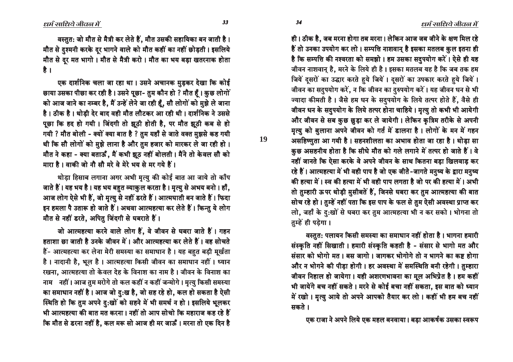ही। ठीक है, जब मरना होगा तब मरना। लेकिन आज जब जीने के क्षण मिल रहे हैं तो उनका उपयोग कर लो। सम्पत्ति नाशवान् है इसका मतलब कुल इतना ही है कि सम्पत्ति की नश्वरता को समझो। हम उसका सदुपयोग करें। ऐसे ही यह जीवन नाशवान् है, मरने के लिये ही है। इसका मतलब यह है कि जब तक हम जियें दुसरों का उद्धार करते हुये जियें। दुसरों का उपकार करते हुये जियें। जीवन का सदुपयोग करें, न कि जीवन का दुरुपयोग करें। यह जीवन धन से भी ज्यादा कीमती है। जैसे हम धन के सदुपयोग के लिये तत्पर होते हैं, वैसे ही जीवन धन के सदुपयोग के लिये तत्पर होना चाहिये। मृत्यु तो कभी भी आयेगी और जीवन से सब कुछ छुड़ा कर ले जायेगी। लेकिन कृत्रिम तरीके से अपनी मृत्यु को बुलाना अपने जीवन को गर्त में डालना है। लोगों के मन में गहन असहिष्णुता आ गयी है। सहनशीलता का अभाव होता जा रहा है। थोड़ा सा कुछ असहनीय होता है कि सीधे मौत को गले लगाने में तत्पर हो जाते हैं। वे नहीं जानते कि ऐसा करके वे अपने जीवन के साथ कितना बड़ा खिलवाड़ कर रहे हैं। आत्महत्या में भी वही पाप है जो एक जीते-जागते मनुष्य के द्वारा मनुष्य की हत्या में। स्व की हत्या में भी वही पाप लगता है जो पर की हत्या में। अभी तो तुम्हारी ऊपर थोड़ी मुसीबतें हैं, जिनसे घबरा कर तुम आत्महत्या की बात सोच रहे हो। तुम्हें नहीं पता कि इस पाप के फल से तुम ऐसी अवस्था प्राप्त कर लो, जहाँ के दु:खों से घबरा कर तुम आत्महत्या भी न कर सको । भोगना तो तम्हें ही पड़ेगा।

वस्तुत: पलायन किसी समस्या का समाधान नहीं होता है। भागना हमारी संस्कृति नहीं सिखाती। हमारी संस्कृति कहती है - संसार से भागो मत और संसार को भोगो मत। बस जागो। जागकर भोगोगे तो न भागने का कष्ट होगा और न भोगने की पीड़ा होगी। हर अवस्था में समस्थिति बनी रहेगी। तुम्हारा जीवन निहाल हो जायेगा। यही अशरणभावना का मूल अभिप्रेत है। हम कहीं भी जायेंगे बच नहीं सकते । मरने से कोई बचा नहीं सकता, इस बात को ध्यान में रखो। मृत्यु आये तो अपने आपको तैयार कर लो। कहीं भी हम बच नहीं सकते ।

एक राजा ने अपने लिये एक महल बनवाया। बड़ा आकर्षक उसका स्वरूप

33

34

19

वस्तुत: जो मौत से मैत्री कर लेते हैं, मौत उसकी सहायिका बन जाती है। मौत से दुश्मनी करके दूर भागने वाले को मौत कहीं का नहीं छोड़ती। इसलिये मौत से दूर मत भागो। मौत से मैत्री करो। मौत का भय बड़ा खतरनाक होता है ।

एक दार्शनिक चला जा रहा था। उसने अचानक मुड़कर देखा कि कोई छाया उसका पीछा कर रही है। उसने पूछा- तुम कौन हो ? मौत हैं। कुछ लोगों को आज जाने का नम्बर है, मैं उन्हें लेने जा रही हूँ, सौ लोगों को मुझे ले जाना है। ठीक है। थोडी देर बाद वही मौत लौटकर आ रही थी। दार्शनिक ने उससे पूछा कि हद हो गयी। जिंदगी तो झूठी होती है, पर मौत झूठी कब से हो गयी ? मौत बोली - क्यों क्या बात है ? तुम यहाँ से जाते वक्त मुझसे कह गयी थी कि सौ लोगों को मुझे लाना है और तुम हजार को मारकर ले जा रही हो। मौत ने कहा - क्या बताऊँ, मैं कभी झूठ नहीं बोलती। मैंने तो केवल सौ को मारा है। वाकी जो नौ सौ मरे वे मेरे भय से मर गये हैं।

थोड़ा हिसाब लगाना अगर अभी मृत्यु की कोई बात आ जाये तो काँप जाते हैं। यह भय है। यह भय बहुत व्याकुल करता है। मृत्यु से अभय बनो। हाँ, आज लोग ऐसे भी हैं, जो मृत्यु से नहीं डरते हैं। आत्मघाती बन जाते हैं। फिदा इन हमला पै उतारू हो जाते हैं। अथवा आत्महत्या कर लेते हैं। किन्तु ये लोग मौत से नहीं डरते, अपितु जिंदगी से घबराते हैं।

जो आत्महत्या करने वाले लोग हैं, वे जीवन से घबरा जाते हैं। गहन हताशा छा जाती है उनके जीवन में। और आत्महत्या कर लेते हैं। वह सोचते हैं- आत्महत्या कर लेना मेरी समस्या का समाधान है। यह बहुत बड़ी मूर्खता है। नादानी है, भूल है। आत्महत्या किसी जीवन का समाधान नहीं। ध्यान रखना, आत्महत्या तो केवल देह के विनाश का नाम है। जीवन के विनाश का नाम नहीं। आज तुम मरोगे तो कल कहीं न कहीं जन्मोगे। मृत्यु किसी समस्या का समाधान नहीं है। आज जो दु:ख है, जो सह रहे हो, कल हो सकता है ऐसी स्थिति हो कि तुम अपने दु:खों को सहने में भी समर्थ न हो। इसलिये भूलकर भी आत्महत्या की बात मत करना। नहीं तो आप सोचो कि महाराज कह रहे हैं कि मौत से डरना नहीं है, कल मरू सो आज ही मर जाऊँ । मरना तो एक दिन है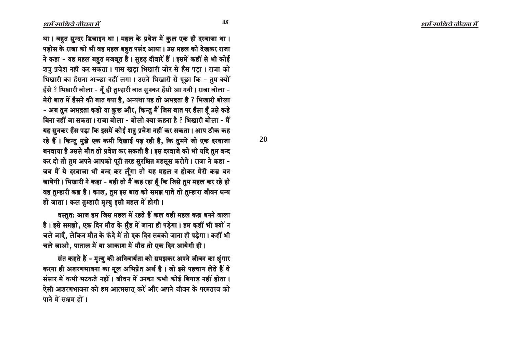था। बहुत सुन्दर डिजाइन था। महल के प्रवेश में कुल एक ही दरवाजा था। पड़ोस के राजा को भी वह महल बहुत पसंद आया। उस महल को देखकर राजा ने कहा - यह महल बहुत मजबूत है। सुदृढ़ दीवारें हैं। इसमें कहीं से भी कोई शत्रु प्रवेश नहीं कर सकता। पास खड़ा भिखारी जोर से हँस पड़ा। राजा को भिखारी का हँसना अच्छा नहीं लगा। उसने भिखारी से पूछा कि - तुम क्यों हँसे ? भिखारी बोला - यूँ ही तुम्हारी बात सुनकर हँसी आ गयी। राजा बोला -मेरी बात में हँसने की बात क्या है, अन्यथा यह तो अभद्रता है ? भिखारी बोला - अब तुम अभद्रता कहो या कुछ और, किन्तु मैं जिस बात पर हँसा हँ उसे कहे बिना नहीं जा सकता। राजा बोला - बोलो क्या कहना है ? भिखारी बोला - मैं यह सुनकर हँस पड़ा कि इसमें कोई शत्रु प्रवेश नहीं कर सकता। आप ठीक कह रहे हैं। किन्तु मुझे एक कमी दिखाई पड़ रही है, कि तुमने जो एक दरवाजा बनवाया है उससे मौत तो प्रवेश कर सकती है। इस दरवाजे को भी यदि तुम बन्द कर दो तो तुम अपने आपको पूरी तरह सुरक्षित महसूस करोगे। राजा ने कहा -जब मैं ये दरवाजा भी बन्द कर लूँगा तो यह महल न होकर मेरी कब्र बन जायेगी। भिखारी ने कहा - यही तो मैं कह रहा हैं कि जिसे तुम महल कर रहे हो वह तुम्हारी कब्र है। काश, तुम इस बात को समझ पाते तो तुम्हारा जीवन धन्य हो जाता। कल तुम्हारी मृत्यु इसी महल में होगी।

वस्तुत: आज हम जिस महल में रहते हैं कल वही महल कब्र बनने वाला है। इसे समझो, एक दिन मौत के मुँह में जाना ही पड़ेगा। हम कहीं भी क्यों न चले जाएँ, लेकिन मौत के फंदे में तो एक दिन सबको जाना ही पड़ेगा। कहीं भी चले जाओ, पाताल में या आकाश में मौत तो एक दिन आयेगी ही।

संत कहते हैं - मृत्यु की अनिवार्यता को समझकर अपने जीवन का श्रृंगार करना ही अशरणभावना का मूल अभिप्रेत अर्थ है। जो इसे पहचान लेते हैं वे संसार में कभी भटकते नहीं। जीवन में उनका कभी कोई बिगाड़ नहीं होता। ऐसी अशरणभावना को हम आत्मसात करें और अपने जीवन के परमतत्त्व को पाने में सक्षम हों।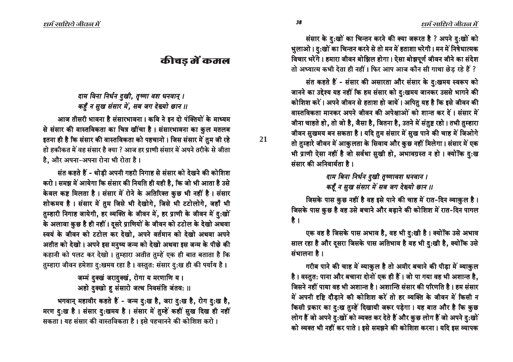संसार के दु:खों का चिन्तन करने की क्या जरूरत है ? अपने दु:खों को भुलाओ। दु:खों का चिन्तन करने से तो मन में हताशा भरेगी। मन में निषेधात्मक विचार भरेंगे। हमारा जीवन बोझिल होगा। ऐसा बोझपूर्ण जीवन जीने का संदेश तो अध्यात्म कभी देता ही नहीं। फिर आप आज कौन सी गाथा छेड रहे हैं ?

संत कहते हैं - संसार की असारता और संसार के द:खमय स्वरूप को जानने का उद्देश्य यह नहीं कि हम संसार को दु:खमय जानकर उससे भागने की कोशिश करें। अपने जीवन से हताश हो जायें। अपितु यह है कि इसे जीवन की <u>वास्तविकता मानकर अपने जीवन की अपेक्षाओं को शान्त कर दें। संसार में </u> जीना चाहते हो, तो जो है, जैसा है, जितना है, उतने में संतुष्ट रहो। तभी तुम्हारा जीवन सुखमय बन सकता है। यदि तुम संसार में सुख पाने की चाह में जिओगे तो तुम्हारे जीवन में आकुलता के सिवाय और कुछ नहीं मिलेगा। संसार में एक भी प्राणी ऐसा नहीं है जो सर्वथा सुखी हो, अभावग्रस्त न हो। क्योंकि दु:ख मंसार की अनिवार्यता है।

> *दाम बिना निर्धन दुखी तृष्णावश धनवान । •T´RH D PN⁄ P}PbŸ ÓC\* Pk Æ≥ £Cv‡bC n>bD \$\$ •T´RH ÓC\* Æ≥ £Cv‡bC \$\$ D PN⁄ P}PbŸ ÓC\* Pk Æ≥ n>bD*

जिसके पास कुछ नहीं है वह इसे पाने की चाह में रात-दिन व्याकुल है। जिसके पास कुछ है वह उसे बचाने और बढ़ाने की कोशिश में रात-दिन पागल है ।

एक वह है जिसके पास अभाव है, वह भी दु:खी है। क्योंकि उसे अभाव साल रहा है और दूसरा जिसके पास अतिभाव है वह भी दु:खी है, क्योंकि उसे संभालना है।

गरीब पाने की चाह में व्याकुल है तो अमीर बचाने की पीड़ा में व्याकुल है। वस्तुत: पाना और बचाना दोनों एक ही हैं। जो पा गया वह भी अशान्त है, क्रिसने नहीं पाया वह भी अशान्त है। अशान्ति संसार की परिणति है। हम संसार में अपनी दृष्टि दौड़ाने की कोशिश करें तो हर व्यक्ति के जीवन में किसी न किसी प्रकार का दु:ख तुम्हें दिखायी जरूर पड़ेगा। यह बात और है कि कुछ लोग हैं जो अपने दु:खों को व्यक्त कर देते हैं और कुछ लोग हैं जो अपने दु:खों को व्यक्त भी नहीं कर पाते । इसे समझने की कोशिश करना । यदि इस व्यापक

# कीचड़ में कमल

*दाम विना निर्धन दुखी, तृष्णा वश धनवान् । कहुँ न सुख संसार में, सब जग देख्यो छान ॥* 

आज तीसरी भावना है संसारभावना। कवि ने इन दो पंक्तियों के माध्यम से संसार की वास्तविकता का चित्र खींचा है। संसारभावना का कुल मतलब इतना ही है कि संसार की वास्तविकता को पहचानो । जिस संसार में तुम जी रहे हो हकीकत में वह संसार है क्या ? आज हर प्राणी संसार में अपने तरीके से जीता है. और अपना-अपना रोना भी रोता है।

संत कहते हैं - थोडी अपनी गहरी निगाह से संसार को देखने की कोशिश करो। समझ में आयेगा कि संसार की नियति ही यही है, कि जो भी आता है उसे केवल कष्ट मिलता है। संसार में रोने के अतिरिक्त कुछ भी नहीं है। संसार शोकमय है। संसार में तुम जिसे भी देखोगे, जिसे भी टटोलोगे, जहाँ भी तुम्हारी निगाह जायेगी, हर व्यक्ति के जीवन में, हर प्राणी के जीवन में दु:खों के अलावा कुछ है ही नहीं। दूसरे प्राणियों के जीवन को टटोल के देखो अथवा स्वयं के जीवन को टटोल कर देखो, अपने वर्तमान को देखो अथवा अपने आतीत को देखो। अपने इस मनुष्य जन्म को देखो अथवा इस जन्म के पीछे की कहानी को पलट कर देखो। तुम्हारा अतीत तुम्हें एक ही बात बताता है कि तम्हारा जीवन हमेशा द:खमय रहा है। वस्तुत: संसार द:ख ही की पर्याय है।

> जम्मं दुक्खं जरादुक्खं, रोगा य मरणाणि य। अहो दुक्खो हु संसारो जत्थ निवसंति जंतव: ॥

भगवान् महावीर कहते हैं - जन्म दु:ख है, जरा दु:ख है, रोग दु:ख है, मरण दु:ख है। संसार दु:खमय है। संसार में तुम्हें कहीं सुख दिख ही नहीं सकता। यह संसार की वास्तविकता है। इसे पहचानने की कोशिश करो।

 $\ell$ धर्म साधिये जीवल में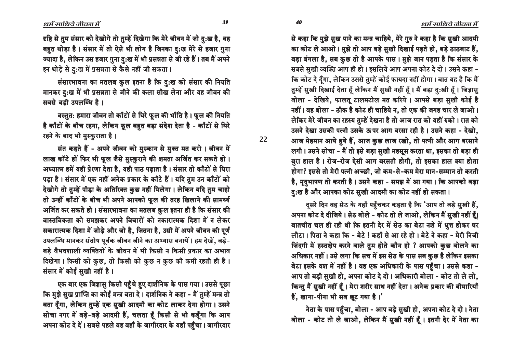ìô îê

**22**

हष्टि से तुम संसार को देखोगे तो तुम्हें दिखेगा कि मेरे जीवन में जो दु:ख है, वह बहुत थोड़ा है। संसार में तो ऐसे भी लोग है जिनका दु:ख मेरे से हजार गुना ज्यादा है, लेकिन उस हजार गुना दु:ख में भी प्रसन्नता से जी रहे हैं। तब मैं अपने इन थोड़े से दु:ख में प्रसन्नता से कैसे नहीं जी सकता।

संसारभावना का मतलब कुल इतना है कि दु:ख को संसार की नियति मानकर दु:ख में भी प्रसन्नता से जीने की कला सीख लेना और यह जीवन की सबसे बड़ी उपलब्धि है।

वस्तुत: हमारा जीवन तो काँटों से घिरे फूल की भाँति है । फूल की नियति है काँटों के बीच रहना, लेकिन फूल बहुत बड़ा संदेश देता है - काँटों से घिरे रहने के बाद भी मुस्कुराता है।

संत कहते हैं - अपने जीवन को मुस्कान से मुक्त मत करो। जीवन में लाख कॉटे हों फिर भी फूल जैसे मुस्कुराने की क्षमता अर्जित कर सकते हो । अध्यात्म हमें यही प्रेरणा देता है, यही पाठ पढ़ाता है। संसार तो काँटों से घिरा पड़ा है। संसार में एक नहीं अनेक प्रकार के काँटे हैं। यदि तुम उन काँटों को देखोगे तो तुम्हें पीड़ा के अतिरिक्त कुछ नहीं मिलेगा। लेकिन यदि तुम चाहो तो उन्हीं काँटों के बीच भी अपने आपको फूल की तरह खिलाने की सामर्थ्य अर्जित कर सकते हो। संसारभावना का मतलब कुल इतना ही है कि संसार की वास्तविकता को समझकर अपने विचारों को नकारात्मक दिशा में न लेकर सकारात्मक दिशा में जोड़े और जो है, जितना है, उसी में अपने जीवन की पूर्ण उपलब्धि मानकर संतोष पूर्वक जीवन जीने का अभ्यास बनायें। हम देखें, बड़े-बड़े वैभवशाली व्यक्तियों के जीवन में भी किसी न किसी प्रकार का अभाव दिखेगा। किसी को कुछ, तो किसी को कुछ न कुछ की कमी रहती ही है। संसार में कोई सुखी नहीं है।

एक बार एक जिज्ञासु किसी पहुँचे हुए दार्शनिक के पास गया। उससे पूछा कि मुझे सुख प्राप्ति का कोई मन्त्र बता दे। दार्शनिक ने कहा - मैं तुम्हें मन्त्र तो बता दूँगा, लेकिन तुम्हें एक सुखी आदमी का कोट लाकर देना होगा। उसने सोचा नगर में बड़े-बड़े आदमी हैं, चलता हूँ किसी से भी कहूँगा कि आप अपना कोट दे दें। सबसे पहले वह वहाँ के जागीरदार के यहाँ पहुँचा। जागीरदार से कहा कि मुझे सुख पाने का मन्त्र चाहिये, मेरे गुरु ने कहा है कि सुखी आदमी का कोट ले आओ। मुझे तो आप बड़े सुखी दिखाई पड़ते हो, बड़े ठाठबाट हैं, बड़ा बंगला है, सब कुछ तो है आपके पास। मुझे जान पड़ता है कि संसार के सबसे सुखी व्यक्ति आप ही हो। इसलिये आप अपना कोट दे दो। उसने कहा -कि कोट दे दँगा, लेकिन उससे तुम्हें कोई फायदा नहीं होगा। बात यह है कि मैं <del>∫</del> तुम्हें सुखी दिखाई देता हूँ लेकिन मैं सुखी नहीं हूँ। मैं बड़ा दु:खी हूँ। जिज्ञासु बोला - देखिये, फालतू टालमटोल मत करिये । आपसे बड़ा सुखी कोई है नहीं। वह बोला - ठीक है कोट ही चाहिये न, तो एक की जगह चार ले जाओ। लेकिर मेरे जीवन का रहस्य तुम्हें देखना है तो आज रात को यहीं रुको। रात को उसने देखा उसकी पत्नी उसके ऊपर आग बरसा रही है। उसने कहा - देखो. आज मेहमान आये हुये हैं, आज कुछ लाज रखो, तो पत्नी और आग बरसाने लगी। उसने सोचा - मैं तो इसे बड़ा सुखी महसूस करता था, इसका तो बड़ा ही कुरा हाल है। रोज-रोज ऐसी आग बरसती होगी, तो इसका हाल क्या होता होगा? इससे तो मेरी पत्नी अच्छी, जो कम-से-कम मेरा मान-सम्मान तो करती है, मुदुभाषण तो करती है। उसने कहा - समझ में आ गया। कि आपको बड़ा  $\bar{g}$ :ख है और आपका कोट सुखी आदमी का कोट नहीं हो सकता।

दुसरे दिन वह सेठ के यहाँ पहुँचकर कहता है कि 'आप तो बड़े सुखी हैं, आपना कोट दे दीजिये। सेठ बोले - कोट तो ले जाओ, लेकिन मैं सुखी नहीं हैं। बातचीत चल ही रही थी कि इतनी देर में सेठ का बेटा नशे में धुत्त होकर घर लौटा। पिता ने कहा कि - बेटे ! कहाँ से आ रहे हो। बेटे ने कहा - मेरी निजी जिंदगी में हस्तक्षेप करने वाले तुम होते कौन हो ? आपको कुछ बोलने का आधिकार नहीं। उसे लगा कि सच में इस सेठ के पास सब कुछ है लेकिन इसका बेटा इसके वश में नहीं है। वह एक अधिकारी के पास पहुँचा। उससे कहा -आप तो बड़ी सूखी हो, अपना कोट दे दो। अधिकारी बोला - कोट तो ले लो, किन्तु मैं सुखी नहीं हूँ। मेरा शरीर साथ नहीं देता। अनेक प्रकार की बीमारियाँ हैं, खाना-पीना भी सब छूट गया है।'

नेता के पास पहुँचा, बोला - आप बड़े सुखी हो, अपना कोट दे दो। नेता बोला - कोट तो ले जाओ, लेकिन मैं सुखी नहीं हैं। इतनी देर में नेता का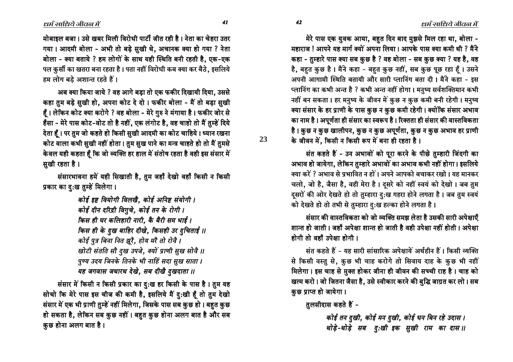मेरे पास एक युवक आया, बहुत दिन बाद मुझसे मिल रहा था, बोला -महाराज! आपने यह मार्ग क्यों अपना लिया। आपके पास क्या कमी थी ? मैंने कहा - तुम्हारे पास क्या सब कुछ है ? वह बोला - सब कुछ क्या ? यह है, वह है, बहुत कुछ है। मैंने कहा - बहुत कुछ नहीं, सब कुछ पूछ रहा हूँ। उसने अपनी आगामी स्थिति बतायी और सारी प्लानिंग बता दी। मैंने कहा - इस प्लानिंग का कभी अन्त है ? कभी अन्त नहीं होगा। मनुष्य सर्वशक्तिमान कभी नहीं बन सकता। हर मनुष्य के जीवन में कुछ न कुछ कमी बनी रहेगी। मनुष्य क्या संसार के हर प्राणी के पास कुछ न कुछ कमी रहेगी। क्योंकि संसार अभाव का नाम है। अपूर्णता ही संसार का स्वरूप है। रिक्तता ही संसार की वास्तविकता है। कुछ न कुछ खालीपन, कुछ न कुछ अपूर्णता, कुछ न कुछ अभाव हर प्राणी के जीवन में. किसी न किसी रूप में बना ही रहता है।

संत कहते हैं - उन अभावों को पूरा करने के पीछे तुम्हारी जिंदगी का अभाव हो जायेगा, लेकिन तुम्हारे अभावों का अभाव कभी नहीं होगा। इसलिये क्या करें ? अभाव से प्रभावित न हों। अपने आपको बचाकर रखो। यह मानकर चलो, जो है, जैसा है, वही मेरा है। दूसरे को नहीं स्वयं को देखो। जब तुम दूसरों की ओर देखते हो तो तुम्हारा दु:ख गहरा होने लगता है। जब तुम स्वयं को देखते हो तो तभी से तुम्हारा दु:ख हल्का होने लगता है।

संसार की वास्तविकता को जो व्यक्ति समझ लेता है उसकी सारी अपेक्षाएँ शान्त हो जाती। जहाँ अपेक्षा शान्त हो जाती है वही उपेक्षा नहीं होती। अपेक्षा होगी तो वहाँ उपेक्षा होगी ।

संत कहते हैं - यह सारी सांसारिक अपेक्षायें अर्थहीन हैं। किसी व्यक्ति से किसी वस्तु से, कुछ भी चाह करोगे तो सिवाय दाह के कुछ भी नहीं मिलेगा। इस चाह से मुक्त होकर जीना ही जीवन की सच्ची राह है। चाह को खत्म करो। जो जितना जैसा है, उसे स्वीकार करने की बुद्धि जाग्रत कर लो। सब कुछ प्राप्त हो जायेगा।

तुलसीदास कहते हैं -

कोई तन दुखी, कोई मन दुखी, कोई धन बिन रहे उदास । थोड़े-थोड़े सब दु:खी इक सुखी राम का दास॥

मोबाइल बजा। उसे खबर मिली विरोधी पार्टी जीत रही है। नेता का चेहरा उतर गया। आदमी बोला - अभी तो बड़े सुखी थे, अचानक क्या हो गया ? नेता बोला - क्या बताये ? हम लोगों के साथ यही स्थिति बनी रहती है, एक-एक पल कुर्सी का खतरा बना रहता है। पता नहीं विरोधी कब क्या कर बैठे, इसलिये हम लोग बडे अशान्त रहते हैं।

अब क्या किया जाये ? वह आगे बड़ा तो एक फकीर दिखायी दिया, उससे कहा तुम बड़े सुखी हो, अपना कोट दे दो। फकीर बोला - मैं तो बड़ा सुखी हैं। लेकिन कोट क्या करोगे ? वह बोला - मेरे ग़ुरु ने मंगाया है। फकीर जोर से हँसा - मेरे पास कोट-वोट तो है नहीं, एक लंगोट है, वह चाहो तो मैं तुम्हें दिये देता हूँ। पर तुम जो कहते हो किसी सुखी आदमी का कोट चाहिये। ध्यान रखना कोट वाला कभी सुखी नहीं होता। तुम सुख पाने का मन्त्र चाहते हो तो मैं तुमसे केवल यही कहता हैं कि जो व्यक्ति हर हाल में संतोष रहता है वही इस संसार में सुखी रहता है।

संसारभावना हमें यही सिखाती है, तुम जहाँ देखो वहाँ किसी न किसी प्रकार का दु:ख तुम्हें मिलेगा।

> कोई इष्ट वियोगी विलखै, कोई अनिष्ट संयोगी । कोई दीन दरिद्री विगुचे, कोई तन के रोगी । किस ही घर कलिहारी नारी, कै बैरी सम भाई । किस ही के दुख बाहिर दीखे, किसही उर दुचिताई ।। कोई पुत्र बिना नित झूरै, होय मरै तो रोवै । खोटी संतति सौ दुख उपजे, क्यों प्राणी सुख सोवै ।। पुण्य उदय जिनके तिनके भी नाहिं सदा सुख साता। यह जगवास जथारथ देखे. सब दीखै दखदाता ।।

संसार में किसी न किसी प्रकार का दुःख हर किसी के पास है। तुम यह सोचो कि मेरे पास इस चीज की कमी है, इसलिये मैं दु:खी हूँ तो तुम देखो संसार में एक भी प्राणी तुम्हें नहीं मिलेगा, जिसके पास सब कुछ हो। बहुत कुछ हो सकता है, लेकिन सब कुछ नहीं। बहुत कुछ होना अलग बात है और सब कुछ होना अलग बात है।

41

42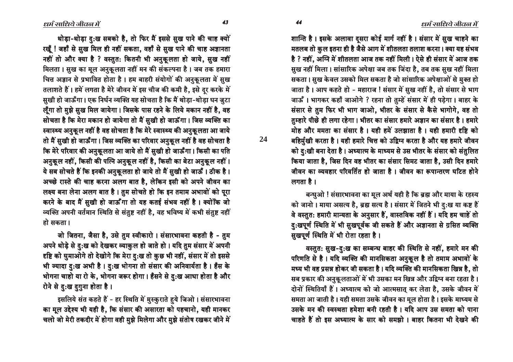धर्म साधिये जीवन में

शान्ति है। इसके अलावा दूसरा कोई मार्ग नहीं है। संसार में सुख चाहने का मतलब तो कुल इतना ही है जैसे आग में शीतलता तलाश करना। क्या यह संभव है ? नहीं, अग्नि में शीतलता आज तक नहीं मिली। ऐसे ही संसार में आज तक सुख नहीं मिला। सांसारिक अपेक्षा जब तक जिंदा है, तब तक सुख नहीं मिला सकता। सख केवल उसको मिल सकता है जो सांसारिक अपेक्षाओं से मुक्त हो जाता है। आप कहते हो - महाराज ! संसार में सुख नहीं है, तो संसार से भाग जाऊँ । भागकर कहाँ जाओगे ? रहना तो तुम्हें संसार में ही पड़ेगा । बाहर के संसार से तुम फिर भी भाग जाओ, भीतर के संसार से कैसे भागोगे, वह तो तुम्हारे पीछे ही लगा रहेगा। भीतर का संसार हमारे अज्ञान का संसार है। हमारे मोह और ममता का संसार है। यही हमें उलझाता है। यही हमारी दृष्टि को बहिर्मुखी करता है। यही हमारे चित्त को उद्विग्न करता है और यह हमारे जीवन को दु:खी बना देता है। अध्यात्म के माध्यम से उस भीतर के संसार को संतुलित किया जाता है, जिस दिन वह भीतर का संसार सिमट जाता है, उसी दिन हमारे जीवन का व्यवहार परिवर्तित हो जाता है। जीवन का रूपान्तरण घटित होने लगता है ।

बन्धुओ ! संसारभावना का मूल अर्थ यही है कि ब्रह्म और माया के रहस्य को जानो। माया असत्य है, ब्रह्म सत्य है। संसार में जितने भी दु:ख या कष्ट हैं वे वस्तुत: हमारी मान्यता के अनुसार हैं, वास्तविक नहीं हैं। यदि हम चाहें तो दुःखपूर्ण स्थिति में भी सुखपूर्वक जी सकते हैं और अज्ञानता से ग्रसित व्यक्ति सुखपूर्ण स्थिति में भी रोता रहता है।

वस्तुत: सुख-दु:ख का सम्बन्ध बाहर की स्थिति से नहीं, हमारे मन की परिणति से है। यदि व्यक्ति की मानसिकता अनुकूल है तो तमाम अभावों के मध्य भी वह प्रसन्न होकर जी सकता है। यदि व्यक्ति की मानसिकता खिन्न है, तो सब प्रकार की अनुकूलताओं में भी उसका मन खिन्न और उद्विग्न बना रहता है। दोनों स्थितियाँ हैं। अध्यात्म को जो आत्मसात् कर लेता है, उसके जीवन में समता आ जाती है। यही समता उसके जीवन का मूल होता है। इसके माध्यम से उसके मन की स्वस्थता हमेशा बनी रहती है। यदि आप उस समता को पाना चाहते हैं तो इस अध्यात्म के सार को समझो। बाहर कितना भी देखने की

थोड़ा-थोड़ा दु:ख सबको है, तो फिर मैं इससे सुख पाने की चाह क्यों रखूँ ! जहाँ से सुख मिल ही नहीं सकता, वहाँ से सुख पाने की चाह अज्ञानता नहीं तो और क्या है ? वस्तुत: कितनी भी अनुकूलता हो जाये, सुख नहीं मिलता। सुख का मूल अनुकूलता नहीं मन की संकल्पना है। जब तक हमारा चित्त अज्ञान से प्रभावित होता है। हम बाहरी संयोगों की अनुकलता में सुख तलाशते हैं। हमें लगता है मेरे जीवन में इस चीज की कमी है, इसे दूर करके में सुखी हो जाऊँगा। एक निर्धन व्यक्ति यह सोचता है कि मैं थोडा-थोडा धन जुटा लूँगा तो मुझे सुख मिल जायेगा। जिसके पास रहने के लिये मकान नहीं है, वह सोचता है कि मेरा मकान हो जायेगा तो मैं सुखी हो जाऊँगा। जिस व्यक्ति का स्वास्थ्य अनुकूल नहीं है वह सोचता है कि मेरे स्वास्थ्य की अनुकूलता आ जाये तो मैं सुखी हो जाऊँगा। जिस व्यक्ति का परिवार अनुकूल नहीं है वह सोचता है कि मेरे परिवार की अनुकूलता आ जाये तो मैं सुखी हो जाऊँगा। किसी का पति अनुकूल नहीं, किसी की पत्नि अनुकूल नहीं है, किसी का बेटा अनुकूल नहीं। ये सब सोचते हैं कि इनकी अनुकूलता हो जाये तो मैं सुखी हो जाऊँ । ठीक है। अच्छे रास्ते की चाह करना अलग बात है, लेकिन इसी को अपने जीवन का लक्ष्य बना लेना अलग बात है। तुम सोचते हो कि इन तमाम अभावों को पूरा करने के बाद मैं सुखी हो जाऊँगा तो यह कतई संभव नहीं है। क्योंकि जो व्यक्ति अपनी वर्तमान स्थिति से संतुष्ट नहीं है, वह भविष्य में कभी संतुष्ट नहीं हो सकता।

जो जितना, जैसा है, उसे तुम स्वीकारो। संसारभावना कहती है - तुम अपने थोड़े से दु:ख को देखकर व्याकुल हो जाते हो। यदि तुम संसार में अपनी दृष्टि को घुमाओगे तो देखोगे कि मेरा दु:ख तो कुछ भी नहीं, संसार में तो इससे भी ज्यादा दु:ख अभी है। दु:ख भोगना तो संसार की अनिवार्यता है। हँस के भोगना चाहो या रो के, भोगना जरूर होगा । हँसने से दु:ख आधा होता है और रोने से दु:ख दुगुना होता है।

इसलिये संत कहते हैं - हर स्थिति में मुस्कुराते हुये जिओ। संसारभावना का मूल उद्देश्य भी यही है, कि संसार की असारता को पहचानो, यही मानकर चलो जो मेरी तकदीर में होगा वही मुझे मिलेगा और मुझे संतोष रखकर जीने में

44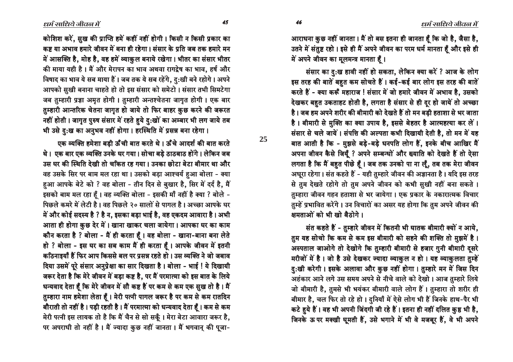आराधना कुछ नहीं जानता। मैं तो बस इतना ही जानता हूँ कि जो है, जैसा है, उतने में संतुष्ट रहो। इसे ही मैं अपने जीवन का परम धर्म मानता हूँ और इसे ही में अपने जीवन का मूलमन्त्र मानता हैं।

संसार का दु:ख हावी नहीं हो सकता, लेकिन क्या करें ? आज के लोग इस तरह की बातें बहत कम सोचते हैं। कई-कई बार लोग इस तरह की बातें करते हैं - क्या करूँ महाराज ! संसार में जो हमारे जीवन में अभाव है, उसको देखकर बहत उकताहट होती है, लगता है संसार से ही दर हो जायें तो अच्छा है। जब हम अपने शरीर की बीमारी को देखते हैं तो मन बडी हताशा से भर जाता है। बीमारी से मुक्ति का क्या उपाय है, इससे बेहतर है आत्महत्या कर लें। संसार से चले जायें। संपत्ति की अल्पता कभी दिखायी देती है, तो मन में यह बात आती है कि - मुझसे बड़े-बड़े धनपति लोग हैं, इनके बीच आखिर मैं अपना जीवन कैसे जियूँ ? अपने सम्बन्धों और ख्याति को देखते हैं तो ऐसा लगता है कि मैं बहुत पीछे हैं। जब तक उनको पा ना लूँ, तब तक मेरा जीवन आधूरा रहेगा। संत कहते हैं - यही तुम्हारे जीवन की अज्ञानता है। यदि इस तरह से तुम देखते रहोगे तो तुम अपने जीवन को कभी सुखी नहीं बना सकते । तुम्हारा जीवन गहन हताशा से भर जायेगा। एक प्रकार के नकारात्मक विचार तुम्हें प्रभावित करेंगे। उन विचारों का असर यह होगा कि तुम अपने जीवन की <u>क्षमताओं को भी खो बैठोगे।</u>

संत कहते हैं - तुम्हारे जीवन में कितनी भी घातक बीमारी क्यों न आये, तुम यह सोचो कि कम से कम इस बीमारी को सहने की शक्ति तो मुझमें है। अस्पताल जाओगे तो देखोगे कि तुम्हारी बीमारी से हजार गुनी बीमारी दुसरे मरीजों में है। जो है उसे देखकर ज्यादा व्याकुल न हो। यह व्याकुलता तुम्हें हु:खी करेगी। इसके अलावा और कुछ नहीं होगा। तुम्हारे मन में जिस दिन अहंकार आने लगे उस समय अपने से नीचे वाले को देखो। आज तुम्हारे लिये जो बीमारी है, तुमसे भी भयंकर बीमारी वाले लोग हैं। तुम्हारा तो शरीर ही बीमार है, चल फिर तो रहे हो। दुनियाँ में ऐसे लोग भी हैं जिनके हाथ-पैर भी कटे हुये हैं। वह भी अपनी जिंदगी जी रहे हैं। इतना ही नहीं दलित कुष्ठ भी है, जिनके ऊपर मक्खी घूमती हैं, उसे भगाने में भी वे मजबूर हैं, वे भी अपने

कोशिश करें, सुख की प्राप्ति हमें कहीं नहीं होगी। किसी न किसी प्रकार का कष्ट या अभाव हमारे जीवन में बना ही रहेगा । संसार के प्रति जब तक हमारे मन में आसक्ति है, मोह है, वह हमें व्याकुल बनाये रखेगा। भीतर का संसार भीतर की माया यही है। मैं और मेरापन का भाव अथवा रागद्वेष का भाव, हर्ष और विषाद का भाव ये सब माया हैं। जब तक ये सब रहेंगे. द:खी बने रहोगे। अपने आपको सुखी बनाना चाहते हो तो इस संसार को समेटो । संसार तभी सिमटेगा जब तम्हारी प्रज्ञा अमृत होगी । तम्हारी अन्तश्चेतना जागुत होगी । एक बार तुम्हारी आन्तरिक चेतना जागृत हो जाये तो फिर बाहर कुछ करने की जरूरत नहीं होती। जागृत पुरुष संसार में रहते हुये दु:खों का अम्बार भी लग जाये तब

भी उसे दु:ख का अनुभव नहीं होगा। हरस्थिति में प्रसन्न बना रहेगा।

एक व्यक्ति हमेशा बडी ऊँची बात करते थे। ऊँचे आदर्श की बात करते थे। एक बार एक व्यक्ति उनके घर गया। सोचा बड़े ठाठबाठ होंगे। लेकिन जब उस घर की स्थिति देखी तो चकित रह गया। उनका छोटा बेटा बीमार था और वह उसके सिर पर बाम मल रहा था। उसको बड़ा आश्चर्य हुआ बोला - क्या हुआ आपके बेटे को ? वह बोला - तीन दिन से बुखार है, सिर में दर्द है, मैं इसको बाम मल रहा हैं। वह व्यक्ति बोला - इसकी माँ नहीं है क्या ? बोले -पिछले कमरे में लेटी है। वह पिछले २० सालों से पागल है। अच्छा आपके घर में और कोई सदस्य है ? है न, इसका बड़ा भाई है, वह एकदम आवारा है। अभी आता ही होगा कुछ देर में । खाना खाकर चला जायेगा । आपका घर का काम कौन करता है ? बोला - मैं ही करता हूँ । वह बोला - खाना-बाना बना लेते हो ? बोला - इस घर का सब काम मैं ही करता हूँ। आपके जीवन में इतनी कठिनाइयाँ हैं फिर आप किससे बल पर प्रसन्न रहते हो। उस व्यक्ति ने जो जबाव दिया उसमें पूरे संसार अनुप्रेक्षा का सार दिखता है। बोला - भाई ! ये दिखायी जरूर देता है कि मेरे जीवन में बड़ा कष्ट है, पर मैं परमात्मा को इस बात के लिये धन्यवाद देता हैं कि मेरे जीवन में सौ कष्ट हैं पर कम से कम एक सुख तो है। मैं तुम्हारा नाम हमेशा लेता हूँ। मेरी पत्नी पागल जरूर है पर कम से कम रातदिन बौराती तो नहीं है। पड़ी रहती है। मैं परमात्मा को धन्यवाद देता हैं। कम से कम मेरी पत्नी इस लायक तो है कि मैं चैन से सो सकूँ। मेरा बेटा आवारा जरूर है, पर अपराधी तो नहीं है। मैं ज्यादा कुछ नहीं जानता। मैं भगवान् की पूजा-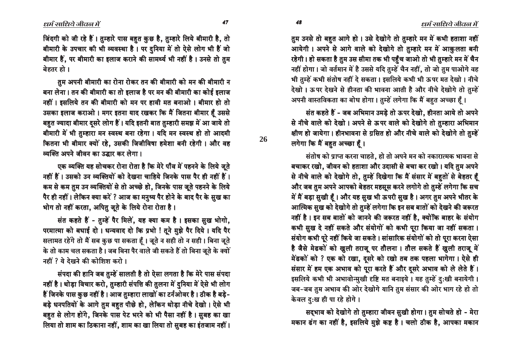तुम उनसे तो बहुत आगे हो। उसे देखोगे तो तुम्हारे मन में कभी हताशा नहीं आयेगी। अपने से आगे वाले को देखोगे तो तुम्हारे मन में आकुलता बनी रहेगी। हो सकता है तुम उस सीमा तक भी पहुँच जाओ तो भी तुम्हारे मन में चैन नहीं होगा। जो वर्तमान में है उससे यदि तुम्हें चैन नहीं, तो जो तुम पाओगे वह भी तम्हें कभी संतोष नहीं दे सकता। इसलिये कभी भी ऊपर मत देखो। नीचे देखो। ऊपर देखने से हीनता की भावना आती है और नीचे देखोगे तो तुम्हें अपनी वास्तविकता का बोध होगा। तुम्हें लगेगा कि मैं बहुत अच्छा हैं।

संत कहते हैं - जब अभिमान उमडे तो ऊपर देखो. हीनता आये तो अपने से नीचे वाले को देखो। अपने से ऊपर वाले को देखोगे तो तुम्हारा अभिमान क्षीण हो जायेगा। हीनभावना से ग्रसित हो और नीचे वाले को देखोगे तो तुम्हें लगेगा कि मैं बहुत अच्छा हैं।

संतोष को प्राप्त करना चाहते, हो तो अपने मन को नकारात्मक भावना से बचाकर रखो, जीवन को हताशा और उदासी से बचा कर रखो। यदि तुम अपने से नीचे वाले को देखोगे तो, तुम्हें दिखेगा कि मैं संसार में बहुतों से बेहतर हूँ और जब तुम अपने आपको बेहतर महसूस करने लगोगे तो तुम्हें लगेगा कि सच में मैं बड़ा सुखी हैं। और यह सुख भी ऊपरी सुख है। अगर तुम अपने भीतर के आत्मिक सुख को देखोगे तो तुम्हें लगेगा कि इन सब बातों को देखने की जरूरत नहीं है। इन सब बातों को जानने की जरूरत नहीं है, क्योंकि बाहर के संयोग कभी सुख दे नहीं सकते और संयोगों को कभी पूरा किया जा नहीं सकता। संयोग कभी पूरे नहीं किये जा सकते । सांसारिक संयोगों को तो पूरा करना ऐसा है जैसे मेढकों को खुली तराजू पर तौलना। तौल सकते हैं खुली तराजू में मेंढकों को ? एक को रखा, दुसरे को रखो तब तक पहला भागेगा। ऐसे ही संसार में हम एक अभाव को पूरा करते हैं और दूसरे अभाव को ले लेते हैं। इसलिये कभी भी अभावोन्मुखी दृष्टि मत बनाइये। यह तुम्हें दुःखी बनायेगी। जब-जब तुम अभाव की ओर देखोगे यानि तुम संसार की ओर भाग रहे हो तो केवल दुःख ही पा रहे होगे।

सद्भाव को देखोगे तो तुम्हारा जीवन सुखी होगा। तुम सोचते हो - मेरा मकान ढंग का नहीं है, इसलिये मुझे कष्ट है। चलो ठीक है, आपका मकान

47

48

26

जिंदगी को जी रहे हैं। तुम्हारे पास बहुत कुछ है, तुम्हारे लिये बीमारी है, तो बीमारी के उपचार की भी व्यवस्था है। पर दुनिया में तो ऐसे लोग भी हैं जो बीमार हैं, पर बीमारी का इलाज कराने की सामर्थ्य भी नहीं है। उनसे तो तुम बेहतर हो ।

तुम अपनी बीमारी का रोना रोकर तन की बीमारी को मन की बीमारी न बना लेना। तन की बीमारी का तो इलाज है पर मन की बीमारी का कोई इलाज नहीं। इसलिये तन की बीमारी को मन पर हावी मत बनाओ। बीमार हो तो उसका इलाज कराओ। मगर इतना याद रखकर कि मैं जितना बीमार हैं उससे बहुत ज्यादा बीमार दुसरे लोग हैं। यदि इतनी बात तुम्हारी समझ में आ जाये तो बीमारी में भी तुम्हारा मन स्वस्थ बना रहेगा। यदि मन स्वस्थ हो तो आदमी कितना भी बीमार क्यों रहे, उसकी जिजीविषा हमेशा बनी रहेगी। और वह व्यक्ति अपने जीवन का उद्धार कर लेगा।

एक व्यक्ति यह सोचकर रोना रोता है कि मेरे पाँव में पहनने के लिये जुते नहीं हैं। उसको उन व्यक्तियों को देखना चाहिये जिनके पास पैर ही नहीं हैं। कम से कम तुम उन व्यक्तियों से तो अच्छे हो, जिनके पास जुते पहनने के लिये पैर ही नहीं। लेकिन क्या करें ? आज का मनुष्य पैर होने के बाद पैर के सुख का भोग तो नहीं करता, अपितु जूते के लिये रोना रोता है।

संत कहते हैं - तुम्हें पैर मिलें, यह क्या कम है। इसका सुख भोगो, परमात्मा को बधाई दो। धन्यवाद दो कि प्रभो ! तूने मुझे पैर दिये। यदि पैर सलामत रहेंगे तो मैं सब कुछ पा सकता हैं। जूते न सही तो न सही। बिना जूते के तो काम चल सकता है। जब बिना पैर वाले जी सकते हैं तो बिना जूते के क्यों नहीं ? ये देखने की कोशिश करो।

संपदा की हानि जब तुम्हें सालती है तो ऐसा लगता है कि मेरे पास संपदा नहीं है। थोड़ा विचार करो, तुम्हारी संपत्ति की तुलना में दुनिया में ऐसे भी लोग हैं जिनके पास कुछ नहीं है। आज तुम्हारा लाखों का टर्नओवर है। ठीक है बड़े-बड़े धनपतियों के आगे तुम बहुत पीछे हो, लेकिन थोड़ा नीचे देखो। ऐसे भी बहुत से लोग होंगे, जिनके पास पेट भरने को भी पैसा नहीं है। सुबह का खा लिया तो शाम का ठिकाना नहीं, शाम का खा लिया तो सुबह का इंतजाम नहीं।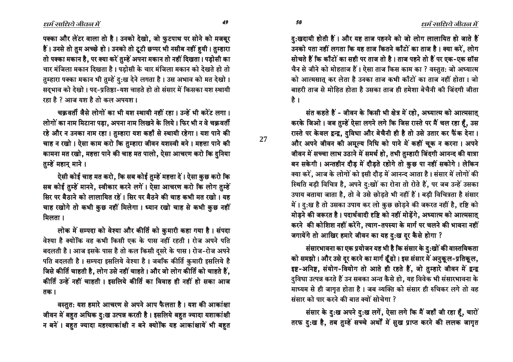<u>दु</u>:खदायी होती हैं। और यह ताज पहनने को जो लोग लालायित हो जाते हैं उनको पता नहीं लगता कि यह ताज कितने काँटों का ताज है। क्या करें, लोग सोचते हैं कि काँटों का सही पर ताज तो है। ताज पहने तो हैं पर एक-एक सॉस चैन से जीने को मोहताज हैं। ऐसा ताज किस काम का ? वस्तुत: जो अध्यात्म को आत्मसात कर लेता है उनका ताज कभी काँटों का ताज नहीं होता । जो बाहरी ताज से मोहित होता है उसका ताज ही हमेशा बेचैनी की जिंदगी जीता है ।

संत कहते हैं - जीवन के किसी भी क्षेत्र में रहो. अध्यात्म को आत्मसात करके जिओ। जब तुम्हें ऐसा लगने लगे कि जिस रास्ते पर मैं चल रहा हैं, उस रास्ते पर केवल द्वन्द्व, दुविधा और बेचैनी ही है तो उसे उतार कर फैंक देना। और अपने जीवन की अमूल्य निधि को पाने में कहीं चूक न करना। अपने जीवन में सच्चा लाभ उठाने में समर्थ हो, तभी तुम्हारी जिंदगी आनन्द की यात्रा बन सकेगी। अन्तहीन दौड़ में दौड़ते रहोगे तो कुछ पा नहीं सकोगे। लेकिन क्या करें, आज के लोगों को इसी दौड़ में आनन्द आता है। संसार में लोगों की स्थिति बड़ी विचित्र है, अपने दु:खों का रोना तो रोते हैं, पर जब उन्हें उसका उपाय बताया जाता है, तो वे उसे छोड़ते भी नहीं हैं। बड़ी विचित्रता है संसार में। दु:ख है तो उसका उपाय कर लो कुछ छोड़ने की जरूरत नहीं है, दृष्टि को मोड़ने की जरूरत है। पदार्थवादी दृष्टि को नहीं मोड़ेंगे, अध्यात्म को आत्मसात् करने की कोशिश नहीं करेंगे, त्याग-तपस्या के मार्ग पर चलने की भावना नहीं जगायेंगे तो आखिर हमारे जीवन का यह दु:ख दूर कैसे होगा ?

संसारभावना का एक प्रयोजन यह भी है कि संसार के <u>दु</u>:खों की वास्तविकता को समझो । और उसे दूर करने का मार्ग ढूँढो । इस संसार में अनुकूल-प्रतिकूल, इष्ट-अनिष्ट, संयोग-वियोग तो आते ही रहते हैं, जो तुम्हारे जीवन में द्वन्द्व <u>दुविधा उत्पन्न करते हैं उन सबका अन्त कैसे हो, यह विवेक भी संसारभावना के </u> माध्यम से ही जागृत होता है। जब व्यक्ति को संसार ही रुचिकर लगे तो वह  $\overline{P}$ संसार को पार करने की बात क्यों सोचेगा ?

संसार के दु:ख अपने दु:ख लगें, ऐसा लगे कि मैं जहाँ जी रहा हूँ, चारों तरफ दु:ख है, तब तुम्हें सच्चे अर्थों में सुख प्राप्त करने की ललक जागृत

पक्का और लेंटर वाला तो है। उनको देखो, जो फुटपाथ पर सोने को मजबूर हैं। उनसे तो तुम अच्छे हो। उनको तो टूटी छप्पर भी नसीब नहीं हुयी। तुम्हारा तो पक्का मकान है, पर क्या करें तुम्हें अपना मकान तो नहीं दिखता। पड़ोसी का चार मंजिला मकान दिखता है। पडोसी के चार मंजिला मकान को देखते हो तो तुम्हारा पक्का मकान भी तुम्हें दु:ख देने लगता है। उस अभाव को मत देखो। सदभाव को देखो। पद-प्रतिष्ठा-यश चाहते हो तो संसार में किसका यश स्थायी रहा है ? आज यश है तो कल अपयश।

चकवर्ती जैसे लोगों का भी यश स्थायी नहीं रहा। उन्हें भी करेंट लगा। लोगों का नाम मिटाना पड़ा, अपना नाम लिखने के लिये। फिर भी न वे चक्रवर्ती रहे और न उनका नाम रहा। तुम्हारा यश कहाँ से स्थायी रहेगा। यश पाने की चाह न रखो। ऐसा काम करो कि तुम्हारा जीवन यशस्वी बने। महत्ता पाने की कामना मत रखो, महत्ता पाने की चाह मत पालो, ऐसा आचरण करो कि दुनिया तुम्हें महानु माने ।

ऐसी कोई चाह मत करो, कि सब कोई तुम्हें महत्ता दें। ऐसा कुछ करो कि सब कोई तुम्हें मानने, स्वीकार करने लगें। ऐसा आचरण करो कि लोग तुम्हे<sup>∶</sup> सिर पर बैठाने को लालायित रहें। सिर पर बैठने की चाह कभी मत रखो। यह चाह रखोगे तो कभी कुछ नहीं मिलेगा। ध्यान रखो चाह से कभी कुछ नहीं मिलता ।

लोक में सम्पदा को वेश्या और कीर्ति को कुमारी कहा गया है। संपदा वेश्या है क्योंकि वह कभी किसी एक के पास नहीं रहती । रोज अपने पति बदलती है। आज इसके पास है तो कल किसी दसरे के पास। रोज-रोज अपने पति बदलती है। सम्पदा इसलिये वेश्या है। जबकि कीर्ति कुमारी इसलिये है जिसे कीर्ति चाहती है, लोग उसे नहीं चाहते । और जो लोग कीर्ति को चाहते हैं, कीर्ति उन्हें नहीं चाहती । इसलिये कीर्ति का विवाह ही नहीं हो सका आज  $\overline{d}$ क।

वस्तुत: यश हमारे आचरण से अपने आप फैलता है। यश की आकांक्षा जीवन में बहुत अधिक दु:ख उत्पन्न करती है। इसलिये बहुत ज्यादा यशाकांक्षी न बनें। बहुत ज्यादा महत्त्वाकांक्षी न बने क्योंकि यह आकांक्षायें भी बहुत

#### $\ell$ धर्म साधिये जीवल में

49 50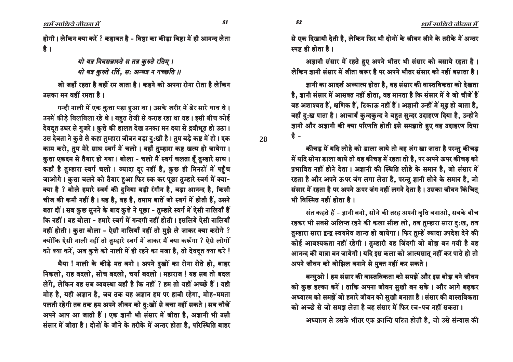धर्म साधिये जीवल में

होगी। लेकिन क्या करें ? कहावत है - विष्टा का कीडा विष्टा में ही आनन्द लेता है ।

> यो यत्र निवसन्नास्ते स तत्र कुरुते रतिम् । यो यत्र कुरुते रतिं, स: अन्यत्र न गच्छति ॥

जो जहाँ रहता है वहीं रम जाता है । कहने को अपना रोना रोता है लेकिन उसका मन वहीं रमता है।

गन्दी नाली में एक कुत्ता पड़ा हुआ था। उसके शरीर में ढेर सारे घाव थे। उनमें कीड़े बिलबिला रहे थे। बहुत तेजी से कराह रहा था वह। इसी बीच कोई देवद्त उधर से गुजरे। कुत्ते की हालत देख उनका मन दया से द्रवीभूत हो उठा। उस देवता ने कुत्ते से कहा तुम्हारा जीवन बड़ा दु:खी है। तुम बड़े कष्ट में हो। एक काम करो, तुम मेरे साथ स्वर्ग में चलो। वहाँ तुम्हारा कष्ट खत्म हो जायेगा। कुत्ता एकदम से तैयार हो गया। बोला - चलो मैं स्वर्ग चलता हैं तुम्हारे साथ। कहाँ है तुम्हारा स्वर्ग चलो । ज्यादा दूर नहीं है, कुछ ही मिनटों में पहुँच जाओगे। कुत्ता चलने को तैयार हुआ फिर रुक कर पूछा तुम्हारे स्वर्ग में क्या-क्या है ? बोले हमारे स्वर्ग की दुनिया बड़ी रंगीन है, बड़ा आनन्द है, किसी चीज की कमी नहीं है। यह है, वह है, तमाम बातें जो स्वर्ग में होती हैं, उसने बता दीं। सब कुछ सुनने के बाद कुत्ते ने पूछा - तुम्हारे स्वर्ग में ऐसी नालियाँ हैं कि नहीं। वह बोला - हमारे स्वर्ग में गन्दगी नहीं होती। इसलिये ऐसी नालियाँ नहीं होती। क़ुत्ता बोला - ऐसी नालियाँ नहीं तो मुझे ले जाकर क्या करोगे ? क्योंकि ऐसी नाली नहीं तो तुम्हारे स्वर्ग में जाकर मैं क्या करूँगा ? ऐसे लोगों को क्या करें, अब कुत्ते को नाली में ही रहने का मजा है, तो देवदुत क्या करे !

भैया ! नाली के कीड़े मत बनो । अपने दुखों का रोना रोते हो, बाहर निकलो, राह बदलो, सोच बदलो, चर्या बदलो। महाराज ! यह सब तो बदल लेंगे. लेकिन यह सब व्यवस्था वहाँ है कि नहीं ? हम तो यहीं अच्छे हैं। यही मोह है, यही अज्ञान है, जब तक यह अज्ञान हम पर हावी रहेगा, मोह-ममता पलती रहेगी तब तक हम अपने जीवन को दु:खों से बचा नहीं सकते। सब चीजें अपने आप आ जाती हैं। एक ज्ञानी भी संसार में जीता है, अज्ञानी भी उसी संसार में जीता है। दोनों के जीने के तरीके में अन्तर होता है, परिस्थिति बाहर

अज्ञानी संसार में रहते हुए अपने भीतर भी संसार को बसाये रहता है। लेकिन ज्ञानी संसार में जीता जरूर है पर अपने भीतर संसार को नहीं बसाता है।

ज्ञानी का आदर्श अध्यात्म होता है. वह संसार की वास्तविकता को देखता है, ज्ञानी संसार में आसक्त नहीं होता. वह मानता है कि संसार में ये जो चीजें हैं वह अशाश्वत हैं, क्षणिक हैं, टिकाऊ नहीं हैं। अज्ञानी उन्हीं में मूढ़ हो जाता है, वहाँ दु:ख पाता है। आचार्य कुन्दकुन्द ने बहुत सुन्दर उदाहरण दिया है, उन्होंने ज्ञानी और अज्ञानी की क्या परिणति होती इसे समझाते हुए वह उदाहरण दिया है -

कीचड़ में यदि लोहे को डाला जाये तो वह जंग खा जाता है परन्तु कीचड़ में यदि सोना डाला जाये तो वह कीचड़ में रहता तो है, पर अपने ऊपर कीचड़ को प्रभावित नहीं होने देता। अज्ञानी की स्थिति लोहे के समान है, जो संसार में रहता है और अपने ऊपर जंग लगा लेता है, परन्तु ज्ञानी सोने के समान है, जो संसार में रहता है पर अपने ऊपर जंग नहीं लगने देता है। उसका जीवन किंचित् भी विस्मित नहीं होता है।

संत कहते हैं - ज्ञानी बनो, सोने की तरह अपनी वृत्ति बनाओ, सबके बीच रहकर भी सबसे अलिप्त रहने की कला सीख लो, तब तुम्हारा सारा दु:ख, तब तुम्हारा सारा द्वन्द्व स्वयमेव शान्त हो जायेगा। फिर तुम्हें ज्यादा उपदेश देने की कोई आवश्यकता नहीं रहेगी। तुम्हारी यह जिंदगी जो बोझ बन गयी है वह आनन्द की यात्रा बन जायेगी। यदि इस कला को आत्मसात् नहीं कर पाते हो तो अपने जीवन को बोझिल बनाने से मुक्त नहीं कर सकते।

बन्धुओ ! हम संसार की वास्तविकता को समझें और इस बोझ बने जीवन को कुछ हल्का करें। ताकि अपना जीवन सुखी बन सके। और आगे बढ़कर अध्यात्म को समझें जो हमारे जीवन को सुखी बनाता है। संसार की वास्तविकता को अच्छे से जो समझ लेता है वह संसार में फिर रच-पच नहीं सकता।

अध्यात्म से उसके भीतर एक क्रान्ति घटित होती है, जो उसे संन्यास की

52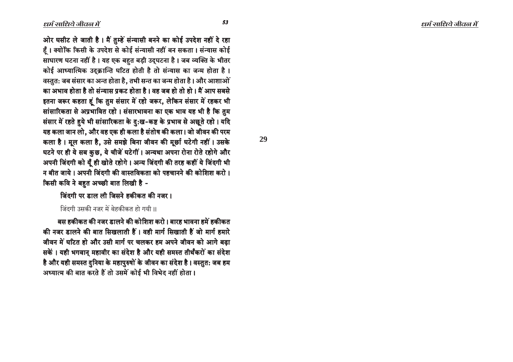ओर घसीट ले जाती है। मैं तुम्हें संन्यासी बनने का कोई उपदेश नहीं दे रहा हैं। क्योंकि किसी के उपदेश से कोई संन्यासी नहीं बन सकता। संन्यास कोई साधारण घटना नहीं है। यह एक बहुत बड़ी उद्घटना है। जब व्यक्ति के भीतर कोई आध्यात्मिक उद्क्रान्ति घटित होती है तो संन्यास का जन्म होता है। वस्तुत: जब संसार का अन्त होता है. तभी सन्त का जन्म होता है। और आशाओं का अभाव होता है तो संन्यास प्रकट होता है । वह जब हो तो हो । मैं आप सबसे इतना जरूर कहता हूं कि तुम संसार में रहो जरूर, लेकिन संसार में रहकर भी सांसारिकता से अप्रभावित रहो। संसारभावना का एक भाव यह भी है कि तुम संसार में रहते हुये भी सांसारिकता के दु:ख-कष्ट के प्रभाव से अछूते रहो। यदि यह कला जान लो, और वह एक ही कला है संतोष की कला। जो जीवन की परम कला है। मूल कला है, उसे समझे बिना जीवन की मूर्छा घटेगी नहीं। उसके घटने पर ही ये सब कुछ, ये चीजें घटेगीं । अन्यथा अपना रोना रोते रहोगे और अपनी जिंदगी को यूँ ही खोते रहोगे। अन्य जिंदगी की तरह कहीं ये जिंदगी भी न बीत जाये । अपनी जिंदगी की वास्तविकता को पहचानने की कोशिश करो । किसी कवि ने बहुत अच्छी बात लिखी है -

<u>जिंदगी पर डाल ली जिसने हकीकत की नजर ।</u>

जिंदगी उसकी नजर में बेहकीकत हो गयी ।।

बस हकीकत की नजर डालने की कोशिश करो। बारह भावना हमें हकीकत की नजर डालने की बात सिखलाती हैं। वही मार्ग सिखाती हैं जो मार्ग हमारे जीवन में घटित हो और उसी मार्ग पर चलकर हम अपने जीवन को आगे बढा सकें । यही भगवान् महावीर का संदेश है और यही समस्त तीर्थंकरों का संदेश है और यही समस्त दुनिया के महापुरुषों के जीवन का संदेश है । वस्तुत: जब हम अध्यात्म की बात करते हैं तो उसमें कोई भी विभेद नहीं होता।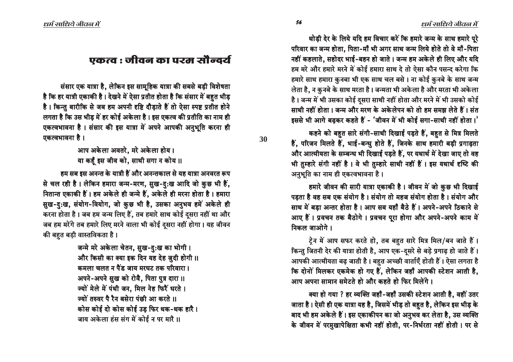थोड़ी देर के लिये यदि हम विचार करें कि हमारे जन्म के साथ हमारे पूरे परिवार का जन्म होता, पिता-माँ भी अगर साथ जन्म लिये होते तो वे माँ-पिता नहीं कहलाते, सहोदर भाई-बहन हो जाते। जन्म हम अकेले ही लिए और यदि हम मरे और हमारे मरने में कोई हमारा साथ दे तो ऐसा कौन पसन्द करेगा कि हमारे साथ हमारा कुनबा भी एक साथ चल बसे । ना कोई कुनबे के साथ जन्म लेता है, न कुनबे के साथ मरता है। जन्मता भी अकेला है और मरता भी अकेला है। जन्म में भी उसका कोई दसरा साथी नहीं होता और मरने में भी उसको कोई साथी नहीं होता। जन्म और मरण के अकेलेपन को तो हम समझ लेते हैं। संत हससे भी आगे बढकर कहते हैं - 'जीवन में भी कोई सगा-साथी नहीं होता।'

कहने को बहुत सारे संगी-साथी दिखाई पड़ते हैं, बहुत से मित्र मिलते हैं, परिजन मिलते हैं, भाई-बन्धु होते हैं, जिनके साथ हमारी बड़ी प्रगाढ़ता और आत्मीयता के सम्बन्ध भी दिखाई पड़ते हैं, पर यथार्थ में देखा जाए तो वह भी तुम्हारे संगी नहीं है। वे भी तुम्हारे साथी नहीं हैं। इस यथार्थ दृष्टि की अनुभूति का नाम ही एकत्वभावना है।

हमारे जीवन की सारी यात्रा एकाकी है। जीवन में जो कुछ भी दिखाई पडता है वह सब एक संयोग है। संयोग तो महज संयोग होता है। संयोग और साथ में बड़ा अन्तर होता है। आप सब यहाँ बैठे हैं। अपने-अपने ठिकाने से आए हैं। प्रवचन तक बैठोगे। प्रवचन पूरा होगा और अपने-अपने काम में <u>निकल जाओगे ।</u>

टेन में आप सफर करते हो, तब बहुत सारे मित्र मिल/बन जाते हैं। किन्तु जितनी देर की यात्रा होती है, आप एक-दुसरे से बड़े प्रगाढ़ हो जाते हैं। आपकी आत्मीयता बढ़ जाती है। बहुत अच्छी वार्ताएँ होती हैं। ऐसा लगता है कि दोनों मिलकर एकमेक हो गए हैं, लेकिन जहाँ आपकी स्टेशन आती है, आप अपना सामान समेटते हो और कहते हो फिर मिलेंगे ।

क्या हो गया ? हर व्यक्ति जहाँ-जहाँ उसकी स्टेशन आती है, वहीं उतर जाता है। ऐसी ही एक यात्रा यह है, जिसमें भीड़ तो बहुत है, लेकिन इस भीड़ के बाद भी हम अकेले हैं। इस एकाकीपन का जो अनुभव कर लेता है, उस व्यक्ति के जीवन में परमुखापेक्षिता कभी नहीं होती, पर-निर्भरता नहीं होती। पर से

# एकत्व : जीवन का परम सौन्दर्य

संसार एक यात्रा है, लेकिन इस सामूहिक यात्रा की सबसे बड़ी विशेषता है कि हर यात्री एकाकी है। देखने में ऐसा प्रतीत होता है कि संसार में बहुत भीड़ है। किन्तु बारीकि से जब हम अपनी दृष्टि दौड़ाते हैं तो ऐसा स्पष्ट प्रतीत होने लगता है कि उस भीड़ में हर कोई अकेला है। इस एकत्व की प्रतीति का नाम ही एकत्वभावना है। संसार की इस यात्रा में अपने आपकी अनुभूति करना ही एकत्वभावना है।

> आप अकेला अवतरे, मरे अकेला होय। या कहँ इस जीव को, साथी सगा न कोय ।।

हम सब इस अनन्त के यात्री हैं और अनन्तकाल से यह यात्रा अनवरत रूप से चल रही है। लेकिन हमारा जन्म-मरण, सुख-दु:ख आदि जो कुछ भी हैं, नितान्त एकाकी हैं। हम अकेले ही जन्मे हैं, अकेले ही मरना होता है। हमारा सुख-दु:ख, संयोग-वियोग, जो कुछ भी है, उसका अनुभव हमें अकेले ही करना होता है। जब हम जन्म लिए हैं, तब हमारे साथ कोई दुसरा नहीं था और

जब हम मरेंगे तब हमारे लिए मरने वाला भी कोई दूसरा नहीं होगा। यह जीवन की बहुत बड़ी वास्तविकता है।

जन्मे मरे अकेला चेतन, सुख-दु:ख का भोगी। और किसी का क्या इक दिन यह देह जुदी होगी ।। <u>कमला चलत न पैंड जाय मरघट तक परिवारा ।</u> अपने-अपने सुख को रोवै, पिता पुत्र दारा ।। ज्यों मेले में पंथी जन, मिल नेह फिरैं धरते । **ज्यों तरुवर पै रैन बसेरा पंछी आ करते ।।** कोस कोई दो कोस कोई उड फिर थक-थक हारै । जाय अकेला हंस संग में कोई न पर मारै ।।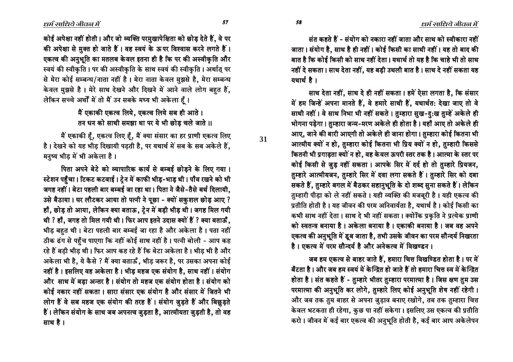कोई अपेक्षा नहीं होती। और जो व्यक्ति परमुखापेक्षिता को छोड़ देते हैं. वे पर की अपेक्षा से मुक्त हो जाते हैं। वह स्वयं के ऊपर विश्वास करने लगते हैं। एकत्व की अनुभूति का मतलब केवल इतना ही है कि पर की अस्वीकृति और स्वयं की स्वीकृति । पर की अस्वीकृति के साथ स्वयं की स्वीकृति । अर्थात् पर से मेरा कोई सम्बन्ध/नाता नहीं है। मेरा नाता केवल मुझसे है. मेरा सम्बन्ध केवल मुझसे है। मेरे साथ देखने और दिखने में आने वाले लोग बहुत हैं, लेकिन सच्चे अर्थों में तो मैं उन सबके मध्य भी अकेला हैं।

> मैं एकाकी एकत्व लिये. एकत्व लिये सब ही आते। तन धन को साथी समझा था पर ये भी छोड चले जाते ।।

मैं एकाकी हैं, एकत्व लिए हैं, मैं क्या संसार का हर प्राणी एकत्व लिए है। देखने को यह भीड़ दिखायी पड़ती है, पर यथार्थ में सब के सब अकेले हैं, मनुष्य भीड़ में भी अकेला है।

पिता अपने बेटे को व्यापारिक कार्य से बम्बई छोडने के लिए गया। स्टेशन पहुँचा। टिकट कटवाई। ट्रेन में काफी भीड़-भाड़ थी। पाँव रखने को भी जगह नहीं। बेटा पहली बार बम्बई जा रहा था। पिता ने जैसे-तैसे बर्थ दिलायी, उसे बैठाया। घर लौटकर आया तो पत्नी ने पूछा - क्यों सकुशल छोड़ आए ? हाँ, छोड़ तो आया, लेकिन क्या बताऊ, ट्रेन में बड़ी भीड़ थी। जगह मिल गयी थी ? हाँ, जगह तो मिल गयी थी। फिर आप इतने उदास क्यों हैं ? क्या बताऊँ, भीड़ बहुत थी। बेटा पहली बार बम्बई जा रहा है और अकेला है। पता नहीं ठीक ढंग से पहुँच पाएगा कि नहीं कोई साथ नहीं है। पत्नी बोली - आप कह रहे हैं बड़ी भीड़ थी। फिर आप कह रहे हैं कि बेटा अकेला है। भीड़ भी है और अकेला भी है, ये कैसे ? मैं क्या बताऊँ, भीड़ जरूर है, पर उसका अपना कोई नहीं है। इसलिए वह अकेला है। भीड़ महज एक संयोग है, साथ नहीं। संयोग और साथ में बड़ा अन्तर है। संयोग तो महज एक संयोग होता है। संयोग को कोई नकार नहीं सकता। सारा संसार एक संयोग है और संसार में जितने भी लोग हैं वे सब महज एक संयोग की तरह हैं। संयोग जुड़ते हैं और बिछुड़ते हैं। लेकिन संयोग के साथ जब अपनत्व जुड़ता है, आत्मीयता जुड़ती है, तो वह साथ है।

संत कहते हैं - संयोग को नकारा नहीं जाता और साथ को स्वीकारा नहीं जाता। संयोग है, साथ है ही नहीं। कोई किसी का साथी नहीं। यह तो बाद की बात है कि कोई किसी को साथ नहीं देता। यथार्थ तो यह है कि चाहे भी तो साथ नहीं दे सकता। साथ देता नहीं, यह बड़ी उथली बात है। साथ दे नहीं सकता यह यथार्थ है।

साथ देता नहीं, साथ दे ही नहीं सकता। हमें ऐसा लगता है, कि संसार में हम जिन्हें अपना मानते हैं, वे हमारे साथी हैं, यथार्थत: देखा जाए तो वे साथी नहीं। वे साथ निभा भी नहीं सकते। तुम्हारा सुख-द:ख तुम्हें अकेले ही भोगना पड़ेगा। तुम्हारा जन्म-मरण अकेले ही होता है। यहाँ आए तो अकेले ही आए, जाने की बारी आएगी तो अकेले ही जाना होगा। तुम्हारा कोई कितना भी आत्मीय क्यों न हो, तुम्हारा कोई कितना भी प्रिय क्यों न हो, तुम्हारी किससे कितनी भी प्रगाढ़ता क्यों न हो, वह केवल ऊपरी स्तर तक है। आत्मा के स्तर पर कोई किसी से जुड़ नहीं सकता। आपके सिर में दर्द हो तो तुम्हारे प्रियजन, तुम्हारे आत्मीयजन, तुम्हारे सिर में दवा लगा सकते हैं। तुम्हारे सिर को दबा सकते हैं, तुम्हारे बगल में बैठकर सहानुभूति के दो शब्द सुना सकते हैं। लेकिन तुम्हारी पीड़ा को ले नहीं सकते। यही व्यक्ति की मजबूरी है। यही एकत्व की प्रतीति होती है। यह जीवन की परम अनिवार्यता है, यथार्थ है। कोई किसी का कभी साथ नहीं देता। साथ दे भी नहीं सकता। क्योंकि प्रकृति ने प्रत्येक प्राणी को स्वतन्त्र बनाया है। अकेला बनाया है। एकाकी बनाया है। जब वह अपने एकत्व की अनुभूति में डुब जाता है. तभी उसके जीवन का परम सौन्दर्य निखरता है। एकत्व में परम सौन्दर्य है और अनेकत्व में विखण्डन।

जब हम एकत्व से बाहर जाते हैं, हमारा चित्त विखण्डित होता है। पर में बँटता है । और जब हम स्वयं में केन्द्रित हो जाते हैं तो हमारा चित्त स्व में केन्द्रित होता है। संत कहते हैं - तुम्हारे भीतर तुम्हारा परमात्मा है। जिस क्षण तुम उस परमात्मा की अनुभूति कर लोगे, तुम्हारे लिए कोई अनुभूति शेष नहीं रहेगी। और जब तक तुम बाहर से अपना जुड़ाव बनाए रखोगे, तब तक तुम्हारा चित्त केवल भटकता ही रहेगा, कुछ पा नहीं सकेगा। इसलिए उस एकत्व की प्रतीति करो । जीवन में कई बार एकत्व की अनुभूति होती है. कई बार आप अकेलेपन

58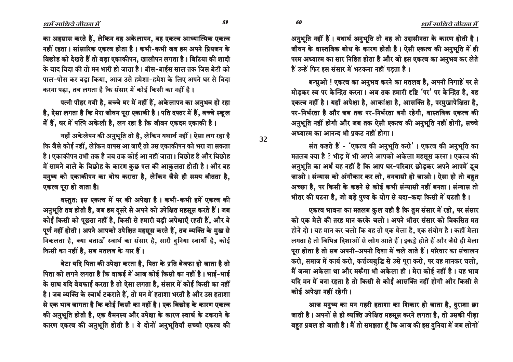ïô ñê

**32**

का अहसास करते हैं. लेकिन वह अकेलापन, वह एकत्व आध्यात्मिक एकत्व नहीं रहता। सांसारिक एकत्व होता है। कभी-कभी जब हम अपने प्रियजन के विछोह को देखते हैं तो बडा एकाकीपन, खालीपन लगता है। बिटिया की शादी के बाद विदा की तो मन भारी हो जाता है। बीस-बाईस साल तक जिस बेटी को पाल-पोस कर बडा किया. आज उसे हमेशा-हमेश के लिए अपने घर से विदा करना पडा. तब लगता है कि संसार में कोई किसी का नहीं है।

पत्नी पीहर गयी है, बच्चे घर में नहीं हैं, अकेलापन का अनुभव हो रहा है. ऐसा लगता है कि मेरा जीवन परा एकाकी है। पति दफ्तर में हैं. बच्चे स्कूल में हैं, घर में पत्नि अकेली है, लग रहा है कि जीवन एकदम एकाकी है।

यहाँ अकेलेपन की अनुभूति तो है, लेकिन यथार्थ नहीं। ऐसा लग रहा है कि जैसे कोई नहीं, लेकिन वापस आ जाएँ तो उस एकाकीपन को भरा जा सकता है। एकाकीपन तभी तक है जब तक कोई आ नहीं जाता। बिछोह है और बिछोह में सामने वाले के बिछोह के कारण कुछ पल की आकुलता होती है। और वह मनुष्य को एकाकीपन का बोध कराता है, लेकिन जैसे ही समय बीतता है, एकत्व पुरा हो जाता है।

वस्तुत: इस एकत्व में पर की अपेक्षा है। कभी-कभी हमें एकत्व की आनुभूति तब होती है, जब हम दुसरे से अपने को उपेक्षित महसूस करते हैं। जब कोई किसी को पूछता नहीं है, किसी से हमारी बड़ी अपेक्षाएँ रहती हैं, और वे पूर्ण नहीं होती। अपने आपको उपेक्षित महसूस करते हैं, तब व्यक्ति के मुख से निकलता है, क्या बताऊँ स्वार्थ का संसार है, सारी दुनिया स्वार्थी है, कोई किसी का नहीं है, सब मतलब के यार हैं।

<u>बेटा यदि पिता की उपेक्षा करता है. पिता के प्रति बेवफा हो जाता है तो</u> पिता को लगने लगता है कि वाकई में आज कोई किसी का नहीं है। भाई-भाई के साथ यदि बेवफाई करता है तो ऐसा लगता है. संसार में कोई किसी का नहीं है। जब व्यक्ति के स्वार्थ टकराते हैं, तो मन में हताशा भरती है और उस हताशा से एक भाव जागता है कि कोई किसी का नहीं है। एक बिछोह के कारण एकत्व की अनुभूति होती है, एक वैमनस्य और उपेक्षा के कारण स्वार्थ के टकराने के कारण एकत्व की अनुभूति होती है। ये दोनों अनुभूतियाँ सच्ची एकत्व की अनुभूति नहीं हैं। यथार्थ अनुभूति तो वह जो उदासीनता के कारण होती है। जीवन के वास्तविक बोध के कारण होती है। ऐसी एकत्व की अनुभूति में ही परम अध्यात्म का सार निहित होता है और जो इस एकत्व का अनुभव कर लेते हैं उन्हें फिर इस संसार में भटकना नहीं पडता है।

बन्धुओ ! एकत्व का अनुभव करने का मतलब है, अपनी निगाहें पर से मोड़कर स्व पर केन्द्रित करना। अब तक हमारी दृष्टि 'पर' पर केन्द्रित है, यह एकत्व नहीं है। यहाँ अपेक्षा है, आकांक्षा है, आसक्ति है, परमुखापेक्षिता है, पर-निर्भरता है और जब तक पर-निर्भरता बनी रहेगी. वास्तविक एकत्व की अनुभूति नहीं होगी और जब तक ऐसी एकत्व की अनुभूति नहीं होगी, सच्चे अध्यात्म का आनन्द भी पकट नहीं होगा ।

संत कहते हैं - 'एकत्व की अनुभूति करो'। एकत्व की अनुभूति का मतलब क्या है ? भीड़ में भी अपने आपको अकेला महसूस करना। एकत्व की अनुभूति का अर्थ यह नहीं है कि आप घर-परिवार छोड़कर अपने आपमें डुब जाओ। संन्यास को अंगीकार कर लो, वनवासी हो जाओ। ऐसा हो तो बहत अच्छा है, पर किसी के कहने से कोई कभी संन्यासी नहीं बनता। संन्यास तो भीतर की घटना है, जो बड़े पुण्य के योग से यदा-कदा किसी में घटती है।

एकत्व भावना का मतलब कुल यही है कि तुम संसार में रहो, पर संसार को एक मेले की तरह मान करके चलो । अपने भीतर संसार को विकसित मत होने दो । यह मान कर चलो कि यह तो एक मेला है. एक संयोग है । कहीं मेला लगता है तो विभिन्न दिशाओं से लोग आते हैं। इकट्ठे होते हैं और जैसे ही मेला पुरा होता है तो सब अपनी-अपनी दिशा में चले जाते हैं। परिवार का संचालन करो, समाज में कार्य करो, कर्त्तव्यबुद्धि से उसे पूरा करो, पर यह मानकर चलो, मैं जन्मा अकेला था और मरूँगा भी अकेला ही। मेरा कोई नहीं है। यह भाव यदि मन में बना रहता है तो किसी से कोई आसक्ति नहीं होगी और किसी से कोई अपेक्षा नहीं रहेगी ।

आज मनुष्य का मन गहरी हताशा का शिकार हो जाता है, दुराशा छा जाती है। अपनों से ही व्यक्ति उपेक्षित महसूस करने लगता है, तो उसकी पीड़ा बहुत प्रबल हो जाती है। मैं तो समझता हूँ कि आज की इस दुनिया में जब लोगों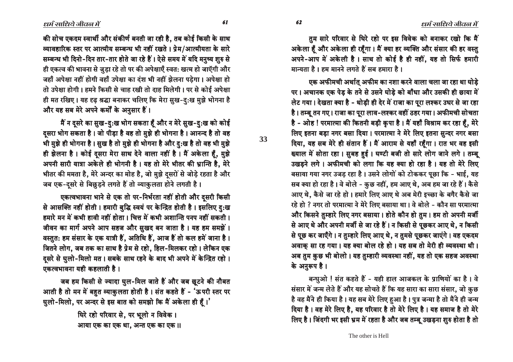$\ell$ धर्म साधिये जीवल में

तुम सारे परिवार से घिरे रहो पर इस विवेक को बनाकर रखो कि मैं अकेला हैं और अकेला ही रहैंगा। मैं क्या हर व्यक्ति और संसार की हर वस्तु अपने-आप में अकेली है। साथ तो कोई है ही नहीं, यह तो सिर्फ हमारी <u>मान्यता है। हम मानने लगते हैं सब हमारा है।</u>

एक अफीमची अर्थात् अफीम का नशा करने वाला चला जा रहा था घोडे पर। अचानक एक पेड़ के तने से उसने घोड़े को बाँधा और उसकी ही छाया में लेट गया। देखता क्या है - थोड़ी ही देर में राजा का पूरा लश्कर उधर से जा रहा है। तम्बू तन गए। राजा का पूरा लाव-लश्कर वहीं ठहर गया। अफीमची सोचता है - ओह ! परमात्मा की कितनी बड़ी कृपा है । मैं यहाँ विश्राम कर रहा हैं, मेरे लिए इतना बड़ा नगर बसा दिया। परमात्मा ने मेरे लिए इतना सुन्दर नगर बसा दिया, यह सब मेरे ही संतान हैं। मैं आराम से यहाँ रहँगा। रात भर वह इसी ख्याल में सोता रहा। सुबह हुई। घण्टी बजी तो सारे लोग जाने लगे। तम्बू उखड़ने लगे। अफीमची को लगा कि यह क्या हो रहा है। यह तो मेरे लिए बसाया गया नगर उजड़ रहा है। उसने लोगों को टोककर पूछा कि - भाई, यह सब क्या हो रहा है। वे बोले - कुछ नहीं, हम आए थे, अब हम जा रहे हैं। कैसे आए थे, कैसे जा रहे हो। हमारे लिए आए थे अब मेरी इच्छा के बगैर कैसे जा रहे हो ? नगर तो परमात्मा ने मेरे लिए बसाया था। वे बोले - कौन सा परमात्मा और किसने तुम्हारे लिए नगर बसाया। होते कौन हो तुम। हम तो अपनी मर्जी से आए थे और अपनी मर्जी से जा रहे हैं। न किसी से पूछकर आए थे, न किसी से पूछ कर जाएँगे। न तुम्हारे लिए आए थे, न तुमसे पूछकर जाएंगे। वह एकदम अवाक़ सा रह गया। यह क्या बोल रहे हो। यह सब तो मेरी ही व्यवस्था थी। अब तुम कुछ भी बोलो। यह तुम्हारी व्यवस्था नहीं, यह तो एक सहज अवस्था के अनुरूप है।

बन्धुओ ! संत कहते हैं - यही हाल आजकल के प्राणियों का है। वे संसार में जन्म लेते हैं और यह सोचते हैं कि यह सारा का सारा संसार, जो कुछ है वह मैंने ही किया है। यह सब मेरे लिए हुआ है। पुत्र जन्मा है तो मैंने ही जन्म दिया है। वह मेरे लिए है, यह परिवार है तो मेरे लिए है। यह समाज है तो मेरे तिए है। जिंदगी भर इसी भ्रम में रहता है और जब तम्बू उखड़ना शुरु होता है तो

की सोच एकदम स्वार्थी और संकीर्ण बनती जा रही है. तब कोई किसी के साथ व्यावहारिक स्तर पर आत्मीय सम्बन्ध भी नहीं रखते । प्रेम/आत्मीयता के सारे सम्बन्ध भी दिनो-दिन तार-तार होते जा रहे हैं। ऐसे समय में यदि मनुष्य शुरु से ही एकत्व की भावना से जुड़ा रहे तो पर की अपेक्षाएँ स्वत: खत्म हो जाएँगी और जहाँ अपेक्षा नहीं होगी वहाँ उपेक्षा का दंश भी नहीं झेलना पडेगा। अपेक्षा हो तो उपेक्षा होगी। हमने किसी से चाह रखी तो दाह मिलेगी। पर से कोई अपेक्षा ही मत रखिए। यह दृढ़ श्रद्धा बनाकर चलिए कि मेरा सुख-दु:ख मुझे भोगना है और यह सब मेरे अपने कर्मों के अनुसार हैं।

मैं न दूसरे का सुख-दु:ख भोग सकता हूँ और न मेरे सुख-दु:ख को कोई दुसरा भोग सकता है। जो पीड़ा है वह तो मुझे ही भोगना है। आनन्द है तो वह भी मुझे ही भोगना है। सुख है तो मुझे ही भोगना है और दु:ख है तो वह भी मुझे ही झेलना है। कोई दुसरा मेरा साथ देने वाला नहीं है। मैं अकेला हूँ, मुझे आपनी सारी यात्रा अकेले ही भोगनी है। यह तो मेरे भीतर की भ्रान्ति है, मेरे भीतर की ममता है, मेरे अन्दर का मोह है, जो मुझे दूसरों से जोड़े रहता है और जब एक-दुसरे से बिछुड़ने लगते हैं तो व्याकुलता होने लगती है।

एकत्वभावना भाने से एक तो पर-निर्भरता नहीं होती और दुसरी किसी से आसक्ति नहीं होती। हमारी बुद्धि स्वयं पर केन्द्रित होती है। इसलिए दुःख हमारे मन में कभी हावी नहीं होता । चित्त में कभी अशान्ति पनप नहीं सकती । जीवन का मार्ग अपने आप सहज और सुखद बन जाता है। यह हम समझें। वस्तुत: हम संसार के एक यात्री हैं, अतिथि हैं, आज हैं तो कल हमें जाना है। जितने लोग, जब तक का साथ है प्रेम से रहो, हिल-मिलकर रहो। लेकिन एक दसरे से घुलो-मिलो मत। सबके साथ रहने के बाद भी अपने में केन्द्रित रहो। एकत्वभावना यही कहलाती है।

जब हम किसी से ज्यादा घुल-मिल जाते हैं और जब छूटने की नौबत आती है तो मन में बहुत व्याकुलता होती है। संत कहते हैं - 'ऊपरी स्तर पर पुलो-मिलो, पर अन्दर से इस बात को समझो कि मैं अकेला ही हैं।'

> धिरे रहो परिवार से, पर भूलो न विवेक। आया एक का एक था, अन्त एक का एक ॥

> > The other is Hell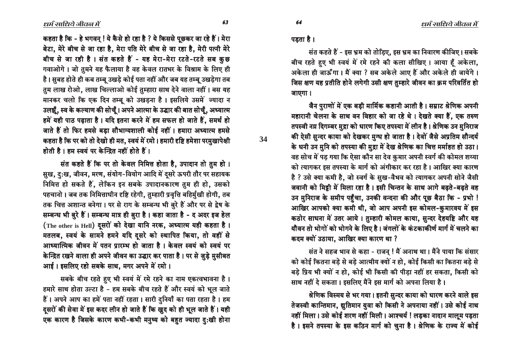कहता है कि - हे भगवन् ! ये कैसे हो रहा है ? ये किससे पूछकर जा रहे हैं। मेरा बेटा, मेरे बीच से जा रहा है, मेरा पति मेरे बीच से जा रहा है, मेरी पत्नी मेरे बीच से जा रही है। संत कहते हैं - यह मेरा-मेरा रटते-रटते सब कुछ गवाओगे। जो तुमने यह फैलाया है वह केवल रातभर के विश्राम के लिए ही है। सुबह होते ही कब तम्बू उखडे कोई पता नहीं और जब यह तम्बू उखडेगा तब तुम लाख रोओ, लाख चिल्लाओ कोई तुम्हारा साथ देने वाला नहीं। बस यह मानकर चलो कि एक दिन तम्बू को उखड़ना है। इसलिये उसमें ज्यादा न उलझूँ, स्व के कल्याण की सोचूँ। अपने आत्मा के उद्धार की बात सोचूँ, अध्यात्म हमें यही पाठ पढ़ाता है। यदि इतना करने में हम सफल हो जाते हैं, समर्थ हो जाते हैं तो फिर हमसे बड़ा सौभाग्यशाली कोई नहीं। हमारा अध्यात्म हमसे कहता है कि पर को तो देखो ही मत, स्वयं में रमो। हमारी दृष्टि हमेशा परमुखापेक्षी होती है। हम स्वयं पर केन्द्रित नहीं होते हैं।

संत कहते हैं कि पर तो केवल निमित्त होता है, उपादान तो तुम हो। सुख, दु:ख, जीवन, मरण, संयोग-वियोग आदि में दूसरे ऊपरी तौर पर सहायक निमित्त हो सकते हैं, लेकिन इन सबके उपादानकारण तुम ही हो, उसको पहचानो । जब तक निमित्ताधीन दृष्टि रहेगी, तुम्हारी प्रवृत्ति बहिर्मुखी होगी, तब तक चित्त अशान्त बनेगा। पर से राग के सम्बन्ध भी बुरे हैं और पर से द्वेष के सम्बन्ध भी बुरे हैं। सम्बन्ध मात्र ही बुरा है। कहा जाता है - द अदर इज हेल (The other is Hell) दूसरों को देखा यानि नरक, अध्यात्म यही कहता है। मतलब, स्वयं के सामने हमने यदि दुसरे को स्थापित किया, तो वहीं से आध्यात्मिक जीवन में पतन प्रारम्भ हो जाता है। केवल स्वयं को स्वयं पर केन्द्रित रखने वाला ही अपने जीवन का उद्धार कर पाता है। पर से जुड़े मुसीबत आई। इसलिए रहो सबके साथ. मगर अपने में रमो।

सबके बीच रहते हुए भी स्वयं में रमे रहने का नाम एकत्वभावना है। हमारे साथ होता उल्टा है - हम सबके बीच रहते हैं और स्वयं को भूल जाते हैं। अपने आप का हमें पता नहीं रहता। सारी दुनियाँ का पता रहता है। हम दूसरों की सेवा में इस कदर लीन हो जाते हैं कि खूद को ही भूल जाते हैं। यही एक कारण है जिसके कारण कभी-कभी मनुष्य को बहुत ज्यादा दु:खी होना पडता है।

34

64

संत कहते हैं - इस भ्रम को तोडिए. इस भ्रम का निवारण कीजिए। सबके बीच रहते हुए भी स्वयं में रमे रहने की कला सीखिए। आया हैं अकेला, अकेला ही जाऊँगा। मैं क्या ? सब अकेले आए हैं और अकेले ही जायेंगे। जिस क्षण यह प्रतीति होने लगेगी उसी क्षण तुम्हारे जीवन का क्रम परिवर्तित हो जाएगा।

जैन पुराणों में एक बड़ी मार्मिक कहानी आती है। सम्राट श्रेणिक अपनी महारानी चेलना के साथ वन विहार को जा रहे थे। देखते क्या हैं, एक तरुण तपस्वी नग्न दिगम्बर मुद्रा को धारण किए तपस्या में लीन है। श्रेणिक उन मुनिराज की ऐसी सुन्दर काया को देखकर मुग्ध हो जाता है। देवों जैसे अप्रतिम सौन्दर्य के धनी उन मुनि को तपस्या की मुद्रा में देख श्रेणिक का चित्त मर्माहत हो उठा। वह सोच में पड़ गया कि ऐसा कौन सा देव कुमार अपनी स्वर्ग की कोमल शय्या को त्यागकर इस तपस्या के मार्ग को अंगीकार कर रहा है। आखिर क्या कारण है ? उसे क्या कमी है, जो स्वर्ग के सुख-वैभव को त्यागकर अपनी सोने जैसी जवानी को मिट्टी में मिला रहा है। इसी चिन्तन के साथ आगे बढते-बढते वह उन मुनिराज के समीप पहँचा, उनकी वन्दना की और पूछ बैठा कि - प्रभो ! आखिर आपको क्या कमी थी, जो आप अपनी इस कोमल-कुमारवय में इस कठोर साधना में उतर आये। तुम्हारी कोमल काया, सुन्दर देहयष्टि और यह यौवन तो भोगों को भोगने के लिए है। जंगलों के कंटकाकीर्ण मार्ग में चलने का कदम क्यों उठाया. आखिर क्या कारण था ?

संत ने सहज भाव से कहा - राजन् ! मैं अनाथ था। मैंने पाया कि संसार को कोई कितना बड़े से बड़े आत्मीय क्यों न हो, कोई किसी का कितना बड़े से बड़े प्रिय भी क्यों न हो, कोई भी किसी की पीड़ा नहीं हर सकता, किसी को साथ नहीं दे सकता। इसलिए मैंने इस मार्ग को अपना लिया है।

श्रेणिक विस्मय से भर गया। इतनी सुन्दर काया को धारण करने वाले इस तेजस्वी कान्तिमान, द्युतिमान युवा को किसी ने अपनाया नहीं। उसे कोई नाथ नहीं मिला। उसे कोई शरण नहीं मिली। आश्चर्य ! लड़का नादान मालूम पड़ता है। इसने तपस्या के इस कठिन मार्ग को चुना है। श्रेणिक के राज्य में कोई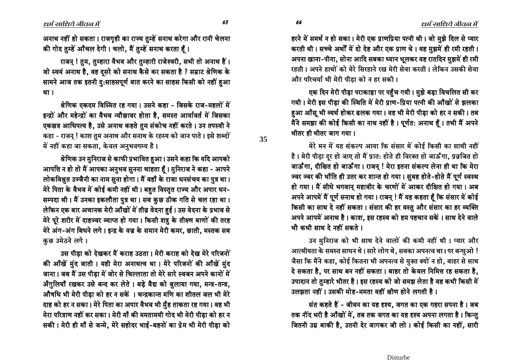$\ell$ धर्म साधिये जीवल में

 $\ell$ धर्म साधिये जीवल में

आनाथ नहीं हो सकता । राजगृही का राज्य तुम्हें सनाथ करेगा और रानी चेलना की गोद तुम्हें आँचल देगी। चलो, मैं तुम्हें सनाथ करता हैं।

राजन ! तम. तम्हारा वैभव और तम्हारी राजेश्वरी. सभी तो अनाथ हैं । जो स्वयं अनाथ है, वह दूसरे को सनाथ कैसे कर सकता है ? सम्राट श्रेणिक के सामने आज तक इतनी दु:साहसपूर्ण बात करने का साहस किसी को नहीं हुआ था ।

<u>श्रेणिक एकदम विस्मित रह गया। उसने कहा - जिसके राज-महलों में</u> इन्द्रों और महेन्द्रों का वैभव न्यौछावर होता है, समस्त आर्यावर्त में जिसका एकछत्र आधिपत्य है, उसे अनाथ कहते तुम संकोच नहीं करते । उन तपस्वी ने कहा - राजन् ! काश तुम अनाथ और सनाथ के रहस्य को जान पाते । इसे शब्दों में नहीं कहा जा सकता, केवल अनुभवगम्य है।

<u>श्रेणिक उन मुनिराज से काफी प्रभावित हुआ। उसने कहा कि यदि आपको</u> आपत्ति न हो तो मैं आपका अनुभव सुनना चाहता हूँ। मुनिराज ने कहा - आपने लोकविश्नुत उज्जैनी का नाम सुना होगा। मैं वहाँ के राजा धनसंचय का पुत्र था। मेरे पिता के वैभव में कोई कमी नहीं थी। बहुत विस्तृत राज्य और अपार धन-सम्पदा थी। मैं उनका इकलौता पुत्र था। सब कुछ ठीक गति से चल रहा था। लेकिन एक बार अचानक मेरी आँखों में तीव्र वेदना हुई। उस वेदना के प्रभाव से मेरे पूरे शरीर में दाहज्वर व्याप्त हो गया। किसी शत्रु के तीक्ष्ण बाणों की तरह मेरे अंग-अंग बिधने लगे। इन्द्र के वज्र के समान मेरी कमर, छाती, मस्तक सब कुछ उमेठने लगे।

उस पीडा को देखकर मैं कराह उठता। मेरी कराह को देख मेरे परिजनों की आँखें मुंद जाती । यही मेरा अनाथत्व था । मेरे परिजनों की आँखें मुंद जाना। जब मैं उस पीड़ा में जोर से चिल्लाता तो मेरे सारे स्वजन अपने कानों में अँगुलियाँ खकर उसे बन्द कर लेते । बड़े वैद्य को बुलाया गया, मन्त्र-तन्त्र, औषधि भी मेरी पीडा को हर न सकें । चन्द्रकान्त मणि का शीतल जल भी मेरे दाह को हर न सका। मेरे पिता का अपार वैभव भी मुँह ताकता रह गया। वह भी मेरा परित्राण नहीं कर सका। मेरी माँ की ममतामयी गोद भी मेरी पीड़ा को हर न सकी। मेरी ही माँ से जन्मे, मेरे सहोदर भाई-बहनों का प्रेम भी मेरी पीड़ा को

हरने में समर्थ न हो सका। मेरी एक प्राणप्रिया पत्नी थी। जो मुझे दिल से प्यार करती थी। सच्चे अर्थों में दो देह और एक प्राण थे। वह मुझमें ही रमी रहती। अपना खाना-पीना, सोना आदि सबका ध्यान भूलकर वह रातदिन मुझमें ही रमी रहती । अपने हाथों को मेरे सिरहाने रख मेरी सेवा करती । लेकिन उसकी सेवा और परिचर्या भी मेरी पीडा को न हर सकी ।

एक दिन मेरी पीड़ा पराकाष्ठा पर पहुँच गयी। मुझे बड़ा विचलित सी कर गयी। मेरी इस पीड़ा की स्थिति में मेरी प्राण-प्रिया पत्नी की आँखों से झलका हुआ औंसू भी व्यर्थ होकर ढलक गया। वह भी मेरी पीड़ा को हर न सकी। तब मैंने समझा की कोई किसी का नाथ नहीं है। पूर्णत: अनाथ हूँ। तभी मैं अपने भीतर ही भीतर जाग गया ।

hरे मन में यह संकल्प आया कि संसार में कोई किसी का साथी नहीं है। मेरी पीड़ा दुर हो जाए तो मैं प्रात: होते ही विरक्त हो जाऊँगा, प्रव्रजित हो जाऊँगा, दीक्षित हो जाऊँगा। राजन् ! मेरा इतना संकल्प लेना ही था कि मेरा ज्वर ज्वर की भाँति ही उतर कर शान्त हो गया। स़ुबह होते-होते मैं पूर्ण स्वस्थ हो गया। मैं सीधे भगवान् महावीर के चरणों में आकर दीक्षित हो गया। अब आपने आपमें मैं पूर्ण सनाथ हो गया। राजन् ! मैं यह कहता हैं कि संसार में कोई किसी का साथ दे नहीं सकता। संसार की हर वस्तु और संसार का हर व्यक्ति आपने आपमें अनाथ है। काश, इस रहस्य को हम पहचान सकें। साथ देने वाले भी कभी साथ दे नहीं सकते ।

उन मुनिराज को भी साथ देने वालों की कमी नहीं थी। प्यार और आत्मीयता के समस्त साधन थे। सारे लोग थे, सबका अपनत्व था। पर बन्धुओ ! जैसा कि मैंने कहा, कोई कितना भी अपनत्व से युक्त क्यों न हो, बाहर से साथ दे सकता है, पर साथ बन नहीं सकता। बाहर तो केवल निमित्त रह सकता है, उपादान तो तुम्हारे भीतर है। इस रहस्य को जो समझ लेता है वह कभी किसी में  $\overline{3}$ लझता नहीं । उसकी मोह-ममता वहीं क्षीण होने लगती है ।

संत कहते हैं - जीवन का यह दृश्य, जगत का एक गहरा सपना है । जब तक नींद भरी है आँखों में, तब तक जगत का यह दृश्य अपना लगता है। किन्तु जितनी उम्र बाकी है, उतनी देर जागकर जी लो। कोई किसी का नहीं, सारी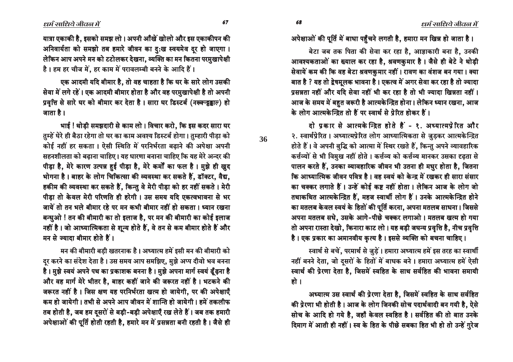67

68

36

अपेक्षाओं की पूर्ति में बाधा पहुँचने लगती है, हमारा मन खिन्न हो जाता है।

बेटा जब तक पिता की सेवा कर रहा है, आज्ञाकारी बना है, उनकी आवश्यकताओं का ख्याल कर रहा है. श्रवणकुमार है। जैसे ही बेटे ने थोडी सेवायें कम की कि वह बेटा श्रवणकुमार नहीं। रावण का वंशज बन गया। क्या बात है ? यह तो द्वेषमुलक भावना है। एकत्व में अगर सेवा कर रहा है तो ज्यादा प्रसन्नता नहीं और यदि सेवा नहीं भी कर रहा है तो भी ज्यादा खिन्नता नहीं। आज के समय में बहत जरूरी है आत्मकेन्द्रित होना। लेकिन ध्यान रखना, आज के लोग आत्मकेन्द्रित तो हैं पर स्वार्थ से पेरित होकर हैं।

दो प्रकार से आत्मकेन्द्रित होते हैं - १. अध्यात्मप्रेरित और २. स्वार्थप्रेरित। अध्यात्मप्रेरित लोग आध्यात्मिकता से जुड़कर आत्मकेन्द्रित होते हैं। वे अपनी बुद्धि को आत्मा में स्थिर रखते हैं, किन्तु अपने व्यावहारिक कर्त्तव्यों से भी विमुख नहीं होते । कर्त्तव्य को कर्त्तव्य मानकर उसका दृढ़ता से पालन करते हैं, उनका व्यावहारिक जीवन भी उतना ही मधुर होता है, जितना कि आध्यात्मिक जीवन पवित्र है । वह स्वयं को केन्द्र में रखकर ही सारा संसार का चक्कर लगाते हैं। उन्हें कोई कष्ट नहीं होता। लेकिन आज के लोग जो तथाकथित आत्मकेन्द्रित हैं, महज स्वार्थी लोग हैं। उनके आत्मकेन्द्रित होने का मतलब केवल स्वयं के हितों की पूर्ति करना, अपना मतलब साधना। जिससे अपना मतलब सधे, उसके आगे-पीछे चक्कर लगाओ। मतलब खत्म हो गया तो अपना रास्ता देखो, किनारा काट लो। यह बड़ी जघन्य प्रवृत्ति है, नीच प्रवृत्ति है। एक प्रकार का अमानवीय कृत्य है। इससे व्यक्ति को बचना चाहिए।

स्वार्थ से बचें, परमार्थ से जुड़ें। हमारा अध्यात्म हमें इस तरह का स्वार्थी नहीं बनने देता, जो दुसरों के हितों में बाधक बने। हमारा अध्यात्म हमें ऐसी स्वार्थ की प्रेरणा देता है, जिसमें स्वहित के साथ सर्वहित की भावना समायी हो ।

अध्यात्म उस स्वार्थ की प्रेरणा देता है, जिसमें स्वहित के साथ सर्वहित की प्रेरणा भी होती है। आज के लोग जिनकी सोच पदार्थवादी बन गयी है, ऐसे सोच के आदि हो गये है, जहाँ केवल स्वहित है। सर्वहित की तो बात उनके दिमाग में आती ही नहीं। स्व के हित के पीछे सबका हित भी हो तो उन्हें गुरेज

यात्रा एकाकी है. इसको समझ लो। अपनी आँखें खोलो और इस एकाकीपन की अनिवार्यता को समझो तब हमारे जीवन का दुःख स्वयमेव दूर हो जाएगा। लेकिन आप अपने मन को टटोलकर देखना, व्यक्ति का मन कितना परमुखापेक्षी है। हम हर चीज में, हर काम में परावलम्बी बनने के आदि हैं।

एक आदमी यदि बीमार है, तो वह चाहता है कि घर के सारे लोग उसकी सेवा में लगे रहें। एक आदमी बीमार होता है और वह परमुखापेक्षी है तो अपनी प्रवृत्ति से सारे घर को बीमार कर देता है। सारा घर डिस्टर्ब (नरूक्टड्डाल) हो जाता है ।

भाई ! थोड़ी समझदारी से काम लो। विचार करो, कि इस कदर सारा घर तुम्हें घेरे ही बैठा रहेगा तो घर का काम अवश्य डिस्टर्ब होगा। तुम्हारी पीड़ा को कोई नहीं हर सकता। ऐसी स्थिति में परनिर्भरता बढ़ाने की अपेक्षा अपनी सहनशीलता को बढ़ाना चाहिए। यह धारणा बनाना चाहिए कि यह मेरे अन्दर की पीड़ा है, मेरे कारण उत्पन्न हुई पीड़ा है, मेरे कर्मों का फल है। मुझे ही खुद भोगना है। बाहर के लोग चिकित्सा की व्यवस्था कर सकते हैं, डॉक्टर, वैद्य, हकीम की व्यवस्था कर सकते हैं, किन्तु वे मेरी पीड़ा को हर नहीं सकते । मेरी पीडा तो केवल मेरी परिणति ही हरेगी। उस समय यदि एकत्वभावना से भर जायें तो तन भले बीमार रहे पर मन कभी बीमार नहीं हो सकता। ध्यान रखना बन्धुओ ! तन की बीमारी का तो इलाज है, पर मन की बीमारी का कोई इलाज नहीं है। जो आध्यात्मिकता से शून्य होते हैं, वे तन से कम बीमार होते हैं और मन से ज्यादा बीमार होते हैं।

मन की बीमारी बड़ी खतरनाक है। अध्यात्म हमें इसी मन की बीमारी को दुर करने का संदेश देता है। उस समय आप समझिए, मुझे अप्प दीवो भव बनना है। मुझे स्वयं अपने पथ का प्रकाशक बनना है। मुझे अपना मार्ग स्वयं ढूँढ़ना है और वह मार्ग मेरे भीतर है, बाहर कहीं जाने की जरूरत नहीं है। भटकने की जरूरत नहीं है। जिस क्षण यह परनिर्भरता खत्म हो जायेगी, पर की अपेक्षाएँ कम हो जायेगी। तभी से अपने आप जीवन में शान्ति हो जायेगी। हमें तकलीफ तब होती है, जब हम दूसरों से बड़ी-बड़ी अपेक्षाएँ रख लेते हैं। जब तक हमारी अपेक्षाओं की पूर्ति होती रहती है, हमारे मन में प्रसन्नता बनी रहती है। जैसे ही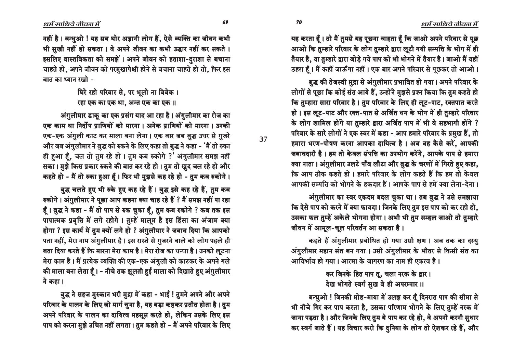धर्म साधिये जीवन में

यह करता हूँ। तो मैं तुमसे यह पूछना चाहता हूँ कि जाओ अपने परिवार से पूछ आओ कि तुम्हारे परिवार के लोग तुम्हारे द्वारा लूटी गयी सम्पत्ति के भोग में ही तैयार है, या तुम्हारे द्वारा जोड़े गये पाप को भी भोगने में तैयार है। जाओ मैं यहीं ठहरा हैं। मैं कहीं जाऊँगा नहीं। एक बार अपने परिवार से पूछकर तो आओ।

बुद्ध की तेजस्वी मुद्रा से अंगुलीमार प्रभावित हो गया। अपने परिवार के लोगों से पूछा कि कोई संत आये हैं, उन्होंने मुझसे प्रश्न किया कि तुम कहते हो कि तुम्हारा सारा परिवार है । तुम परिवार के लिए ही लुट-पाट, रक्तपात करते हो। इस लुट-पाट और रक्त-पात से अर्जित धन के भोग में ही तुम्हारे परिवार के लोग शामिल होंगे या तुम्हारे द्वारा अर्जित पाप में भी वे सहभागी होंगे ? परिवार के सारे लोगों ने एक स्वर में कहा - आप हमारे परिवार के प्रमुख हैं, तो हमारा भरण-पोषण करना आपका दायित्व है। अब वह कैसे करें, आपकी जबावदारी है। हम तो केवल संपत्ति का उपभोग करेंगे, आपके पाप से हमारा क्या नाता। अंगुलीमार उलटे पाँव लौटा और बुद्ध के चरणों में गिरते हुए कहा, कि आप ठीक कहते हो। हमारे परिवार के लोग कहते हैं कि हम तो केवल आपकी सम्पत्ति को भोगने के हकदार हैं। आपके पाप से हमें क्या लेना-देना।

अंगुलीमार का स्वर एकदम बदल चुका था। तब बुद्ध ने उसे समझाया कि ऐसे पाप को करने में क्या फायदा। जिनके लिए तुम इस पाप को कर रहो हो, उसका फल तुम्हें अकेले भोगना होगा। अभी भी तुम सम्हल जाओ तो तुम्हारे जीवन में आमूल-चूल परिवर्तन आ सकता है।

कहते हैं अंगुलीमार प्रबोधित हो गया उसी क्षण । अब तक का दस्यु अंगुलीमार महान संत बन गया। उसी अंगुलीमार के भीतर से किसी संत का आविर्भाव हो गया। आत्मा के जागरण का नाम ही एकत्व है।

> कर जिनके हित पाप तू, चला नरक के द्वार। देख भोगते स्वर्ग सुख वे ही अपरम्पार ॥

बन्धुओ ! जिनकी मोह-माया में उलझ कर तूँ दिनरात पाप की सीमा से भी नीचे गिर कर पाप करता है, उसका परिणाम भोगने के लिए तुम्हें नरक में जाना पड़ता है। और जिनके लिए तुम ये पाप कर रहे हो, वे अपनी करनी सुधार कर स्वर्ग जाते हैं । यह विचार करो कि दुनिया के लोग तो ऐशकर रहे हैं, और

नहीं है। बन्धुओ ! यह सब घोर अज्ञानी लोग हैं, ऐसे व्यक्ति का जीवन कभी भी सुखी नहीं हो सकता। वे अपने जीवन का कभी उद्धार नहीं कर सकते। इसलिए वास्तविकता को समझें। अपने जीवन को हताशा-दुराशा से बचाना चाहते हो, अपने जीवन को परमुखापेक्षी होने से बचाना चाहते हो तो, फिर इस बात का ध्यान रखो -

> धिरे रहो परिवार से, पर भूलो ना विवेक। रहा एक का एक था, अन्त एक का एक ।।

अंगुलीमार डाकू का एक प्रसंग याद आ रहा है। अंगुलीमार का रोज का एक काम था निर्दोष प्राणियों को मारना। अनेक प्राणियों को मारना। उनकी एक-एक अंगुली काट कर माला बना लेना। एक बार जब बुद्ध उधर से गुजरे और जब अंगुलीमार ने बुद्ध को रुकने के लिए कहा तो बुद्ध ने कहा - 'मैं तो रुका ही हुआ हैं, चल तो तुम रहे हो । तुम कब रुकोगे ?' अंगुलीमार समझ नहीं सका। मुझे किस प्रकार रुकने की बात कर रहे हो। तुम तो खुद चल रहे हो और कहते हो - मैं तो रुका हुआ हूँ। फिर भी मुझसे कह रहे हो - तुम कब रुकोगे।

बुद्ध चलते हुए भी रुके हुए कह रहे हैं। बुद्ध इसे कह रहे हैं, तुम कब रुकोगे। अंगुलीमार ने पूछा आप कहना क्या चाह रहे हैं ? मैं समझ नहीं पा रहा हैं। बुद्ध ने कहा - मैं तो पाप से रुक चुका हूँ, तुम कब रुकोगे ? कब तक इस पापात्मक प्रवृत्ति में लगे रहोगे। तुम्हें मालूम है इस हिंसा का अंजाम क्या होगा ? इस कार्य में तुम क्यों लगे हो ? अंगुलीमार ने जबाव दिया कि आपको पता नहीं, मेरा नाम अंगुलीमार है। इस रास्ते से गुजरने वाले को लोग पहले ही बता दिया करते हैं कि मारना मेरा काम है। मेरा रोज का धन्धा है। उनको लुटना मेरा काम है। मैं प्रत्येक व्यक्ति की एक-एक अंगुली को काटकर के अपने गले की माला बना लेता हैं। - नीचे तक झूलती हुई माला को दिखाते हुए अंगुलीमार ने कहा ।

बुद्ध ने सहज मुस्कान भरी मुद्रा में कहा - भाई ! तुमने अपने और अपने परिवार के पालन के लिए जो मार्ग चुना है, यह बड़ा कष्टकर प्रतीत होता है। तुम अपने परिवार के पालन का दायित्व महसूस करते हो, लेकिन उसके लिए इस पाप को करना मुझे उचित नहीं लगता। तुम कहते हो - मैं अपने परिवार के लिए 37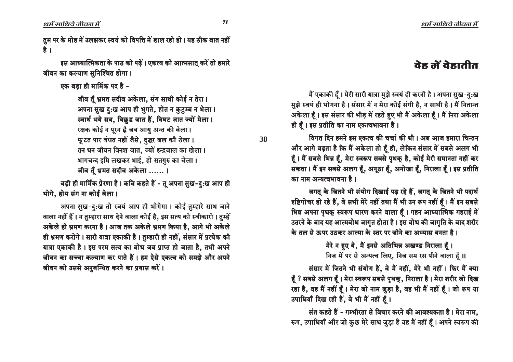धर्म साधिये जीवल में

तुम पर के मोह में उलझकर स्वयं को विपत्ति में डाल रहो हो। यह ठीक बात नहीं है ।

इस आध्यात्मिकता के पाठ को पढ़ें। एकत्व को आत्मसात करें तो हमारे जीवन का कल्याण सुनिश्चित होगा।

एक बडा ही मार्मिक पद है -

जीव तूँ भ्रमत सदीव अकेला, संग साथी कोई न तेरा। अपना सुख दुःख आप ही भुगते, होत न कुटुम्ब न भेला। स्वार्थ भये सब, बिछुड जात हैं, विघट जात ज्यों मेला। रक्षक कोई न पूरन है जब आयु अन्त की बेला। फुटत पार बंधत नहीं जैसे, दद्धर जल कौ ठेला। तन धन जीवन विनश जात, ज्यों इन्द्रजाल का खेला। भागचन्द इमि लखकर भाई, हो सतगुरु का चेला। जीव तूँ भ्रमत सदीव अकेला ...... ।

बड़ी ही मार्मिक प्रेरणा है। कवि कहते हैं - तू अपना सुख-दु:ख आप ही भोगे, होय संग ना कोई बेला।

अपना सुख-दुःख तो स्वयं आप ही भोगेगा। कोई तुम्हारे साथ जाने वाला नहीं हैं। न तुम्हारा साथ देने वाला कोई है, इस सत्य को स्वीकारो। तुम्हें अकेले ही भ्रमण करना है। आज तक अकेले भ्रमण किया है, आगे भी अकेले ही भ्रमण करोगे। सारी यात्रा एकाकी है। तुम्हारी ही नहीं, संसार में प्रत्येक की यात्रा एकाकी है। इस परम सत्य का बोध जब प्राप्त हो जाता है, तभी अपने जीवन का सच्चा कल्याण कर पाते हैं। हम ऐसे एकत्व को समझे और अपने जीवन को उससे अनुबन्धित करने का प्रयास करें।

# देह में देहातीत

मैं एकाकी हैं। मेरी सारी यात्रा मुझे स्वयं ही करनी है। अपना सुख-दु:ख मुझे स्वयं ही भोगना है। संसार में न मेरा कोई संगी है, न साथी है। मैं नितान्त अकेला हैं। इस संसार की भीड़ में रहते हुए भी मैं अकेला हैं। मैं निरा अकेला ही हैं। इस प्रतीति का नाम एकत्वभावना है।

विगत दिन हमने इस एकत्व की चर्चा की थी। अब आज हमारा चिन्तन और आगे बढ़ता है कि मैं अकेला तो हूँ ही, लेकिन संसार में सबसे अलग भी हैं। मैं सबसे भिन्न हैं, मेरा स्वरूप सबसे पृथक् है, कोई मेरी समानता नहीं कर सकता। मैं इन सबसे अलग हैं, अनूठा हैं, अनोखा हैं, निराला हैं। इस प्रतीति का नाम अन्यत्वभावना है।

जगत् के जितने भी संयोग दिखाई पड़ रहे हैं, जगत् के जितने भी पदार्थ दृष्टिगोचर हो रहे हैं, वे सभी मेरे नहीं तथा मैं भी उन रूप नहीं हैं। मैं इन सबसे भिन्न अपना पृथक् स्वरूप धारण करने वाला हैं। गहन आध्यात्मिक गहराई में उतरने के बाद यह आत्मबोध जागृत होता है। इस बोध की जागृति के बाद शरीर के तल से ऊपर उतकर आत्मा के स्तर पर जीने का अभ्यास बनता है।

> मेरे न हुए ये, मैं इनसे अतिभिन्न अखण्ड निराला हूँ। निज में पर से अन्यत्व लिए, निज सम रस पीने वाला हैं ।।

संसार में जितने भी संयोग हैं, वे मैं नहीं, मेरे भी नहीं। फिर मैं क्या हूँ ? सबसे अलग हूँ। मेरा स्वरूप सबसे पृथक्, निराला है। मेरा शरीर जो दिख रहा है, वह मैं नहीं हूँ। मेरा जो नाम जुड़ा है, वह भी मैं नहीं हूँ। जो रूप या उपाधियाँ दिख रही हैं, वे भी मैं नहीं हैं।

संत कहते हैं - गम्भीरता से विचार करने की आवश्यकता है। मेरा नाम, रूप, उपाधियाँ और जो कुछ मेरे साथ जुड़ा है वह मैं नहीं हूँ । अपने स्वरूप की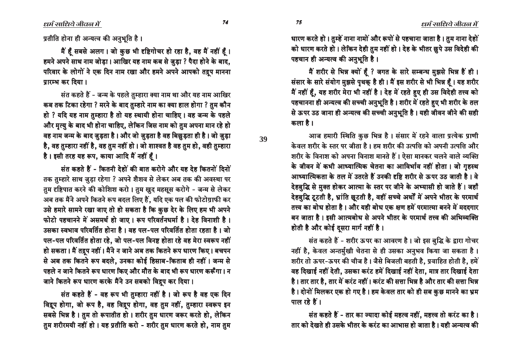धर्म साधिये जीवल में

प्रतीति होना ही अन्यत्व की अनुभूति है।

मैं हूँ सबसे अलग। जो कुछ भी दृष्टिगोचर हो रहा है, वह मैं नहीं हूँ। हमने अपने साथ नाम जोड़ा। आखिर यह नाम कब से जुड़ा ? पैदा होने के बाद, परिवार के लोगों ने एक दिन नाम रखा और हमने अपने आपको तद्रप मानना प्रारम्भ कर दिया।

संत कहते हैं - जन्म के पहले तुम्हारा क्या नाम था और यह नाम आखिर कब तक टिका रहेगा ? मरने के बाद तुम्हारे नाम का क्या हाल होगा ? तुम कौन हो ? यदि यह नाम तुम्हारा है तो यह स्थायी होना चाहिए। वह जन्म के पहले और मृत्यु के बाद भी होना चाहिए, लेकिन जिस नाम को तुम अपना मान रहे हो वह नाम जन्म के बाद जुड़ता है। और जो जुड़ता है वह बिछुड़ता ही है। जो जुड़ा है, वह तुम्हारा नहीं है, वह तुम नहीं हो । जो शाश्वत है वह तुम हो, वही तुम्हारा है। इसी तरह यह रूप, काया आदि मैं नहीं हैं।

संत कहते हैं - कितनी देहों की बात करोगे और यह देह कितनों दिनों तक तुम्हारे साथ जुड़ा रहेगा ? अपने शैशव से लेकर अब तक की अवस्था पर तुम दृष्टिपात करने की कोशिश करो। तुम खुद महसूस करोगे - जन्म से लेकर अब तक मैंने अपने कितने रूप बदल लिए हैं, यदि एक पल की फोटोग्राफी कर उसे हमारे सामने रखा जाए तो हो सकता है कि कुछ देर के लिए हम भी अपने फोटो पहचानने में असमर्थ हो जाए। रूप परिवर्तनधर्मा है। देह विनाशी है। उसका स्वभाव परिवर्तित होना है। वह पल-पल परिवर्तित होता रहता है। जो पल-पल परिवर्तित होता रहे, जो पल-पल विनष्ट होता रहे वह मेरा स्वरूप नहीं हो सकता। मैं तद्रप नहीं। मैंने न जाने अब तक कितने रूप धारण किए। बचपन से अब तक कितने रूप बदले, उनका कोई हिसाब-किताब ही नहीं। जन्म से पहले न जाने कितने रूप धारण किए और मौत के बाद भी रूप धारण करूँगा। न जाने कितने रूप धारण करके मैंने उन सबको विद्रुप कर दिया।

संत कहते हैं - वह रूप भी तुम्हारा नहीं है। जो रूप है वह एक दिन विद्रूप होगा, जो रूप है, वह विद्रुप होगा, वह तुम नहीं, तुम्हारा स्वरूप इन सबसे भिन्न है। तुम तो रूपातीत हो। शरीर तुम धारण जरूर करते हो, लेकिन तुम शरीरमयी नहीं हो । यह प्रतीति करो - शरीर तुम धारण करते हो, नाम तुम धारण करते हो। तुम्हें नाना नामों और रूपों से पहचाना जाता है। तुम नाना देहों को धारण करते हो। लेकिन देही तुम नहीं हो। देह के भीतर छुपे उस विदेही की पहचान ही अन्यत्व की अनुभूति है।

मैं शरीर से भिन्न क्यों हूँ ? जगत के सारे सम्बन्ध मुझसे भिन्न हैं ही। संसार के सारे संयोग मुझसे पृथक् है ही। मैं इस शरीर से भी भिन्न हैं। यह शरीर मैं नहीं हैं, यह शरीर मेरा भी नहीं है। देह में रहते हुए ही उस विदेही तत्त्व को पहचानना ही अन्यत्व की सच्ची अनुभूति है। शरीर में रहते हुए भी शरीर के तल से ऊपर उठ जाना ही अन्यत्व की सच्ची अनुभूति है। यही जीवन जीने की सही कला है ।

आज हमारी स्थिति कुछ भिन्न है। संसार में रहने वाला प्रत्येक प्राणी केवल शरीर के स्तर पर जीता है । हम शरीर की उत्पत्ति को अपनी उत्पत्ति और शरीर के विनाश को अपना विनाश मानते हैं। ऐसा मानकर चलने वाले व्यक्ति के जीवन में कभी आध्यात्मिक चेतना का आविर्भाव नहीं होता। जो गुहस्थ आध्यात्मिकता के तल में उतरते हैं उनकी दृष्टि शरीर से ऊपर उठ जाती है। वे देहबुद्धि से मुक्त होकर आत्मा के स्तर पर जीने के अभ्यासी हो जाते हैं। जहाँ देहबुद्धि टूटती है, भ्रांति छूटती है, वहीं सच्चे अर्थों में अपने भीतर के परमार्थ तत्त्व का बोध होता है। और यही बोध एक क्षण हमें परमात्मा बनने में मददगार बन जाता है। इसी आत्मबोध से अपने भीतर के परमार्थ तत्त्व की अभिव्यक्ति होती है और कोई दूसरा मार्ग नहीं है।

संत कहते हैं - शरीर ऊपर का आवरण है। जो इस बुद्धि के द्वारा गोचर नहीं है, केवल अन्तर्मुखी चेतना से ही उसका अनुभव किया जा सकता है। शरीर तो ऊपर-ऊपर की चीज है। जैसे बिजली बहती है, प्रवाहित होती है, हमें वह दिखाई नहीं देती, उसका करंट हमें दिखाई नहीं देता, मात्र तार दिखाई देता है। तार तार है, तार में करंट नहीं। करंट की सत्ता भिन्न है और तार की सत्ता भिन्न है। दोनों मिलकर एक हो गए है। हम केवल तार को ही सब कुछ मानने का भ्रम पाल रहे हैं।

संत कहते हैं - तार का ज्यादा कोई महत्व नहीं, महत्त्व तो करंट का है। तार को देखते ही उसके भीतर के करंट का आभास हो जाता है। यही अन्यत्व की

74

75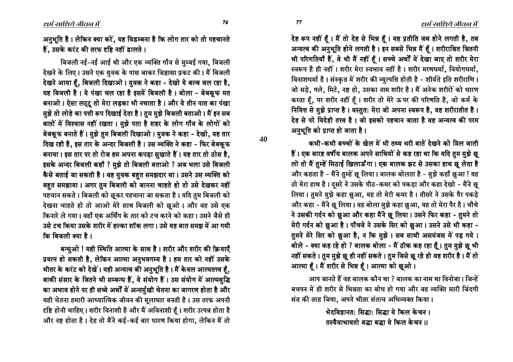देह रूप नहीं हूँ। मैं तो देह से भिन्न हूँ। यह प्रतीति जब होने लगती है, तब अन्यत्व की अनुभूति होने लगती है। इन सबसे भिन्न मैं हैं। शरीराश्रित जितनी भी परिणतियाँ हैं, वे भी मैं नहीं हूँ। सच्चे अर्थों में देखा जाए तो शरीर मेरा स्वरूप है ही नहीं। शरीर मेरा स्वभाव नहीं है। शरीर मरणधर्मा, वियोगधर्मा, विनाशधर्मा है। संस्कृत में शरीर की व्युत्पत्ति होती है - शीर्यते इति शरीराणि। जो सड़े, गले, मिटे, नष्ट हो, उसका नाम शरीर है। मैं अनेक शरीरों को धारण करता हूँ, पर शरीर नहीं हूँ। शरीर तो मेरे ऊपर की परिणति है, जो कर्म के निमित्त से मुझे प्राप्त है। वस्तुत: मेरा जो अपना स्वरूप है, वह शरीरातीत है। देह से परे विदेही तत्त्व है। जो इसको पहचान जाता है वह अन्यत्व की परम अनुभूति को प्राप्त हो जाता है।

कभी-कभी बच्चों के खेल में भी तथ्य भरी बातें देखने को मिल जाती हैं। एक बारह वर्षीय बालक अपने साथियों से कह रहा था कि यदि तुम मुझे छू लो तो मैं तुम्हें मिठाई खिलाऊँगा। एक बालक झट से उसका हाथ छू लेता है और कहता है - मैंने तुम्हें छू लिया। बालक बोलता है - मुझे कहाँ छुआ ! यह तो मेरा हाथ है। दूसरे ने उसके पीठ-कमर को पकड़ा और कहा देखो - मैंने छू लिया। तुमने मुझे कहा छुआ, यह तो मेरी कमर है। तीसरे ने उसके पैर पकड़े और कहा - मैंने छू लिया। वह बोला मुझे कहा छुआ, यह तो मेरा पैर है। चौथे ने उसकी गर्दन को छुआ और कहा मैंने छू लिया। उसने फिर कहा - तुमने तो मेरी गर्दन को छुआ है। पाँचवे ने उसके सिर को छुआ। उसने उसे भी कहा -तुमने मेरे सिर को छुआ है, न कि मुझे। सब साथी असमंजस में पड़ गये। बोले - क्या कह रहे हो ? बालक बोला - मैं ठीक कह रहा हूँ। तुम मुझे छू भी नहीं सकते। तुम मुझे छू ही नहीं सकते। तुम जिसे छू रहे हो वह शरीर है। मैं तो आत्मा हूँ। मैं शरीर से भिन्न हूँ। आत्मा को छूओ।

आप जानते हैं वह बालक कौन था ? बालक का नाम था विनोबा। जिन्हें बचपन में ही शरीर से भिन्नता का बोध हो गया और वह व्यक्ति सारी जिंदगी संत की तरह जिया, अपने भीतर संतत्व अभिव्यक्त किया।

> भेदविज्ञानतः सिद्धाः सिद्धा ये किल केचन । तस्यैवाभावतो बद्धा बद्धा ये किल केचन ।।

धर्म साधिये जीवल में

अनुभूति है। लेकिन क्या करें, यह विडम्बना है कि लोग तार को तो पहचानते हैं. उसके करंट की तरफ दृष्टि नहीं डालते ।

बिजली नई-नई आई थी और एक व्यक्ति गाँव से मुम्बई गया, बिजली देखने के लिए। उसने एक युवक के पास जाकर जिज्ञासा प्रकट की। मैं बिजली देखने आया हैं, बिजली दिखाओ। युवक ने कहा - देखो ये बल्ब जल रहा है, यह बिजली है। ये पंखा चल रहा है इसमें बिजली है। बोला - बेबकुफ मत बनाओ। ऐसा लट्टू तो मेरा लड़का भी नचाता है। और ये तीन पात का पंखा मुझे तो लोहे का पत्ती रूप दिखाई देता है। तुम मुझे बिजली बताओ। मैं इन सब बातों में विश्वास नहीं रखता। मुझे पता है शहर के लोग गाँव के लोगों को बेबकूफ बनाते हैं। मुझे तुम बिजली दिखाओ। युवक ने कहा - देखो, यह तार दिख रही है, इस तार के अन्दर बिजली है। उस व्यक्ति ने कहा - फिर बेबकूफ बनाया। इस तार पर तो रोज हम अपना कपड़ा सुखाते हैं। यह तार तो ठोस है, इसके अन्दर बिजली कहाँ ? मुझे तो बिजली बताओ ? अब भला उसे बिजली कैसे बताई जा सकती है। वह युवक बहुत समझदार था। उसने उस व्यक्ति को बहुत समझाया। अगर तुम बिजली को जानना चाहते हो तो उसे देखकर नहीं पहचान सकते। बिजली को छूकर पहचाना जा सकता है। यदि तुम बिजली को देखना चाहते हो तो आओ मेरे साथ बिजली को छूओ। और वह उसे एक किनारे ले गया। वहाँ एक अर्थिंग के तार को टच करने को कहा। उसने जैसे ही उसे टच किया उसके शरीर में हल्का शॉक लगा। उसे यह बात समझ में आ गयी कि बिजली क्या है ।

बन्धुओ ! यही स्थिति आत्मा के साथ है। शरीर और शरीर की क्रियाएँ प्रयत्न हो सकती है, लेकिन आत्मा अनुभवगम्य है। हम तार को नहीं उसके भीतर के करंट को देखें। यही अन्यत्व की अनुभूति है। मैं केवल आत्मतत्त्व हैं, बाकी संसार के जितने भी सम्बन्ध हैं, वे संयोग हैं। उस संयोग में आत्मबुद्धि का अभाव होने पर ही सच्चे अर्थों में अन्तर्मुखी चेतना का जागरण होता है और यही चेतना हमारी आध्यात्मिक जीवन की मूलाधार बनती है। उस तरफ अपनी दृष्टि होनी चाहिए। शरीर विनाशी है और मैं अविनाशी हैं। शरीर उत्पन्न होता है और नष्ट होता है। देह तो मैंने कई-कई बार धारण किया होगा, लेकिन मैं तो

40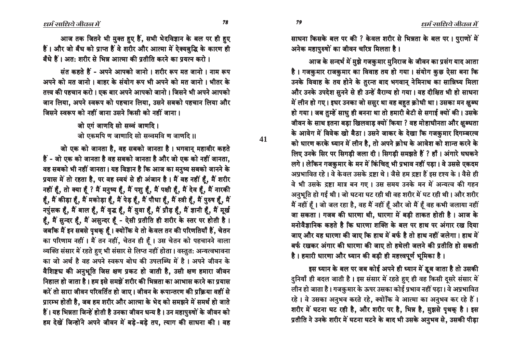**41**

आज तक जितने भी मुक्त हुए हैं, सभी भेदविज्ञान के बल पर ही हुए हैं। और जो बँध को प्राप्त हैं वे शरीर और आत्मा में ऐक्यबुद्धि के कारण ही बँधे हैं। अतः शरीर से भित्र आत्मा की प्रतीति करने का पयत्न करो ।

संत कहते हैं - अपने आपको जानो । शरीर रूप मत जानो । नाम रूप अपने को मत जानो । बाहर के संयोग रूप भी अपने को मत जानो । भीतर के तत्त्व की पहचान करो। एक बार अपने आपको जानो। जिसने भी अपने आपको जान लिया, अपने स्वरूप को पहचान लिया, उसने सबको पहचान लिया और <u>जिसने स्वरूप को नहीं जाना उसने किसी को नहीं जाना ।</u>

> जो एगं जाणदि सो सव्वं जाणदि। जो एकमपि ण जाणादि सो सव्वमवि ण जाणदि ।।

जो एक को जानता है, वह सबको जानता है। भगवान् महावीर कहते हैं - जो एक को जानता है वह सबको जानता है और जो एक को नहीं जानता. वह सबको भी नहीं जानता। यह विज्ञान है कि आज का मनुष्य सबको जानने के प्रयास में तो रहता है, पर वह स्वयं से ही अंजान है। मैं वह नहीं हैं, मैं शरीर नहीं हैं, तो क्या हैं ? मैं मनुष्य हैं, मैं पशु हैं, मैं पक्षी हैं, मैं देव हैं, मैं नारकी हैं, मैं कीड़ा हैं, मैं मकोड़ा हैं, मैं पेड़ हैं, मैं पौधा हैं, मैं स्त्री हैं, मैं पुरुष हैं, मैं नपुंसक हूँ, मैं बाल हूँ, मैं वृद्ध हूँ, मैं युवा हूँ, मैं प्रौढ़ हूँ, मैं ज्ञानी हूँ, मैं मूर्ख हैं, मैं सुन्दर हैं, मैं असुन्दर हैं - ऐसी प्रतीति ही शरीर के स्तर पर होती है। जबकि मैं इन सबसे पृथक् हूँ। क्योंकि ये तो केवल तन की परिणतियाँ हैं, चेतन का परिणाम नहीं । मैं तन नहीं, चेतन ही हूँ । उस चेतन को पहचानने वाला ञ्चक्ति संसार में रहते हुए भी संसार से लिप्त नहीं होता। वस्तुत: अन्यत्वभावना का जो अर्थ है वह अपने स्वरूप बोध की उपलब्धि में है। अपने जीवन के वैशिष्ट्य की अनुभूति जिस क्षण प्रकट हो जाती है, उसी क्षण हमारा जीवन <u>निहाल हो जाता है। हम इसे समझें शरीर की भिन्नता का आभास करने का प्रयास</u> करें तो सारा जीवन परिवर्तित हो जाए। जीवन के रूपान्तरण की प्रक्रिया वहीं से प्रारम्भ होती है, जब हम शरीर और आत्मा के भेद को समझने में समर्थ हो जाते हैं। यह भिन्नता जिन्हें होती है उनका जीवन धन्य है। उन महापुरुषों के जीवन को हम देखें जिन्होंने अपने जीवन में बड़े-बड़े तप, त्याग की साधना की। वह साधना किसके बल पर की ? केवल शरीर से भिन्नता के बल पर। पुराणों में अनेक महापुरुषों का जीवन चरित्र मिलता है।

आज के सन्दर्भ में मुझे गजकुमार मुनिराज के जीवन का प्रसंग याद आता है। गजकुमार राजकुमार का विवाह तय हो गया। संयोग कुछ ऐसा बना कि उनके विवाह के तय होने के तुरन्त बाद भगवान् नेमिनाथ का सान्निध्य मिला और उनके उपदेश सुनने से ही उन्हें वैराग्य हो गया। वह दीक्षित भी हो साधना में लीन हो गए। इधर उनका जो ससुर था वह बहुत क्रोधी था। उसका मन क्षुब्ध हो गया। जब तम्हें साध ही बनना था तो हमारी बेटी से सगाई क्यों की। उसके जीवन के साथ इतना बड़ा खिलवाड़ क्यों किया ? वह मोहाधीनता और क्षुब्धता के आवेग में विवेक खो बैठा। उसने जाकर के देखा कि गजकुमार दिगम्बरत्व को धारण करके ध्यान में लीन है, तो अपने क्रोध के आवेश को शान्त करने के लिए उनके सिर पर सिगड़ी जला दी। सिगड़ी समझते हैं ? हाँ। अंगारे धधकने लगे। लेकिन गजकुमार के मन में किंचित् भी प्रभाव नहीं पड़ा। वे उससे एकदम आप्रभावित रहे। वे केवल उसके द्रष्टा थे। जैसे हम द्रष्टा हैं इस दृश्य के। वैसे ही वे भी उसके द्रष्टा मात्र बन गए । उस समय उनके मन में अन्यत्व की गहन अनुभूति हो गई थी। जो घटना घट रही थी वह शरीर में घट रही थी। और शरीर मैं नहीं हैं। जो जल रहा है, वह मैं नहीं हैं और जो मैं हैं वह कभी जलाया नहीं जा सकता। गजब की धारणा थी, धारणा में बड़ी ताकत होती है। आज के मनोवैज्ञानिक कहते है कि धारणा शक्ति के बल पर हाथ पर अंगार रख दिया जाए और यह धारणा की जाए कि हाथ में बर्फ है तो हाथ नहीं जलेगा। हाथ में बर्फ रखकर अंगार की धारणा की जाए तो हथेली जलने की प्रतीति हो सकती है। हमारी धारणा और ध्यान की बड़ी ही महत्त्वपूर्ण भूमिका है।

इस ध्यान के बल पर जब कोई अपने ही ध्यान में डूब जाता है तो उसकी दुनियाँ ही बदल जाती है। इस संसार में रहते हुए ही वह किसी दूसरे संसार में लीन हो जाता है। गजकुमार के ऊपर उसका कोई प्रभाव नहीं पड़ा। वे अप्रभावित रहे। वे उसका अनुभव करते रहे, क्योंकि वे आत्मा का अनुभव कर रहे हैं। शरीर में घटना घट रही है, और शरीर पर है, भिन्न है, मुझसे पृथक् है। इस प्रतीति ने उनके शरीर में घटना घटने के बाद भी उसके अनुभव से, उसकी पीड़ा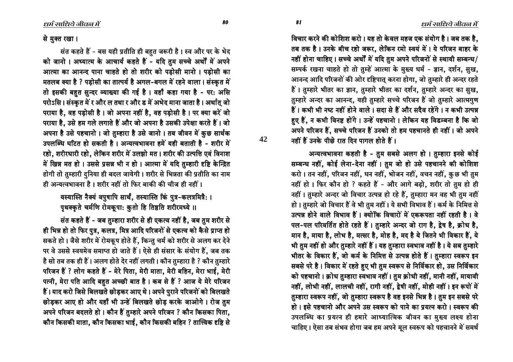विचार करने की कोशिश करो। यह तो केवल महज एक संयोग है। जब तक है. तब तक है। उनके बीच रहो जरूर, लेकिन रमो स्वयं में। ये परिजन बाहर के नहीं होना चाहिए। सच्चे अर्थों में यदि तुम अपने परिजनों से स्थायी सम्बन्ध/ सम्पर्क रखना चाहते हो तो तुम्हें आत्मा के मुख्य धर्म - ज्ञान, दर्शन, सुख, आनन्द आदि परिजनों की ओर दृष्टिपात करना होगा. जो तुम्हारे ही अन्दर रहते हैं। तुम्हारे भीतर का ज्ञान, तुम्हारे भीतर का दर्शन, तुम्हारे अन्दर का सुख, तुम्हारे अन्दर का आनन्द, यही तुम्हारे सच्चे परिजन हैं जो तुम्हारे आत्मगुण हैं। कभी भी नष्ट नहीं होने वाले। सदा से हैं और सदैव रहेंगे। न कभी उत्पन्न हुए हैं, न कभी विनष्ट होंगे। उन्हें पहचानो। लेकिन यह विडम्बना है कि जो अपने परिजन हैं. सच्चे परिजन हैं उनको तो हम पहचानते ही नहीं। जो अपने नहीं हैं उनके पीछे रात दिन पागल होते हैं।

अन्यत्वभावना कहती है - तुम सबसे अलग हो । तुम्हारा इनसे कोई सम्बन्ध नहीं, कोई लेना-देना नहीं । तुम जो हो उसे पहचानने की कोशिश करो। तन नहीं, परिजन नहीं, धन नहीं, भोजन नहीं, वचन नहीं, कुछ भी तुम नहीं हो। फिर कौन हो ? कहते हैं - और आगे बढ़ो, शरीर तो तुम हो ही नहीं। तुम्हारे अन्दर जो विचार उत्पन्न हो रहे हैं, तुम्हारा मन वह भी तुम नहीं हो। तुम्हारे जो विचार हैं वे भी तुम नहीं। ये सभी विभाव हैं। कर्म के निमित्त से उत्पन्न होने वाले विभाव हैं। क्योंकि विचारों में एकरूपता नहीं रहती है। वे पल-पल परिवर्तित होते रहते हैं। तुम्हारे अन्दर जो राग है, द्वेष है, क्रोध है, मान है, माया है, लोभ है, मत्सर है, मोह है, मद है ये जितने भी विकार हैं, ये भी तुम नहीं हो और तुम्हारे नहीं हैं। यह तुम्हारा स्वभाव नहीं है। ये सब तुम्हारे भीतर के विकार हैं, जो कर्म के निमित्त से उत्पन्न होते हैं। तुम्हारा स्वरूप इन सबसे परे है । विकार में रहते हुए भी तुम स्वरूप से निर्विकार हो, उस निर्विकार को पहचानो । क्रोध तुम्हारा स्वभाव नहीं । तुम क्रोधी नहीं, मानी नहीं, मायावी नहीं, लोभी नहीं, लालची नहीं, रागी नहीं, द्वेषी नहीं, मोही नहीं। इन रूपों में तुम्हारा स्वरूप नहीं, जो तुम्हारा स्वरूप है वह इनसे भिन्न है। तुम इन सबसे परे हो । इसे पहचानो और अपने उस स्वरूप को पाने का प्रयत्न करो । स्वरूप की उपलब्धि का प्रयत्न ही हमारे आध्यात्मिक जीवन का मुख्य लक्ष्य होना चाहिए। ऐसा तब संभव होगा जब हम अपने मूल स्वरूप को पहचानने में समर्थ

#### से मुक्त रखा।

संत कहते हैं - बस यही प्रतीति ही बहुत जरूरी है। स्व और पर के भेद को जानो। अध्यात्म के आचार्य कहते हैं - यदि तुम सच्चे अर्थों में अपने आत्मा का आनन्द पाना चाहते हो तो शरीर को पडोसी मानो । पडोसी का मतलब क्या है ? पड़ोसी का तात्पर्य है अगल-बगल में रहने वाला। संस्कृत में तो इसकी बहुत सुन्दर व्याख्या की गई है। वहाँ कहा गया है - पर: असि परोऽसि। संस्कृत में र और ल तथा र और ड में अभेद माना जाता है। अर्थात् जो पराया है. वह पडोसी है। जो अपना नहीं है. वह पडोसी है। पर क्या करें जो पराया है, उसे हम गले लगाते हैं और जो अपना है उसकी उपेक्षा करते हैं। जो अपना है उसे पहचानो। जो तुम्हारा है उसे जानो। तब जीवन में कुछ सार्थक उपलब्धि घटित हो सकती है। अन्यत्वभावना हमें यही बताती है - शरीर में रहो, शरीरधारी रहो, लेकिन शरीर में उलझो मत। शरीर की उत्पत्ति एवं विनाश में खिन्न मत हो। उससे प्रसन्न भी न हो। आत्मा में यदि तुम्हारी दृष्टि केन्द्रित होगी तो तुम्हारी दुनिया ही बदल जायेगी। शरीर से भिन्नता की प्रतीति का नाम ही अन्यत्वभावना है। शरीर नहीं तो फिर बाकी की चीज ही नहीं।

### यस्यास्ति नैक्यं वपुषापि सार्थं, तस्यास्ति किं पुत्र-कलत्रमित्रै: । पृथक्कृते चर्मणि रोमकृपा: कुतो हि तिष्ठति शरीरमध्ये ॥

संत कहते हैं - जब तुम्हारा शरीर से ही एकत्व नहीं है, जब तुम शरीर से ही भिन्न हो तो फिर पुत्र, कलत्र, मित्र आदि परिजनों से एकत्व को कैसे प्राप्त हो सकते हो। जैसे शरीर में रोमकृप होते हैं, किन्तु चर्म को शरीर से अलग कर देने पर वे उससे स्वयमेव समाप्त हो जाते हैं। ऐसे ही संसार के संयोग हैं, जब तक है सो तब तक ही हैं। अलग होते देर नहीं लगती। कौन तुम्हारा है ? कौन तुम्हारे परिजन हैं ? लोग कहते हैं - मेरे पिता, मेरी माता, मेरी बहिन, मेरा भाई, मेरी पत्नी, मेरा पति आदि बहुत अच्छी बात है। कब से हैं ? आज ये मेरे परिजन हैं। याद करो जिसे बिलखते छोड़कर आए थे। अपने पुराने परिजनों को बिलखते छोड़कर आए हो और यहाँ भी उन्हें बिलखते छोड़ करके जाओगे। रोज तुम अपने परिजन बदलते हो। कौन हैं तुम्हारे अपने परिजन ? कौन किसका पिता, कौन किसकी माता, कौन किसका भाई, कौन किसकी बहिन ? तात्त्विक दृष्टि से

81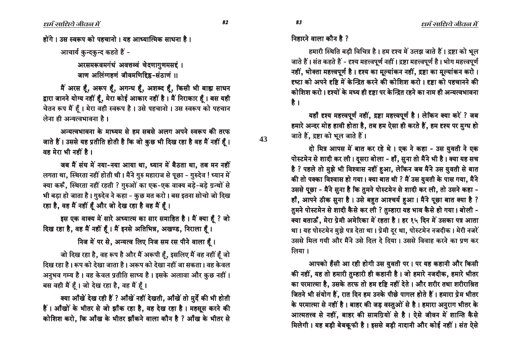धर्म साधिये जीवल में

होंगे। उस स्वरूप को पहचानो। यह आध्यात्मिक साधना है।

आचार्य कुन्दकुन्द कहते हैं -

अरसमरूवमगंधं अवत्तव्वं चेदणागुणमसद्दं । जाण अलिंग्गहणं जीवमणिद्दि - संठाणं ॥

मैं अरस हैं, अरूप हैं, अगन्ध हैं, अशब्द हैं, किसी भी बाह्य साधन द्वारा जानने योग्य नहीं हैं, मेरा कोई आकार नहीं है। मैं निराकार हैं। बस यही चेतन रूप मैं हैं। मेरा वही स्वरूप है। उसे पहचानो। उस स्वरूप को पहचान लेना ही अन्यत्वभावना है।

अन्यत्वभावना के माध्यम से हम सबसे अलग अपने स्वरूप की तरफ जाते हैं। उससे यह प्रतीति होती है कि जो कुछ भी दिख रहा है वह मैं नहीं हैं। वह मेरा भी नहीं है।

जब मैं संघ में नया-नया आया था, ध्यान में बैठता था, तब मन नहीं लगता था, स्थिरता नहीं होती थी। मैंने गुरु महाराज से पूछा - गुरुदेव ! ध्यान में क्या करूँ, स्थिरता नहीं रहती ? गुरुओं का एक-एक वाक्य बड़े-बड़े ग्रन्थों से भी बड़ा हो जाता है। गुरुदेव ने कहा - कुछ मत करो। बस इतना सोचो जो दिख रहा है, वह मैं नहीं हूँ और जो देख रहा है वह मैं हूँ।

इस एक वाक्य में सारे अध्यात्म का सार समाहित है। मैं क्या हैं ? जो दिख रहा है, वह मैं नहीं हूँ। मैं इनसे अतिभिन्न, अखण्ड, निराला हूँ।

निज में पर से, अन्यत्व लिए निज सम रस पीने वाला हैं।

जो दिख रहा है, वह रूप है और मैं अरूपी हैं, इसलिए मैं वह नहीं हैं जो दिख रहा है। रूप को देखा जाता है। अरूप को देखा नहीं जा सकता। वह केवल अनुभव गम्य है। वह केवल प्रतीति साध्य है। इसके अलावा और कुछ नहीं। बस वही मैं हैं। जो देख रहा है, वह मैं हैं।

क्या आँखें देख रही हैं ? आँखें नहीं देखती, आँखें तो मुर्दे की भी होती हैं। आँखों के भीतर से जो झाँक रहा है, वह देख रहा है। महसूस करने की कोशिश करो, कि आँख के भीतर झाँकने वाला कौन है ? आँख के भीतर से

83

43

हमारी स्थिति बड़ी विचित्र है। हम दृश्य में उलझ जाते हैं। द्रष्टा को भूल जाते हैं। संत कहते हैं - दृश्य महत्त्वपूर्ण नहीं। द्रष्टा महत्त्वपूर्ण है। भोग महत्त्वपूर्ण नहीं, भोक्ता महत्त्वपूर्ण है। दृश्य का मूल्यांकन नहीं, द्रष्टा का मूल्यांकन करो। दृष्टा को अपने दृष्टि में केन्द्रित करने की कोशिश करो । दृष्टा को पहचानने की कोशिश करो। दृश्यों के मध्य ही दृष्टा पर केन्द्रित रहने का नाम ही अन्यत्वभावना है।

यहाँ दृश्य महत्त्वपूर्ण नहीं, द्रष्टा महत्त्वपूर्ण है। लेकिन क्या करें ? जब हमारे अन्दर मोह हावी होता है, तब हम ऐसा ही करते हैं, हम दृश्य पर मुग्ध हो जाते हैं. द्रष्टा को भूल जाते हैं।

दो मित्र आपस में बात कर रहे थे। एक ने कहा - उस युवती ने एक पोस्टमेन से शादी कर ली। दुसरा बोला - हाँ, सुना तो मैंने भी है। क्या यह सच है ? पहले तो मुझे भी विश्वास नहीं हुआ, लेकिन जब मैंने उस युवती से बात की तो पक्का विश्वास हो गया। क्या बात थी ? मैं उस युवती के पास गया, मैंने उससे पूछा - मैंने सुना है कि तुमने पोस्टमेन से शादी कर ली, तो उसने कहा -हाँ, आपने ठीक सुना है। उसे बहुत आश्चर्य हुआ। मैंने पूछा बात क्या है ? तुमने पोस्टमेन से शादी कैसे कर ली ? तुम्हारा यह भाव कैसे हो गया। बोली -क्या बताऊँ, मेरा प्रेमी अमेरिका में रहता है। हर १५ दिन में उसका पत्र आता था। यह पोस्टमेन मुझे पत्र देता था। प्रेमी दुर था, पोस्टमेन नजदीक। मेरी नजरें उससे मिल गयी और मैंने उसे दिल दे दिया। उससे विवाह करने का प्रण कर लिया ।

आपको हँसी आ रही होगी उस युवती पर । पर यह कहानी और किसी की नहीं, यह तो हमारी तुम्हारी ही कहानी है। जो हमारे नजदीक, हमारे भीतर का परमात्मा है, उसके तरफ तो हम दृष्टि नहीं देते । और शरीर तथा शरीराश्रित जितने भी संयोग हैं, रात दिन हम उनके पीछे पागल होते हैं। हमारा प्रेम भीतर के परमात्मा से नहीं है। बाहर की जड़ वस्तुओं से है। हमारा अनुराग भीतर के आत्मतत्त्व से नहीं, बाहर की सामग्रियों से है। ऐसे जीवन में शान्ति कैसे मिलेगी। यह बड़ी बेबकूफी है। इससे बड़ी नादानी और कोई नहीं। संत ऐसे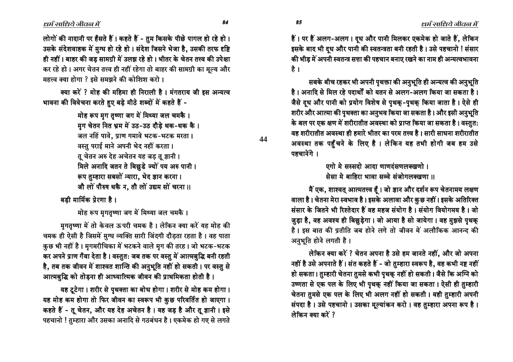$\ell$ धर्म साधिये जीवल में

 $\ell$ धर्म साधिये जीवल में

लोगों की नादानी पर हँसते हैं। कहते हैं - तुम किसके पीछे पागल हो रहे हो। उसके संदेशवाहक में मुग्ध हो रहे हो। संदेश जिसने भेजा है, उसकी तरफ दृष्टि ही नहीं। बाहर की जड सामग्री में उलझ रहे हो। भीतर के चेतन तत्त्व की उपेक्षा कर रहे हो । अगर चेतन तत्त्व ही नहीं रहेगा तो बाहर की सामग्री का मूल्य और महत्त्व क्या होगा ? इसे समझने की कोशिश करो ।

क्या करें ? मोह की महिमा ही निराली है। मंगतराय जी इस अन्यत्व भावना की विवेचना करते हए बड़े मीठे शब्दों में कहते हैं -

> hेह रूप मुग तुष्णा जग में मिथ्या जल चमकै । मुग चेतन नित भ्रम में उठ-उठ दौड़े थक-थक कै। जल नहिं पावे, प्राण गमावे भटक-भटक मरता। वस्तु पराई माने अपनी भेद नहीं करता। तू चेतन अरु देह अचेतन यह जड़ तू ज्ञानी । मिले अनादि जतन ते बिछुडे ज्यों पय अरु पानी। रूप तुम्हारा सबसों न्यारा, भेद ज्ञान करना। जौ लों पौरुष थकै न, तौ लों उद्यम सों चरना ॥

बडी मार्मिक प्रेरणा है।

hेह रूप मृगतृष्णा जग में मिथ्या जल चमकै ।

मगतुष्णा में तो केवल ऊपरी चमक है। लेकिन क्या करें यह मोह की चमक ही ऐसी है जिसमें मुग्ध व्यक्ति सारी जिंदगी दौड़ता रहता है। वह पाता कुछ भी नहीं है। मृगमरीचिका में भटकने वाले मृग की तरह। जो भटक-भटक कर अपने प्राण गँवा देता है। वस्तुत: जब तक पर वस्तु में आत्मबुद्धि बनी रहती है, तब तक जीवन में शाश्वत शान्ति की अनुभूति नहीं हो सकती। पर वस्तु से आत्मबुद्धि को तोड़ना ही आध्यात्मिक जीवन की प्राथमिकता होती है।

यह टूटेगा। शरीर से पृथक्ता का बोध होगा। शरीर से मोह कम होगा। यह मोह कम होगा तो फिर जीवन का स्वरूप भी कुछ परिवर्तित हो जाएगा। कहते हैं - तू चेतन, और यह देह अचेतन है। यह जड़ है और तू ज्ञानी। इसे पहचानो ! तुम्हारा और उसका अनादि से गठबंधन है। एकमेक हो गए से लगते

हैं। पर हैं अलग-अलग। दूध और पानी मिलकर एकमेक हो जाते हैं, लेकिन इसके बाद भी दूध और पानी की स्वतन्त्रता बनी रहती है। उसे पहचानो ! संसार की भीड में अपनी स्वतन्त्र सत्ता की पहचान बनाए रखने का नाम ही अन्यत्वभावना है ।

सबके बीच रहकर भी अपनी पृथक्ता की अनुभूति ही अन्यत्व की अनुभूति है। अनादि से मिल रहे पदार्थों को यतन से अलग-अलग किया जा सकता है। जैसे दध और पानी को प्रयोग विशेष से पृथक-पृथक किया जाता है। ऐसे ही शरीर और आत्मा की पृथक्ता का अनुभव किया जा सकता है। और इसी अनुभूति के बल पर एक क्षण में शरीरातीत अवस्था को प्राप्त किया जा सकता है। वस्तुत: वह शरीरातीत अवस्था ही हमारे भीतर का परम तत्त्व है । सारी साधना शरीरातीत अवस्था तक पहुँचने के लिए है। लेकिन यह तभी होगी जब हम उसे पहचानेंगे ।

> एगो मे सस्सदो आदा णाणदंसणलक्खणो । सेसा मे बाहिरा भावा सव्वे संजोगलक्खणा ॥

मैं एक, शाश्वत् आत्मतत्त्व हूँ । जो ज्ञान और दर्शन रूप चेतनामय लक्षण वाला है। चेतना मेरा स्वभाव है। इसके अलावा और कुछ नहीं। इसके अतिरिक्त संसार के जितने भी रिश्तेदार हैं वह महज संयोग है। संयोग वियोगमय है। जो जुड़ा है, वह अवश्य ही बिछुड़ेगा। जो आया है सो जायेगा। वह मुझसे पृथक है। इस बात की प्रतीति जब होने लगे तो जीवन में अलौकिक आनन्द की अनुभूति होने लगती है।

लेकिन क्या करें ? चेतन अपना है उसे हम जानते नहीं, और जो अपना नहीं है उसे अपनाते हैं। संत कहते हैं - जो तुम्हारा स्वरूप है, वह कभी नष्ट नहीं हो सकता। तुम्हारी चेतना तुमसे कभी पृथकू नहीं हो सकती। जैसे कि अग्नि को उष्णता से एक पल के लिए भी पृथक् नहीं किया जा सकता। ऐसी ही तुम्हारी चेतना तुमसे एक पल के लिए भी अलग नहीं हो सकती। वही तुम्हारी अपनी संपदा है। उसे पहचानो। उसका मूल्यांकन करो। वह तुम्हारा अपना रूप है। लेकिन क्या करें ?

òî òï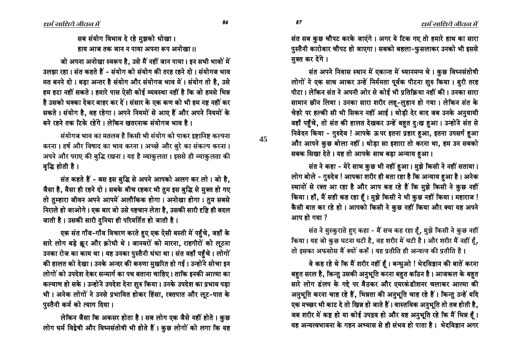सब संयोग विभाव दे रहे मुझको धोखा। हाय आज तक जान न पाया अपना रूप अनोखा ॥

जो अपना अनोखा स्वरूप है. उसे मैं नहीं जान पाया। इन सभी भावों में उलझा रहा। संत कहते हैं - संयोग को संयोग की तरह रहने दो। संयोगज भाव मत बनने दो। बड़ा अन्तर है संयोग और संयोगज भाव में। संयोग तो है, उसे हम हटा नहीं सकते । हमारे पास ऐसी कोई व्यवस्था नहीं है कि जो हमसे भिन्न है उसको धक्का देकर बाहर कर दें । संसार के एक कण को भी हम नष्ट नहीं कर सकते । संयोग है. वह रहेगा । अपने नियमों से आए हैं और अपने नियमों के बने रहने तक टिके रहेंगे। लेकिन खतरनाक संयोगज भाव है।

संयोगज भाव का मतलब है किसी भी संयोग को पाकर इष्टानिष्ट कल्पना करना । हर्ष और विषाद का भाव करना । अच्छे और बुरे का संकल्प करना । आपने और पराए की बुद्धि रखना। यह है व्याकुलता। इससे ही व्याकुलता की वद्धि होती है ।

संत कहते हैं - बस इस बुद्धि से अपने आपको अलग कर लो। जो है, जैसा है, वैसा ही रहने दो । सबके बीच रहकर भी तुम इस बुद्धि से मुक्त हो गए तो तुम्हारा जीवन अपने आपमें अलौकिक होगा। अनोखा होगा। तुम सबसे निराले हो जाओगे। एक बार जो उसे पहचान लेता है, उसकी सारी दृष्टि ही बदल जाती है। उसकी सारी दुनिया ही परिवर्तित हो जाती है।

एक संत गाँव-गाँव विचरण करते हुए एक ऐसी बस्ती में पहुँचे, जहाँ के सारे लोग बड़े क्रूर और क्रोधी थे। जानवरों को मारना, राहगीरों को लूटना उनका रोज का काम था। यह उनका पुस्तैनी धंधा था। संत वहाँ पहुँचे। लोगों की हालत को देखा। उनके अन्दर की करुणा मुखरित हो गई। उन्होंने सोचा इन लोगों को उपदेश देकर सन्मार्ग का पथ बताना चाहिए। ताकि इनकी आत्मा का कल्याण हो सके। उन्होंने उपदेश देना शुरु किया। उनके उपदेश का प्रभाव पड़ा भी। अनेक लोगों ने उनसे प्रभावित होकर हिंसा, रक्तपात और लूट-पात के पुस्तैनी कर्म को त्याग दिया।

लेकिन जैसा कि अकसर होता है। सब लोग एक जैसे नहीं होते। कुछ लोग धर्म विद्वेषी और विघ्नसंतोषी भी होते हैं। कुछ लोगों को लगा कि यह संत सब कुछ चौपट करके जाएंगे। अगर ये टिक गए तो हमारे हाथ का सारा पुस्तैनी कारोबार चौपट हो जाएगा। सबको बहला-फुसलाकर उनको भी इससे मक्त कर देंगे।

संत अपने निवास स्थान में एकान्त में ध्यानमग्न थे। कुछ विघ्नसंतोषी लोगों ने एक साथ आकर उन्हें निर्ममता पूर्वक पीटना शुरु किया। बुरी तरह <u>पीटा। लेकिन संत ने अपनी ओर से कोई भी प्रतिक्रिया नहीं की। उनका सारा</u> सामान छीन लिया। उनका सारा शरीर लह-लुहान हो गया। लेकिन संत के चेहरे पर हल्की सी भी सिकन नहीं आई। थोड़ी देर बाद जब उनके अनुयायी वहाँ पहुँचे, तो संत की हालत देखकर उन्हें बहुत दु:ख हुआ। उन्होंने संत से निवेदन किया - ग़ुरुदेव ! आपके ऊपर इतना प्रहार हुआ, इतना उपसर्ग हुआ और आपने कुछ बोला नहीं। थोड़ा सा इशारा तो करना था, हम उन सबको सबक सिखा देते। यह तो आपके साथ बड़ा अन्याय हआ।

संत ने कहा - मेरे साथ कुछ भी नहीं हुआ। मुझे किसी ने नहीं सताया। लोग बोले - गुरुदेव ! आपका शरीर ही बता रहा है कि अन्याय हुआ है। अनेक स्थानों से रक्त आ रहा है और आप कह रहे हैं कि मुझे किसी ने कुछ नहीं किया। हाँ, मैं सही कह रहा हैं। मुझे किसी ने भी कुछ नहीं किया। महाराज ! कैसी बात कर रहे हो। आपको किसी ने कुछ नहीं किया और क्या यह अपने आप हो गया ?

संत ने मुस्कुराते हुए कहा - मैं सच कह रहा हूँ, मुझे किसी ने कुछ नहीं किया। यह जो कुछ घटना घटी है, वह शरीर में घटी है। और शरीर मैं नहीं हूँ, तो इसका अफसोस मैं क्यों करूँ । यह प्रतीति ही अन्यत्व की प्रतीति है ।

वे कह रहे थे कि मैं शरीर नहीं हैं। बन्धुओ ! भेदविज्ञान की बातें करना बहुत सरल है, किन्तु उसकी अनुभूति करना बहुत कठिन है। आजकल के बहुत सारे लोग डंलप के गद्दे पर बैठकर और एयरकंडीशनर चलाकर आत्मा की अनुभूति करना चाह रहे हैं, भिन्नता की अनुभूति चाह रहे हैं। किन्तु उन्हें यदि एक मच्छर भी काट दे तो खिन्न हो जाते हैं। वास्तविक अनुभूति तो तब होती है, जब शरीर में कष्ट हो या कोई उपद्रव हो और यह अनुभूति रहे कि मैं भिन्न हैं। यह अन्यत्वभावना के गहन अभ्यास से ही संभव हो पाता है। भेदविज्ञान अगर

òñ òó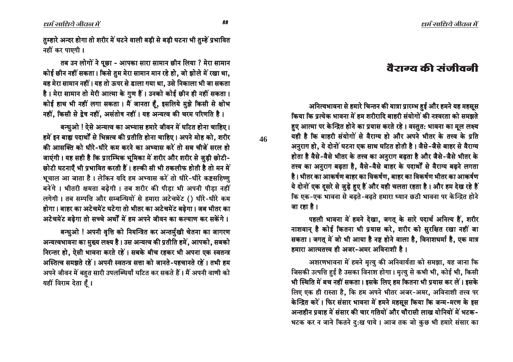# ਰੈਂਟਾਰਟ की ਤਾਂजीਰਰੀ

अनित्यभावना से हमारे चिन्तन की यात्रा प्रारम्भ हुई और हमने यह महसूस किया कि प्रत्येक भावना में हम शरीरादि बाहरी संयोगों की नश्वरता को समझते हुए आत्मा पर केन्द्रित होने का प्रयास करते रहे। वस्तुत: भावना का मूल लक्ष्य यही है कि बाहरी संयोगों से वैराग्य हो और अपने भीतर के तत्त्व के प्रति अनुराग हो, ये दोनों घटना एक साथ घटित होती है। जैसे-जैसे बाहर से वैराग्य होता है वैसे-वैसे भीतर के तत्त्व का अनुराग बढ़ता है और जैसे-जैसे भीतर के तत्त्व का अनुराग बढ़ता है, वैसे-वैसे बाहर के पदार्थों से वैराग्य बढ़ने लगता है। भीतर का आकर्षण बाहर का विकर्षण, बाहर का विकर्षण भीतर का आकर्षण ये दोनों एक दूसरे से जुड़े हुए हैं और यही चलता रहता है। और हम देख रहे हैं कि एक-एक भावना से बढते-बढते हमारा ध्यान छठी भावना पर केन्द्रित होने जा रहा है।

पहली भावना में हमने देखा, जगत के सारे पदार्थ अनित्य हैं, शरीर नाशवान् है कोई कितना भी प्रयास करे, शरीर को सुरक्षित रखा नहीं जा सकता। जगत में जो भी आया है नष्ट होने वाला है, विनाशधर्मा है, एक मात्र हमारा आत्मतत्त्व ही अजर-अमर अविनाशी है ।

अशरणभावना में हमने मृत्यु की अनिवार्यता को समझा, यह जाना कि जिसकी उत्पत्ति हुई है उसका विनाश होगा। मृत्यु से कभी भी, कोई भी, किसी भी स्थिति में बच नहीं सकता। इसके लिए हम कितना भी प्रयास कर लें। इसके लिए एक ही रास्ता है, कि हम अपने भीतर अजर-अमर, अविनाशी तत्त्व पर केन्द्रित करें। फिर संसार भावना में हमने महसूस किया कि जन्म-मरण के इस अन्तहीन प्रवाह में संसार की चार गतियों और चौरासी लाख योनियों में भटक-भटक कर न जाने कितने दु:ख पाये। आज तक जो कुछ भी हमारे संसार का

तुम्हारे अन्दर होगा तो शरीर में घटने वाली बड़ी से बड़ी घटना भी तुम्हें प्रभावित नहीं कर पाएगी।

तब उन लोगों ने पूछा - आपका सारा सामान छीन लिया ? मेरा सामान कोई छीन नहीं सकता। किसे तुम मेरा सामान मान रहे हो, जो झोले में रखा था, वह मेरा सामान नहीं। यह तो ऊपर से डाला गया था, उसे निकाला भी जा सकता है। मेरा सामान तो मेरी आत्मा के गुण हैं। उनको कोई छीन ही नहीं सकता। कोई हाथ भी नहीं लगा सकता। मैं जानता हूँ, इसलिये मुझे किसी से क्षोभ नहीं, किसी से द्वेष नहीं, असंतोष नहीं। यह अन्यत्व की चरम परिणति है।

बन्धुओ ! ऐसे अन्यत्व का अभ्यास हमारे जीवन में घटित होना चाहिए।

हमें इन बाह्य पदार्थों से भिन्नत्व की प्रतीति होना चाहिए। अपने मोह को, शरीर की आसक्ति को धीरे-धीरे कम करने का अभ्यास करें तो सब चीजें सरल हो जाएंगी। यह सही है कि प्रारम्भिक भूमिका में शरीर और शरीर से जुड़ी छोटी-छोटी घटनाएँ भी प्रभावित करती हैं। हल्की सी भी तकलीफ होती है तो मन में भूचाल आ जाता है। लेकिन यदि हम अभ्यास करें तो धीरे-धीरे कष्टसहिष्णु बनेंगे । भीतरी क्षमता बढ़ेगी । तब शरीर की पीड़ा भी अपनी पीड़ा नहीं लगेगी। तब सम्पत्ति और सम्बन्धियों से हमारा अटेचमेंट () धीरे-धीरे कम होगा। बाहर का अटेचमेंट घटेगा तो भीतर का अटेचमेंट बढ़ेगा। जब भीतर का अटेचमेंट बढ़ेगा तो सच्चे अर्थों में हम अपने जीवन का कल्याण कर सकेंगे।

बन्धुओ ! अपनी वृत्ति को नियन्त्रित कर अन्तर्मुखी चेतना का जागरण अन्यत्वभावना का मुख्य लक्ष्य है। उस अन्यत्व की प्रतीति हमें, आपको, सबको निरन्तर हो, ऐसी भावना करते रहें। सबके बीच रहकर भी अपना एक स्वतन्त्र अस्तित्व समझते रहें। अपनी स्वतन्त्र सत्ता को जानते-पहचानते रहें। तभी हम अपने जीवन में बहुत सारी उपलब्धियाँ घटित कर सकते हैं। मैं अपनी वाणी को यहीं विराम देता हैं।

88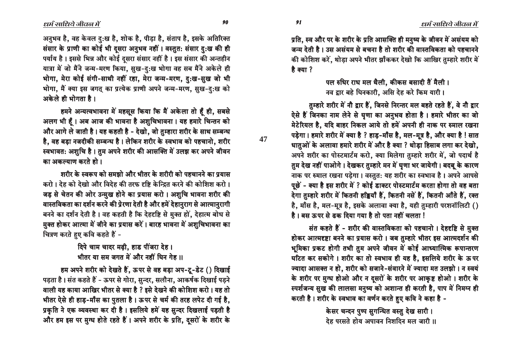ôê ôë

**47**

आनुभव है, वह केवल दु:ख है, शोक है, पीड़ा है, संताप है, इसके अतिरिक्त संसार के प्राणी का कोई भी दूसरा अनुभव नहीं। वस्तुत: संसार दु:ख की ही पर्याय है। इससे भिन्न और कोई दुसरा संसार नहीं है। इस संसार की अन्तहीन यात्रा में जो मैंने जन्म-मरण किया, सुख-दु:ख भोगा वह सब मैंने अकेले ही भोगा, मेरा कोई संगी-साथी नहीं रहा, मेरा जन्म-मरण, दु:ख-सुख जो भी भोगा, मैं क्या इस जगत् का प्रत्येक प्राणी अपने जन्म-मरण, सुख-दु:ख को अकेले ही भोगता है।

हमने अन्यत्वभावना में महसूस किया कि मैं अकेला तो हूँ ही, सबसे अलग भी हैं। अब आज की भावना है अशुचिभावना। यह हमारे चिन्तन को और आगे ले जाती है। यह कहती है - देखो. जो तम्हारा शरीर के साथ सम्बन्ध है, वह बड़ा नजदीकी सम्बन्ध है। लेकिन शरीर के स्वभाव को पहचानो, शरीर स्वभावत: अशुचि है। तुम अपने शरीर की आसक्ति में उलझ कर अपने जीवन <u>का अकल्याण करते हो ।</u>

<u>शरीर के स्वरूप को समझो और भीतर के शरीरी को पहचानने का प्रयास</u> करो। देह को देखो और विदेह की तरफ दृष्टि केन्द्रित करने की कोशिश करो। जड़ से चेतन की ओर उन्मुख होने का प्रयास करो । अशुचि भावना शरीर की वास्तविकता का दर्शन करने की प्रेरणा देती है और हमें देहा<u>न</u>राग से आत्मानुरागी बनने का दर्शन देती है। वह कहती है कि देहदृष्टि से मुक्त हों, देहात्म बोध से मुक्त होकर आत्मा में जीने का प्रयास करें। बारह भावना में अशुचिभावना का चित्रण करते हुए कवि कहते हैं *-*

> दिपे चाम चादर मढ़ी, हाड पींजरा देह। भीतर या सम जगत में और नहीं घिन गेह ।।

हम अपने शरीर को देखते हैं, ऊपर से वह बड़ा अप-टू-डेट () दिखाई पड़ता है। संत कहते हैं - ऊपर से गोरा, सुन्दर, सलौना, आकर्षक दिखाई पड़ने वाली यह काया आखिर भीतर से क्या है ? इसे देखने की कोशिश करो। यह तो भीतर ऐसे ही हाड़-माँस का पुतला है। ऊपर से चर्म की तरह लपेट दी गई है, प्रकृति ने एक व्यवस्था कर दी है। इसलिये हमें यह सुन्दर दिखलाई पड़ती है और हम इस पर मुग्ध होते रहते हैं। अपने शरीर के प्रति, दसरों के शरीर के

प्रति, स्व और पर के शरीर के प्रति आसक्ति ही मनुष्य के जीवन में असंयम को जन्म देती है। उस असंयम से बचना है तो शरीर की वास्तविकता को पहचानने की कोशिश करें, थोड़ा अपने भीतर झाँककर देखो कि आखिर तुम्हारे शरीर में है क्या ?

> पल रुधिर राध मल थैली. कीकस बसादी तैं मैली। नव द्वार बहे घिनकारी, असि देह करे किम यारी।

तुम्हारे शरीर में नौ द्वार हैं, जिनसे निरन्तर मल बहते रहते हैं, वे नौ द्वार ऐसे हैं जिनका नाम लेने से घृणा का अनुभव होता है। हमारे भीतर का जो मेटेरियल है. यदि बाहर निकल आये तो हमें अपनी ही नाक पर रुमाल रखना पड़ेगा। हमारे शरीर में क्या है ? हाड़-माँस है, मल-मूत्र है, और क्या है ! सात धातुओं के अलावा हमारे शरीर में और है क्या ? थोड़ा हिसाब लगा कर देखो, अपने शरीर का पोस्टमार्टम करो, क्या मिलेगा तुम्हारे शरीर में, जो पदार्थ है तुम देख नहीं पाओगे। देखकर तुम्हारे मन में घृणा भर जायेगी। बदबू के कारण नाक पर रुमाल रखना पड़ेगा। वस्तुत: यह शरीर का स्वभाव है। अपने आपसे पूछें - क्या है इस शरीर में ? कोई डाक्टर पोस्टमार्टम करता होगा तो वह बता देगा तुम्हारे शरीर में कितनी हड्डियाँ हैं, कितनी नसें हैं, कितनी आँते हैं, रक्त है, माँस है, मल-मूत्र है, इसके अलावा क्या है, यही तुम्हारी परशनॉलिटी () है। बस ऊपर से ढ़क दिया गया है तो पता नहीं चलता !

संत कहते हैं - शरीर की वास्तविकता को पहचानो । देहदृष्टि से मुक्त होकर आत्मदृष्टा बनने का प्रयास करो । जब तुम्हारे भीतर इस आत्मदर्शन की भूमिका प्रकट होगी तभी तुम अपने जीवन में कोई आध्यात्मिक रूपान्तरण घटित कर सकोगे। शरीर का तो स्वभाव ही यह है, इसलिये शरीर के ऊपर ज्यादा आसक्त न हो, शरीर को सजाने-संवारने में ज्यादा मत उलझो। न स्वयं के शरीर पर मुग्ध होओ और न दुसरों के शरीर पर आकृष्ट होओ । शरीर के स्पर्शजन्य सुख की लालसा मनुष्य को अशान्त ही करती है, पाप में निमग्न ही करती है। शरीर के स्वभाव का वर्णन करते हुए कवि ने कहा है -

> केसर चन्दन पुष्प सुगन्धित वस्तु देख सारी। देह परसते होय अपावन निशदिन मल जारी ।।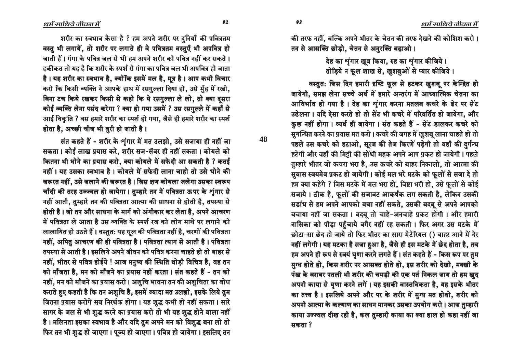ôí ôì

**48**

की तरफ नहीं, बल्कि अपने भीतर के चेतन की तरफ देखने की कोशिश करो । तन से आसक्ति छोड़ो, चेतन से अनुरक्ति बढ़ाओ।

> <u>देह का शंगार ख</u>ब किया. रुह का शंगार कीजिये । तोडिये न फूल शाख से, खुशबुओं से प्यार कीजिये।

वस्तुत: जिस दिन हमारी दृष्टि फूल से हटकर खुशबू पर केन्द्रित हो जायेगी, समझ लेना सच्चे अर्थ में हमारे अन्तरंग में आध्यात्मिक चेतना का आविर्भाव हो गया है। देह का शृंगार करना मतलब कचरे के ढेर पर सेंट उढेलना । यदि ऐसा करते हो तो सेंट भी कचरे में परिवर्तित हो जायेगा, और कुछ नहीं होगा। व्यर्थ ही जायेगा। संत कहते हैं - सेंट डालकर कचरे को सुगन्धित करने का प्रयास मत करो। कचरे की जगह में खुशबू लाना चाहते हो तो पहले उस कचरे को हटाओ, सूरज की तेज किरणें पड़ेगी तो वहाँ की दुर्गन्ध हटेगी और वहाँ की मिट्टी की सोंधी महक अपने आप प्रकट हो जायेगी। पहले तम्हारे भीतर जो कचरा भरा है, उस कचरे को बाहर निकालो, तो आत्मा की सुवास स्वयमेव प्रकट हो जायेगी। कोई मल भरे मटके को फूलों से सजा दे तो हम क्या कहेंगे ? जिस मटके में मल भरा हो, विष्टा भरी हो, उसे फूलों से कोई सजाये । ठीक है, फूलों की सजावट आकर्षक लग सकती है, लेकिन उसकी सडांध से हम अपने आपको बचा नहीं सकते, उसकी बदबू से अपने आपको बचाया नहीं जा सकता । बदबू तो चाहे-अनचाहे प्रकट होगी । और हमारी नासिका को पीड़ा पहुँचाये बगैर नहीं रह सकती । फिर अगर उस मटके में छोटा-सा छेद हो जाये तो फिर भीतर का सारा मेटेरियल () बाहर आने में देर नहीं लगेगी। यह मटका है सजा हुआ है, जैसे ही इस मटके में छेद होता है, तब हम अपने ही रूप से स्वयं घृणा करने लगते हैं। संत कहते हैं - किस रूप पर तम मुग्ध होते हो, किस शरीर पर आसक्त होते हो, इस शरीर को देखो, मक्खी के पंख के बराबर पतली भी शरीर की चमड़ी की एक पर्त निकल जाय तो हम खूद आपनी काया से घुणा करने लगें । यह इसकी वास्तविकता है, यह इसके भीतर का तत्त्व है। इसलिये अपने और पर के शरीर में मुग्ध मत होवो, शरीर को अपनी आत्मा के कल्याण का साधन मानकर उसका उपयोग करो । आज तुम्हारी काया उज्ज्वल दीख रही है, कल तुम्हारी काया का क्या हाल हो कहा नहीं जा सकता ?

शरीर का स्वभाव कैसा है ? हम अपने शरीर पर दुनियाँ की पवित्रतम वस्तु भी लगायें, तो शरीर पर लगाते ही वे पवित्रतम वस्तुएँ भी अपवित्र हो जाती हैं। गंगा के पवित्र जल से भी हम अपने शरीर को पवित्र नहीं कर सकते। हकीकत तो यह है कि शरीर के स्पर्श से गंगा का पवित्र जल भी अपवित्र हो जाता है। यह शरीर का स्वभाव है, क्योंकि इसमें मल है, मूत्र है। आप कभी विचार करो कि किसी व्यक्ति ने आपके हाथ में रसगुल्ला दिया हो, उसे मुँह में रखो, बिना टच किये रखकर किसी से कहो कि ये रसगुल्ला ले लो, तो क्या दुसरा कोई व्यक्ति लेना पसंद करेगा ? क्या हो गया उसमें ? उस रसगुल्ले में कहाँ से आई विकृति ? बस हमारे शरीर का स्पर्श हो गया, जैसे ही हमारे शरीर का स्पर्श होता है, अच्छी चीज भी बुरी हो जाती है।

संत कहते हैं - शरीर के शृंगार में मत उलझो, उसे सजाया ही नहीं जा सकता। कोई लाख प्रयास करे, शरीर सज-सॅवर ही नहीं सकता। कोयले को कितना भी धोने का प्रयास करो, क्या कोयले में सफेदी आ सकती है ? कतई नहीं । यह उसका स्वभाव है । कोयले में सफेदी लाना चाहो तो उसे धोने की जरूरत नहीं, उसे जलाने की जरूरत है। जिस क्षण कोयला जलेगा उसका स्वरूप चाँदी की तरह उज्ज्वल हो जायेगा। तुम्हारे तन में पवित्रता ऊपर के शृंगार से नहीं आती, तुम्हारे तन की पवित्रता आत्मा की साधना से होती है, तपस्या से होती है। जो तप और साधना के मार्ग को अंगीकार कर लेता है, अपने आचरण में पवित्रता ले आता है उस व्यक्ति के स्पर्श रज को लोग माथे पर लगाने को लालायित हो उठते हैं। वस्तुत: यह धूल की पवित्रता नहीं है, चरणों की पवित्रता नहीं, अपितु आचरण की ही पवित्रता है। पवित्रता त्याग से आती है। पवित्रता तपस्या से आती है। इसलिये अपने जीवन को पवित्र करना चाहते हो तो बाहर से नहीं, भीतर से पवित्र होईये ! आज मनुष्य की स्थिति थोड़ी विचित्र है, वह तन को माँजता है, मन को माँजने का प्रयास नहीं करता। संत कहते हैं - तन को नहीं, मन को माँजने का प्रयास करो । अशुचि भावना तन की अशुचिता का बोध कराते हुए कहती है कि तन अशुचि है, इसमें ज्यादा मत उलझो, इसके लिये तुम जितना प्रयास करोगे सब निरर्थक होगा। यह शुद्ध कभी हो नहीं सकता। सारे सागर के जल से भी शुद्ध करने का प्रयास करो तो भी यह शुद्ध होने वाला नहीं है। मलिनता इसका स्वभाव है और यदि तुम अपने मन को विशुद्ध बना लो तो फिर तन भी शुद्ध हो जाएगा। पूज्य हो जाएगा। पवित्र हो जायेगा। इसलिए तन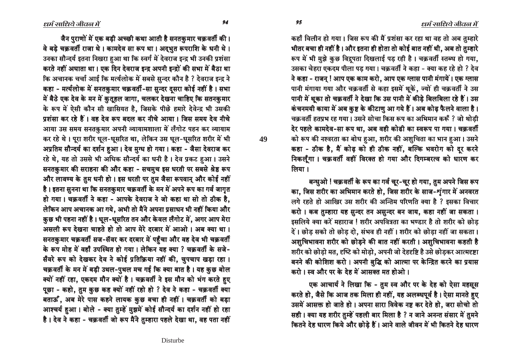धर्म साधिये जीवन में

कहाँ विलीन हो गया। जिस रूप की मैं प्रशंसा कर रहा था वह तो अब तम्हारे भीतर बचा ही नहीं है। और इतना ही होता तो कोई बात नहीं थी, अब तो तुम्हारे रूप में भी मुझे कुछ विद्रपता दिखलाई पड़ रही है। चक्रवर्ती स्तब्ध हो गया, उसका चेहरा एकदम पीला पड गया। चक्रवर्ती ने कहा - क्या कह रहे हो ? देव ने कहा - राजन ! आप एक काम करो. आप एक ग्लास पानी मंगायें । एक ग्लास पानी मंगाया गया और चक्रवर्ती से कहा इसमें थूकें, ज्यों ही चक्रवर्ती ने उस पानी में थूका तो चक्रवर्ती ने देखा कि उस पानी में कीड़े बिलबिला रहे हैं। उस कंचनमयी काया में अब कुष्ट के कीटाणु आ गये हैं। अब कोढ़ फैलने वाला है। चक्रवर्ती हतप्रभ रह गया। उसने सोचा किस रूप का अभिमान करूँ ? जो थोडी देर पहले कामदेव-सा रूप था. अब वही कोढी का स्वरूप पा गया। चक्रवर्ती को रूप की नश्वरता का बोध हुआ, शरीर की अशुचिता का भान हुआ। उसने कहा - ठीक है, मैं कोढ़ को ही ठीक नहीं, बल्कि भवरोग को दर करने निकलूँगा। चक्रवर्ती वहीं विरक्त हो गया और दिगम्बरत्व को धारण कर लिया ।

बन्धुओ ! चक्रवर्ती के रूप का गर्व चूर-चूर हो गया, तुम अपने जिस रूप का, जिस शरीर का अभिमान करते हो, जिस शरीर के साज-शृंगार में अनवरत लगे रहते हो आखिर उस शरीर की अन्तिम परिणति क्या है ? इसका विचार करो। कब तुम्हारा यह सुन्दर तन असुन्दर बन जाय, कहा नहीं जा सकता। इसलिये क्या करें महाराज ! शरीर अपवित्रता का भण्डार है तो शरीर को छोड दें। छोड़ सको तो छोड़ दो, संभव ही नहीं। शरीर को छोड़ा नहीं जा सकता। अशुचिभावना शरीर को छोड़ने की बात नहीं करती। अशुचिभावना कहती है शरीर को छोड़ो मत, दृष्टि को मोड़ो, अपनी जो देहदृष्टि है उसे छोड़कर आत्मदृष्टा बनने की कोशिश करो। अपनी बुद्धि को आत्मा पर केन्द्रित करने का प्रयास करो। स्व और पर के देह में आसक्त मत होओ।

एक आचार्य ने लिखा कि - तुम स्व और पर के देह को ऐसा महसूस करते हो, जैसे कि आज तक मिला ही नहीं, यह अलब्धपूर्व है। ऐसा मानते हुए उसमें आसक्त हो जाते हो। अपना सारा विवेक नष्ट कर देते हो, जरा सोचो तो सही। क्या यह शरीर तुम्हें पहली बार मिला है ? न जाने अनन्त संसार में तुमने कितने देह धारण किये और छोड़े हैं। आने वाले जीवन में भी कितने देह धारण

धर्म साधिये जीवल में

जैन पुराणों में एक बड़ी अच्छी कथा आती है सनतकुमार चक्रवर्ती की। वे बडे चक्रवर्ती राजा थे। कामदेव सा रूप था। अद्भुत रूपराशि के धनी थे। उनका सौन्दर्य इतना निखरा हुआ था कि स्वर्ग में देवराज इन्द्र भी उनकी प्रशंसा करते नहीं अघाता था। एक दिन देवराज इन्द्र अपनी इन्द्रों की सभा में बैठा था कि अचानक चर्चा आई कि मर्त्यलोक में सबसे सुन्दर कौन है ? देवराज इन्द्र ने कहा - मर्त्यलोक में सनतकुमार चक्रवर्ती-सा सुन्दर दसरा कोई नहीं है। सभा में बैठे एक देव के मन में कुतूहल जागा, चलकर देखना चाहिए कि सतनकुमार के रूप में ऐसी कौन सी खासियत है, जिसके पीछे हमारे देवेन्द्र भी उसकी प्रशंसा कर रहे हैं। वह देव रूप बदल कर नीचे आया। जिस समय देव नीचे आया उस समय सनतकुमार अपनी व्यायामशाला में लँगोट पहन कर व्यायाम कर रहे थे। पूरा शरीर धूल-धूसरित था, लेकिन उस धूल-धूसरित शरीर में भी अप्रतिम सौन्दर्य का दर्शन हुआ। देव मुग्ध हो गया। कहा - जैसा देवराज कर रहे थे, यह तो उससे भी अधिक सौन्दर्य का धनी है। देव प्रकट हुआ। उसने सनतकुमार की सराहना की और कहा - सचमुच इस धरती पर सबसे श्रेष्ठ रूप और लावण्य के तुम धनी हो। इस धरती पर तुम जैसा रूपवान् और कोई नहीं है। इतना सुनना था कि सनतकुमार चक्रवर्ती के मन में अपने रूप का गर्व जागुत हो गया। चक्रवर्ती ने कहा - आपके देवराज ने जो कहा था सो तो ठीक है. लेकिन आप अचानक आ गये, अभी तो मैंने अपना प्रसाधन भी नहीं किया और कुछ भी पहना नहीं है। धूल-धूसरित तन और केवल लँगोट में, अगर आप मेरा असली रूप देखना चाहते हो तो आप मेरे दरबार में आओ। अब क्या था। सनतकुमार चक्रवर्ती सज-सॅवर कर दरबार में पहुँचा और वह देव भी चक्रवर्ती के रूप मोह में वहाँ उपस्थित हो गया। लेकिन यह क्या ? चकवर्ती के सजे-सँवरे रूप को देखकर देव ने कोई प्रतिक्रिया नहीं की, चुपचाप खड़ा रहा। चक्रवर्ती के मन में बड़ी उथल-पुथल मच गई कि क्या बात है। यह कुछ बोल क्यों नहीं रहा, एकदम मौन क्यों है। चक्रवर्ती ने इस मौन को भंग करते हुए पूछा - कहो, तुम कुछ कह क्यों नहीं रहो हो ? देव ने कहा - चक्रवर्ती क्या बताऊँ, अब मेरे पास कहने लायक कुछ बचा ही नहीं। चक्रवर्ती को बड़ा आश्चर्य हुआ। बोले - क्या तुम्हें मुझमें कोई सौन्दर्य का दर्शन नहीं हो रहा है। देव ने कहा - चक्रवर्ती जो रूप मैंने तुम्हारा पहले देखा था, वह पता नहीं

Disturbe

49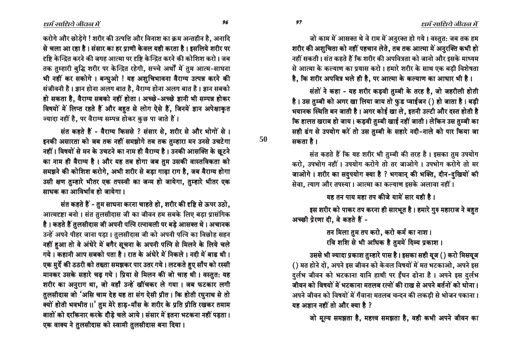जो काम में आसक्त थे वे राम में अनुरक्त हो गये। वस्तुत: जब तक हम शरीर की अशुचिता को नहीं पहचान लेते, तब तक आत्मा में अनुरक्ति कभी हो नहीं सकती। संत कहते हैं कि शरीर की अपवित्रता को जानो और इसके माध्यम से आत्मा के कल्याण का प्रयास करो । हमारे शरीर के साथ एक बडी विशेषता

है. कि शरीर अपवित्र भले ही है. पर आत्मा के कल्याण का आधार भी है।

संतों ने कहा - यह शरीर कडवी तम्बी के तरह है. जो जहरीली होती है। उस तुम्बी को अगर खा लिया जाय तो फुड प्वाईजन () हो जाता है। बड़ी भयानक स्थिति बन जाती है। अगर कोई खा ले, इतनी उल्टी और दस्त होती है कि हालत खराब हो जाय। कडवी तुम्बी खाई नहीं जाती। लेकिन उस तुम्बी का सही ढंग से उपयोग करें तो उस तुम्बी के सहारे नदी-नाले को पार किया जा सकता है ।

संत कहते हैं कि यह शरीर भी तुम्बी की तरह है। इसका तुम उपयोग करो, उपभोग नहीं । उपयोग करोगे तो तर जाओगे । उपभोग करोगे तो मर जाओगे। शरीर का सदुपयोग क्या है ? भगवान् की भक्ति, दीन-दुखियों की सेवा, त्याग और तपस्या। आत्मा का कल्याण इसके अलावा नहीं।

यह तन पाय महा तप कीजे यामें सार यही है।

इस शरीर को पाकर तप करना ही सारभूत है। हमारे गुरु महाराज ने बहुत अच्छी प्रेरणा दी. वे कहते हैं -

> तन मिला तुम तप करो, करो कर्म का नाश। रवि शशि से भी अधिक है तुममें दिव्य प्रकाश।

उससे भी ज्यादा प्रकाश तुम्हारे पास है। इसका सही यूज () करो मिसयूज () मत होने दो, अपने इस जीवन को केवल विषयों में मत भटकाओ, अपने इस दुर्लभ जीवन को भटकाना यानि हाथी पर ईंधन ढोना है। अपने इस दुर्लभ जीवन को विषयों में भटकाना मतलब रत्नों की राख से अपने बर्तनों को धोना । आपने जीवन को विषयों में गँवाना मतलब चन्दन की लकड़ी से भोजन पकाना। यह अज्ञान नहीं तो और क्या है ?

जो मूल्य समझता है, महत्त्व समझता है, वही कभी अपने जीवन का

करोगे और छोडेगे ! शरीर की उत्पत्ति और विनाश का क्रम अन्तहीन है. अनादि से चला आ रहा है। संसार का हर प्राणी केवल यही करता है। इसलिये शरीर पर हष्टि केन्द्रित करने की जगह आत्मा पर दृष्टि केन्द्रित करने की कोशिश करो । जब तक तुम्हारी बुद्धि शरीर पर केन्द्रित रहेगी, सच्चे अर्थों में तुम आत्म-साधना भी नहीं कर सकोगे । बन्धुओ ! यह अशुचिभावना वैराग्य उत्पन्न करने की संजीवनी है। ज्ञान होना अलग बात है, वैराग्य होना अलग बात है। ज्ञान सबको हो सकता है, वैराग्य सबको नहीं होता। अच्छे-अच्छे ज्ञानी भी सम्पन्न होकर विषयों में लिप्त रहते हैं और बहुत से लोग ऐसे हैं, जिनमें ज्ञान अपेक्षाकृत ज्यादा नहीं है, पर वैराग्य सम्पन्न होकर कुछ पा जाते हैं।

संत कहते हैं - वैराग्य किससे ? संसार से. शरीर से और भोगों से । इनकी असारता को जब तक नहीं समझोगे तब तक तुम्हारा मन उनसे उचटेगा नहीं। विषयों से मन के उचटने का नाम ही वैराग्य है। उनकी आसक्ति के छूटने का नाम ही वैराग्य है। और यह तब होगा जब तुम उसकी वास्तविकता को समझने की कोशिश करोगे, अभी शरीर से बड़ा गाढ़ा राग है, जब वैराग्य होगा उसी क्षण तुम्हारे भीतर एक तपस्वी का जन्म हो जायेगा, तुम्हारे भीतर एक माधक का आविर्भाव हो जायेगा।

संत कहते हैं - तुम साधना करना चाहते हो, शरीर की दृष्टि से ऊपर उठो, आत्मदृष्टा बनो । संत तुलसीदास जी का जीवन हम सबके लिए बड़ा प्रासंगिक है। कहते हैं तुलसीदास जी अपनी पत्नि रत्नावली पर बडे आसक्त थे। अचानक उन्हें अपने पीहर जाना पड़ा। तुलसीदास जी को अपनी पत्नि का विछोह सहन नहीं हआ तो वे अंधेरे में बगैर सूचना के अपनी पत्नि से मिलने के लिये चले गये। कहानी आप सबको पता है। रात के अंधेरे में निकले। नदी में बाढ थी। एक मुर्दे की ठठरी को तख्ता समझकर पार उतर गये। लटकते हुए साँप को रस्सी मानकर उसके सहारे चढ़ गये। प्रिया से मिलन की जो चाह थी। वस्तुत: यह शरीर का अनुराग था, जो वहाँ उन्हें खींचकर ले गया। जब फटकार लगी तुलसीदास जो 'असि चाम देह यह ता संग ऐसी प्रीत। कि होती रघुनाथ से तो क्यों होती भवभीत ।।' तुम मेरे हाड़-माँस के शरीर के प्रति प्रीति रखकर तमाम बातों को दरकिनार करके दौड़े चले आये। संसार में इतना भटकना नहीं पड़ता। एक वाक्य ने तुलसीदास को स्वामी तुलसीदास बना दिया।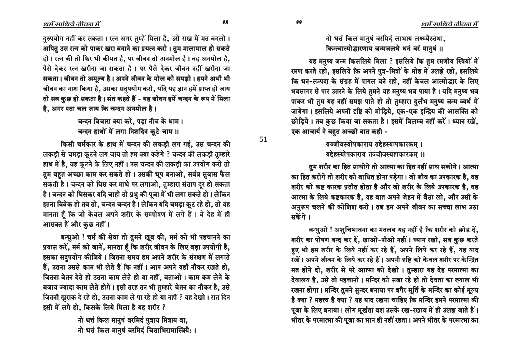<u>नो धत्तं किल मान</u>षं वरमिदं लाभाय लक्ष्म्यैस्तथा. किन्त्वात्मोद्धारणाय जन्मजलधे धनं वरं मानुषं ॥

यह मनुष्य जन्म किसलिये मिला ? इसलिये कि तुम रमणीय स्त्रियों में रमण करते रहो, इसलिये कि अपने पुत्र-मित्रों के मोह में उलझे रहो, इसलिये कि धन-सम्पदा के संग्रह में पागल बने रहो, नहीं केवल आत्मोद्धार के लिए भवसागर से पार उतरने के लिये तमने यह मनुष्य भव पाया है। यदि मनुष्य भव पाकर भी तुम यह नहीं समझ पाते हो तो तुम्हारा दुर्लभ मनुष्य जन्म व्यर्थ में जायेगा। इसलिये अपनी दृष्टि को मोड़िये, एक-एक इन्द्रिय की आसक्ति को छोड़िये। तब कुछ किया जा सकता है। इसमें विलम्ब नहीं करें। ध्यान रखें, एक आचार्य ने बहत अच्छी बात कही -

> यज्जीवस्योपकाराय तद्देहस्यापकारकम् । यद्देहस्योपकाराय तज्जीवस्यापकारकम ।।

तुम शरीर का हित साधोगे तो आत्मा का हित नहीं साध सकोगे। आत्मा का हित करोगे तो शरीर को बाधित होना पड़ेगा। जो जीव का उपकारक है, वह शरीर को कष्ट कारक प्रतीत होता है और जो शरीर के लिये उपकारक है, वह आत्मा के लिये कष्टकारक है, यह बात अपने जेहन में बैठा लो, और उसी के आनुरूप चलने की कोशिश करो। तब हम अपने जीवन का सच्चा लाभ उठा मकेंगे।

बन्धुओ ! अशुचिभावना का मतलब यह नहीं है कि शरीर को छोड़ दें, शरीर का पोषण बन्द कर दें, खाओ-पीओ नहीं। ध्यान रखो, सब कुछ करते हए भी हम शरीर के लिये नहीं कर रहे हैं, अपने लिये कर रहे हैं, यह याद रखें । अपने जीवन के लिये कर रहे हैं । अपनी दृष्टि को केवल शरीर पर केन्द्रित मत होने दो, शरीर से परे आत्मा को देखो। तुम्हारा यह देह परमात्मा का देवालय है, उसे तो पहचानो । मन्दिर को सजा रहे हो तो देवता का ख्याल भी रखना होगा। मन्दिर तुमने सुन्दर बनाया पर बगैर मूर्ति के मन्दिर का कोई मूल्य है क्या ? महत्त्व है क्या ? यह याद रखना चाहिए कि मन्दिर हमने परमात्मा की पूजा के लिए बनाया। लोग मूर्खता वश उसके रख-रखाव में ही उलझ जाते हैं। भीतर के परमात्मा की पूजा का भान ही नहीं रहता। अपने भीतर के परमात्मा का

दरुपयोग नहीं कर सकता। रत्न अगर तम्हें मिला है. उसे राख में मत बदलो। अपितु उस रत्न को पाकर खरा बनाने का प्रयत्न करो। तुम मालामाल हो सकते हो। रत्न की तो फिर भी कीमत है, पर जीवन तो अनमोल है। वह अनमोल है, पैसे देकर रत्न खरीदा जा सकता है । पर पैसे देकर जीवन नहीं खरीदा जा सकता। जीवन तो अमूल्य है। अपने जीवन के मोल को समझो। हमने अभी भी जीवन का नाश किया है, उसका सदुपयोग करो, यदि यह ज्ञान हमें प्राप्त हो जाय तो सब कुछ हो सकता है। संत कहते हैं - यह जीवन हमें चन्दन के रूप में मिला है, अगर पता चल जाय कि चन्दन अनमोल है।

> चन्दन विचारा क्या करे, पड़ा नीच के धाम। चन्दन हाथों में लगा निशदिन कुटे चाम ।।

किसी चर्मकार के हाथ में चन्दन की लकड़ी लग गई, उस चन्दन की लकड़ी से चमड़ा कूटने लग जाय तो हम क्या कहेंगे ? चन्दन की लकड़ी तुम्हारे हाथ में है, वह कूटने के लिए नहीं। उस चन्दन की लकड़ी का उपयोग करो तो तुम बहुत अच्छा काम कर सकते हो। उसकी धूप बनाओ, सर्वत्र सुवास फैल सकती है। चन्दन को घिस कर माथे पर लगाओ, तुम्हारा संताप दूर हो सकता है। चन्दन को घिसकर यदि चाहो तो प्रभु की पूजा में भी लगा सकते हो। लेकिन इतना विवेक हो तब तो, चन्दन चन्दन है। लेकिन यदि चमड़ा कूट रहे हो, तो यह मानता हैं कि जो केवल अपने शरीर के सम्पोषण में लगे हैं। वे देह में ही आसक्त हैं और कुछ नहीं।

बन्धुओ ! चर्म की सेवा तो तुमने खूब की, मर्म को भी पहचानने का प्रयास करें, मर्म को जानें, मानता है कि शरीर जीवन के लिए बड़ा उपयोगी है, इसका सदुपयोग कीजिये। जितना समय हम अपने शरीर के संरक्षण में लगाते हैं, उतना उससे काम भी लेते हैं कि नहीं । आप अपने यहाँ नौकर रखते हो, जितना वेतन देते हो उतना काम लेते हो या नहीं, बताओ । काम कम लेने के बजाय ज्यादा काम लेते होगे । इसी तरह तन भी तुम्हारे चेतन का नौकर है, उसे जितनी खुराक दे रहे हो, उतना काम ले पा रहे हो या नहीं ? यह देखो। रात दिन इसी में लगे हो, किसके लिये मिला है यह शरीर ?

> <u>नो धत्तं किल मानु</u>षं वरमिदं पुत्राय मित्राय वा. नो धत्तं किल मानुषं वरमिदं चित्ताभिरामास्त्रियै: ।

ôò ôô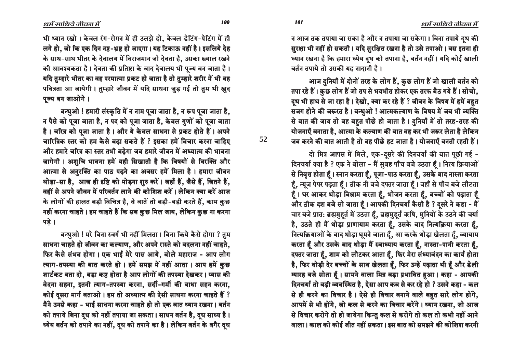ëêê ëêë

**52**

भी ध्यान रखो। केवल रंग-रोगन में ही उलझे हो. केवल डेटिंग-पेटिंग में ही लगे हो, जो कि एक दिन नष्ट-भ्रष्ट हो जाएगा। यह टिकाऊ नहीं है। इसलिये देह के साथ-साथ भीतर के देवालय में विराजमान जो देवता है, उसका ख्याल रखने की आवश्यकता है। देवता की प्रतिष्ठा के बाद देवालय भी पूज्य बन जाता है। थदि तुम्हारे भीतर का वह परमात्मा प्रकट हो जाता है तो तुम्हारे शरीर में भी वह पवित्रता आ जायेगी । तुम्हारे जीवन में यदि साधना जुड़ गई तो तुम भी खुद पञ्च बन जाओगे।

बन्धुओ ! हमारी संस्कृति में न नाम पूजा जाता है, न रूप पूजा जाता है, न पैसे को पूजा जाता है, न पद को पूजा जाता है, केवल गुणों को पूजा जाता है। चरित्र को पूजा जाता है। और ये केवल साधना से प्रकट होते हैं। अपने चारित्रिक स्तर को हम कैसे बढा सकते हैं ? इसका हमें विचार करना चाहिए और हमारे चरित्र का स्तर तभी बढ़ेगा जब हमारे जीवन में अध्यात्म की भावना जागेगी। अशुचि भावना हमें यही सिखाती है कि विषयों से विरक्ति और आत्मा से अनुरक्ति का पाठ पढ़ने का अवसर हमें मिला है। हमारा जीवन थोड़ा-सा है, आज ही दृष्टि को मोड़ना शुरु करें। जहाँ हैं, जैसे हैं, जितने हैं, वहीं से अपने जीवन में परिवर्तन लाने की कोशिश करें । लेकिन क्या करें आज के लोगों की हालत बड़ी विचित्र है, वे बातें तो बड़ी-बड़ी करते हैं, काम कुछ नहीं करना चाहते। हम चाहते हैं कि सब कुछ मिल जाय, लेकिन कुछ ना करना पडे ।

बन्धुओ ! मरे बिना स्वर्ग भी नहीं मिलता। बिना किये कैसे होगा ? तुम साधना चाहते हो जीवन का कल्याण, और अपने रास्ते को बदलना नहीं चाहते, फिर कैसे संभव होगा। एक भाई मेरे पास आये, बोले महाराज - आप लोग त्याग-तपस्या की बात करते हो । हमें समझ में नहीं आता । आप हमें कुछ शार्टकट बता दो, बड़ा कष्ट होता है आप लोगों की तपस्या देखकर । प्यास की वेदना सहना, इतनी त्याग-तपस्या करना, सर्दी-गर्मी की बाधा सहन करना, कोई दुसरा मार्ग बताओ । हम तो अध्यात्म की ऐसी साधना करना चाहते हैं ? मैंने उनसे कहा - भाई साधना करना चाहते हो तो एक बात ध्यान रखना। बर्तन को तपाये बिना दुध को नहीं तपाया जा सकता। साधन बर्तन है, दुध साध्य है। ध्येय बर्तन को तपाने का नहीं, दुध को तपाने का है । लेकिन बर्तन के बगैर दुध

न आज तक तपाया जा सका है और न तपाया जा सकेगा। बिना तपाये दुध की स़रक्षा भी नहीं हो सकती। यदि सुरक्षित रखना है तो उसे तपाओ। बस इतना ही ध्यान रखना है कि हमारा ध्येय दुध को तपाना है, बर्तन नहीं। यदि कोई खाली बर्तन तपाये तो उसकी यह नादानी है।

आज दुनियाँ में दोनों तरह के लोग हैं, कुछ लोग हैं जो खाली बर्तन को तपा रहे हैं। कुछ लोग हैं जो तप से भयभीत होकर एक तरफ बैठ गये हैं। सोचो, द्ध भी हाथ से जा रहा है। देखो, क्या कर रहे हैं ? जीवन के विषय में हमें बहुत सजग होने की जरूरत है। बन्धुओ ! आत्मकल्याण के विषय में जब भी व्यक्ति से बात की जाय तो वह बहुत पीछे हो जाता है। दुनियाँ में तो तरह-तरह की योजनाएँ बनाता है. आत्मा के कल्याण की बात वह कर भी जरूर लेता है लेकिन जब करने की बात आती है तो वह पीछे हट जाता है। योजनाएँ बनती रहती हैं।

दो मित्र आपस में मिले, एक-दूसरे की दिनचर्या की बात पूछी गई -दिनचर्या क्या है ? एक ने बोला - मैं सुबह पाँच बजे उठता हूँ। नित्य क्रियाओं से निवृत्त होता हूँ। स्नान करता हूँ, पूजा-पाठ करता हूँ, उसके बाद नास्ता करता हैं, न्यूज पेपर पढ़ता हैं। ठीक नौ बजे दफ्तर जाता हैं। वहाँ से पाँच बजे लौटता हैं । घर आकर थोड़ा विश्राम करता हैं, भोजन करता हैं, बच्चों को पढ़ाता हैं और ठीक दश बजे सो जाता हैं। आपकी दिनचर्या कैसी है ? दुसरे ने कहा - मैं चार बजे प्रात: ब्रह्ममुहूर्त में उठता हूँ, ब्रह्ममुहूर्त ऋषि, मुनियों के उठने की चर्या है, उठते ही मैं थोड़ा प्राणायाम करता हूँ, उसके बाद नित्यक्रिया करता हूँ, नित्यक्रियाओं के बाद थोड़ा घूमने जाता हूँ, आ करके थोड़ा खेलता हूँ, व्यायाम करता हैं और उसके बाद थोड़ा मैं स्वाध्याय करता हैं, नास्ता-पानी करता हैं, दफ्तर जाता हैं, शाम को लौटकर आता हैं, फिर मेरा संध्यावंदन का कार्य होता है, फिर थोड़ी देर बच्चों के साथ खेलता हैं, फिर उन्हें पढ़ाता भी हैं और डेली ग्यारह बजे सोता हैं। सामने वाला मित्र बड़ा प्रभावित हुआ। कहा - आपकी दिनचर्या तो बड़ी व्यवस्थित है, ऐसा आप कब से कर रहे हो ? उसने कहा - कल से ही करने का विचार है। ऐसे ही विचार बनाने वाले बहुत सारे लोग होंगे, आपमें से भी होंगे, जो कल से करने का विचार करेंगे। ध्यान रखना, जो आज से विचार करोगे तो हो जायेगा किन्तु कल से करोगे तो कल तो कभी नहीं आने ँवाला। काल को कोई जीत नहीं सकता। इस बात को समझने की कोशिश करनी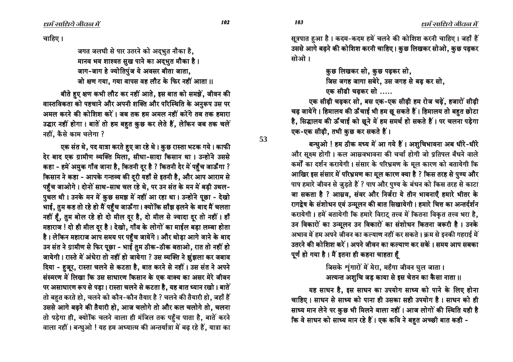चाहिए ।

जगत जलधी से पार उतरने को अद्भुत नौका है, मानव भव शाश्वत सुख पाने का अद्भुत मौका है। जाग-जाग हे ज्योतिपुंज ये अवसर बीता जाता, जो क्षण गया, गया वापस वह लौट के फिर नहीं आता ।।

बीते हुए क्षण कभी लौट कर नहीं आते, इस बात को समझें, जीवन की वास्तविकता को पहचाने और अपनी शक्ति और परिस्थिति के अनुरूप उस पर अमल करने की कोशिश करें। जब तक हम अमल नहीं करेंगे तब तक हमारा उद्धार नहीं होगा। बातें तो हम बहुत कुछ कर लेते हैं, लेकिन जब तक चलें नहीं, कैसे काम चलेगा ?

एक संत थे, पद यात्रा करते हुए जा रहे थे। कुछ रास्ता भटक गये। काफी देर बाद एक ग्रामीण व्यक्ति मिला, सीधा-सादा किसान था। उन्होंने उससे कहा - हमें अमुक गाँव जाना है, कितनी दूर है ? कितनी देर में पहुँच जाऊँगा ? किसान ने कहा - आपके गन्तव्य की दुरी यहाँ से इतनी है, और आप आराम से पहुँच जाओगे। दोनों साथ-साथ चल रहे थे, पर उन संत के मन में बड़ी उथल-पुथल थी। उनके मन में कुछ समझ में नहीं आ रहा था। उन्होंने पूछा - देखो भाई, तुम कह तो रहे हो मैं पहुँच जाऊँगा। क्योंकि साँझ ढ़लने के बाद मैं चलता नहीं हैं, तुम बोल रहे हो दो मील दूर है, दो मील से ज्यादा दूर तो नहीं। हाँ महाराज ! दो ही मील दूर है। देखो, गाँव के लोगों का माईल बड़ा लम्बा होता है। लेकिन महाराज आप समय पर पहुँच जायेंगे। और थोड़ा आगे जाने के बाद उन संत ने ग्रामीण से फिर पूछा - भाई तुम ठीक-ठीक बताओ, रात तो नहीं हो जायेगी। रास्ते में अंधेरा तो नहीं हो जायेगा ? उस व्यक्ति ने झुंझला कर जबाव दिया - ह़जूर, रास्ता चलने से कटता है, बात करने से नहीं। उस संत ने अपने संस्मरण में लिखा कि उस साधारण किसान के एक वाक्य का असर मेरे जीवन पर असाधारण रूप से पड़ा। रास्ता चलने से कटता है, यह बात ध्यान रखो। बातें तो बहुत करते हो, चलने को कौन-कौन तैयार है ? चलने की तैयारी हो, जहाँ हैं उससे आगे बढ़ने की तैयारी हो, आज चलोगे तो और कल चलोगे तो, चलना तो पड़ेगा ही, क्योंकि चलने वाला ही मंजिल तक पहुँच पाता है, बातें करने वाला नहीं। बन्धुओ ! यह हम अध्यात्म की अन्तर्यात्रा में बढ़ रहे हैं, यात्रा का

सूत्रपात हुआ है। कदम-कदम हमें चलने की कोशिश करनी चाहिए। जहाँ हैं उससे आगे बढ़ने की कोशिश करनी चाहिए। कुछ लिखकर सोओ, कुछ पढ़कर सोओ।

कुछ लिखकर सो, कुछ पढ़कर सो,

जिस जगह जागा सबेरे, उस जगह से बढ़ कर सो,

एक सीढी चढकर सो .....

एक सीढ़ी चढ़कर सो, बस एक-एक सीढ़ी हम रोज चढ़ें, हजारों सीढ़ी चढ़ जायेंगे। हिमालय की ऊँचाई भी हम छू सकते हैं। हिमालय तो बहुत छोटा है, सिद्धालय की ऊँचाई को छूने में हम समर्थ हो सकते हैं। पर चलना पड़ेगा एक-एक सीढ़ी, तभी कुछ कर सकते हैं।

बन्धुओ ! हम ठीक मध्य में आ गये हैं। अशुचिभावना अब धीरे-धीरे और सूक्ष्म होगी। कल आम्रवभावना की चर्चा होगी जो प्रतिपल बँधने वाले कर्मों का दर्शन करायेगी। संसार के परिभ्रमण के मुल कारण को बतायेगी कि आखिर इस संसार में परिभ्रमण का मूल कारण क्या है ? किस तरह से पुण्य और पाप हमारे जीवन से जुड़ते हैं ? पाप और पुण्य के बंधन को किस तरह से काटा जा सकता है ? आम्रव, संवर और निर्जरा ये तीन भावनाएँ हमारे भीतर के रागद्वेष के संशोधन एवं उन्मूलन की बात सिखायेगी। हमारे चित्त का अन्तर्दर्शन करायेगी। हमें बतायेगी कि हमारे विराट तत्त्व में कितना विकृत तत्त्व भरा है. उन विकारों का उन्मूलन उन विकारों का संशोधन कितना जरूरी है। उनके अभाव में हम अपने जीवन का कल्याण नहीं कर सकते। क्रम से इनकी गहराई में उतरने की कोशिश करें। अपने जीवन का कल्याण कर सकें। समय आप सबका पूर्ण हो गया है। मैं इतना ही कहना चाहता हूँ

> जिसके शृंगारों में मेरा, महँगा जीवन घुल जाता। अत्यन्त अशुचि जड़ काया से इस चेतन का कैसा नाता ।।

यह साधन है, इस साधन का उपयोग साध्य को पाने के लिए होना चाहिए। साधन से साध्य को पाना ही उसका सही उपयोग है। साधन को ही साध्य मान लेने पर कुछ भी मिलने वाला नहीं। आज लोगों की स्थिति यही है कि वे साधन को साध्य मान रहे हैं। एक कवि ने बहुत अच्छी बात कही -

103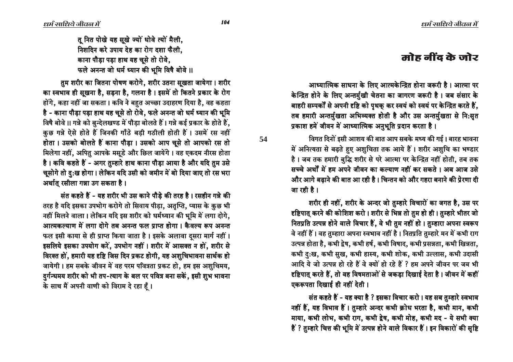# मोह नींद के जोर

आध्यात्मिक साधना के लिए आत्मकेन्द्रित होना जरूरी है। आत्मा पर केन्द्रित होने के लिए अन्तर्मुखी चेतना का जागरण जरूरी है। जब संसार के बाहरी सम्पर्कों से अपनी दृष्टि को पृथक् कर स्वयं को स्वयं पर केन्द्रित करते हैं, तब हमारी अन्तर्मुखता अभिव्यक्त होती है और उस अन्तर्मुखता से नि:सृत प्रकाश हमें जीवन में आध्यात्मिक अनुभूति प्रदान करता है।

विगत दिनों इसी आशय की बात आप सबके मध्य की गई। बारह भावना में अनित्यता से बढ़ते हुए अशुचिता तक आये हैं। शरीर अशुचि का भण्डार है। जब तक हमारी बुद्धि शरीर से परे आत्मा पर केन्द्रित नहीं होती, तब तक सच्चे अर्थों में हम अपने जीवन का कल्याण नहीं कर सकते । अब आज उसे और आगे बढाने की बात आ रही है। चिन्तन को और गहरा बनाने की प्रेरणा दी जा रही है।

×ारीर ही नहीं, शरीर के अन्दर जो तुम्हारे विचारों का जगत है, उस पर दृष्टिपात् करने की कोशिश करो। शरीर से भिन्न तो तुम हो ही। तुम्हारे भीतर जो नितप्रति उत्पन्न होने वाले विचार हैं, वे भी तुम नहीं हो। तुम्हारा अपना स्वरूप वे नहीं हैं । वह तुम्हारा अपना स्वभाव नहीं है । नितप्रति तुम्हारे मन में कभी राग उत्पन्न होता है, कभी द्वेष, कभी हर्ष, कभी विषाद, कभी प्रसन्नता, कभी खिन्नता, कभी दु:ख, कभी सुख, कभी हास्य, कभी शोक, कभी उल्लास, कभी उदासी आदि ये जो उत्पन्न हो रहे हैं वे क्यों हो रहे हैं ? हम अपने जीवन पर जब भी  $\epsilon$ ष्टिपात् करते हैं, तो वह विषमताओं से जकड़ा दिखाई देता है। जीवन में कहीं एकरूपता दिखाई ही नहीं देती।

संत कहते हैं - यह क्या है ? इसका विचार करो । यह सब तुम्हारे स्वभाव नहीं हैं, यह विभाव हैं। तुम्हारे अन्दर कभी क्रोध भरता है, कभी मान, कभी माया, कभी लोभ, कभी राग, कभी द्वेष, कभी मोह, कभी मद - ये सभी क्या हैं ? तुम्हारे चित्त की भूमि में उत्पन्न होने वाले विकार हैं । इन विकारों की सृष्टि

त नित पोखे यह सखे ज्यों धोवे त्यों मैली. <u>निशदिन करे उपाय देह का रोग दशा फैली.</u> काना पौड़ा पड़ा हाथ यह चूसे तो रोवे, फले अनन्त जो धर्म ध्यान की भूमि विषै बोवे ॥

तम शरीर का जितना पोषण करोगे, शरीर उतना सूखता जायेगा। शरीर का स्वभाव ही सूखना है, सड़ना है, गलना है। इसमें तो कितने प्रकार के रोग होंगे, कहा नहीं जा सकता । कवि ने बहुत अच्छा उदाहरण दिया है, वह कहता है - काना पौडा पडा हाथ यह चुसे तो रोवे. फले अनन्त जो धर्म ध्यान की भूमि विषै बोवे ।। गन्ने को बुन्देलखण्ड में पौड़ा बोलते हैं। गन्ने कई प्रकार के होते हैं, कुछ गन्ने ऐसे होते हैं जिनकी गाँठे बड़ी गठीली होती हैं। उसमें रस नहीं होता। उसको बोलते हैं काना पौडा। उसको आप चुसे तो आपको रस तो मिलेगा नहीं, अपितु आपके मसूडे और छिल जायेंगे। वह एकदम नीरस होता है। कवि कहते हैं - अगर तुम्हारे हाथ काना पौड़ा आया है और यदि तुम उसे चूसोगे तो दु:ख होगा। लेकिन यदि उसी को जमीन में बो दिया जाए तो रस भरा अर्थात रसीला गन्ना उग सकता है।

संत कहते हैं - यह शरीर भी उस काने पौडे की तरह है। रसहीन गन्ने की तरह है यदि इसका उपभोग करोगे तो सिवाय पीड़ा, अतृप्ति, प्यास के कुछ भी नहीं मिलने वाला। लेकिन यदि इस शरीर को धर्मध्यान की भूमि में लगा दोगे, आत्मकल्याण में लगा दोगे तब अनन्त फल प्राप्त होगा। कैवल्य रूप अनन्त फल इसी काया से ही प्राप्त किया जाता है। इसके अलावा दसरा मार्ग नहीं। इसलिये इसका उपयोग करें, उपभोग नहीं । शरीर में आसक्त न हों, शरीर से विरक्त हों, हमारी यह दृष्टि जिस दिन प्रकट होगी, यह अशुचिभावना सार्थक हो जायेगी । हम सबके जीवन में वह परम पवित्रता प्रकट हो, हम इस अशुचिमय, दुर्गन्धमय शरीर को भी तप-त्याग के बल पर पवित्र बना सकें, इसी शुभ भावना के साथ मैं अपनी वाणी को विराम दे रहा हैं।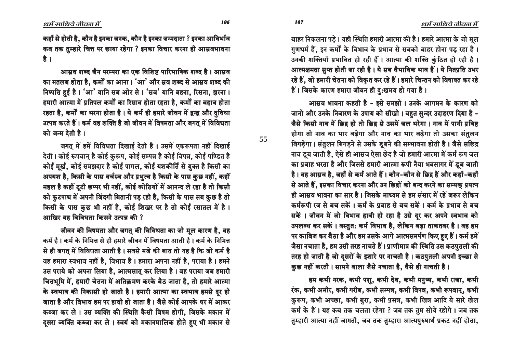बाहर निकलना पड़े। यही स्थिति हमारी आत्मा की है। हमारे आत्मा के जो मूल गुणधर्म हैं. इन कर्मों के विभाव के प्रभाव से सबको बाहर होना पड रहा है। उनकी शक्तियाँ प्रभावित हो रही हैं। आत्मा की शक्ति कुंठित हो रही है। आत्मक्षमता सुप्त होती जा रही है। ये सब वैभाविक भाव हैं। ये नितप्रति उभर रहे हैं, जो हमारी चेतना को विकृत कर रहे हैं । हमारे चिन्तन को विषाक्त कर रहे हैं। जिसके कारण हमारा जीवन ही द:खमय हो गया है।

आसव भावना कहती है - इसे समझो । उनके आगमन के कारण को जानो और उनके निवारण के उपाय को सीखो। बहुत सुन्दर उदाहरण दिया है -जैसे किसी नाव में छिद्र हो तो छिद्र से उसमें जल भरेगा। नाव में पानी प्रविष्ट होगा तो नाव का भार बढ़ेगा और नाव का भार बढ़ेगा तो उसका संतुलन बिगड़ेगा। संतुलन बिगड़ने से उसके डुबने की सम्भावना होती है। जैसे सछिद्र नाव डूब जाती है, ऐसे ही आम्रव ऐसा छेद है जो हमारी आत्मा में कर्म रूप जल का प्रवाह भरता है और जिससे हमारी आत्मा रूपी नैया भवसागर में डूब जाती है। वह आम्रव है, जहाँ से कर्म आते हैं। कौन-कौन से छिद्र हैं और कहाँ-कहाँ से आते हैं, इसका विचार करना और उन छिद्रों को बन्द करने का सम्यक् प्रयत्न ही आसव भावना का सार है। जिसके माध्यम से हम संसार में रहें जरूर लेकिन कर्मरूपी रज से बच सकें। कर्म के प्रवाह से बच सकें। कर्म के प्रभाव से बच सकें। जीवन में जो विभाव हावी हो रहा है उसे दूर कर अपने स्वभाव को उपलब्ध कर सकें । वस्तुत: कर्म विभाव है, लेकिन बड़ा ताकतवर है । वह हम पर काबिज कर बैठा है और हम उसके आगे आत्मसमर्पण किए हुए हैं। कर्म हमें जैसा नचाता है, हम उसी तरह नाचते हैं। प्राणीमात्र की स्थिति उस कठपुतली की तरह हो जाती है जो दूसरों के इशारे पर नाचती है। कठपुतली अपनी इच्छा से कुछ नहीं करती। सामने वाला जैसे नचाता है, वैसे ही नाचती है।

हम कभी नरक, कभी पशु, कभी देव, कभी मनुष्य, कभी राजा, कभी रंक, कभी अमीर, कभी गरीब, कभी सम्पन्न, कभी विपन्न, कभी रूपवान्, कभी कुरूप, कभी अच्छा, कभी बुरा, कभी प्रसन्न, कभी खिन्न आदि ये सारे खेल कर्म के हैं। यह कब तक चलता रहेगा ? जब तक तुम सोये रहोगे। जब तक  $\pi$ कारी आत्मा नहीं जागती, जब तक तुम्हारा आत्मपुरुषार्थ प्रकट नहीं होता,

106 107

**55**

कहाँ से होती है, कौन है इनका जनक, कौन है इनका जन्मदाता ? इनका आविर्भाव कब तक तुम्हारे चित्त पर छाया रहेगा ? इनका विचार करना ही आम्रवभावना है $\overrightarrow{5}$ 

आसव शब्द जैन परम्परा का एक विशिष्ट पारिभाषिक शब्द है। आस्रव का मतलब होता है, कर्मों का आना। 'आ' और स्रव शब्द से आस्रव शब्द की निष्पत्ति हुई है। 'आ' यानि सब ओर से। 'म्रव' यानि बहना, रिसना, झरना। हमारी आत्मा में प्रतिपल कर्मों का रिसाव होता रहता है, कर्मों का बहाव होता रहता है. कर्मों का भरना होता है। ये कर्म ही हमारे जीवन में द्वन्द्व और दविधा उत्पन्न करते हैं। कर्म वह शक्ति है जो जीवन में विषमता और जगत में विविधता को जन्म देती है ।

जगत् में हमें विविधता दिखाई देती है। उसमें एकरूपता नहीं दिखाई देती । कोई रूपवान् है कोई कुरूप, कोई सम्पन्न है कोई विपन्न, कोई पण्डित है कोई मूर्ख, कोई समझदार है कोई पागल, कोई यशकीर्ति से युक्त है किसी का आपयश है, किसी के पास वर्चस्व और प्रभुत्व है किसी के पास कुछ नहीं, कहीं महल है कहीं टूटी छप्पर भी नहीं, कोई कोठियों में आनन्द ले रहा है तो किसी को फुटपाथ में अपनी जिंदगी बितानी पड़ रही है, किसी के पास सब कुछ है तो किसी के पास कुछ भी नहीं है, कोई शिखर पर है तो कोई रसातल में है।  $\overline{x}$ भाखिर यह विविधता किसने उत्पन्न की ?

जीवन की विषमता और जगत् की विविधता का जो मूल कारण है. वह कर्म है । कर्म के निमित्त से ही हमारे जीवन में विषमता आती है । कर्म के निमित्त से ही जगत में विविधता आती है। सबसे मजे की बात तो यह है कि जो कर्म है वह हमारा स्वभाव नहीं है, विभाव है। हमारा अपना नहीं है, पराया है। हमने उस पराये को अपना लिया है, आत्मसात् कर लिया है। वह पराया जब हमारी चित्तभूमि में, हमारी चेतना में अतिक्रमण करके बैठ जाता है, तो हमारे आत्मा के स्वभाव की निकासी हो जाती है। हमारी आत्मा का स्वभाव हमसे दर हो जाता है और विभाव हम पर हावी हो जाता है। जैसे कोई आपके घर में आकर कब्जा कर ले। उस व्यक्ति की स्थिति कैसी विषम होगी, जिसके मकान में दुसरा व्यक्ति कब्जा कर ले। स्वयं को मकानमालिक होते हुए भी मकान से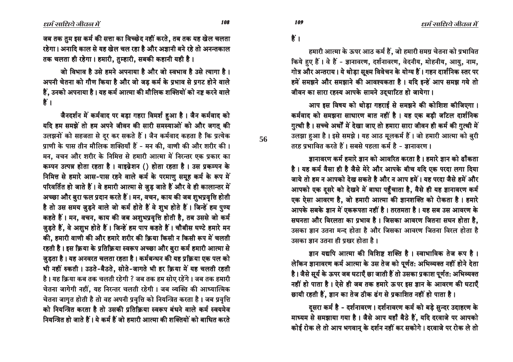जब तक तुम इस कर्म की सत्ता का विच्छेद नहीं करते, तब तक यह खेल चलता रहेगा। अनादि काल से यह खेल चल रहा है और अज्ञानी बने रहे तो अनन्तकाल तक चलता ही रहेगा। हमारी, तुम्हारी, सबकी कहानी यही है।

जो विभाव है उसे हमने अपनाया है और जो स्वभाव है उसे त्यागा है। अपनी चेतना को गौण किया है और जो जड कर्म के प्रभाव से प्रगट होने वाले हैं, उनको अपनाया है। यह कर्म आत्मा की मौलिक शक्तियों को नष्ट करने वाले ै $\ddot{\vec{r}}$  ।

जैनदर्शन में कर्मवाद पर बड़ा गहरा विमर्श हुआ है। जैन कर्मवाद को यदि हम समझें तो हम अपने जीवन की सारी समस्याओं को और जगत् की उलझनों को सहजता से दूर कर सकते हैं। जैन कर्मवाद कहता है कि प्रत्येक प्राणी के पास तीन मौलिक शक्तियाँ हैं - मन की, वाणी की और शरीर की। मन, वचन और शरीर के निमित्त से हमारी आत्मा में निरन्तर एक प्रकार का कम्पन उत्पन्न होता रहता है। वाइव्रेशन () होता रहता है। उस प्रकम्पन के निमित्त से हमारे आस-पास रहने वाले कर्म के परमाणु समूह कर्म के रूप में परिवर्तित हो जाते हैं। वे हमारी आत्मा से जुड़ जाते हैं और वे ही कालान्तर में अच्छा और बुरा फल प्रदान करते हैं। मन, वचन, काय की जब शुभप्रवृत्ति होती है तो उस समय ज़ुड़ने वाले जो कर्म होते हैं वे शुभ होते हैं। जिन्हें हम पुण्य कहते हैं। मन, वचन, काय की जब अशुभप्रवृत्ति होती है, तब उससे जो कर्म जुड़ते हैं, वे अशुभ होते हैं। जिन्हें हम पाप कहते हैं। चौबीस घण्टे हमारे मन की, हमारी वाणी की और हमारे शरीर की क्रिया किसी न किसी रूप में चलती रहती है। इस क्रिया के प्रतिक्रिया स्वरूप अच्छा और बुरा कर्म हमारी आत्मा से जुड़ता है। यह अनवरत चलता रहता है। कर्मबन्धन की यह प्रक्रिया एक पल को भी नहीं रुकती । उठते-बैठते, सोते-जागते भी हर क्रिया में यह चलती रहती है। यह क्रिया कब तक चलती रहेगी ? जब तक हम सोए रहेंगे। जब तक हमारी चेतना जागेगी नहीं, यह निरन्तर चलती रहेगी । जब व्यक्ति की आध्यात्मिक चेतना जागृत होती है तो वह अपनी प्रवृत्ति को नियन्त्रित करता है। जब प्रवृत्ति को नियन्त्रित करता है तो उसकी प्रतिक्रिया स्वरूप बंधने वाले कर्म स्वयमेव नियन्त्रित हो जाते हैं । ये कर्म हैं जो हमारी आत्मा की शक्तियों को बाधित करते

 $\frac{2}{5}$ ।

हमारी आत्मा के ऊपर आठ कर्म हैं, जो हमारी समग्र चेतना को प्रभावित किये हुए हैं। वे हैं - ज्ञानावरण, दर्शनावरण, वेदनीय, मोहनीय, आयु, नाम, गोत्र और अन्तराय। ये थोड़ा सूक्ष्म विवेचन के योग्य हैं। गहन दार्शनिक स्तर पर हमें समझने और समझाने की आवश्यकता है। यदि इन्हें आप समझ गये तो जीवन का सारा रहस्य आपके सामने उदघाटित हो जायेगा।

आप इस विषय को थोडा गहराई से समझने की कोशिश कीजिएगा। कर्मवाद को समझना साधारण बात नहीं है। यह एक बड़ी जटिल दार्शनिक ग़ुत्थी है। सच्चे अर्थों में देखा जाए तो हमारा सारा जीवन ही कर्म की ग़ुत्थी में उलझा हुआ है। इसे समझे। यह आठ मूलकर्म हैं। जो हमारी आत्मा को बुरी तरह प्रभावित करते हैं। सबसे पहला कर्म है - ज्ञानावरण ।

जानावरण कर्म हमारे जान को आवरित करता है। हमारे जान को ढाँकता है। यह कर्म वैसा ही है जैसे मेरे और आपके बीच यदि एक परदा लगा दिया जाये तो हम न आपको देख सकते है और न आप हमें। यह परदा जैसे हमें और आपको एक दूसरे को देखने में बाधा पहुँचाता है, वैसे ही यह ज्ञानावरण कर्म एक ऐसा आवरण है, जो हमारी आत्मा की ज्ञानशक्ति को रोकता है। हमारे आपके सबके ज्ञान में एकरूपता नहीं है। तरतमता है। यह सब उस आवरण के सघनता और विरलता का प्रभाव है। जिसका आवरण जितना सघन होता है, उसका ज्ञान उतना मन्द होता है और जिसका आवरण जितना विरल होता है उसका ज्ञान उतना ही प्रखर होता है ।

जान यद्यपि आत्मा की विशिष्ट शक्ति है। स्वाभाविक तेज रूप है। लेकिन ज्ञानावरण कर्म आत्मा के उस तेज को पूर्णत: अभिव्यक्त नहीं होने देता है। जैसे सूर्य के ऊपर जब घटाएँ छा जाती हैं तो उसका प्रकाश पूर्णत: अभिव्यक्त नहीं हो पाता है। ऐसे ही जब तक हमारे ऊपर इस ज्ञान के आवरण की घटाएँ छायी रहती हैं, ज्ञान का तेज ठीक ढंग से प्रकाशित नहीं हो पाता है।

दुसरा कर्म है - दर्शनावरण । दर्शनावरण कर्म को बड़े सुन्दर उदाहरण के माध्यम से समझाया गया है। जैसे आप यहाँ बैठे हैं, यदि दरवाजे पर आपको कोई रोक ले तो आप भगवान् के दर्शन नहीं कर सकोगे। दरवाजे पर रोक ले तो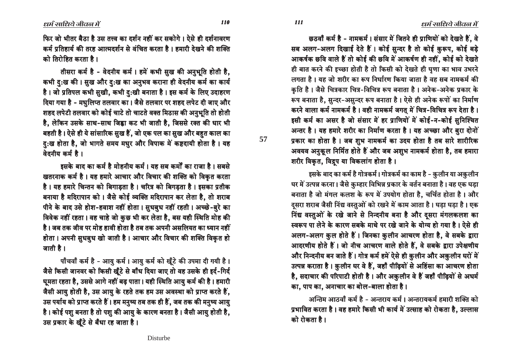छठवाँ कर्म है - नामकर्म। संसार में जितने ही प्राणियों को देखते हैं, वे सब अलग-अलग दिखाई देते हैं। कोई सुन्दर है तो कोई कुरूप, कोई बड़े आकर्षक छवि वाले हैं तो कोई की छवि में आकर्षण ही नहीं, कोई को देखते ही बात करने की इच्छा होती है तो किसी को देखते ही घृणा का भाव उभरने लगता है। यह जो शरीर का रूप निर्धारण किया जाता है वह सब नामकर्म की कृति है। जैसे चित्रकार चित्र-विचित्र रूप बनाता है। अनेक-अनेक प्रकार के रूप बनाता है, सुन्दर-असुन्दर रूप बनाता है। ऐसे ही अनेक रूपों का निर्माण करने वाला कर्म नामकर्म है। वही नामकर्म जगत् में चित्र-विचित्र रूप देता है। इसी कर्म का असर है जो संसार में हर प्राणियों में कोई-न-कोई सनिश्चित अन्तर है। यह हमारे शरीर का निर्माण करता है। यह अच्छा और बुरा दोनों प्रकार का होता है। जब शुभ नामकर्म का उदय होता है तब सारे शारीरिक अवयव अनुकूल निर्मित होते हैं और जब अशुभ नामकर्म होता है, तब हमारा शरीर विकृत, विद्रुप या विकलांग होता है।

इसके बाद का कर्म है गोत्रकर्म । गोत्रकर्म का काम है - क़ुलीन या अक़ुलीन घर में उत्पन्न करना। जैसे कुम्हार विभिन्न प्रकार के वर्तन बनाता है। वह एक घड़ा बनाता है जो मंगल कलश के रूप में उपयोग होता है, चर्चित होता है। और दुसरा शराब जैसी निंद्य वस्तुओं को रखने में काम आता है। घड़ा घड़ा है। एक निंद्य वस्तुओं के रखे जाने से निन्दनीय बना है और दुसरा मंगलकलश का स्वरूप पा लेने के कारण सबके माथे पर रखे जाने के योग्य हो गया है। ऐसे ही आलग-अलग कुल होते हैं। जिनका कुलीन आचरण होता है, वे सबके द्वारा आदरणीय होते हैं। जो नीच आचरण वाले होते हैं, वे सबके द्वारा उपेक्षणीय और निन्दनीय बन जाते हैं। गोत्र कर्म हमें ऐसे ही कुलीन और अकुलीन घरों में उत्पन्न कराता है। कुलीन घर वे हैं, जहाँ पीढ़ियों से अहिंसा का आचरण होता है, सदाचार की परिपाटी होती है। और अकुलीन वे हैं जहाँ पीढ़ियों से अधर्म का, पाप का, अनाचार का बोल-बाला होता है।

अन्तिम आठवाँ कर्म है - अन्तराय कर्म । अन्तरायकर्म हमारी शक्ति को प्रभावित करता है। वह हमारे किसी भी कार्य में उत्साह को रोकता है, उल्लास को रोकता है ।

फिर जो भीतर बैठा है उस तत्त्व का दर्शन नहीं कर सकोगे। ऐसे ही दर्शनावरण कर्म प्रतिहार्य की तरह आत्मदर्शन से वंचित करता है। हमारी देखने की शक्ति को तिरोहित करता है ।

तीसरा कर्म है - वेदनीय कर्म। हमें कभी सुख की अनुभूति होती है, कभी द:ख की । सुख और द:ख का अनुभव कराना ही वेदनीय कर्म का कार्य है। जो प्रतिपल कभी सुखी, कभी दु:खी बनाता है। इस कर्म के लिए उदाहरण दिया गया है - मधुलिप्त तलवार का। जैसे तलवार पर शहद लपेट दी जाए और ञ्चहद लपेटी तलवार को कोई चाटे तो चाटते वक्त मिठास की अनुभति तो होती है, लेकिन उसके साथ-साथ जिह्वा कट भी जाती है, जिससे रक्त की धार भी बहती है। ऐसे ही ये सांसारिक सुख हैं, जो एक पल का सुख और बहुत काल का हु:⁄ख होता है, जो भागते समय मधुर और विपाक में कष्टदायी होता है। यह वेदनीय कर्म है।

हसके बाद का कर्म है मोहनीय कर्म । यह सब कर्मों का राजा है । सबसे ⊽खतरनाक कर्म है। यह हमारे आचार और विचार की शक्ति को विकृत करता है। यह हमारे चिन्तन को बिगाडता है। चरित्र को बिगडता है। इसका प्रतीक बनाया है मदिरापान को । जैसे कोई व्यक्ति मदिरापान कर लेता है, तो शराब पीने के बाद उसे होश-हवाश नहीं होता। सुधबुध नहीं रहती। अच्छे-बुरे का विवेक नहीं रहता। वह चाहे जो कुछ भी कर लेता है, बस यही स्थिति मोह की है। जब तक जीव पर मोह हावी होता है तब तक अपनी असलियत का ध्यान नहीं होता । अपनी सुधबुध खो जाती है । आचार और विचार की शक्ति विकृत हो जाती है।

र्गौचवाँ कर्म है - आयु कर्म । आयु कर्म को खूँटे की उपमा दी गयी है । जैसे किसी जानवर को किसी खूँटे से बाँध दिया जाए तो वह उसके ही इर्द-गिर्द घूमता रहता है, उससे आगे नहीं बढ़ पाता। यही स्थिति आयु कर्म की है। हमारी जैसी आयु होती है, उस आयु के रहते तक हम उस अवस्था को प्राप्त करते हैं, उस पर्याय को प्राप्त करते हैं। हम मनुष्य तब तक ही हैं, जब तक की मनुष्य आयु है। कोई पशु बनता है तो पशु की आयु के कारण बनता है। जैसी आयु होती है, उस प्रकार के खूँटे से बँधा रह जाता है।

 $\frac{110}{111}$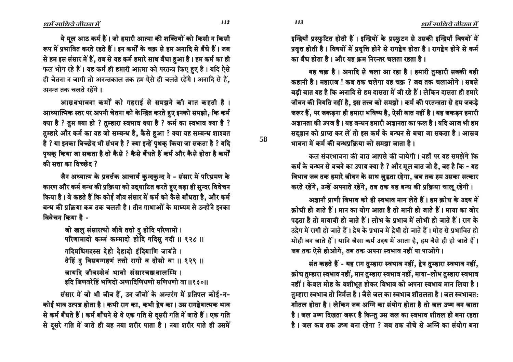इन्द्रियाँ प्रस्फुटित होती हैं। इन्द्रियों के प्रस्फुटन से उसकी इन्द्रियाँ विषयों में प्रवृत्त होती है। विषयों में प्रवृत्ति होने से रागद्वेष होता है। रागद्वेष होने से कर्म का बँध होता है । और यह कम निरन्तर चलता रहता है ।

यह चक्र है। अनादि से चला आ रहा है। हमारी तुम्हारी सबकी यही कहानी है। महाराज ! कब तक चलेगा यह चक ? जब तक चलाओगे। सबसे बड़ी बात यह है कि अनादि से हम दासता में जी रहे हैं। लेकिन दासता ही हमारे जीवन की नियति नहीं है, इस तत्त्व को समझो। कर्म की परतन्त्रता से हम जकड़े जरूर हैं. पर जकडना ही हमारा भविष्य है. ऐसी बात नहीं है। यह जकडन हमारी अज्ञानता की उपज है। यह बन्धन हमारी अज्ञानता का फल है। यदि आज भी हम सदुज्ञान को प्राप्त कर लें तो इस कर्म के बन्धन से बचा जा सकता है। आस्रव भावना में कर्म की बन्धप्रक्रिया को समझा जाता है।

कल संवरभावना की बात आपसे की जायेगी। वहाँ पर यह समझेंगे कि कर्म के बन्धन से बचने का उपाय क्या है ? और मूल बात जो है, वह है कि - यह विभाव जब तक हमारे जीवन के साथ जुड़ता रहेगा, जब तक हम उसका सत्कार करते रहेंगे, उन्हें अपनाते रहेंगे, तब तक यह बन्ध की प्रक्रिया चालू रहेगी।

अज्ञानी प्राणी विभाव को ही स्वभाव मान लेते हैं। हम कोध के उदय में क्रोधी हो जाते हैं। मान का योग आता है तो मानी हो जाते हैं। माया का जोर पड़ता है तो मायावी हो जाते हैं। लोभ के प्रभाव में लोभी हो जाते हैं। राग के उद्वेग में रागी हो जाते हैं। द्रेष के प्रभाव में द्रेषी हो जाते हैं। मोह से प्रभावित हो मोही बन जाते हैं। यानि जैसा कर्म उदय में आता है, हम वैसे ही हो जाते हैं। जब तक ऐसे होओगे, तब तक अपना स्वभाव नहीं पा पाओगे।

संत कहते हैं - यह राग तुम्हारा स्वभाव नहीं, द्वेष तुम्हारा स्वभाव नहीं, क्रोध तुम्हारा स्वभाव नहीं, मान तुम्हारा स्वभाव नहीं, माया-लोभ तुम्हारा स्वभाव नहीं। केवल मोह के वशीभूत होकर विभाव को अपना स्वभाव मान लिया है। तुम्हारा स्वभाव तो निर्मल है। जैसे जल का स्वभाव शीतलता है। जल स्वभावत: शीतल होता है। लेकिन जब अग्नि का संयोग होता है तो जल उष्ण बन जाता है। जल उष्ण दिखता जरूर है किन्तु उस जल का स्वभाव शीतल ही बना रहता है। जल कब तक उष्ण बना रहेगा ? जब तक नीचे से अग्नि का संयोग बना

ये मूल आठ कर्म हैं। जो हमारी आत्मा की शक्तियों को किसी न किसी रूप में प्रभावित करते रहते हैं। इन कर्मों के चक्र से हम अनादि से बँधे हैं। जब से हम इस संसार में हैं, तब से यह कर्म हमारे साथ बँधा हुआ है। हम कर्म का ही फल भोग रहे हैं। यह कर्म ही हमारी आत्मा को परतन्त्र किए हुए है। यदि ऐसे

ही चेतना न जागी तो अनन्तकाल तक हम ऐसे ही चलते रहेंगे। अनादि से हैं. अनन्त तक चलते रहेंगे।

आस्रवभावना कर्मों को गहराई से समझने की बात कहती है। आध्यात्मिक स्तर पर अपनी चेतना को केन्द्रित करते हुए इनको समझो, कि कर्म क्या है ? तुम क्या हो ? तुम्हारा स्वभाव क्या है ? कर्म का स्वभाव क्या है ? तुम्हारे और कर्म का यह जो सम्बन्ध है, कैसे हुआ ? क्या यह सम्बन्ध शाश्वत है ? या इनका विच्छेद भी संभव है ? क्या इन्हें पृथक् किया जा सकता है ? यदि पृथक किया जा सकता है तो कैसे ? कैसे बँधते हैं कर्म और कैसे होता है कर्मों की सत्ता का विच्छेट ?

जैन अध्यात्म के प्रवर्त्तक आचार्य कुन्दकुन्द ने - संसार में परिभ्रमण के कारण और कर्म बन्ध की प्रक्रिया को उद्घाटित करते हुए बड़ा ही सुन्दर विवेचन किया है। वे कहते हैं कि कोई जीव संसार में कर्म को कैसे बाँधता है, और कर्म बन्ध की प्रक्रिया कब तक चलती है। तीन गाथाओं के माध्यम से उन्होंने इनका विवेचन किया है -

> जो खलु संसारत्थो जीवे तत्तो दु होदि परिणामो । परिणामादो कम्मं कम्मादो होदि गदिसु गदी ॥ १२८ ॥ गदिमधिगदस्स देहो देहादो इंदियाणि जायंते । तेहिं दु विसयग्गहणं तत्तो रागो व दोसो वा ॥ १२९ ॥ जायदि जीवस्सेवं भावो संसारचक्कवालम्मि । इदि जिणवरेहिं भणिदो अणादिणिधणो सणिधणो वा ।।१३०।।

संसार में जो भी जीव हैं, उन जीवों के अन्तरंग में प्रतिपल कोई-न-कोई भाव उत्पन्न होता है। कभी राग का, कभी द्वेष का। उस रागद्वेषात्मक भाव से कर्म बँधते हैं। कर्म बाँधने से वे एक गति से दूसरी गति में जाते हैं। एक गति से दूसरे गति में जाते ही वह नया शरीर पाता है। नया शरीर पाते ही उसमें 58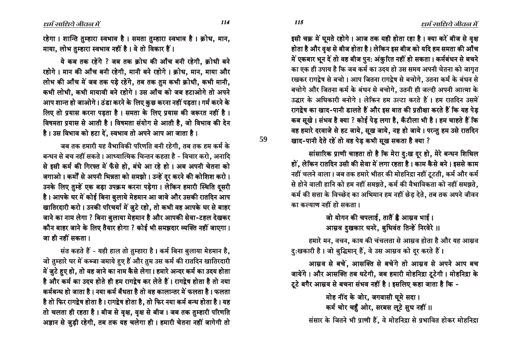$\ell$ धर्म साधिये जीवल में

इसी चक्र में घूमते रहोगे। आज तक यही होता रहा है। क्या करें बीज से वृक्ष होता है और वृक्ष से बीज होता है। लेकिन इस बीज को यदि हम समता की आँच में एकबार भून दें तो वह बीज पुन: अंकुरित नहीं हो सकता। कर्मबंधन से बचने का एक ही उपाय है कि जब कर्म का उदय हो उस समय अपनी चेतना को जाग<u>ु</u>त रखकर रागद्वेष से बचो । आप जितना रागद्वेष से बचोगे. उतना कर्म के बंधन से बचोगे और जितना कर्म के बंधन से बचोगे, उतनी ही जल्दी अपनी आत्मा के उद्धार के अधिकारी बनोगे । लेकिन हम उल्टा करते हैं । हम रातदिन उसमें रागद्वेष का खाद-पानी डालते हैं और इस बात की प्रतीक्षा करते हैं कि यह पेड कब सुखे । संभव है क्या ? कोई पेड़ लगा है, कँटीला भी है । हम चाहते हैं कि वह हमारे दरवाजे से हट जाये, सूख जाये, नष्ट हो जाये। परन्तु हम उसे रातदिन *खाद-पानी देते रहें तो वह पेड़ कभी सुख सकता है क्या ?* 

सांसारिक प्राणी चाहता तो है कि मेरा दु:ख दूर हो, मेरे बन्धन शिथिल हों, लेकिन रातदिन उसी की सेवा में लगा रहता है। काम कैसे बने। इससे काम नहीं चलने वाला। जब तक हमारे भीतर की मोहनिद्रा नहीं टूटती, कर्म और कर्म से होने वाली हानि को हम नहीं समझते, कर्म की वैभाविकता को नहीं समझते, कर्म की सत्ता के विच्छेद का अभिमान हम नहीं छेड़ देते, तब तक अपने जीवन <u>का कल्याण नहीं हो सकता ।</u>

> जो योगन की चपलाई, तातैं है आस्रव भाई । आम्रव दुखकार घनरे, बुधिवंत तिन्हें निरवेरे ॥

हमारे मन, वचन, काय की चंचलता से आम्रव होता है और यह आम्रव <u>दु</u>:खकारी है। जो बुद्धिमान् हैं, वे उस आम्रव को दूर करते हैं।

आम्रव से बचें, आसक्ति से बचेंगे तो आम्रव से अपने आप बच जायेंगे। और आसक्ति तब घटेगी, जब हमारी मोहनिद्रा टूटेगी। मोहनिद्रा के टूटे बगैर आस्रव से बचना संभव नहीं है। इसलिए कहा जाता है कि -

hद नींद के जोर, जगवासी घूमे सदा। कर्म चोर चहुँ ओर, सरबस लुटे सुध नहीं ॥ संसार के जितने भी प्राणी हैं, वे मोहनिद्रा से प्रभावित होकर मोहनिद्रा

रहेगा। शान्ति तुम्हारा स्वभाव है। समता तुम्हारा स्वभाव है। क्रोध, मान, माया, लोभ तुम्हारा स्वभाव नहीं है। वे तो विकार हैं।

ये कब तक रहेंगे ? जब तक क्रोध की आँच बनी रहेगी. क्रोधी बने रहोगे। मान की आँच बनी रहेगी, मानी बने रहोगे। क्रोध, मान, माया और लोभ की आँच में जब तक पड़े रहेंगे, तब तक तुम कभी क्रोधी, कभी मानी, कभी लोभी, कभी मायावी बने रहोगे। उस आँच को जब हटाओगे तो अपने आप शान्त हो जाओगे। ठंडा करने के लिए कुछ करना नहीं पड़ता। गर्म करने के लिए तो प्रयास करना पडता है। समता के लिए प्रयास की जरूरत नहीं है। विषमता प्रयास से आती है। विषमता संयोग से आती है, जो विभाव की देन है। उस विभाव को हटा दें, स्वभाव तो अपने आप आ जाता है।

जब तक हमारी यह वैभाविकी परिणति बनी रहेगी, तब तक हम कर्म के बन्धन से बच नहीं सकते। आध्यात्मिक चिन्तन कहता है - विचार करो, अनादि से इसी कर्म की गिरफ्त में फँसे हो, बंधे आ रहे हो। अब अपनी चेतना को जगाओ । कर्मों से अपनी भिन्नता को समझो । उन्हें दर करने की कोशिश करो । उनके लिए तुम्हें एक बड़ा उपक्रम करना पड़ेगा। लेकिन हमारी स्थिति दसरी है। आपके घर में कोई बिना बुलाये मेहमान आ जावे और उसकी रातदिन आप ⁄ खातिरदारी करो। उनकी परिचर्या में जुटे रहो, तो कभी वह आपके घर से बाहर जाने का नाम लेगा ? बिना बुलाया मेहमान है और आपकी सेवा-टहल देखकर कौन बाहर जाने के लिए तैयार होगा ? कोई भी समझदार व्यक्ति नहीं जाएगा। जा ही नहीं सकता ।

संत कहते हैं - यही हाल तो तुम्हारा है। कर्म बिना बुलाया मेहमान है, जो तुम्हारे घर में कब्जा जमाये हुए हैं और तुम उस कर्म की रातदिन खातिरदारी में जुटे हुए हो, तो वह जाने का नाम कैसे लेगा। हमारे अन्दर कर्म का उदय होता है और कर्म का उदय होते ही हम रागद्रेष कर लेते हैं । रागद्रेष होता है तो नया कर्मबन्ध हो जाता है । नया कर्म बँधता है तो वह कालान्तर में फलता है । फलता है तो फिर रागद्वेष होता है । रागद्वेष होता है, तो फिर नया कर्म बन्ध होता है । यह तो चलता ही रहता है। बीज से वृक्ष, वृक्ष से बीज। जब तक तुम्हारी परिणति अज्ञान से जुड़ी रहेगी, तब तक यह चलेगा ही। हमारी चेतना नहीं जागेगी तो

 $114$   $115$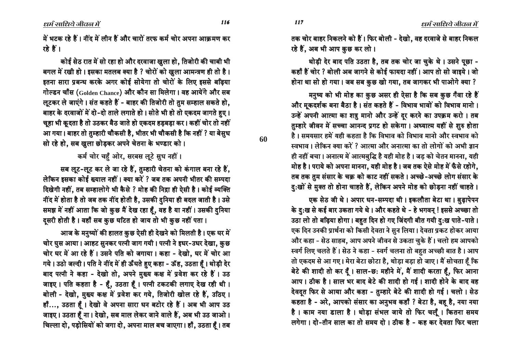116

60

**117** 

तक चोर बाहर निकलने को हैं। फिर बोली - देखो. वह दरवाजे से बाहर निकल रहे हैं, अब भी आप कुछ कर लो।

थोडी देर बाद पति उठता है. तब तक चोर जा चुके थे। उसने पूछा -कहाँ हैं चोर ? बोली अब जागने से कोई फायदा नहीं। आप तो सो जाइये। जो होना था सो हो गया। जब सब कुछ खो गया, तब जागकर भी पाओगे क्या ?

मनुष्य को भी मोह का कुछ असर ही ऐसा है कि सब कुछ गैंवा रहे हैं और मूकदर्शक बना बैठा है। संत कहते हैं - विभाव भावों को विभाव मानो। उन्हें अपनी आत्मा का शत्रु मानो और उन्हें दर करने का उपक्रम करो। तब तुम्हारे जीवन में सच्चा आनन्द प्रगट हो सकेगा। अध्यात्म यहीं से शुरु होता है। समयसार हमें यही कहता है कि विभाव को विभाव मानो और स्वभाव को स्वभाव । लेकिन क्या करें ? आत्मा और अनात्मा का तो लोगों को अभी ज्ञान ही नहीं बचा। अनात्म में आत्मबुद्धि है यही मोह है। जड़ को चेतन मानना, यही मोह है। पराये को अपना मानना, यही मोह है। जब तक ऐसे मोह में फँसे रहोगे, तब तक तुम संसार के चक्र को काट नहीं सकते। अच्छे-अच्छे लोग संसार के दु:खों से मुक्त तो होना चाहते हैं, लेकिन अपने मोह को छोड़ना नहीं चाहते।

एक सेठ जी थे। अपार धन-सम्पदा थी। इकलौता बेटा था। बुढापेपन के दु:ख से कई बार उकता गये थे। और कहते थे - हे भगवन् ! इससे अच्छा तो उठा लो तो बढ़िया होगा। बहुत दिन हो गए जिंदगी बीत गयी दु:ख पाते-पाते। एक दिन उनकी प्रार्थना को किसी देवता ने सुन लिया। देवता प्रकट होकर आया और कहा - सेठ साहब, आप अपने जीवन से उकता चुके हैं। चलो हम आपको स्वर्ग लिए चलते हैं। सेठ ने कहा - स्वर्ग चलना तो बहुत अच्छी बात है। आप तो एकदम से आ गए। मेरा बेटा छोटा है, थोड़ा बड़ा हो जाए। मैं सोचता हूँ कि बेटे की शादी तो कर दूँ। साल-छ: महीने में, मैं शादी करता हूँ, फिर आना आप। ठीक है। साल भर बाद बेटे की शादी हो गई। शादी होने के बाद वह देवदत फिर से आया और कहा - तुम्हारे बेटे की शादी हो गई। चलो। सेठ कहता है - अरे, आपको संसार का अनुभव कहाँ ? बेटा है, बह है, नया नया है। काम नया डाला है। थोड़ा संभल जाये तो फिर चलूँ। कितना समय लगेगा। दो-तीन साल का तो समय दो। ठीक है - कह कर देवता फिर चला

में भटक रहे हैं। नींद में लीन हैं और चारों तरफ कर्म चोर अपना आक्रमण कर रहे हैं ।

कोई सेठ रात में सो रहा हो और दरवाजा खुला हो. तिजोरी की चाबी भी बगल में रखी हो। इसका मतलब क्या है ? चोरों को खुला आमन्त्रण ही तो है। इतना सारा प्रबन्ध करके अगर कोई सोयेगा तो चोरों के लिए इससे बढिया गोल्डन चाँस (Golden Chance) और कौन सा मिलेगा। वह आयेंगे और सब लुटकर ले जाएंगे। संत कहते हैं - बाहर की तिजोरी तो तुम सम्हाल सकते हो, बाहर के दरवाजों में दो-दो ताले लगाते हो। सोते भी हो तो एकदम जागते हुए। चूहा भी कूदता है तो उठकर बैठ जाते हो एकदम हड़बड़ा कर। कहीं चोर तो नहीं आ गया। बाहर तो तुम्हारी चौकसी है, भीतर भी चौकसी है कि नहीं ? या बेसुध सो रहे हो, सब खुला छोड़कर अपने चेतना के भण्डार को।

कर्म चोर चहँ ओर, सरबस लूटे सुध नहीं।

सब लूट-लूट कर ले जा रहे हैं, तुम्हारी चेतना को कंगाल बना रहे हैं, लेकिन इसका कोई ख्याल नहीं। क्या करें ? जब तक अपनी भीतर की सम्पदा दिखेगी नहीं, तब सम्हालोगे भी कैसे ? मोह की निद्रा ही ऐसी है। कोई व्यक्ति नींद में होता है तो जब तक नींद होती है, उसकी दुनिया ही बदल जाती है। उसे समझ में नहीं आता कि जो कुछ मैं देख रहा हूँ, वह है या नहीं। उसकी दुनिया दसरी होती है। वहाँ सब कुछ घटित हो जाय तो भी कुछ नहीं पता।

आज के मनुष्यों की हालत कुछ ऐसी ही देखने को मिलती है। एक घर में चोर घुस आया। आहट सुनकर पत्नी जाग गयी। पत्नी ने इधर-उधर देखा, कुछ चोर घर में आ रहे हैं। उसने पति को जगाया। कहा - देखो, घर में चोर आ गये। उठो जल्दी। पति ने नींद में ही ऊँघते हुए कहा - ऊँह, उठता हैं। थोड़ी देर बाद पत्नी ने कहा - देखो तो, अपने मुख्य कक्ष में प्रवेश कर रहे हैं। उठ जाइए। पति कहता है - हैं, उठता हैं। पत्नी टकटकी लगाए देख रही थी। बोली - देखो, मुख्य कक्ष में प्रवेश कर गये, तिजोरी खोल रहे हैं, उठिए । हाँ..., उठता हैं। देखो वे अपना सारा धन बटोर रहे हैं। अब भी आप उठ जाइए। उठता हैं ना। देखो, सब माल लेकर जाने वाले हैं, अब भी उठ जाओ। चिल्ला दो, पड़ोसियों को जगा दो, अपना माल बच जाएगा। हाँ, उठता हूँ। तब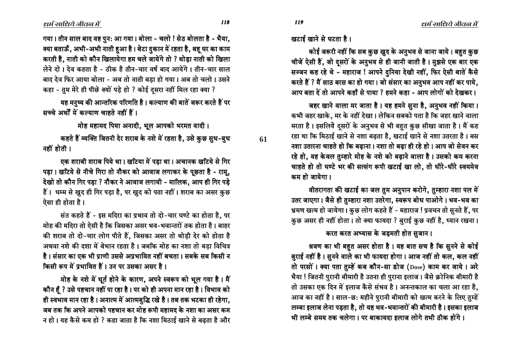61

गया। तीन साल बाद वह पुन: आ गया। बोला - चलो ! सेठ बोलता है - भैया, क्या बताऊँ, अभी-अभी नाती हुआ है। बेटा दुकान में रहता है, बहु घर का काम करती है, नाती को कौन खिलायेगा हम चले जायेंगे तो ? थोड़ा नाती को खिला लेने दो। देव कहता है - ठीक है तीन-चार वर्ष बाद आयेंगे। तीन-चार साल बाद देव फिर आया बोला - अब तो नाती बडा हो गया। अब तो चलो। उसने कहा - तुम मेरे ही पीछे क्यों पड़े हो ? कोई दूसरा नहीं मिल रहा क्या ?

यह मनुष्य की आन्तरिक परिणति है। कल्याण की बातें जरूर करते हैं पर सच्चे अर्थों में कल्याण चाहते नहीं हैं।

मोह महामद पिया अनादी, भूल आपको भरमत वादी।

कहते हैं व्यक्ति जितनी देर शराब के नशे में रहता है, उसे कुछ सुध-बुध नहीं होती ।

एक शराबी शराब पिये था। खटिया में पड़ा था। अचानक खटिये से गिर पड़ा। खटिये से नीचे गिरा तो नौकर को आवाज लगाकर के पूछता है - रामू, देखो तो कौन गिर पड़ा ? नौकर ने आवाज लगायी - मालिक, आप ही गिर पड़े हैं। धम्म से खुद ही गिर पड़ा है, पर खुद को पता नहीं। शराब का असर कुछ ऐसा ही होता है।

संत कहते हैं - इस मदिरा का प्रभाव तो दो-चार घण्टे का होता है. पर मोह की मदिरा तो ऐसी है कि जिसका असर भव-भवान्तरों तक होता है। बाहर की शराब तो दो-चार लोग पीते हैं, जिसका असर तो थोड़ी देर को होता है अथवा नशे की दशा में बेभान रहता है। जबकि मोह का नशा तो बड़ा विचित्र है। संसार का एक भी प्राणी उससे अप्रभावित नहीं बचता। सबके सब किसी न किसी रूप में प्रभावित हैं। उन पर उसका असर है।

मोह के नशे में धूर्त होने के कारण, अपने स्वरूप को भूल गया है। मैं कौन हैं ? उसे पहचान नहीं पा रहा है। पर को ही अपना मान रहा है। विभाव को ही स्वभाव मान रहा है। अनात्म में आत्मबुद्धि रखे है। तब तक भटका ही रहेगा, जब तक कि अपने आपको पहचान कर मोह रूपी महामद के नशा का असर कम न हो। यह कैसे कम हो ? कहा जाता है कि नशा मिठाई खाने से बढ़ता है और खटाई खाने से घटता है।

**119** 

कोई जरूरी नहीं कि सब कुछ खुद के अनुभव से जाना जाये। बहुत कुछ चीजें ऐसी हैं, जो दूसरों के अनुभव से ही जानी जाती है। मुझसे एक बार एक सज्जन कह रहे थे - महाराज ! आपने दुनिया देखी नहीं, फिर ऐसी बातें कैसे करते हैं ? मैं साठ बरस का हो गया। जो संसार का अनुभव आप नहीं कर पाये, आप बता दें तो आपने कहाँ से पाया ? हमने कहा - आप लोगों को देखकर।

जहर खाने वाला मर जाता है। यह हमने सुना है, अनुभव नहीं किया। कभी जहर खाके, मर के नहीं देखा। लेकिन सबको पता है कि जहर खाने वाला मरता है। इसलिये दूसरों के अनुभव से भी बहुत कुछ सीखा जाता है। मैं कह रहा था कि मिठाई खाने से नशा बढ़ता है, खटाई खाने से नशा उतरता है। बस नशा उतारना चाहते हो कि बढ़ाना। नशा तो बढ़ा ही रहे हो। आप जो सेवन कर रहे हो, वह केवल तुम्हारे मोह के नशे को बढ़ाने वाला है। उसको कम करना चाहते हो तो घण्टे भर की सत्संग रूपी खटाई खा लो, तो धीरे-धीरे स्वयमेव कम हो जायेगा ।

वीतरागता की खटाई का जल तुम अनुपान करोगे, तुम्हारा नशा पल में उतर जाएगा। जैसे ही तुम्हारा नशा उतरेगा, स्वरूप बोध पाओगे। भव-भव का भ्रमण खत्म हो जायेगा। कुछ लोग कहते हैं - महाराज! प्रवचन तो सुनते हैं, पर कुछ असर ही नहीं होता। तो क्या फायदा ? बुराई कुछ नहीं है, ध्यान रखना।

#### करत करत अभ्यास के जड़मती होत सुजान।

श्रवण का भी बहुत असर होता है। यह बात सच है कि सुनने से कोई बुराई नहीं है। सुनने वाले का भी फायदा होगा। आज नहीं तो कल, कल नहीं तो परसों । क्या पता तुम्हें कब कौन-सा डोज (Dose) काम कर जाये । अरे भैया ! जितनी पुरानी बीमारी है उतना ही पुराना इलाज। जैसे क्रोनिक बीमारी है तो उसका एक दिन में इलाज कैसे संभव है। अनन्तकाल का चला आ रहा है, आज का नहीं है। साल-छ: महीने पुरानी बीमारी को खत्म करने के लिए तुम्हें लम्बा इलाज लेना पड़ता है, तो यह भव-भवान्तरों की बीमारी है। इसका इलाज भी लम्बे समय तक चलेगा। पर बाकायदा इलाज लोगे तभी ठीक होंगे।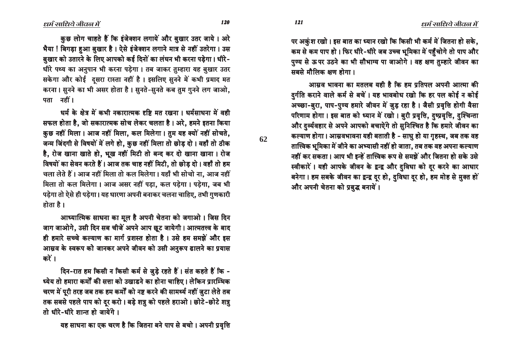कुछ लोग चाहते हैं कि इंजेक्शन लगायें और बुखार उतर जाये। अरे भैया ! बिगड़ा हुआ बुखार है। ऐसे इंजेक्शन लगाने मात्र से नहीं उतरेगा। उस बुखार को उतारने के लिए आपको कई दिनों का लंघन भी करना पड़ेगा। धीरे-धीरे पथ्य का अनुपान भी करना पड़ेगा। तब जाकर तुम्हारा यह बुखार उतर सकेगा और कोई दसरा रास्ता नहीं है। इसलिए सनने में कभी प्रमाद मत करना। सुनने का भी असर होता है। सुनते-सुनते कब तुम गुनने लग जाओ, पता नहीं।

धर्म के क्षेत्र में कभी नकारात्मक दृष्टि मत रखना। धर्मसाधना में वही सफल होता है, जो सकारात्मक सोच लेकर चलता है। अरे, हमने इतना किया कुछ नहीं मिला। आज नहीं मिला, कल मिलेगा। तुम यह क्यों नहीं सोचते, जन्म जिंदगी से विषयों में लगे हो, कुछ नहीं मिला तो छोड़ दो। वहाँ तो ठीक है, रोज खाना खाते हो, भूख नहीं मिटी तो बन्द कर दो खाना खाना। रोज विषयों का सेवन करते हैं। आज तक चाह नहीं मिटी, तो छोड़ दो। वहाँ तो हम चला लेते हैं। आज नहीं मिला तो कल मिलेगा। यहाँ भी सोचो ना, आज नहीं मिला तो कल मिलेगा। आज असर नहीं पड़ा, कल पड़ेगा। पड़ेगा, जब भी पड़ेगा तो ऐसे ही पड़ेगा। यह धारणा अपनी बनाकर चलना चाहिए, तभी गुणकारी होता है ।

आध्यात्मिक साधना का मूल है अपनी चेतना को जगाओ। जिस दिन जाग जाओगे, उसी दिन सब चीजें अपने आप छूट जायेगी। आत्मतत्त्व के बाद ही हमारे सच्चे कल्याण का मार्ग प्रशस्त होता है। उसे हम समझें और इस आम्रव के स्वरूप को जानकर अपने जीवन को उसी अनुरूप ढालने का प्रयास करें ।

दिन-रात हम किसी न किसी कर्म से जुड़े रहते हैं। संत कहते हैं कि -ध्येय तो हमारा कर्मों की सत्ता को उखाडने का होना चाहिए। लेकिन प्रारम्भिक चरण में पूरी तरह जब तक हम कर्मों को नष्ट करने की सामर्थ्य नहीं जुटा लेते तब तक सबसे पहले पाप को दूर करो। बड़े शत्रु को पहले हराओ। छोटे-छोटे शत्रु तो धीरे-धीरे शान्त हो जायेंगे।

यह साधना का एक चरण है कि जितना बने पाप से बचो । अपनी प्रवृत्ति

पर अकुंश रखो। इस बात का ध्यान रखो कि किसी भी कर्म में जितना हो सके. कम से कम पाप हो। फिर धीरे-धीरे जब उच्च भूमिका में पहुँचोगे तो पाप और पुण्य से ऊपर उठने का भी सौभाग्य पा जाओगे। वह क्षण तुम्हारे जीवन का सबसे मौलिक क्षण होगा।

आसव भावना का मतलब यही है कि हम प्रतिपल अपनी आत्मा की दुर्गति कराने वाले कर्म से बचें। यह भावबोध रखो कि हर पल कोई न कोई अच्छा-बुरा, पाप-पुण्य हमारे जीवन में जुड़ रहा है। जैसी प्रवृत्ति होगी वैसा परिणाम होगा। इस बात को ध्यान में रखो। बुरी प्रवृत्ति, दुष्प्रवृत्ति, दुश्चिन्ता और दुर्व्यवहार से अपने आपको बचाऐंगे तो सुनिश्चित है कि हमारे जीवन का कल्याण होगा। आम्रवभावना यही बताती है - साधु हो या गृहस्थ, जब तक वह तात्त्विक भूमिका में जीने का अभ्यासी नहीं हो जाता, तब तक वह अपना कल्याण नहीं कर सकता। आप भी इन्हें तात्त्विक रूप से समझें और जितना हो सके उसे स्वीकारें। यही आपके जीवन के द्वन्द्व और दुविधा को दूर करने का आधार बनेगा। हम सबके जीवन का द्वन्द्व दूर हो, दुविधा दूर हो, हम मोह से मुक्त हों और अपनी चेतना को प्रबुद्ध बनायें।

62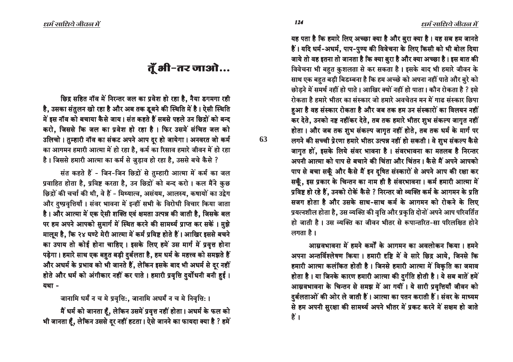यह पता है कि हमारे लिए अच्छा क्या है और बुरा क्या है। यह सब हम जानते हैं। यदि धर्म-अधर्म, पाप-पुण्य की विवेचना के लिए किसी को भी बोल दिया जाये तो वह इतना तो जानता है कि क्या बुरा है और क्या अच्छा है। इस बात की विवेचना भी बहुत कुशलता से कर सकता है। इसके बाद भी हमारे जीवन के साथ एक बहत बडी बिडम्बना है कि हम अच्छे को अपना नहीं पाते और बुरे को छोडने में समर्थ नहीं हो पाते । आखिर क्यों नहीं हो पाता । कौन रोकता है ? इसे रोकता है हमारे भीतर का संस्कार जो हमारे अवचेतन मन में गाढ संस्कार छिपा हआ है वह संस्कार रोकता है और जब तक हम उन संस्कारों का विलयन नहीं कर देते, उनको नष्ट नहींकर देते, तब तक हमारे भीतर शुभ संकल्प जागुत नहीं होता। और जब तक शुभ संकल्प जागृत नहीं होते, तब तक धर्म के मार्ग पर लगने की सच्ची प्रेरणा हमारे भीतर उत्पन्न नहीं हो सकती । वे शुभ संकल्प कैसे जागृत हों, इसके लिये संवर भावना है। संवरभावना का मतलब है निरन्तर अपनी आत्मा को पाप से बचाने की चिंता और चिंतन । कैसे मैं अपने आपको पाप से बचा सकूँ और कैसे मैं इन दुषित संस्कारों से अपने आप की रक्षा कर सकूँ, इस प्रकार के चिन्तन का नाम ही है संवरभावना। कर्म हमारी आत्मा में प्रविष्ट हो रहे हैं, उनको रोकें कैसे ? निरन्तर जो व्यक्ति कर्म के आगमन के प्रति सजग होता है और उसके साथ-साथ कर्म के आगमन को रोकने के लिए प्रयत्नशील होता है, उस व्यक्ति की वृत्ति और प्रकृति दोनों अपने आप परिवर्तित हो जाती है। उस व्यक्ति का जीवन भीतर से रूपान्तरित-सा परिलक्षित होने लगता है।

आम्रवभावना में हमने कर्मों के आगमन का अवलोकन किया। हमने अपना अन्तर्विश्लेषण किया। हमारी दृष्टि में वे सारे छिद्र आये, जिनसे कि हमारी आत्मा कलंकित होती है। जिनसे हमारी आत्मा में विकृति का जमाव होता है। या जिनके कारण हमारी आत्मा की दुर्गति होती है। ये सब बातें हमें आम्रवभावना के चिन्तन से समझ में आ गयीं। ये सारी प्रवृत्तियाँ जीवन को हुर्बलताओं की ओर ले जाती हैं। आत्मा का पतन कराती हैं। संवर के माध्यम से हम अपनी सुरक्षा की सामर्थ्य अपने भीतर में प्रकट करने में सक्षम हो जाते हैं ।

# तूँ भी-तर जाओ...

छिद्र सहित नॉव में निरन्तर जल का प्रवेश हो रहा है, नैया डगमगा रही है, उसका संतुलन खो रहा है और अब तक डूबने की स्थिति में है। ऐसी स्थिति में इस नॉव को बचाया कैसे जाय। संत कहते हैं सबसे पहले उन छिद्रों को बन्द करो, जिससे कि जल का प्रवेश हो रहा है। फिर उसमें संचित जल को उलिचो । तुम्हारी नॉव का संकट अपने आप दुर हो जायेगा । अनवरत जो कर्म का आगमन हमारी आत्मा में हो रहा है, कर्म का रिसाव हमारे जीवन में हो रहा है। जिससे हमारी आत्मा का कर्म से जुड़ाव हो रहा है, उससे बचे कैसे ?

संत कहते हैं - जिन-जिन छिद्रों से तुम्हारी आत्मा में कर्म का जल प्रवाहित होता है, प्रविष्ट करता है, उन छिद्रों को बन्द करो। कल मैंने कुछ छिद्रों की चर्चा की थी, वे हैं - मिथ्यात्व, असंयम, आलस्य, कषायों का उद्वेग और दुष्प्रवृत्तियाँ । संवर भावना में इन्हीं सभी के विरोधी विचार किया जाता है। और आत्मा में एक ऐसी शक्ति एवं क्षमता उत्पन्न की जाती है, जिसके बल पर हम अपने आपको सुमार्ग में स्थित करने की सामर्थ्य प्राप्त कर सकें। मुझे मालूम है, कि २४ घण्टे मेरी आत्मा में कर्म प्रविष्ट होते हैं। आखिर इससे बचने का उपाय तो कोई होना चाहिए । इसके लिए हमें उस मार्ग में प्रवृत्त होना पड़ेगा। हमारे साथ एक बहुत बड़ी दुर्बलता है, हम धर्म के महत्त्व को समझते हैं और अधर्म के प्रभाव को भी जानते हैं, लेकिन इसके बाद भी अधर्म से दूर नहीं होते और धर्म को अंगीकार नहीं कर पाते । हमारी प्रवृत्ति दुर्योधनी बनी हुई ।  $arctan -$ 

जानामि धर्मं न च मे प्रवृत्ति:, जानामि अधर्मं न च मे निवृत्ति: ।

मैं धर्म को जानता हूँ, लेकिन उसमें प्रवृत्त नहीं होता। अधर्म के फल को भी जानता हूँ, लेकिन उससे दूर नहीं हटता। ऐसे जानने का फायदा क्या है ? हमें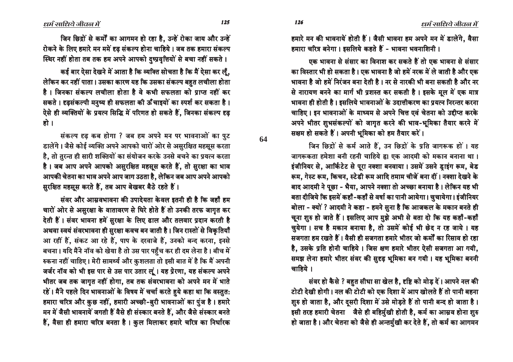हमारे मन की भावनायें होती हैं। जैसी भावना हम अपने मन में डालेंगे, वैसा हमारा चरित्र बनेगा। इसलिये कहते हैं - भावना भवनाशिनी।

<u>ण्क भावना से संसार का विनाश कर सकते हैं तो एक भावना से संसार</u> का विस्तार भी हो सकता है। एक भावना है जो हमें नरक में ले जाती है और एक भावना है जो हमें निरंजन बना देती है । नर से नारकी भी बना सकती है और नर से नारायण बनने का मार्ग भी प्रशस्त कर सकती है। इसके मूल में एक मात्र भावना ही होती है। इसलिये भावनाओं के उदात्तीकरण का प्रयत्न निरन्तर करना चाहिए। इन भावनाओं के माध्यम से अपने चित्त एवं चेतना को उद्दीप्त करके अपने भीतर शुभसंकल्पों को जागृत करने की भाव-भूमिका तैयार करने में सक्षम हो सकते हैं। अपनी भूमिका को हम तैयार करें।

जिन छिद्रों से कर्म आते हैं, उन छिद्रों के प्रति जागरूक हों। यह जागरूकता हमेशा बनी रहनी चाहिये हू। एक आदमी को मकान बनाना था। इंजीनियर से, आर्किटेट से पूरा नक्शा बनवाया । उसमें उसने डाइंग रूम, बेड रूम, गेस्ट रूम, किचन, स्टेडी रूम आदि तमाम चीजें बना दीं। नक्शा देखने के बाद आदमी ने पूछा - भैया, आपने नक्शा तो अच्छा बनाया है। लेकिन यह भी बता दीजिये कि इसमें कहाँ -कहाँ से वर्षा का पानी आयेगा। चुचायेगा। इंजीनियर बोला - क्यों ? आदमी ने कहा - हमने सुना है कि आजकल के मकान बनते ही चूना शुरु हो जाते हैं। इसलिए आप मुझे अभी से बता दो कि यह कहाँ-कहाँ चुयेगा। सच है मकान बनाया है, तो उसमें कोई भी छेद न रह जाये। यह सजगता हम रखते हैं । वैसी ही सजगता हमारे भीतर जो कर्मों का रिसाव हो रहा है, उसके प्रति होनी चाहिये । जिस क्षण हमारे भीतर ऐसी सजगता आ गयी, समझ लेना हमारे भीतर संवर की सुदृढ़ भूमिका बन गयी। यह भूमिका बननी  $\overline{a}$ ाहिये ।

संवर हो कैसे ? बहुत सीधा सा खेल है, दृष्टि को मोड़ दें। आपने नल की टोटी देखी होगी। नल की टोटी को एक दिशा में आप खोलते हैं तो पानी बहना शुरु हो जाता है, और दुसरी दिशा में उसे मोड़ते हैं तो पानी बन्द हो जाता है। इसी तरह हमारी चेतना जैसे ही बहिर्मुखी होती है, कर्म का आम्रव होना शुरु हो जाता है। और चेतना को जैसे ही अन्तर्मुखी कर देते हैं, तो कर्म का आगमन

जिन छिद्रों से कर्मों का आगमन हो रहा है. उन्हें रोका जाय और उन्हें रोकने के लिए हमारे मन ममें दृढ़ संकल्प होना चाहिये। जब तक हमारा संकल्प स्थिर नहीं होता तब तक हम अपने आपको दुष्प्रवृत्तियों से बचा नहीं सकते ।

कई बार ऐसा देखने में आता है कि व्यक्ति सोचता है कि मैं ऐसा कर लूँ, लेकिन कर नहीं पाता। उसका कारण यह कि उसका संकल्प बहत लचीला होता है। जिनका संकल्प लचीला होता है वे कभी सफलता को प्राप्त नहीं कर सकते । दृढसंकल्पी मनुष्य ही सफलता की ऊँ चाइयों का स्पर्श कर सकता है । ऐसे ही व्यक्तियों के प्रयत्न सिद्धि में परिणत हो सकते हैं. जिनका संकल्प दृढ हो ।

संकल्प दृढ कब होगा ? जब हम अपने मन पर भावनाओं का पुट डालेंगे। जैसे कोई व्यक्ति अपने आपको चारों ओर से असुरक्षित महसूस करता है, तो तुरन्त ही सारी शक्तियों का संयोजन करके उनसे बचने का प्रयत्न करता है। जब आप अपने आपको असुरक्षित महसूस करते हैं, तो सुरक्षा का भाव आपकी चेतना का भाव अपने आप जाग उठता है, लेकिन जब आप अपने आपको सुरक्षित महसूस करते हैं, तब आप बेखबर बैठे रहते हैं।

संवर और आम्रवभावना की उपादेयता केवल इतनी ही है कि जहाँ हम चारों ओर से असुरक्षा के वातावरण से घिरे होते हैं तो उनकी तरफ जागृत कर देती हैं। संवर भावना हमें सुरक्षा के लिए ढाल और तलवार प्रदान करती है अथवा स्वयं संवरभावना ही सुरक्षा कवच बन जाती है। जिन रास्तों से विकृतियाँ आ रहीं हैं, संकट आ रहे हैं, पाप के दरवाजे हैं, उनको बन्द करना, इनसे बचना। यदि मैंने नॉव को खेया है तो उस पार पहुँच कर ही दम लेना है। बीच में रुकना नहीं चाहिए। मेरी सामर्थ्य और कुशलता तो इसी बात में है कि मैं अपनी जर्जर नॉव को भी इस पार से उस पार उतार लूं। यह प्रेरणा, यह संकल्प अपने भीतर जब तक जागृत नहीं होगा, तब तक संवरभावना को अपने मन में भाते रहें। मैंने पहले दिन भावनाओं के विषय में चर्चा करते हुये कहा था कि वस्तुत: हमारा चरित्र और कुछ नहीं, हमारी अच्छी-बुरी भावनाओं का पुंज है। हमारे मन में जैसी भावनायें जगती हैं वैसे ही संस्कार बनते हैं, और जैसे संस्कार बनते हैं, वैसा ही हमारा चरित्र बनता है। कुल मिलाकर हमारे चरित्र का निर्धारक

 $125$   $126$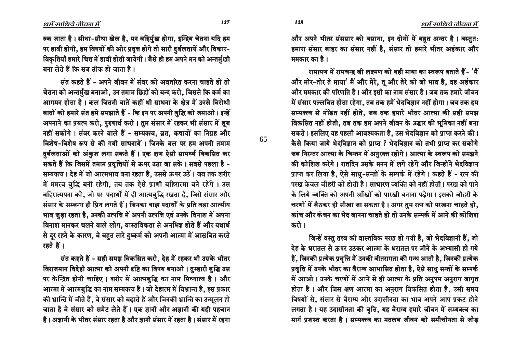धर्म साधिये जीवल में

रुक जाता है। सीधा-सीधा खेल है, मन बहिर्मुख होगा, इन्द्रिय चेतना यदि हम पर हावी होगी, हम विषयों की ओर प्रवृत्त होगे तो सारी दुर्बलतायें और विकार-विकृतियाँ हमारे चित्त में हावी होती जायेगी। जैसे ही हम अपने मन को अन्तर्मुखी बना लेते हैं कि सब ठीक हो जाता है ।

संत कहते हैं - अपने जीवन में संवर को अवतरित करना चाहते हो तो चेतना को अन्तर्मुख बनाओ, उन तमाम छिद्रों को बन्द करो, जिससे कि कर्म का आगमन होता है। कल जितनी बातें कहीं थी साधना के क्षेत्र में उनसे विरोधी बातों को हमारे संत हमे समझाते हैं - कि इन पर अपनी बुद्धि को जमाओ। इन्हें अपनाने का प्रयत्न करो, पुरुषार्थ करो । तुम संसार में रहकर भी संसार में डूब नहीं सकोगे। संवर करने वाले हैं - सम्यक्त्व, व्रत, कषायों का निग्रह और विशेष-विशेष रूप से की गयी साधनायें । जिनके बल पर हम अपनी तमाम दर्बलताओं को अंकुश लगा सकते हैं। एक क्षण ऐसी सामर्थ्य विकसित कर सकते हैं कि जिसमें तमाम प्रवृत्तियों से ऊपर उठा जा सके। सबसे पहला है -सम्यक्त्व। देह में जो आत्मभाव बना रहता है, उससे ऊपर उठें। जब तक शरीर में ममत्व बुद्धि बनी रहेगी, तब तक ऐसे प्राणी बहिरात्मा बने रहेंगे । उस बहिरात्मपना को, जो पर-पदार्थों में ही आत्मबुद्धि रखता है, जिसे संसार और संसार के सम्बन्ध ही प्रिय लगते हैं। जिनका बाह्य पदार्थों के प्रति बड़ा आत्मीय भाव जुड़ा रहता है, उनकी उत्पत्ति में अपनी उत्पत्ति एवं उनके विनाश में अपना विनाश मानकर चलने वाले लोग, वास्तविकता से अनभिज्ञ होते हैं और यथार्थ से दूर रहने के कारण, वे बहुत सारे दुष्कर्म को अपनी आत्मा में आम्रवित करते रहते हैं ।

संत कहते हैं - सही समझ विकसित करो, देह में रहकर भी उसके भीतर विराजमान विदेही आत्मा को अपनी दृष्टि का विषय बनाओ। तुम्हारी बुद्धि उस पर केन्द्रित होनी चाहिए। शरीर में आत्मबुद्धि का नाम मिथ्यात्व है। और आत्मा में आत्मबुद्धि का नाम सम्यक्त्व है। जो देहात्म में विभ्रान्त है, इस प्रकार की भ्रान्ति में जीते हैं, वे संसार को बढ़ाते हैं और जिनकी भ्रान्ति का उन्मूलन हो जाता है वे संसार को समेट लेते हैं। एक ज्ञानी और अज्ञानी की यही पहचान है। अज्ञानी के भीतर संसार रहता है और ज्ञानी संसार में रहता है। संसार में रहना

और अपने भीतर संससार को बसाना, इन दोनों में बहुत अन्तर है। वस्तुत: हमारा संसार बाहर का संसार नहीं है, संसार तो हमारे भीतर अहंकार और ममकार का है ।

रामायण में रामचन्द्र जी लक्ष्मण को यही माया का स्वरूप बताते हैं - 'मैं और मोर-तोर ते माया' मैं और मेरे, तु और तेरे को जो भाव है, वह अहंकार और ममकार की परिणति है। और इसी का नाम संसार है। जब तक हमारे जीवन में संसार पल्लवित होता रहेगा, तब तक हमें भेदविज्ञान नहीं होगा। जब तक हम सम्यक्त्व से मंडित नहीं होते. जब तक हमारे भीतर आत्मा की सही समझ विकसित नहीं होती, तब तक हम अपने जीवन के उद्धार की भूमिका नहीं बना सकते । इसलिए यह पहली आवश्यकता है, उस भेदविज्ञान को प्राप्त करने की। कैसे किया जाये भेदविज्ञान को प्राप्त ? भेदविज्ञान को तभी प्राप्त कर सकोगे जब निरन्तर आत्मा के चिन्तन में अनुरक्त रहोगे। आत्मा के स्वरूप को समझने की कोशिश करेगे। रातदिन उसके मनन में लगे रहेंगे और जिन्होंने भेदविज्ञान प्राप्त कर लिया है, ऐसे साधु-सन्तों के सम्पर्क में रहेंगे। कहते हैं - रत्न की परख केवल जौहरी को होती है। साधारण व्यक्ति को नहीं होती। परख को पाने के लिये व्यक्ति को अपनी आँखों को पारखी बनाना पड़ेगा। इसको जौहरी के चरणों में बैठकर ही सीखा जा सकता है। अगर तुम रत्न को परखना चाहते हो, कांच और कंचन का भेद जानना चाहते हो तो उनके सम्पर्क में आने की कोशिश करो ।

जिन्हें वस्तु तत्त्व की वास्तविक परख हो गयी है, जो भेदविज्ञानी हैं, जो देह के धरातल से ऊपर उठकर आत्मा के धरातल पर जीने के अभ्यासी हो गये हैं, जिनकी प्रत्येक प्रवृत्ति में उनकी वीतरागता की गन्ध आती है, जिनकी प्रत्येक प्रवृत्ति में उनके भीतर का वैराग्य आभासित होता है, ऐसे साधु सन्तों के सम्पर्क में आओ। उनके चरणों में आने से ही आत्मा के प्रति अनुपम अनुराग जागृत होता है। और जिस क्षण आत्मा का अनुराग विकसित होता है, उसी समय विषयों से, संसार से वैराग्य और उदासीनता का भाव अपने आप प्रकट होने लगता है। यह उदासीनता की वृत्ति, यह वैराग्य हमारे जीवन में सम्यक्त्व का मार्ग प्रशस्त करता है। सम्यक्त्व का मतलब जीवन को समीचीनता से जोड

128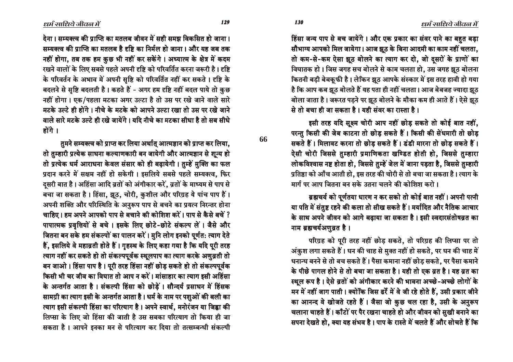हिंसा जन्य पाप से बच जायेंगे। और एक प्रकार का संवर पाने का बहुत बड़ा सौभाग्य आपको मिल जायेगा। आज झूठ के बिना आदमी का काम नहीं चलता, तो कम-से-कम ऐसा झूठ बोलने का त्याग कर दो, जो दसरों के प्राणों का विघातक हो। जिस जगह सच बोलने से काम चलता हो, उस जगह झूठ बोलना कितनी बडी बेबकुफी है। लेकिन झूठ आपके संस्कार में इस तरह हावी हो गया है कि आप कब झूठ बोलते हैं यह पता ही नहीं चलता। आज बेबजह ज्यादा झूठ <u>बोला जाता है। जरूरत पडने पर झूठ बोलने के मौका कम ही आते हैं। ऐसे झूठ</u>  $\hat{P}$  से तो बचा ही जा सकता है। यही संवर का रास्ता है।

इसी तरह यदि सूक्ष्म चोरी आप नहीं छोड़ सकते तो कोई बात नहीं, परन्तु किसी की जेब काटना तो छोड़ सकते हैं। किसी की सेंधमारी तो छोड़ सकते हैं। मिलावट करना तो छोड़ सकते हैं। डंडी मारना तो छोड़ सकते हैं। ऐसी चोरी जिससे तुम्हारी प्रमाणिकता खण्डित होती हो, जिससे तुम्हारा लोकविश्वास नष्ट होता हो, जिससे तुम्हें जेल में जाना पड़ता है, जिससे तुम्हारी प्रतिष्ठा को आँच आती हो, इस तरह की चोरी से तो बचा जा सकता है। त्याग के मार्ग पर आप जितना बन सके उतना चलने की कोशिश करो ।

ब्रह्मचर्य को पूर्णतया धारण न कर सको तो कोई बात नहीं। अपनी पत्नी या पति में संतुष्ट रहने की कला तो सीख सकते हैं। मर्यादित और नैतिक आचार के साथ अपने जीवन को आगे बढाया जा सकता है। इसी स्वदारसंतोषव्रत का नाम ब्रह्मचर्यअणुव्रत है।

परिग्रह को पूरी तरह नहीं छोड़ सकते, तो परिग्रह की लिप्सा पर तो अंकुश लगा सकते हैं। धन की चाह से मुक्त नहीं हो सकते, पर धन की चाह में धनान्ध बनने से तो बच सकते हैं। पैसा कमाना नहीं छोड़ सकते, पर पैसा कमाने के पीछे पागल होने से तो बचा जा सकता है। यही तो एक व्रत है। यह व्रत का स्थूल रूप है। ऐसे व्रतों को अंगीकार करने की भावना अच्छे-अच्छे लोगों के मन में नहीं जाग पाती। क्योंकि जिस ढर्रे में वे जी रहे होते हैं, उसी प्रकार जीने का आनन्द वे खोजते रहते हैं। जैसा जो कुछ चल रहा है, उसी के अनुरूप चलाना चाहते हैं। काँटों पर पैर रखना चाहते हो और जीवन को सुखी बनाने का सपना देखते हो, क्या यह संभव है। पाप के रास्ते में चलते हैं और सोचते हैं कि

देना। सम्यक्त्व की प्राप्ति का मतलब जीवन में सही समझ विकसित हो जाना। सम्यक्त्व की प्राप्ति का मतलब है दृष्टि का निर्मल हो जाना । और यह जब तक नहीं होगा, तब तक हम कुछ भी नहीं कर सकेंगे। अध्यात्म के क्षेत्र में कदम रखने वालों के लिए सबसे पहले अपनी दृष्टि को परिवर्तित करना जरूरी है। दृष्टि के परिवर्तन के अभाव में अपनी सष्टि को परिवर्तित नहीं कर सकते । दृष्टि के बदलने से सृष्टि बदलती है। कहते हैं - अगर हम दृष्टि नहीं बदल पाये तो कुछ नहीं होगा। एक/पहला मटका अगर उल्टा है तो उस पर रखे जाने वाले सारे मटके उल्टे ही होंगे। नीचे के मटके को आपने उल्टा रखा तो उस पर रखे जाने <u>वाले सारे मटके उल्टे ही रखे जायेंगे । यदि नीचे का मटका सीधा है तो सब सीधे</u> होंगे $\perp$ 

तुमने सम्यक्त्व को प्राप्त कर लिया अर्थात् आत्मज्ञान को प्राप्त कर लिया, तो तुम्हारी प्रत्येक साधना कल्याणकारी बन जायेगी और आत्मज्ञान से शून्य हो तो प्रत्येक धर्म आराधना केवल संसार को ही बढ़ायेगी। तुम्हें मुक्ति का फल प्रदान करने में सक्षम नहीं हो सकेगी । इसलिये सबसे पहले सम्यक्त्व, फिर दुसरी बात है। अहिंसा आदि व्रतों को अंगीकार करें, व्रतों के माध्यम से पाप से बचा जा सकता है। हिंसा, झूठ, चोरी, कुशील और परिग्रह ये पांच पाप हैं। अपनी शक्ति और परिस्थिति के अनुरूप पाप से बचने का प्रयत्न निरन्तर होना चाहिए। हम अपने आपको पाप से बचाने की कोशिश करें। पाप से कैसे बचें ? पापात्मक प्रवृत्तियों से बचे। इसके लिए छोटे-छोटे संकल्प लें। जैसे और जितना बन सके हम संकल्पों का पालन करें। मुनि लोग इनको पूर्णत: त्याग देते हैं, इसलिये वे महाव्रती होते हैं। गुहस्थ के लिए कहा गया है कि यदि पूरी तरह ल्याग नहीं कर सकते हो तो संकल्पपूर्वक स्थूलपाप का त्याग करके अणुव्रती तो बन जाओ। हिंसा पाप है। पूरी तरह हिंसा नहीं छोड़ सकते हो तो संकल्पपूर्वक किसी भी चर जीव का विघात तो आप न करें। मांसाहार का त्याग इसी अहिंसा के अन्तर्गत आता है। संकल्पी हिंसा को छोड़ें। सौन्दर्य प्रसाधन में हिंसक सामग्री का त्याग इसी के अन्तर्गत आता है। धर्म के नाम पर पशुओं की बली का त्याग इसी संकल्पी हिंसा का परित्याग है। अपने स्वार्थ, मनोरंजन या जि**ह्वा** की लिप्सा के लिए जो हिंसा की जाती है उस सबका परित्याग तो किया ही जा सकता है। आपने इनका मन से परित्याग कर दिया तो तत्सम्बन्धी संकल्पी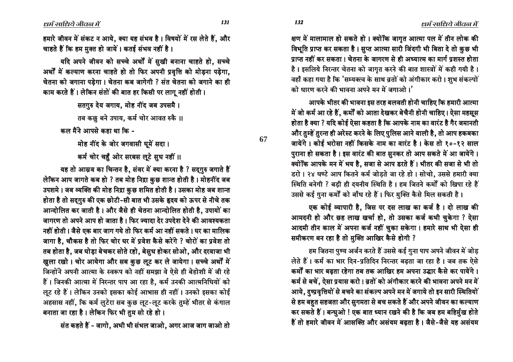धर्म साधिये जीवन में

धर्म साधिये जीवल में

हमारे जीवन में संकट न आये, क्या यह संभव है। विषयों में रस लेते हैं, और चाहते हैं कि हम मुक्त हो जायें। कतई संभव नहीं है।

यदि अपने जीवन को सच्चे अर्थों में सुखी बनाना चाहते हो. सच्चे अर्थों में कल्याण करना चाहते हो तो फिर अपनी प्रवृत्ति को मोड़ना पड़ेगा, चेतना को जगाना पड़ेगा। चेतना कब जागेगी ? संत चेतना को जगाने का ही काम करते हैं। लेकिन संतों की बात हर किसी पर लागू नहीं होती।

> सतगुरु देय जगाय, मोह नींद जब उपसमै। तब कछ बने उपाय. कर्म चोर आवत रुकै ।।

कल मैंने आपसे कहा था कि -

मोह नींद के जोर जगवासी घूमें सदा। कर्म चोर चहुँ ओर सरबस लूटे सुध नहीं ॥

यह तो आम्रव का चिन्तन है, संवर में क्या करना है ? सद्गुरु जगाते हैं लेकिन आप जागते कब हो ? तब मोह निद्रा कुछ शान्त होती है। मोहनींद जब उपशमे। जब व्यक्ति की मोह निद्रा कुछ शमित होती है। उसका मोह जब शान्त होता है तो सदग़ुरु की एक छोटी-सी बात भी उसके हृदय को ऊपर से नीचे तक आन्दोलित कर जाती है। और जैसे ही चेतना आन्दोलित होती है, उपायों का जागरण तो अपने आप हो जाता है। फिर ज्यादा देर उपदेश देने की आवश्यकता नहीं होती। जैसे एक बार जाग गये तो फिर कर्म आ नहीं सकते। घर का मालिक जागा है, चौकस है तो फिर चोर घर में प्रवेश कैसे करेंगे ? चोरों का प्रवेश तो तब होता है, जब घोड़ा बेचकर सोते रहो, बेसुध होकर सोओ, और दरवाजा भी खुला रखो। चोर आयेगा और सब कुछ लूट कर ले जायेगा। सच्चे अर्थों में जिन्होंने अपनी आत्मा के स्वरूप को नहीं समझा वे ऐसे ही बेहोशी में जी रहे हैं। जिनकी आत्मा में निरन्तर पाप आ रहा है, कर्म उनकी आत्मनिधियों को लूट रहे हैं। लेकिन उनको इसका कोई आभास ही नहीं। उनको इसका कोई अहसास नहीं, कि कर्म लुटेरा सब कुछ लूट-लूट करके तुम्हें भीतर से कंगाल बनाता जा रहा है। लेकिन फिर भी तुम सो रहे हो।

संत कहते हैं - जागो, अभी भी संभल जाओ, अगर आज जाग जाओ तो

क्षण में मालामाल हो सकते हो। क्योंकि जागृत आत्मा पल में तीन लोक की विभूति प्राप्त कर सकता है। सुप्त आत्मा सारी जिंदगी भी बिता दे तो कुछ भी प्राप्त नहीं कर सकता। चेतना के जागरण से ही अध्यात्म का मार्ग प्रशस्त होता है। इसलिये निरन्तर चेतना को जागृत करने की बात शास्त्रों में कही गयी है। वहाँ कहा गया है कि 'सम्यक्त्व के साथ व्रतों को अंगीकार करो। शुभ संकल्पों को धारण करने की भावना अपने मन में जगाओ।'

आपके भीतर की भावना इस तरह बलवती होनी चाहिए कि हमारी आत्मा में जो कर्म आ रहे हैं, कर्मों को आता देखकर बेचैनी होनी चाहिए। ऐसा महसस होता है क्या ? यदि कोई ऐसा कहता है कि आपके नाम का वारंट है गैर जमानती और तुम्हें तुरन्त ही अरेस्ट करने के लिए पुलिस आने वाली है, तो आप हकबका जायेंगे। कोई भरोसा नहीं किसके नाम का वारंट है। केस तो १०-१२ साल पुराना हो सकता है। इस वारंट की बात सुनकर तो आप सकते में आ जायेंगे। क्योंकि आपके मन में भय है, सजा से आप डरते हैं। भीतर की सजा से भी तो डरो। २४ घण्टे आप कितने कर्म जोड़ते जा रहे हो। सोचो, उससे हमारी क्या स्थिति बनेगी ? बड़ी ही दयनीय स्थिति है। हम जितने कर्मों को खिपा रहे हैं उससे कई गुना कर्मों को बाँध रहे हैं। फिर मुक्ति कैसे मिल सकती है।

एक कोई व्यापारी है, जिस पर दस लाख का कर्ज है। दो लाख की आमदनी हो और छह लाख खर्चा हो, तो उसका कर्ज कभी चुकेगा ? ऐसा आदमी तीन काल में अपना कर्ज नहीं चुका सकेगा। हमारे साथ भी ऐसा ही समीकरण बन रहा है तो मुक्ति आखिर कैसे होगी ?

हम जितना पुण्य अर्जन करते हैं उससे कई गुना पाप अपने जीवन में जोड लेते हैं। कर्म का भार दिन-प्रतिदिन निरन्तर बढ़ता जा रहा है। जब तक ऐसे कर्मों का भार बढ़ता रहेगा तब तक आखिर हम अपना उद्धार कैसे कर पायेंगे। कर्म से बचें, ऐसा प्रयास करो। व्रतों को अंगीकार करने की भावना अपने मन में आये, दुष्प्रवृत्तियों से बचने का संकल्प अपने मन में जगाये तो इन सारी स्थितियों से हम बहुत सहजता और सुगमता से बच सकते हैं और अपने जीवन का कल्याण कर सकते हैं। बन्धुओ ! एक बात ध्यान रखने की है कि जब हम बहिर्मुख होते हैं तो हमारे जीवन में आसक्ति और असंयम बढ़ता है। जैसे-जैसे यह असंयम

131

67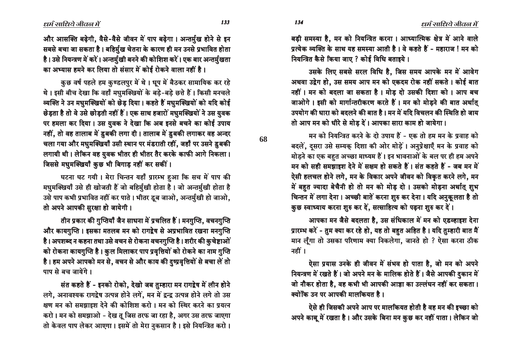133

और आसक्ति बढ़ेगी, वैसे-वैसे जीवन में पाप बढ़ेगा। अन्तर्मुख होने से इन सबसे बचा जा सकता है। बहिर्मुख चेतना के कारण ही मन उनसे प्रभावित होता है। उसे नियन्त्रण में करें। अन्तर्मुखी बनने की कोशिश करें। एक बार अन्तर्मुखता का अभ्यास हमने कर लिया तो संसार में कोई रोकने वाला नहीं है।

कुछ वर्ष पहले हम कुण्डलपुर में थे। धूप में बैठकर सामायिक कर रहे थे। इसी बीच देखा कि वहाँ मधुमक्खियों के बड़े-बड़े छत्ते हैं। किसी मनचले व्यक्ति ने उन मधुमक्खियों को छेड़ दिया। कहते हैं मधुमक्खियों को यदि कोई छेड़ता है तो वे उसे छोड़ती नहीं हैं। एक साथ हजारों मधुमक्खियों ने उस युवक पर हमला कर दिया। उस युवक ने देखा कि अब इनसे बचने का कोई उपाय नहीं, तो वह तालाब में डुबकी लगा दी। तालाब में डुबकी लगाकर वह अन्दर चला गया और मधुमक्खियाँ उसी स्थान पर मंडराती रहीं, जहाँ पर उसने डुबकी लगायी थी। लेकिन वह युवक भीतर ही भीतर तैर करके काफी आगे निकला। जिससे मधुमक्खियाँ कुछ भी बिगाड़ नहीं कर सकीं।

घटना घट गयी। मेरा चिन्तन यहाँ प्रारम्भ हुआ कि सच में पाप की मधुमक्खियाँ उसे ही खोजती हैं जो बहिर्मुखी होता है। जो अन्तर्मुखी होता है उसे पाप कभी प्रभावित नहीं कर पाते । भीतर डूब जाओ, अन्तर्मुखी हो जाओ, तो अपने आपकी सुरक्षा हो जायेगी।

तीन प्रकार की गुप्तियाँ जैन साधना में प्रचलित हैं। मनगुप्ति, वचनगुप्ति और कायगुप्ति । इसका मतलब मन को रागद्वेष से अप्रभावित रखना मनगुप्ति है। अपशब्द न कहना तथा उसे वचन से रोकना वचनगुप्ति है। शरीर की कुचेष्टाओं को रोकना कायगुप्ति है। कुल मिलाकर पाप प्रवृत्तियों को रोकने का नाम गुप्ति है। हम अपने आपको मन से, वचन से और काय की दुष्प्रवृत्तियों से बचा लें तो पाप से बच जायेंगे।

संत कहते हैं - इनको रोको, देखो जब तुम्हारा मन रागद्वेष में लीन होने लगे, अनावश्यक रागद्वेष उत्पन्न होने लगें, मन में द्वन्द्व उत्पन्न होने लगे तो उस क्षण मन को समझाइश देने की कोशिश करो। मन को स्थिर करने का प्रयत्न करो। मन को समझाओ - देख तू जिस तरफ जा रहा है, अगर उस तरफ जाएगा तो केवल पाप लेकर आएगा। इसमें तो मेरा नुकसान है। इसे नियन्त्रित करो।

बड़ी समस्या है, मन को नियन्त्रित करना। आध्यात्मिक क्षेत्र में आने वाले प्रत्येक व्यक्ति के साथ यह समस्या आती है। वे कहते हैं - महाराज ! मन को नियन्त्रित कैसे किया जाए ? कोई विधि बताइये।

उसके लिए सबसे सरल विधि है, जिस समय आपके मन में आवेग अथवा उद्वेग हो, उस समय आप मन को एकदम रोक नहीं सकते । कोई बात नहीं। मन को बदला जा सकता है। मोड दो उसकी दिशा को। आप बच जाओगे। इसी को मार्गान्तरीकरण करते हैं। मन को मोड़ने की बात अर्थात् उपयोग की धारा को बदलने की बात है। मन में यदि विचलन की स्थिति हो जाय तो आप मन को धीरे से मोड दें। आपका सारा काम हो जायेगा।

मन को नियन्त्रित करने के दो उपाय हैं - एक तो हम मन के प्रवाह को बदलें, दुसरा उसे सम्यक् दिशा की ओर मोड़ें। अनुप्रेक्षाएँ मन के प्रवाह को मोड़ने का एक बहुत अच्छा माध्यम हैं। इन भावनाओं के बल पर ही हम अपने मन को सही समझाइश देने में सक्षम हो सकते हैं। संत कहते हैं - जब मन में ऐसी हलचल होने लगे, मन के विकार अपने जीवन को विकृत करने लगे, मन में बहुत ज्यादा बेचैनी हो तो मन को मोड़ दो। उसको मोड़ना अर्थात् शुभ चिन्तन में लगा देना। अच्छी बातें करना शुरु कर देना। यदि अनुकूलता है तो कुछ स्वाध्याय करना शुरु कर दें, सत्साहित्य को पढ़ना शुरु कर दें।

आपका मन जैसे बदलता है, उस संधिकाल में मन को एडव्हाइश देना प्रारम्भ करें - तुम क्या कर रहे हो, यह तो बहुत अहित है। यदि तुम्हारी बात मैं मान लूँगा तो उसका परिणाम क्या निकलेगा, जानते हो ? ऐसा करना ठीक नहीं ।

ऐसा प्रयास उनके ही जीवन में संभव हो पाता है, जो मन को अपने नियन्त्रण में रखते हैं। जो अपने मन के मालिक होते हैं। जैसे आपकी दुकान में जो नौकर होता है, वह कभी भी आपकी आज्ञा का उल्लंघन नहीं कर सकता। क्योंकि उन पर आपकी मालकियत है।

ऐसे ही जिसकी अपने आप पर मालकियत होती है वह मन की इच्छा को अपने काबू में रखता है। और उसके बिना मन कुछ कर नहीं पाता। लेकिन जो

68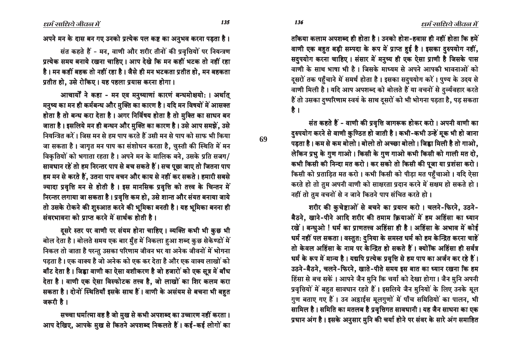तकिया कलाम अपशब्द ही होता है । उनको होश-हवास ही नहीं होता कि हमें वाणी एक बहुत बड़ी सम्पदा के रूप में प्राप्त हुई है। इसका दुरुपयोग नहीं, सदुपयोग करना चाहिए। संसार में मनुष्य ही एक ऐसा प्राणी है जिसके पास वाणी के साथ भाषा भी है। जिसके माध्यम से अपने आपकी भावनाओं को दसरों तक पहुँचाने में समर्थ होता है। इसका सदुपयोग करें। पुण्य के उदय से वाणी मिली है। यदि आप अपशब्द को बोलते हैं या वचनों से दुर्व्यवहार करते हैं तो उसका दुष्परिणाम स्वयं के साथ दूसरों को भी भोगना पड़ता है, पड़ सकता है ।

संत कहते हैं - वाणी की प्रवृत्ति जागरूक होकर करो। अपनी वाणी का हरुपयोग करने से वाणी कुण्ठित हो जाती है। कभी-कभी उन्हें मूक भी हो जाना पड़ता है। कम से कम बोलो। बोलो तो अच्छा बोलो। जिह्वा मिली है तो गाओ, लेकिन प्रभु के गुण गाओ। किसी के गुण गाओ कभी किसी को गाली मत दो, कभी किसी की निन्दा मत करो। कर सको तो किसी की पूजा या प्रशंसा करो। किसी को प्रताड़ित मत करो। कभी किसी को पीड़ा मत पहुँचाओ। यदि ऐसा करते हो तो तुम अपनी वाणी को साक्षरता प्रदान करने में सक्षम हो सकते हो । नहीं तो तुम वचनों से न जाने कितने पाप संचित करते हो।

शरीर की कुचेष्टाओं से बचने का प्रयत्न करो। चलने-फिरने, उठने-बैठने, खाने-पीने आदि शरीर की तमाम क्रियाओं में हम अहिंसा का ध्यान रखें। बन्धुओ ! धर्म का प्राणतत्त्व अहिंसा ही है। अहिंसा के अभाव में कोई धर्म नहीं पल सकता । वस्तुत: दनिया के समस्त धर्म को हम केन्द्रित करना चाहे<sup>:</sup> तो केवल अहिंसा के नाम पर केन्द्रित हो सकते हैं। क्योंकि अहिंसा ही सर्वत्र धर्म के रूप में मान्य है। यद्यपि प्रत्येक प्रवृत्ति से हम पाप का अर्जन कर रहे हैं। उठने-बैठने, चलने-फिरने, खाते-पीते समय इस बात का ध्यान रखना कि हम हिंसा से बच सकें। आपने जैन मुनि कि चर्या को देखा होगा। जैन मुनि अपनी प्रवृत्तियों में बहुत सावधान रहते हैं। इसलिये जैन मुनियों के लिए उनके मूल गुण बताए गए हैं। उन अड़ाईस मूलगुणों में पाँच समितियों का पालन, भी सामिल है। समिति का मतलब है प्रवृत्तिगत सावधानी। यह जैन साधना का एक प्रधान अंग है। इसके अनुसार मुनि की चर्या होने पर संवर के सारे अंग समाहित

आचार्यों ने कहा - मन एव मनुष्याणां कारणं बन्धमोक्षयो: । अर्थात मनुष्य का मन ही कर्मबन्ध और मुक्ति का कारण है। यदि मन विषयों में आसक्त होता है तो बन्ध करा देता है। अगर निर्विषय होता है तो मुक्ति का साधन बन जाता है। इसलिये मन ही बन्धन और मुक्ति का कारण है। उसे आप समझें, उसे <u>नियन्त्रित करें । जिस मन से हम पाप करते हैं उसी मन से पाप को साफ भी किया</u> जा सकता है। जागृत मन पाप का संशोधन करता है, चुस्ती की स्थिति में मन विकृतियों को भगाता रहता है। अपने मन के मालिक बने, उसके प्रति सजग/ सावधान रहें तो हम निरन्तर पाप से बच सकते हैं। सच पूछा जाए तो जितना पाप हम मन से करते हैं, उतना पाप वचन और काय से नहीं कर सकते । हमारी सबसे ¢‡b£b ±–Î…<c ÓD PC ´bC»a ´º \$ P ÓbD<P•T ±–Î…<c •TbC »{Î •CT <™E»D ÓC\* ¢‡b£b ±–Î…<c ÓD PC ´bC»a ´º ±–Î…<c •TbC »{Î <™E»D ÓC\* ¢‡b£b ±–Î…<c ÓD P •TbC »{Î •CT <™E»D ÓC\* निरन्तर लगाया जा सकता है। प्रवृत्ति कम हो, उसे शान्त और संयत बनाया जाये तो उसके रोकने की शुरुआत करने की भूमिका बनती है। यह भूमिका बनना ही  $\frac{1}{2}$ मंवरभावना को प्राप्त करने में सार्थक होती है।

दूसरे स्तर पर वाणी पर संयम होना चाहिए। व्यक्ति कभी भी कुछ भी बोल देता है। बोलते समय एक बार मुँह में निकला हुआ शब्द कुछ सेकेण्डों में निकल तो जाता है परन्तु उसका परिणाम जीवन भर या अनेक जीवनों में भोगना पड़ता है। एक वाक्य है जो अनेक को एक कर देता है और एक वाक्य लाखों को बाँट देता है । जिह्वा वाणी का ऐसा वशीकरण है जो हजारों को एक सूत्र में बाँध देता है। वाणी एक ऐसा विस्फोटक तत्त्व है, जो लाखों का शिर कलम करा सकता है। दोनों स्थितियाँ इसके साथ हैं। वाणी के असंयम से बचना भी बहुत जरूरी है।

सच्चा धर्मात्मा वह है जो मुख से कभी अपशब्द का उच्चारण नहीं करता। आप देखिए, आपके मुख से कितने अपशब्द निकलते हैं। कई-कई लोगों का

### अपने मन के दास बन गए उनको प्रत्येक पल कष्ट का अनुभव करना पड़ता है।

संत कहते हैं - मन, वाणी और शरीर तीनों की प्रवृत्तियों पर नियन्त्रण प्रत्येक समय बनाये रखना चाहिए । आप देखे कि मन कहीं भटक तो नहीं रहा है। मन कहीं बहक तो नहीं रहा है। जैसे ही मन भटकता प्रतीत हो, मन बहकता प्रतीत हो, उसे रोकिए। यह पहला प्रयास करना होगा।

**69**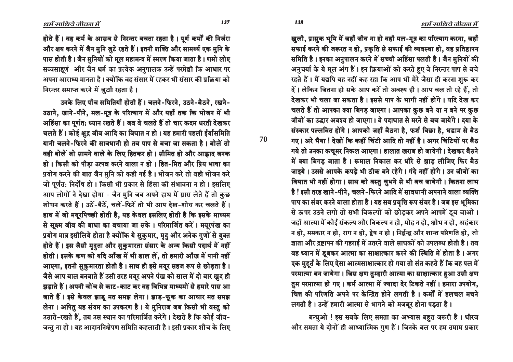⁄ खुली, प्रासुक भूमि में जहाँ जीव ना हो वहाँ मल-मूत्र का परित्याग करना, जहाँ सफाई करने की जरूरत न हो, प्रकृति से सफाई की व्यवस्था हो, वह प्रतिष्ठापन समिति है। इनका अनुपालन करने में सच्ची अहिंसा पलती है। जैन मुनियों की अनुचर्या के ये मूल अंग हैं। इन क्रियाओं को करते हुए वे निरन्तर पाप से बचे रहते हैं। मैं यद्यपि यह नहीं कह रहा कि आप भी मेरे जैसा ही करना शुरू कर दें। लेकिन जितना हो सके आप करें तो अवश्य ही। आप चल तो रहे हैं, तो देखकर भी चला जा सकता है। इससे पाप के भागी नहीं होंगे। यदि देख कर चलते हैं तो आपका क्या बिगड़ जाएगा। आपका कुछ बने या न बने पर कुछ जीवों का उद्धार अवश्य हो जाएगा । वे पदाघात से मरने से बच जायेंगे । दया के संस्कार पल्लवित होंगे। आपको जहाँ बैठना है. फर्श बिछा है. धडाम से बैठ गए। ओर भैया ! देखों कि कहीं चिंटी आदि तो नहीं है। अगर चिंटियों पर बैठ गये तो उनका कचुमर निकल आएगा। हालात खराब हो जायेगी। देखकर बैठने में क्या बिगड़ जाता है। रूमाल निकाल कर धीरे से झाड़ लीजिए फिर बैठ जाइये। उससे आपके कपड़े भी ठीक बने रहेंगे। गंदे नहीं होंगे। उन जीवों का विघात भी नहीं होगा। साथ को वस्तु चुभने से भी बच जायेगी। कितना लाभ है ! इसी तरह खाने-पीने, चलने-फिरने आदि में सावधानी अपनाने वाला व्यक्ति पाप का संवर करने वाला होता है। यह सब प्रवृत्ति रूप संवर है। जब इस भूमिका से ऊपर उठने लगो तो सभी विकल्पों को छोड़कर अपने आपमें इब जाओ। जहाँ आत्मा में कोई संकल्प और विकल्प न हो, मोह न हो, क्षोभ न हो, अहंकार न हो, ममकार न हो, राग न हो, द्वेष न हो । निर्द्वन्द्व और शान्त परिणति हो, जो जाता और द्रष्टापन की गहराई में उतरने वाले साधकों को उपलब्ध होती है । तब वह ध्यान में डूबकर आत्मा का साक्षात्कार करने की स्थिति में होता है। अगर एक मुहूर्त के लिए ऐसा आत्मसाक्षात्कार हो गया तो संत कहते हैं कि वह पल में परमात्मा बन जायेगा। जिस क्षण तुम्हारी आत्मा का साक्षात्कार हुआ उसी क्षण तुम परमात्मा हो गए। कर्म आत्मा में ज्यादा देर टिकते नहीं। हमारा उपयोग, चित्त की परिणति अपने पर केन्द्रित होने लगती है। कर्मों में हलचल मचने लगती है। उन्हें हमारी आत्मा से भागने को मजबूर होना पड़ता है।

बन्धुओ ! इस सबके लिए समता का अभ्यास बहुत जरूरी है। धीरज और समता ये दोनों ही आध्यात्मिक गुण हैं। जिनके बल पर हम तमाम प्रकार

होते हैं। वह कर्म के आस्रव से निरन्तर बचता रहता है। पूर्ण कर्मों की निर्जरा और क्षय करने में जैन मुनि जुटे रहते हैं। इतनी शक्ति और सामर्थ्य एक मुनि के पास होती है। जैन मुनियों को मूल महामन्त्र में स्मरण किया जाता है। णमो लोए सव्वसाहणं और जैन धर्म का प्रत्येक अनुपालक उन्हें परमेष्ठी कि आधार पर अपना आराध्य मानता है । क्योंकि वह संसार में रहकर भी संसार की पकिया को **निरन्तर समाप्त करने में ज़ुटी रहता है।** 

उनके लिए पाँच समितियाँ होती हैं। चलने-फिरने, उठने-बैठने, रखने-उठाने, खाने-पीने, मल-मूत्र के परित्याग में और यहाँ तक कि भोजन में भी अहिंसा का पूर्णत: ध्यान रखते हैं। जब वे चलते हैं तो चार कदम धरती देखकर चलते हैं। कोई क्षुद्र जीव आदि का विघात न हो। यह हमारी पहली ईर्यासमिति यानी चलने-फिरने की सावधानी हो तब पाप से बचा जा सकता है। बोलें तो वही बोलें जो सामने वाले के लिए हितकर हो । सीमित हो और आह्लाद जनक हो । किसी को पीडा उत्पन्न करने वाला न हो । हित-मित और प्रिय भाषा का प्रयोग करने की बात जैन मुनि को कही गई है। भोजन करे तो वही भोजन करे जो पूर्णत: निर्दोष हो। किसी भी प्रकार से हिंसा की संभावना न हो। इसलिए आप लोगों ने देखा होगा - जैन मुनि जब अपने हाथ में ग्रास लेते हैं तो कुछ शोधन करते हैं। उठें-बैठें, चलें-फिरें तो भी आप देख-शोध कर चलते हैं। हाथ में जो मयूरपिच्छी होती है, यह केवल इसलिए होती है कि इसके माध्यम से सूक्ष्म जीव की बाधा का बचाया जा सके । परिमार्जित करें । मयूरपंख का प्रयोग मात्र इसीलिये होता है क्योंकि ये सुकुमार, मृदु और अनेक गुणों से युक्त होते हैं। इस जैसी मृदुता और सुकुमारता संसार के अन्य किसी पदार्थ में नहीं होती। इसके कण को यदि आँख में भी डाल लें, तो हमारी आँख में पानी नहीं आएगा, इतनी सुकुमारता होती है। साथ ही इसे मयूर सहज रूप से छोड़ता है। जैसे आप बाल बनवाते हैं उसी तरह मयूर अपने पंख को साल में दो बार खूद ही ड़ाडाते हैं। अपनी चोंच से काट-काट कर वह विभिन्न माध्यमों से हमारे पास आ जाते हैं। इसे केवल झाडू मत समझ लेना। झाड़-फूक का आधार मत समझ लेना। अपित यह संयम का उपकरण है। ये मुनिराज जब किसी भी वस्तु को उठाते-रखते हैं, तब उस स्थान का परिमार्जित करेंगे। देखते है कि कोई जीव-जन्तु ना हो । यह आदाननिक्षेपण समिति कहलाती है । इसी प्रकार शौच के लिए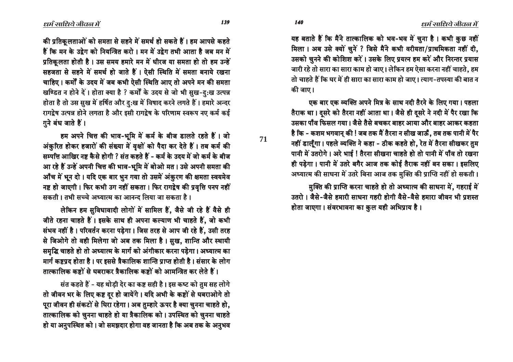यह बताते हैं कि मैंने तात्कालिक को भव-भव में चुना है। कभी कुछ नहीं मिला। अब उसे क्यों चुनें ? जिसे मैंने कभी वरीयता/प्राथमिकता नहीं दी, उसको चुनने की कोशिश करें। उसके लिए प्रयत्न हम करें और निरन्तर प्रयास जारी रहे तो सारा का सारा काम हो जाए। लेकिन हम ऐसा करना नहीं चाहते. हम तो चाहते हैं कि घर में ही सारा का सारा काम हो जाए। त्याग-तपस्या की बात न की जाए।

<u>एक बार एक व्यक्ति अपने मित्र के साथ नदी तैरने के लिए गया। पहला</u> तैराक था। दुसरे को तैरना नहीं आता था। जैसे ही दुसरे ने नदी में पैर रखा कि उसका पाँव फिसल गया। जैसे तैसे बचकर बाहर आया और बाहर आकर कहता है कि - कशम भगवान् की ! जब तक मैं तैरना न सीख जाऊँ, तब तक पानी में पैर नहीं डालूँगा। पहले व्यक्ति ने कहा - ठीक कहते हो, रेत में तैरना सीखकर तुम पानी में उतरोगे। अरे भाई ! तैरना सीखना चाहते हो तो पानी में पाँव तो रखना ही पड़ेगा। पानी में उतरे बगैर आज तक कोई तैराक नहीं बन सका। इसलिए अध्यात्म की साधना में उतरे बिना आज तक मुक्ति की प्राप्ति नहीं हो सकती।

मुक्ति की प्राप्ति करना चाहते हो तो अध्यात्म की साधना में, गहराई में उतरो । जैसे-जैसे हमारी साधना गहरी होगी वैसे-वैसे हमारा जीवन भी प्रशस्त होता जाएगा। संवरभावना का कुल यही अभिप्राय है।

 $\ell$ धर्म साधिये जीवल में

की प्रतिकूलताओं को समता से सहने में समर्थ हो सकते हैं। हम आपसे कहते हैं कि मन के उद्रेग को नियन्त्रित करो । मन में उद्रेग तभी आता है जब मन में प्रतिकलता होती है। उस समय हमारे मन में धीरज या समता हो तो हम उन्हें सहजता से सहने में समर्थ हो जाते हैं। ऐसी स्थिति में समता बनाये रखना चाहिए। कर्मों के उदय में जब कभी ऐसी स्थिति आए तो अपने मन की समता खण्डित न होने दें। होता क्या है ? कर्मों के उदय से जो भी सुख-दु:ख उत्पन्न होता है तो उस सुख में हर्षित और दु:ख में विषाद करने लगते हैं। हमारे अन्दर रागद्वेष उत्पन्न होने लगता है और इसी रागद्वेष के परिणाम स्वरूप नए कर्म कई  $\overline{\eta}$ ने बंध जाते हैं।

हम अपने चित्त की भाव-भूमि में कर्म के बीज डालते रहते हैं। जो अंकुरित होकर हजारों की संख्या में वृक्षों को पैदा कर देते हैं। तब कर्म की सम्पत्ति आखिर नष्ट कैसे होगी ? संत कहते हैं - कर्म के उदय में जो कर्म के बीज आ रहे हैं उन्हें अपनी चित्त की भाव-भूमि में बोओ मत। उसे अपनी समता की आँच में भून दो । यदि एक बार भुन गया तो उसमें अंकुरण की क्षमता स्वयमेव नष्ट हो जाएगी। फिर कभी उग नहीं सकता। फिर रागद्वेष की प्रवृत्ति पनप नहीं सकती । तभी सच्चे अध्यात्म का आनन्द लिया जा सकता है ।

लेकिन हम सुविधावादी लोगों में सामिल हैं, जैसे जी रहे हैं वैसे ही जीते रहना चाहते हैं। इसके साथ ही अपना कल्याण भी चाहते हैं, जो कभी संभव नहीं है। परिवर्तन करना पड़ेगा। जिस तरह से आप जी रहे हैं, उसी तरह से जिओगे तो वही मिलेगा जो अब तक मिला है। सुख, शान्ति और स्थायी समृद्धि चाहते हो तो अध्यात्म के मार्ग को अंगीकार करना पड़ेगा। अध्यात्म का मार्ग कष्टप्रद होता है। पर इससे त्रैकालिक शान्ति प्राप्त होती है। संसार के लोग <u>तात्कालिक कष्टों से घबराकर त्रैकालिक कष्टों को आमन्त्रित कर लेते हैं ।</u>

संत कहते हैं - यह थोड़ी देर का कष्ट सही है। इस कष्ट को तुम सह लोगे तो जीवन भर के लिए कष्ट दूर हो जायेंगे। यदि अभी के कष्टों से घबराओगे तो पूरा जीवन ही संकटों से घिरा रहेगा। अब तुम्हारे ऊपर है क्या चुनना चाहते हो, तात्कालिक को चुनना चाहते हो या त्रैकालिक को । उपस्थित को चुनना चाहते हो या अनुपस्थित को। जो समझदार होगा वह जानता है कि अब तक के अनुभव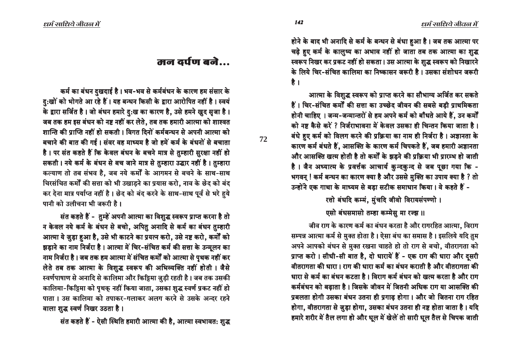होने के बाद भी अनादि से कर्म के बन्धन से बंधा हुआ है। जब तक आत्मा पर चढ़े हए कर्म के कालुष्य का अभाव नहीं हो जाता तब तक आत्मा का शुद्ध स्वरूप निखर कर प्रकट नहीं हो सकता। उस आत्मा के शुद्ध स्वरूप को निखारने के लिये चिर-संचित कालिमा का निष्कासन जरूरी है । उसका संशोधन जरूरी है $\overrightarrow{a}$ 

आत्मा के विशुद्ध स्वरूप को प्राप्त करने का सौभाग्य अर्जित कर सकते हैं। चिर-संचित कर्मों की सत्ता का उच्छेद जीवन की सबसे बड़ी प्राथमिकता होनी चाहिए । जन्म-जन्मान्तरों से हम अपने कर्म को बाँधते आये हैं. उन कर्मों को नष्ट कैसे करें ? निर्जराभावना में केवल उसका ही चिन्तन किया जाता है। बंधे हुए कर्म को विलग करने की प्रक्रिया का नाम ही निर्जरा है। अज्ञानता के कारण कर्म बंधते हैं, आसक्ति के कारण कर्म चिपकते हैं, जब हमारी अज्ञानता और आसक्ति खत्म होती है तो कर्मों के झड़ने की प्रक्रिया भी प्रारम्भ हो जाती है। जैन अध्यात्म के प्रवर्त्तक आचार्य कुन्दकुन्द से जब पूछा गया कि -भगवन् ! कर्म बन्धन का कारण क्या है और उससे मुक्ति का उपाय क्या है ? तो उन्होंने एक गाथा के माध्यम से बडा सटीक समाधान किया। वे कहते हैं -

रत्तो बंधदि कम्मं, मुंचदि जीवो विरायसंपण्णो ।

एसो बंधसमासो तम्हा कम्मेस मा रज्झ ॥

जीव राग के कारण कर्म का बंधन करता है और रागरहित आत्मा, विराग सम्पन्न आत्मा कर्म से मुक्त होता है। ऐसा बंध का समास है। इसलिये यदि तुम अपने आपको बंधन से मुक्त रखना चाहते हो तो राग से बचो, वीतरागता को प्राप्त करो। सीधी-सी बात है, दो धारायें हैं - एक राग की धारा और दुसरी <u>वीतरागता की धारा । राग की धारा कर्म का बंधन कराती है और वीतरागता की</u> धारा से कर्म का बंधन कटता है । विराग कर्म बंधन को खत्म करता है और राग कर्मबंधन को बढाता है। जिसके जीवन में जितनी अधिक राग या आसक्ति की प्रबलता होगी उसका बंधन उतना ही प्रगाढ़ होगा। और जो जितना राग रहित होगा, वीतरागता से जुड़ा होगा, उसका बंधन उतना ही नष्ट होता जाता है। यदि हमारे शरीर में तैल लगा हो और धूल में खेलें तो सारी धूल तैल से चिपक जाती

## $\overline{a}$  a $\overline{a}$  and  $\overline{a}$ ...  $\overline{a}$

कर्म का बंधन दुखदाई है। भव-भव से कर्मबंधन के कारण हम संसार के दु:खों को भोगते आ रहे हैं। यह बन्धन किसी के द्वारा आरोपित नहीं है। स्वयं के द्वारा सर्जित है। जो बंधन हमारे दु:ख का कारण है, उसे हमने खूद सृजा है। जब तक हम इस बंधन को नष्ट नहीं कर लेते, तब तक हमारी आत्मा को शाश्वत ञान्ति की प्राप्ति नहीं हो सकती । विगत दिनों कर्मबन्धन से अपनी आत्मा को बचाने की बात की गई। संवर वह माध्यम है जो हमें कर्म के बंधनों से बचाता है। पर संत कहते हैं कि केवल बंधन के बचने मात्र से तुम्हारी सुरक्षा नहीं हो सकती । नये कर्म के बंधन से बच जाने मात्र से तुम्हारा उद्धार नहीं है । तुम्हारा कल्याण तो तब संभव है, जब नये कर्मों के आगमन से बचने के साथ-साथ चिरसंचित कर्मों की सत्ता को भी उखाड़ने का प्रयास करो, नाव के छेद को बंद कर देना मात्र पर्याप्त नहीं है। छेद को बंद करने के साथ-साथ पूर्व से भरे हये <u>पानी को उलीचना भी जरूरी है ।</u>

संत कहते हैं - तुम्हें अपनी आत्मा का विशुद्ध स्वरूप प्राप्त करना है तो न केवल नये कर्म के बंधन से बचो, अपितु अनादि से कर्म का बंधन तुम्हारी आत्मा ये जुड़ा हुआ है, उसे भी काटने का प्रयत्न करो, उसे नष्ट करो, कर्मों को इडाने का नाम निर्जरा है। आत्मा में चिर-संचित कर्म की सत्ता के उन्मूलन का नाम निर्जरा है। जब तक हम आत्मा में संचित कर्मों को आत्मा से पृथक नहीं कर लेते तब तक आत्मा के विशुद्ध स्वरूप की अभिव्यक्ति नहीं होती। जैसे स्वर्णपाषाण से अनादि से कालिमा और किट्टिमा जुड़ी रहती है। जब तक उसकी कालिमा-किट्टिमा को पृथक् नहीं किया जाता, उसका शुद्ध स्वर्ण प्रकट नहीं हो पाता । उस कालिमा को तपाकर-गलाकर अलग करने से उसके अन्दर रहने वाला शुद्ध स्वर्ण निखर उठता है।

संत कहते हैं - ऐसी स्थिति हमारी आत्मा की है, आत्मा स्वभावत: शुद्ध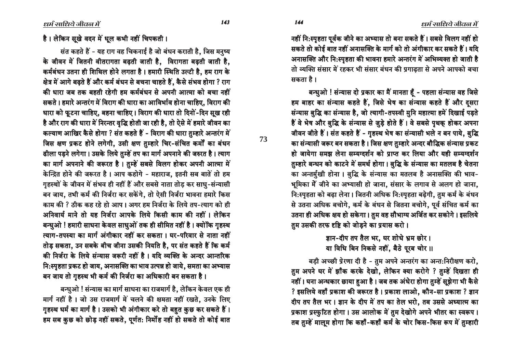नहीं नि:स्पृहता पूर्वक जीने का अभ्यास तो बना सकते हैं। सबसे विलग नहीं हो सकते तो कोई बात नहीं अनासक्ति के मार्ग को तो अंगीकार कर सकते हैं। यदि अनासक्ति और नि:स्पृहता की भावना हमारे अन्तरंग में अभिव्यक्त हो जाती है तो व्यक्ति संसार में रहकर भी संसार बंधन की प्रगाढता से अपने आपको बचा सकता है ।

बन्धुओ ! संन्यास दो प्रकार का मैं मानता हूँ - पहला संन्यास वह जिसे हम बाहर का संन्यास कहते हैं, जिसे भेष का संन्यास कहते हैं और दसरा संन्यास बुद्धि का संन्यास है, जो त्यागी-तपस्वी मुनि महात्मा हमें दिखाई पड़ते हैं वे भेष और बुद्धि के संन्यास से जुड़े होते हैं। वे सबसे पृथक् होकर अपना जीवन जीते हैं। संत कहते हैं - गृहस्थ भेष का संन्यासी भले न बन पाये, बुद्धि का संन्यासी जरूर बन सकता है। जिस क्षण तुम्हारे अन्दर बौद्धिक संन्यास प्रकट हो जायेगा समझ लेना सम्यग्दर्शन को प्राप्त कर लिया और यही सम्यग्दर्शन तुम्हारे बन्धन को काटने में समर्थ होगा। बुद्धि के संन्यास का मतलब है चेतना का अन्तर्मुखी होना। बुद्धि के संन्यास का मतलब है अनासक्ति की भाव-भूमिका में जीने का अभ्यासी हो जाना, संसार के लगाव से अलग हो जाना, नि:स्पृहता को बढ़ा लेना। जितनी अधिक नि:स्पृहता बढ़ेगी, तुम कर्म के बंधन से उतना अधिक बचोगे, कर्म के बंधन से जितना बचोगे, पूर्व संचित कर्म का उतना ही अधिक क्षय हो सकेगा। तुम वह सौभाग्य अर्जित कर सकोगे। इसलिये तम उसकी तरफ दृष्टि को जोडने का प्रयास करो।

> ज्ञान-दीप तप तैल भर, घर शोधे भ्रम छोर। या विधि बिन निकसे नहीं. बैठे पुरब चोर ।।

बड़ी अच्छी प्रेरणा दी है - तुम अपने अन्तरंग का अन्त:निरीक्षण करो, तुम अपने घर में झाँक करके देखो, लेकिन क्या करोगे ? तुम्हें दिखता ही नहीं। घना अन्धकार छाया हुआ है। जब तक अंधेरा होगा तुम्हें सूझेगा भी कैसे ? इसलिये वहाँ प्रकाश की जरूरत है। प्रकाश लाओ, कौन-सा प्रकाश ? ज्ञान दीप तप तैल भर। ज्ञान के दीप में तप का तेल भरो, तब उससे अध्यात्म का प्रकाश प्रस्फुटित होगा। उस आलोक में तुम देखोगे अपने भीतर का स्वरूप। तब तुम्हें मालूम होगा कि कहाँ-कहाँ कर्म के चोर किस-किस रूप में तुम्हारी

है। लेकिन सूखे वदन में धूल कभी नहीं चिपकती।

संत कहते हैं - यह राग वह चिकनाई है जो बंधन कराती है, जिस मनुष्य के जीवन में जितनी वीतरागता बढती जाती है. विरागता बढती जाती है. कर्मबंधन उतना ही शिथिल होने लगता है। हमारी स्थिति उल्टी है, हम राग के क्षेत्र में आगे बढ़ते हैं और कर्म बंधन से बचना चाहते हैं, कैसे संभव होगा ? राग की धारा जब तक बहती रहेगी हम कर्मबंधन से अपनी आत्मा को बचा नहीं सकते। हमारे अन्तरंग में विराग की धारा का आविर्भाव होना चाहिए, विराग की धारा को फुटना चाहिए. बहना चाहिए। विराग की धारा तो दिनों-दिन सुख रही है और राग की धारा में निरन्तर वृद्धि होती जा रही है, तो ऐसे में हमारे जीवन का कल्याण आखिर कैसे होगा ? संत कहते हैं - विराग की धारा तुम्हारे अन्तरंग में जिस क्षण प्रकट होने लगेगी, उसी क्षण तुम्हारे चिर-संचित कर्मों का बंधन ढीला पड़ने लगेगा। उसके लिये तुम्हें तप का मार्ग अपनाने की जरुरत है। त्याग का मार्ग अपनाने की जरूरत है। तुम्हें सबसे विलग होकर अपनी आत्मा में केन्द्रित होने की जरूरत है। आप कहोगे - महाराज, इतनी सब बातें तो हम गृहस्थों के जीवन में संभव ही नहीं हैं और सबसे नाता तोड़ कर साधु-संन्यासी बन जाय, तभी कर्म की निर्जरा कर सकेंगे, तो ऐसी निर्जरा भावना हमारे किस काम की ? ठीक कह रहे हो आप । अगर हम निर्जरा के लिये तप-त्याग को ही अनिवार्य माने तो यह निर्जरा आपके लिये किसी काम की नहीं। लेकिन बन्धुओ ! हमारी साधना केवल साधुओं तक ही सीमित नहीं है। क्योंकि गृहस्थ त्याग-तपस्या का मार्ग अंगीकार नहीं कर सकता । घर-परिवार से नाता नहीं तोड सकता. उन सबके बीच जीना उसकी नियति है. पर संत कहते हैं कि कर्म की निर्जरा के लिये संन्यास जरूरी नहीं है। यदि व्यक्ति के अन्दर आन्तरिक नि:स्पृहता प्रकट हो जाय, अनासक्ति का भाव उत्पन्न हो जाये, समता का अभ्यास बन जाय तो गृहस्थ भी कर्म की निर्जरा का अधिकारी बन सकता है।

बन्धुओ ! संन्यास का मार्ग साधना का राजमार्ग है, लेकिन केवल एक ही मार्ग नहीं है। जो उस राजमार्ग में चलने की क्षमता नहीं रखते, उनके लिए गृहस्थ धर्म का मार्ग है। उसको भी अंगीकार करे तो बहुत कुछ कर सकते हैं। हम सब कुछ को छोड़ नहीं सकते, पूर्णत: निर्मोह नहीं हो सकते तो कोई बात

144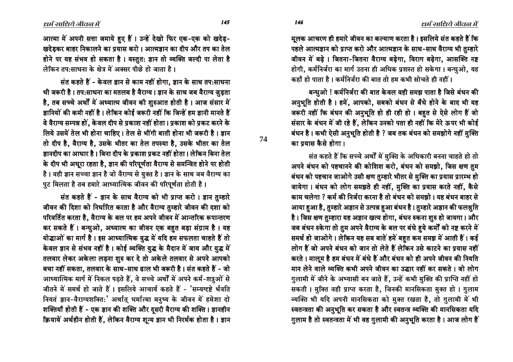आत्मा में अपनी सत्ता जमाये हुए हैं। उन्हें देखो फिर एक-एक को खदेड़-खदेडकर बाहर निकालने का प्रयास करो। आत्मज्ञान का दीप और तप का तेल होने पर यह संभव हो सकता है। वस्तुत: ज्ञान तो व्यक्ति जल्दी पा लेता है लेकिन तप:साधना के क्षेत्र में अक्सर पीछे हो जाता है।

संत कहते हैं - केवल ज्ञान से काम नहीं होगा, ज्ञान के साथ तप:साधना भी जरूरी है। तप:साधना का मतलब है वैराग्य। ज्ञान के साथ जब वैराग्य जुड़ता है, तब सच्चे अर्थों में अध्यात्म जीवन की शुरुआत होती है। आज संसार में ज्ञानियों की कमी नहीं है। लेकिन कोई जरूरी नहीं कि जिन्हें हम ज्ञानी मानते हैं वे वैराग्य सम्पन्न हों, केवल दीप से प्रकाश नहीं होता। प्रकाश को प्रकट करने के लिये उसमें तेल भी होना चाहिए। तेल से भींगी बाती होना भी जरूरी है। ज्ञान तो दीप है, वैराग्य है, उसके भीतर का तेल तपस्या है, उसके भीतर का तेल जानदीप का आधार है। बिना दीप के प्रकाश प्रकट नहीं होता। लेकिन बिना तेल के दीप भी अधूरा रहता है, ज्ञान की परिपूर्णता वैराग्य से समन्वित होने पर होती है। वही ज्ञान सच्चा ज्ञान है जो वैराग्य से युक्त है। ज्ञान के साथ जब वैराग्य का पुट मिलता है तब हमारे आध्यात्मिक जीवन की परिपूर्णता होती है।

संत कहते हैं - ज्ञान के साथ वैराग्य को भी प्राप्त करो। ज्ञान तम्हारे जीवन की दिशा को निर्धारित करता है और वैराग्य तुम्हारे जीवन की दशा को परिवर्तित करता है, वैराग्य के बल पर हम अपने जीवन में आन्तरिक रूपान्तरण कर सकते हैं। बन्धुओ, अध्यात्म का जीवन एक बहत बड़ा संग्राम है। यह योद्धाओं का मार्ग है। इस आध्यात्मिक युद्ध में यदि हम सफलता चाहते हैं तो केवल ज्ञान से संभव नहीं है। कोई व्यक्ति युद्ध के मैदान में जाय और युद्ध में तलवार लेकर अकेला लड़ना शुरु कर दे तो अकेले तलवार से अपने आपको बचा नहीं सकता, तलवार के साथ-साथ ढाल भी जरूरी है। संत कहते हैं - जो आध्यात्मिक मार्ग में निकल पड़ते हैं, वे सच्चे अर्थों में अपने कर्म-शत्रुओं से जीतने में समर्थ हो जाते हैं। इसलिये आचार्य कहते हैं - 'सम्यग्दृष्टे र्भवति नियतं ज्ञान-वैराग्यशक्तिः' अर्थात् धर्मात्मा मनुष्य के जीवन में हमेशा दो शक्तियाँ होती हैं - एक ज्ञान की शक्ति और दूसरी वैराग्य की शक्ति। ज्ञानहीन क्रियायें अर्थहीन होती हैं, लेकिन वैराग्य शून्य ज्ञान भी निरर्थक होता है। ज्ञान मूलक आचरण ही हमारे जीवन का कल्याण करता है। इसलिये संत कहते हैं कि पहले आत्मज्ञान को प्राप्त करो और आत्मज्ञान के साथ-साथ वैराग्य भी तुम्हारे जीवन में बढ़े। जितना-जितना वैराग्य बढ़ेगा. विराग बढ़ेगा. आसक्ति नष्ट होगी, कर्मनिर्जरा का मार्ग उतना ही अधिक प्रशस्त हो सकेगा। बन्धुओ, यह कहाँ हो पाता है । कर्मनिर्जग की बात तो हम कभी मोचते ही नहीं ।

बन्धुओ ! कर्मनिर्जरा की बात केवल वही समझ पाता है जिसे बंधन की अनुभूति होती है। हमें, आपको, सबको बंधन से बँधे होने के बाद भी यह जरूरी नहीं कि बंधन की अनुभूति हो ही रही हो। बहुत से ऐसे लोग हैं जो संसार के बंधन में जी रहे हैं, लेकिन उनको पता ही नहीं कि मेरे ऊपर भी कोई बंधन है। कभी ऐसी अनुभूति होती है ? जब तक बंधन को समझोगे नहीं मुक्ति का प्रयास कैसे होगा।

संत कहते हैं कि सच्चे अर्थों में मुक्ति के अधिकारी बनना चाहते हो तो अपने बंधन को पहचानने की कोशिश करो, बंधन को समझो, जिस क्षण तुम बंधन को पहचान जाओगे उसी क्षण तुम्हारे भीतर से मुक्ति का प्रयास प्रारम्भ हो जायेगा। बंधन को लोग समझते ही नहीं, मुक्ति का प्रयास करते नहीं, कैसे काम चलेगा ? कर्म की निर्जरा करना है तो बंधन को समझो। यह बंधन बाहर से आया हुआ है, तुम्हारे अज्ञान से उत्पन्न हुआ बंधन है। तुम्हारे अज्ञान की फलश्नुति है। जिस क्षण तुम्हारा यह अज्ञान खत्म होगा, बंधन रुकना शुरु हो जायगा। और जब बंधन रुकेगा तो तुम अपने वैराग्य के बल पर बंधे हुये कर्मों को नष्ट करने में समर्थ हो जाओगे। लेकिन यह सब बातें हमें बहत कम समझ में आती हैं। कई लोग हैं जो अपने बंधन को जान तो लेते हैं लेकिन उसे काटने का प्रयास नहीं करते । मालूम है हम बंधन में बंधे हैं और बंधन को ही अपने जीवन की नियति मान लेने वाले व्यक्ति कभी अपने जीवन का उद्धार नहीं कर सकते । जो लोग गुलामी में जीने के अभ्यासी बन जाते हैं, उन्हें कभी मुक्ति की प्राप्ति नहीं हो सकती। मुक्ति वही प्राप्त करता है, जिनकी मानसिकता मुक्त हो। गुलाम व्यक्ति भी यदि अपनी मानसिकता को मुक्त रखता है, तो गुलामी में भी स्वतन्त्रता की अनुभूति कर सकता है और स्वतन्त्र व्यक्ति की मानसिकता यदि गुलाम है तो स्वतन्त्रता में भी वह गुलामी की अनुभूति करता है। आज लोग हैं

145

74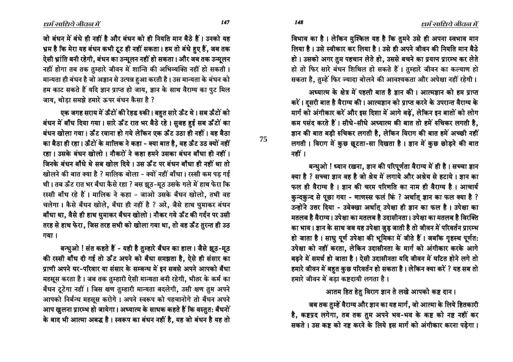धर्म साधिये जीवन में

विभाव का है। लेकिन मुश्किल यह है कि तुमने उसे ही अपना स्वभाव मान लिया है। उसे स्वीकार कर लिया है। उसे ही अपने जीवन की नियति मान बैठे हो। उसको अगर तुम पहचान लेते हो, उससे बचने का प्रयत्न प्रारम्भ कर लेते हो तो फिर सारे बंधन शिथिल हो सकते हैं। तुम्हारे जीवन का कल्याण हो सकता है. तम्हें फिर ज्यादा बोलने की आवश्यकता और अपेक्षा नहीं रहेगी।

अध्यात्म के क्षेत्र में पहली बात है ज्ञान की। आत्मज्ञान को हम प्राप्त करें। दसरी बात है वैराग्य की। आत्मज्ञान को प्राप्त करने के उपरान्त वैराग्य के मार्ग को अंगीकार करें और इस दिशा में आगे बढें. लेकिन इन बातों को लोग कम पसंद करते हैं। सीधे-सीधे अध्यात्म की बात तो हमें रुचिकर लगती है, ज्ञान की बात बड़ी रुचिकर लगती है, लेकिन विराग की बात हमें अच्छी नहीं लगती। विराग में कुछ छुटता-सा दिखता है। ज्ञान में कुछ छोड़ने की बात नहीं ।

बन्धुओ ! ध्यान रखना, ज्ञान की परिपूर्णता वैराग्य में ही है । सच्चा ज्ञान क्या है ? सच्चा ज्ञान वह है जो श्रेय में लगाये और अश्रेय से हटाये । ज्ञान का फल ही वैराग्य है। ज्ञान की चरम परिणति का नाम ही वैराग्य है। आचार्य कुन्दकुन्द से पूछा गया - णाणस्स फलं किं ? अर्थात् ज्ञान का फल क्या है ? उन्होंने उत्तर दिया - उवेक्खा अर्थात उपेक्षा ही ज्ञान का फल है। उपेक्षा का मतलब है वैराग्य। उपेक्षा का मतलब है उदासीनता। उपेक्षा का मतलब है विरक्ति का भाव। ज्ञान के साथ जब यह उपेक्षा जुड़ जाती है तो जीवन में परिवर्तन प्रारम्भ हो जाता है। साधु पूर्ण उपेक्षा की भूमिका में जीते हैं। जबकि गृहस्थ पूर्णत: उपेक्षा को नहीं करता. लेकिन उदासीनता के मार्ग को अंगीकार करके आगे बढ़ने में समर्थ हो जाता है। ऐसी उदासीनता यदि जीवन में घटित होने लगे तो हमारे जीवन में बहुत कुछ परिवर्तन हो सकता है। लेकिन क्या करें ? यह सब तो हमारे जीवन में बड़ा कष्टदायी लगता है।

#### आतम हित हेतु विराग ज्ञान ते लखे आपको कष्ट दान।

जब तक तुम्हें वैराग्य और ज्ञान का यह मार्ग, जो आत्मा के लिये हितकारी है, कष्टप्रद लगेगा, तब तक तुम अपने भव-भव के कष्ट को नष्ट नहीं कर सकते । उस कष्ट को नष्ट करने के लिये इस मार्ग को अंगीकार करना पडेगा ।

जो बंधन में बंधे ही नहीं है और बंधन को ही नियति मान बैठे हैं। उनको यह भ्रम है कि मेरा यह बंधन कभी टूट ही नहीं सकता। हम तो बंधे हुए हैं, जब तक ऐसी भ्रांति बनी रहेगी, बंधन का उन्मूलन नहीं हो सकता। और जब तक उन्मूलन नहीं होगा तब तक तुम्हारे जीवन में शान्ति की अभिव्यक्ति नहीं हो सकती। मान्यता ही बंधन है जो अज्ञान से उत्पन्न हुआ करती है। उस मान्यता के बंधन को हम काट सकते हैं यदि ज्ञान प्राप्त हो जाय, ज्ञान के साथ वैराग्य का पुट मिल जाय, थोड़ा समझे हमारे ऊपर बंधन कैसा है ?

एक जगह सराय में ऊँटों की रेहड रुकी। बहुत सारे ऊँट थे। सब ऊँटों को बंधन में बाँध दिया गया। सारे ऊँट रात भर बैठे रहे। सुबह हुई सब ऊँटों का बंधन खोला गया। ऊँट खाना हो गये लेकिन एक ऊँट उठा ही नहीं। वह बैठा का बैठा ही रहा। ऊँटों के मालिक ने कहा - क्या बात है, वह ऊँट उठ क्यों नहीं रहा। उसके बंधन खोलो। नौकरों ने कहा हमने उसका बंधन बाँधा ही नहीं। जिनके बंधन बाँधे थे सब खोल दिये। उस ऊँट पर बंधन बाँधा ही नहीं था तो खोलने की बात क्या है ? मालिक बोला - क्यों नहीं बाँधा। रस्सी कम पड़ गई थी। तब ऊँट रात भर बँधा कैसे रहा ? बस झूठ-मूठ उसके गले में हाथ फेरा कि रस्सी बाँध रहे हैं। मालिक ने कहा - जाओ उसके बँधन खोलो, तभी वह चलेगा। कैसे बँधन खोले, बँधा ही नहीं है ? अरे, जैसे हाथ घुमाकर बंधन बाँधा था, वैसे ही हाथ घुमाकर बँधन खोलो। नौकर गये ऊँट की गर्दन पर उसी तरह से हाथ फेरा, जिस तरह सभी को खोला गया था, तो वह ऊँट तुरन्त ही उठ गया।

बन्धुओ ! संत कहते हैं - यही है तुम्हारे बँधन का हाल। जैसे झूठ-मूठ की रस्सी बाँध दी गई तो ऊँट अपने को बँधा समझता है, ऐसे ही संसार का प्राणी अपने घर-परिवार या संसार के सम्बन्ध में इन सबसे अपने आपको बँधा महसूस करता है। जब तक तुम्हारी ऐसी मान्यता बनी रहेगी, भीतर के कर्म का बँधन टूटेगा नहीं। जिस क्षण तुम्हारी मान्यता बदलेगी, उसी क्षण तुम अपने आपको निर्बन्ध महसूस करोगे। अपने स्वरूप को पहचानोगे तो बँधन अपने आप खुलना प्रारम्भ हो जायेगा। अध्यात्म के साधक कहते हैं कि वस्तुत: बैंधनों के बाद भी आत्मा अबद्ध है। स्वरूप का बंधन नहीं है, यह जो बंधन है यह तो 75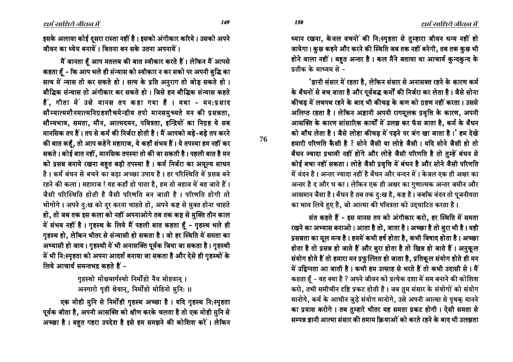149

150

76

इसके अलावा कोई दुसरा रास्ता नहीं है। इसको अंगीकार करिये। उसको अपने जीवन का ध्येय बनायें । जितना बन सके उतना अपनायें ।

मैं जानता है आप मतलब की बात स्वीकार करते हैं। लेकिन मैं आपसे कहता हूँ - कि आप भले ही संन्यास को स्वीकार न कर सको पर अपनी बुद्धि का सत्य में न्यास तो कर सकते हो। सत्य के प्रति अनुराग तो जोड सकते हो। बौद्धिक संन्यास तो अंगीकार कर सकते हो। जिसे हम बौद्धिक संन्यास कहते हैं, गीता में उसे मानस तप कहा गया है । यथा - मन:प्रसाद सौम्यात्ममौनमात्मनिग्रहशौचमेन्द्रीय तपो मानसमुच्यते मन की प्रसन्नता. सौम्यभाव, समता, मौन, आत्मदमन, पवित्रता, इन्द्रियों का निग्रह ये सब मानसिक तप हैं। तप से कर्म की निर्जरा होती है। मैं आपको बड़े-बड़े तप करने की बात कहँ, तो आप कहेंगे महाराज, ये कहाँ संभव हैं। ये तपस्या हम नहीं कर सकते। कोई बात नहीं, मानसिक तपस्या तो की जा सकती है। पहली बात है मन को प्रसन्न बनाये रखना बहुत बड़ी तपस्या है। कर्म निर्जरा का अमूल्य साधन है। कर्म बंधन से बचने का बड़ा अच्छा उपाय है। हर परिस्थिति में प्रसन्न बने रहने की कला। महाराज ! यह कहाँ हो पाता है, हम तो बहाव में बह जाते हैं। जैसी परिस्थिति होती है वैसी परिणति बन जाती है। परिणति होगी तो भोगोगे। अपने दु:ख को दूर करना चाहते हो, अपने कष्ट से मुक्त होना चाहते हो, तो जब तक इस कला को नहीं अपनाओगे तब तक कष्ट से मुक्ति तीन काल में संभव नहीं है। गृहस्थ के लिये मैं पहली बात कहता हूँ - गृहस्थ भले ही गृहस्थ हो, लेकिन भीतर से संन्यासी हो सकता है। जो हर स्थिति में समता का अभ्यासी हो जाय। गृहस्थी में भी अनासक्ति पूर्वक जिया जा सकता है। गृहस्थी में भी नि:स्पृहता को अपना आदर्श बनाया जा सकता है और ऐसे ही गृहस्थों के लिये आचार्य समन्तभद्र कहते हैं -

> गृहस्थो मोक्षमार्गस्थो निर्मोहो नैव मोहवान् । अनगारो गही श्रेयान्, निर्मोहो मोहिनो मुनि: ॥

एक मोही मुनि से निर्मोही गृहस्थ अच्छा है। यदि गृहस्थ नि:स्पृहता पूर्वक जीता है, अपनी आसक्ति को क्षीण करके चलता है तो एक मोही मुनि से अच्छा है। बहुत गहरा उपदेश है इसे हम समझने की कोशिश करें। लेकिन ध्यान रखना, केवल वचनों की नि:स्पृहता से तुम्हारा जीवन धन्य नहीं हो जायेगा। कुछ कहने और करने की स्थिति जब तक नहीं बनेगी, तब तक कुछ भी होने वाला नहीं। बहुत अन्तर है। कल मैंने बताया था आचार्य कुन्दकुन्द के पतीक के माध्यम से -

'ज्ञानी संसार में रहता है, लेकिन संसार से अनासक्त रहने के कारण कर्म के बँधनों से बच जाता है और पूर्वबद्ध कर्मों की निर्जरा कर लेता है। जैसे सोना कीचड़ में लथपथ रहने के बाद भी कीचड़ के कण को ग्रहण नहीं करता। उससे अलिप्त रहता है। लेकिन अज्ञानी अपनी रागमलक प्रवृत्ति के कारण. अपनी आसक्ति के कारण सांसारिक कार्यों में उलझ कर फॅस जाता है, कर्म के बँधन को बाँध लेता है। जैसे लोहा कीचड में पड़ने पर जंग खा जाता है।' हम देखे हमारी परिणति कैसी है ? सोने जैसी या लोहे जैसी । यदि सोने जैसी हो तो बँधन ज्यादा प्रभावी नहीं होंगे और लोहे जैसी परिणति है तो तुम्हें बंधन से कोई बचा नहीं सकता। लोहे जैसी प्रवृत्ति में बंधन है और सोने जैसी परिणति में वंदन है। अन्तर ज्यादा नहीं है बँधन और वन्दन में। केवल एक ही अक्षर का अन्तर है द और ध का। लेकिन एक ही अक्षर का गुणात्मक अन्तर जमीन और आसमान जैसा है। बँधन है तब तक दु:ख है, कष्ट है। जबकि वंदन तो पूजनीयता का भाव लिये हुए है, जो आत्मा की पवित्रता को उद्घाटित करता है।

संत कहते हैं - इस मानस तप को अंगीकार करो, हर स्थिति में समता रखने का अभ्यास बनाओ। आता है तो, जाता है। अच्छा है तो बुरा भी है। यही प्रसन्नता का मूल मन्त्र है। हममें कभी हर्ष होता है, कभी विषाद होता है। अच्छा होता है तो प्रसन्न हो जाते हैं और बुरा होता है तो खिन्न हो जाते हैं। अनुकूल संयोग होते हैं तो हमारा मन प्रफुल्लित हो जाता है, प्रतिकूल संयोग होते ही मन में उद्विग्नता आ जाती है। कभी हम उत्साह से भरते हैं तो कभी उदासी से। मैं कहता हैं - यह क्या है ? अपने जीवन को प्रत्येक दशा में सम बनाने की कोशिश करो, तभी समीचीन दृष्टि प्रकट होती है। जब तुम संसार के संयोगों को संयोग मानोगे, कर्म के आधीन जुड़े संयोग मानोगे, उसे अपनी आत्मा से पृथक् मानने का प्रयास करोगे। तब तुम्हारे भीतर यह समता प्रकट होगी। ऐसी समता से सम्पन्न ज्ञानी आत्मा संसार की तमाम क्रियाओं को करते रहने के बाद भी उलझता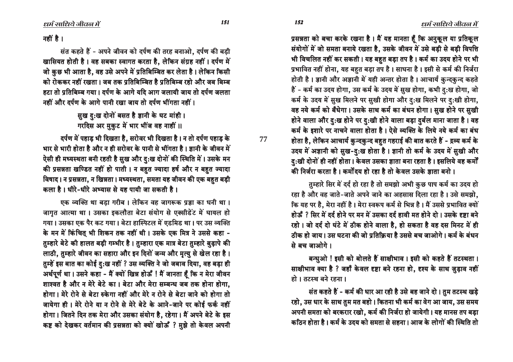प्रसन्नता को बचा करके रखना है। मैं यह मानता हूँ कि अनुकूल या प्रतिकूल संयोगों में जो समता बनाये रखता है, उसके जीवन में उसे बड़ी से बड़ी विपत्ति भी विचलित नहीं कर सकती। यह बहुत बड़ा तप है। कर्म का उदय होने पर भी प्रभावित नहीं होना, यह बहुत बड़ा तप है। साधना है। इसी से कर्म की निर्जरा होती है। ज्ञानी और अज्ञानी में यही अन्तर होता है। आचार्य कुन्दकुन्द कहते हैं - कर्म का उदय होगा, उस कर्म के उदय में सुख होगा, कभी दु:ख होगा, जो कर्म के उदय में सुख मिलने पर सुखी होगा और दु:ख मिलने पर दु:खी होगा, वह नये कर्म को बँधेगा। उसके साथ कर्म का बंधन होगा। स़ुख होने पर स़ुखी होने वाला और द:ख होने पर द:खी होने वाला बड़ा दर्बल माना जाता है। वह कर्म के इशारे पर नाचने वाला होता है। ऐसे व्यक्ति के लिये नये कर्म का बंध होता है, लेकिन आचार्य कुन्दकुन्द बहुत गहराई की बात करते हैं - द्रव्य कर्म के उदय में अज्ञानी को सुख-दु:ख होता है। ज्ञानी तो कर्म के उदय में सुखी और ह:खी दोनों ही नहीं होता। केवल उसका ज्ञाता बना रहता है। इसलिये वह कर्मों की निर्जरा करता है। कर्मोदय हो रहा है तो केवल उसके जाता बनो ।

तुम्हारे सिर में दर्द हो रहा है तो समझो अभी कुछ पाप कर्म का उदय हो रहा है और वह जाते-जाते अपने जाने का अहसास दिला रहा है। उसे समझो, िक यह पर है, मेरा नहीं है। मेरा स्वरूप कर्म से भिन्न है। मैं उससे प्रभावित क्यों होऊँ ? सिर में दर्द होने पर मन में उसका दर्द हावी मत होने दो । उसके दृष्टा बने रहो। जो दर्द दो घंटे में ठीक होने वाला है, हो सकता है वह दस मिनट में ही ठीक हो जाय। उस घटना की जो प्रतिक्रिया है उससे बच जाओगे। कर्म के बंधन से बच जाओगे।

बन्धुओ ! इसी को बोलते हैं साक्षीभाव । इसी को कहते हैं तटस्थता । साक्षीभाव क्या है ? जहाँ केवल दृष्टा बने रहना हो, दृश्य के साथ ज़ुड़ाव नहीं हो । तटस्थ बने रहना ।

संत कहते हैं - कर्म की धार आ रही है उसे बह जाने दो। तुम तटस्थ खड़े रहो, उस धार के साथ तुम मत बहो। कितना भी कर्म का वेग आ जाय, उस समय अपनी समता को बरकरार रखो, कर्म की निर्जरा हो जायेगी। यह मानस तप बड़ा •कठिन होता है। कर्म के उदय को समता से सहना। आज के लोगों की स्थिति तो

नहीं है।

संत कहते हैं - अपने जीवन को दर्पण की तरह बनाओ, दर्पण की बड़ी खासियत होती है। वह सबका स्वागत करता है. लेकिन संग्रह नहीं। दर्पण मे<sup>∶</sup> जो कुछ भी आता है, वह उसे अपने में प्रतिबिम्बित कर लेता है। लेकिन किसी को रोककर नहीं रखता । जब तक प्रतिबिम्बित है प्रतिबिम्ब रहो और जब बिम्ब हटा तो प्रतिबिम्ब गया। दर्पण के आगे यदि आग जलायी जाय तो दर्पण जलता नहीं और दर्पण के आगे पानी रखा जाय तो दर्पण भींगता नहीं ।

> सुख दु:ख दोनों बसत है ज्ञानी के घट मांही। गरदिस अर मुकुट में भार भींज वह नाहीं ।।

दर्पण में पहाड भी दिखता है. सरोवर भी दिखता है। न तो दर्पण पहाड के भार से भारी होता है और न ही सरोवर के पानी से भींगता है। ज्ञानी के जीवन में ऐसी ही मध्यस्थता बनी रहती है सुख और दु:ख दोनों की स्थिति में। उसके मन की प्रसन्नता खण्डित नहीं हो पाती। न बहुत ज्यादा हर्ष और न बहुत ज्यादा विषाद। न प्रसन्नता, न खिन्नता। मध्यस्थता, समता यह जीवन की एक बहुत बड़ी कला है। धीरे-धीरे अभ्यास से यह पायी जा सकती है।

एक व्यक्ति था बड़ा गरीब। लेकिन वह जागरूक प्रज्ञा का धनी था। जागृत आत्मा था। उसका इकलौता बेटा संयोग से एक्सीडेंट में घायल हो गया। उसका एक पैर कट गया। बेटा हास्पिटल में एडमिड था। पर उस व्यक्ति के मन में किंचित् भी शिकन तक नहीं थी। उसके एक मित्र ने उससे कहा -तुम्हारे बेटे की हालत बड़ी गम्भीर है। तुम्हारा एक मात्र बेटा तुम्हारे बुढ़ापे की लाठी, तुम्हारे जीवन का सहारा और इन दिनों जन्म और मृत्यु से खेल रहा है।  $\overline{\mathfrak{A}}$ म्हें इस बात का कोई दु:ख नहीं ? उस व्यक्ति ने जो जबाव दिया, वह बड़ा ही अर्थपूर्ण था। उसने कहा - मैं क्यों खिन्न होऊँ ! मैं जानता हूँ कि न मेरा जीवन शाश्वत है और न मेरे बेटे का । बेटा और मेरा सम्बन्ध जब तक होना होगा. होगा। मेरे रोने से बेटा रुकेगा नहीं और मेरे न रोने से बेटा जाने को होगा तो जायेगा ही । मेरे रोने या न रोने से मेरे बेटे के आने-जाने पर कोई फर्क नहीं होगा। जितने दिन तक मेरा और उसका संयोग है, रहेगा। मैं अपने बेटे के इस कष्ट को देखकर वर्तमान की प्रसन्नता को क्यों खोऊँ ? मुझे तो केवल अपनी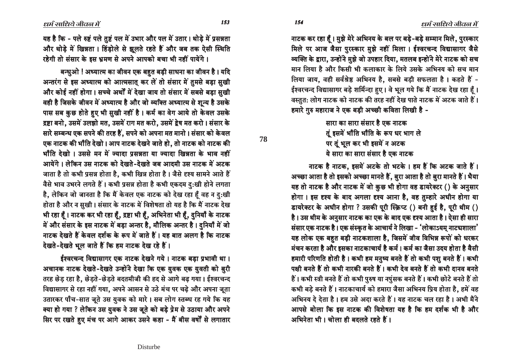नाटक कर रहा हैं। मुझे मेरे अभिनय के बल पर बड़े-बड़े सम्मान मिले, पुरस्कार मिले पर आज जैसा पुरस्कार मुझे नहीं मिला । ईश्वरचन्द विद्यासागर जैसे <u>व्यक्ति के द्वारा, उन्होंने मुझे जो उपहार दिया, मतलब इन्होंने मेरे नाटक को सच</u> <u>मान लिया है और किसी भी कलाकार के लिये उसके अभिनय को सच मान</u> लिया जाय, वही सर्वश्रेष्ठ अभिनय है, सबसे बड़ी सफलता है। कहते हैं -ईश्वरचन्द विद्यासागर बड़े शर्मिन्दा हुए । वे भूल गये कि मैं नाटक देख रहा हूँ । <u>वस्तुत: लोग नाटक को नाटक की तरह नहीं देख पाते नाटक में अटक जाते हैं।</u> हमारे गुरु महाराज ने एक बड़ी अच्छी कविता लिखी है -

> <u>सारा का सारा संसार है एक नाटक </u> तुं इसमें भाँति भाँति के रूप धर भाग ले पर तूं भूल कर भी इसमें न अटक <u>ये सारा का सारा संसार है एक नाटक </u>

नाटक है नाटक, इसमें अटके तो भटके। हम हैं कि अटक जाते हैं। अच्छा आता है तो इसको अच्छा मानते हैं, बुरा आता है तो बुरा मानते हैं। भैया यह तो नाटक है और नाटक में जो कुछ भी होगा वह डायरेक्टर () के अनुसार होगा। इस दृश्य के बाद अगला दृश्य आना है, वह तुम्हारे अधीन होगा या डायरेक्टर के अधीन होगा ? उसकी पूरी स्क्रिप्ट () बनी हई है, पूरी थीम () है। उस थीम के अनुसार नाटक का एक के बाद एक दृश्य आता है। ऐसा ही सारा संसार एक नाटक है। एक संस्कृत के आचार्य ने लिखा - 'लोकाऽयम् नाटचशाला' यह लोक एक बहत बड़ी नाटकशाला है, जिसमें जीव विभिन्न रूपों को धरकर मंचन करता है और इसका नाटकाचार्य है कर्म। कर्म का जैसा उदय होता है वैसी हमारी परिणति होती है । कभी हम मनुष्य बनते हैं तो कभी पशु बनते हैं । कभी पक्षी बनते हैं तो कभी नारकी बनते हैं। कभी देव बनते हैं तो कभी दानव बनते हैं। कभी स्त्री बनते हैं तो कभी पुरुष या नपुंसक बनते हैं। कभी छोटे बनते हैं तो कभी बड़े बनते हैं। नाटकाचार्य को हमारा जैसा अभिनय प्रिय होता है, हमें वह अभिनय दे देता है। हम उसे अदा करते हैं। यह नाटक चल रहा है। अभी मैंने आपसे बोला कि इस नाटक की विशेषता यह है कि हम दर्शक भी है और अभिनेता भी । चोला ही बदलते रहते हैं ।

यह है कि - पले रुष्टं पले तुष्टं पल में उभार और पल में उतार। थोड़े में प्रसन्नता और थोड़े में खिन्नता। हिंड़ोले से झूलते रहते हैं और जब तक ऐसी स्थिति रहेगी तो संसार के इस भ्रमण से अपने आपको बचा भी नहीं पायेंगे ।

बन्धुओ ! अध्यात्म का जीवन एक बहुत बड़ी साधना का जीवन है। यदि अन्तरंग से इस अध्यात्म को आत्मसात कर लें तो संसार में तुमसे बड़ा सुखी और कोई नहीं होगा। सच्चे अर्थों में देखा जाय तो संसार में सबसे बड़ा सुखी वही है जिसके जीवन में अध्यात्म है और जो व्यक्ति अध्यात्म से शून्य है उसके पास सब कुछ होते हुए भी सुखी नहीं है। कर्म का वेग आये तो केवल उसके द्रष्टा बनो, उसमें उलझो मत, उसमें राग मत करो, उसमें द्वेष मत करो। संसार के सारे सम्बन्ध एक सपने की तरह हैं, सपने को अपना मत मानो। संसार को केवल एक नाटक की भाँति देखो। आप नाटक देखने जाते हो, तो नाटक को नाटक की भाँति देखो । उससे मन में ज्यादा प्रसन्नता या ज्यादा खिन्नता के भाव नहीं आयेंगे। लेकिन उस नाटक को देखते-देखते जब आदमी उस नाटक में अटक जाता है तो कभी प्रसन्न होता है, कभी खिन्न होता है। जैसे दृश्य सामने आते हैं वैसे भाव उभरने लगते हैं। कभी प्रसन्न होता है कभी एकदम दुःखी होने लगता है, लेकिन जो जानता है कि मैं केवल एक नाटक को देख रहा हूँ वह न दु:खी होता है और न सुखी। संसार के नाटक में विशेषता तो यह है कि मैं नाटक देख भी रहा हूँ। नाटक कर भी रहा हूँ, द्रष्टा भी हूँ, अभिनेता भी हूँ, दुनियाँ के नाटक में और संसार के इस नाटक में बड़ा अन्तर है, मौलिक अन्तर है। दुनियाँ में जो नाटक देखते हैं केवल दर्शक के रूप में जाते हैं। यह बात अलग है कि नाटक देखते-देखते भूल जाते हैं कि हम नाटक देख रहे हैं।

ईश्वरचन्द विद्यासागर एक नाटक देखने गये। नाटक बड़ा प्रभावी था। अचानक नाटक देखते-देखते उन्होंने देखा कि एक युवक एक युवती को बुरी तरह छेड़ रहा है, छेड़ते-छेड़ते बदतमीजी की हद से आगे बढ़ गया। ईश्वरचन्द विद्यासागर से रहा नहीं गया, अपने आसन से उठे मंच पर चढ़े और अपना जूता उतारकर पाँच-सात जूते उस युवक को मारे। सब लोग स्तब्ध रह गये कि यह क्या हो गया ? लेकिन उस युवक ने उस जूते को बड़े प्रेम से उठाया और अपने सिर पर रखते हुए मंच पर आगे आकर उसने कहा - मैं बीस वर्षों से लगातार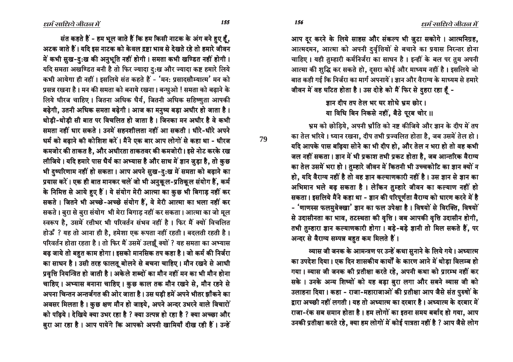आप दर करने के लिये साहस और संकल्प भी जुटा सकोगे। आत्मनिग्रह, आत्मदमन, आत्मा को अपनी दुर्वृत्तियों से बचाने का प्रयास निरन्तर होना चाहिए। यही तुम्हारी कर्मनिर्जरा का साधन है। इन्हीं के बल पर तुम अपनी आत्मा की शुद्धि कर सकते हो, दुसरा कोई और माध्यम नहीं है। इसलिये जो बात कही गई कि निर्जरा का मार्ग अपनायें । ज्ञान और वैराग्य के माध्यम से हमारे जीवन में वह घटित होता है। उस दोहे को मैं फिर से दुहरा रहा हूँ -

#### जान दीप तप तेल भर घर शोधे भ्रम छोर। या विधि बिन निकसे नहीं, बैठे पूरब चोर ॥

भ्रम को छोडिये, अपनी भ्राँति को नष्ट कीजिये और ज्ञान के दीप में तप का तेल भरिये। ध्यान रखना, दीप तभी प्रज्वलित होता है, जब उसमें तेल हो। यदि आपके पास बढ़िया सोने का भी दीप हो, और तेल न भरा हो तो वह कभी जल नहीं सकता। ज्ञान में भी प्रकाश तभी प्रकट होता है, जब आन्तरिक वैराग्य का तेल उसमें भरा हो। तुम्हारे जीवन में कितनी भी उच्चकोटि का ज्ञान क्यों न हो, यदि वैराग्य नहीं है तो वह ज्ञान कल्याणकारी नहीं है । उस ज्ञान से ज्ञान का आभिमान भले बढ़ सकता है। लेकिन तुम्हारे जीवन का कल्याण नहीं हो सकता। इसलिये मैंने कहा था - ज्ञान की परिपूर्णता वैराग्य को धारण करने में है - 'णाणस्स फलमुवेक्खा' ज्ञान का फल उपेक्षा है। विषयों से विरक्ति, विषयों से उदासीनता का भाव, तटस्थता की वृत्ति । जब आपकी वृत्ति उदासीन होगी, तभी तुम्हारा ज्ञान कल्याणकारी होगा। बड़े-बड़े ज्ञानी तो मिल सकते हैं, पर अन्दर से वैराग्य सम्पन्न बहुत कम मिलते हैं।

<u>ञ्यास जी जनक के आमन्त्रण पर उन्हें कथा सूनाने के लिये गये। अध्यात्म</u> •का उपदेश दिया। एक दिन शासकीय कार्यों के कारण आने में थोडा विलम्ब हो गया। व्यास जी जनक की प्रतीक्षा करते रहे, अपनी कथा को प्रारम्भ नहीं कर सके । उनके अन्य शिष्यों को यह बड़ा बुरा लगा और सबने व्यास जी को उलाहना दिया। कहा - राजा-महाराजाओं की प्रतीक्षा आप जैसे संत पुरुषों के द्वारा अच्छी नहीं लगती। यह तो अध्यात्म का दरबार है। अध्यात्म के दरबार में राजा-रंक सब समान होता है। हम लोगों का इतना समय बर्बाद हो गया, आप उनकी प्रतीक्षा करते रहे, क्या हम लोगों में कोई पात्रता नहीं है ? आप जैसे लोग

**79**

 $155$   $156$ 

संत कहते हैं - हम भूल जाते हैं कि हम किसी नाटक के अंग बने हुए हूँ, अटक जाते हैं। यदि इस नाटक को केवल द्रष्टा भाव से देखते रहे तो हमारे जीवन में कभी सुख-दु:ख की अनुभूति नहीं होगी। समता कभी खण्डित नहीं होगी। यदि समता अखण्डित बनी है तो फिर ज्यादा दु:ख और ज्यादा कष्ट हमारे लिये कभी आयेगा ही नहीं। इसलिये संत कहते हैं - 'मन: प्रसादसौम्यात्म' मन को प्रसन्न रखना है। मन की समता को बनाये रखना। बन्धुओ ! समता को बढ़ाने के लिये धीरज चाहिए। जितना अधिक धैर्य, जितनी अधिक सहिष्णुता आपकी बढ़ेगी, उतनी अधिक समता बढ़ेगी। आज का मनुष्य बड़ा अधीर हो जाता है। थोडी-थोडी सी बात पर विचलित हो जाता है। जिनका मन अधीर है वे कभी समता नहीं धार सकते । उनमें सहनशीलता नहीं आ सकती । धीरे-धीरे अपने धर्म को बढ़ाने की कोशिश करें। मैंने एक बार आप लोगों से कहा था - धीरज •कमजोर की ताकत है, और अधीरता ताकतवर की कमजोरी। इसे नोट करके रख लीजिये। यदि हमारे पास धैर्य का अभ्यास है और साथ में ज्ञान जुड़ा है, तो कुछ भी दुष्परिणाम नहीं हो सकता। आप अपने सुख-दु:ख में समता को बढ़ाने का प्रयास करें। एक ही बात मानकर चलें जो भी अनुकूल-प्रतिकूल संयोग हैं, कर्म के निमित्त से आये हुए हैं। ये संयोग मेरी आत्मा का कुछ भी बिगाड़ नहीं कर सकते। जितने भी अच्छे-अच्छे संयोग हैं, वे मेरी आत्मा का भला नहीं कर सकते। बुरा से बुरा संयोग भी मेरा बिगाड़ नहीं कर सकता। आत्मा का जो मूल स्वरूप है, उसमें रत्तीभर भी परिवर्तन संभव नहीं है। फिर मैं क्यों विचलित होऊँ ? यह तो आना ही है, हमेशा एक रूपता नहीं रहती। बदलती रहती है। परिवर्तन होता रहता है। तो फिर मैं उसमें उलझूँ क्यों ? यह समता का अभ्यास बढ़ जाये तो बहुत काम होगा। इसको मानसिक तप कहा है। जो कर्म की निर्जरा का साधन है। उसी तरह फालतू बोलने से बचना चाहिए। मौन रखने से आधी प्रवृत्ति नियन्त्रित हो जाती है। अकेले शब्दों का मौन नहीं मन का भी मौन होना चाहिए। अभ्यास बनाना चाहिए। कुछ काल तक मौन रखने से, मौन रहने से अपना चिन्तन अन्तर्जगत की ओर जाता है। उस घडी हमें अपने भीतर झाँकने का आवसर मिलता है। कुछ क्षण मौन हो जाइये, अपने अन्दर उभरने वाले विचारों को पढिये। देखिये क्या उभर रहा है ? क्या उत्पन्न हो रहा है ? क्या अच्छा और बुरा आ रहा है। आप पायेंगे कि आपको अपनी खामियाँ दीख रही हैं। उन्हें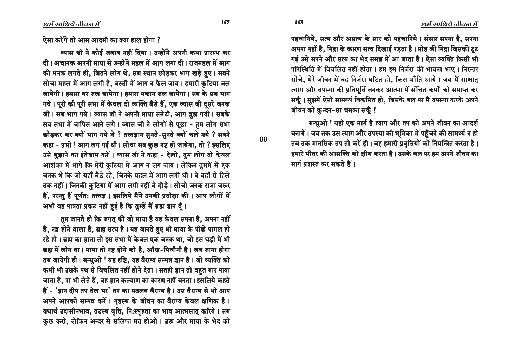ऐसा करेंगे तो आम आदमी का क्या हाल होगा ?

व्यास जी ने कोई जबाव नहीं दिया। उन्होंने अपनी कथा प्रारम्भ कर दी। अचानक अपनी माया से उन्होंने महल में आग लगा दी। राजमहल में आग की भनक लगते ही, जितने लोग थे, सब स्थान छोड़कर भाग खड़े हुए। सबने सोचा महल में आग लगी है, बस्ती में आग न फैल जाय। हमारी कुटिया जल जायेगी। हमारा घर जल जायेगा। हमारा मकान जल जायेगा। सब के सब भाग गये। पूरी की पूरी सभा में केवल दो व्यक्ति बैठे हैं, एक व्यास जी दुसरे जनक जी। सब भाग गये। व्यास जी ने अपनी माया समेटी, आग बुझ गयी। सबके सब सभा में वापिस आने लगे। व्यास जी ने लोगों से पूछा - तुम लोग सभा छोड़कर कर क्यों भाग गये थे ? तत्त्वज्ञान सुनते-सुनते क्यों चले गये ? सबने कहा - प्रभो ! आग लग गई थी। सोचा सब कुछ नष्ट हो जायेगा, तो ? इसलिए उसे बुझाने का इंतेजाम करें। व्यास जी ने कहा - देखो, तुम लोग तो केवल आशंका में भागे कि मेरी कुटिया में आग न लग जाय। लेकिन तुममें से एक जनक थे कि जो यहाँ बैठे रहे, जिनके महल में आग लगी थी। वे यहाँ से हिले तक नहीं। जिनकी कुटिया में आग लगी नहीं वे दौड़े। सोचो जनक राजा जरूर हैं, परन्तु हैं पूर्णत: तत्त्वज्ञ । इसलिये मैंने उनकी प्रतीक्षा की । आप लोगों में अभी वह पात्रता प्रकट नहीं हुई है कि तुम्हें मैं ब्रह्म ज्ञान दूँ।

तुम जानते हो कि जगतु की जो माया है वह केवल सपना है, अपना नहीं है, नष्ट होने वाला है, ब्रह्म सत्य है। यह जानते हुए भी माया के पीछे पागल हो रहे हो। ब्रह्म का ज्ञाता तो इस सभा में केवल एक जनक था, जो इस घड़ी में भी ब्रह्म में लीन था। माया तो नष्ट होने को है, आँख-मिचौनी है। जब जाना होगा तब जायेगी ही। बन्धुओ ! यह दृष्टि, यह वैराग्य सम्पन्न ज्ञान है। जो व्यक्ति को कभी भी उसके पथ से विचलित नहीं होने देता। सतही ज्ञान तो बहुत बार पाया जाता है, पा भी लेते हैं, वह ज्ञान कल्याण का कारण नहीं बनता। इसलिये कहते हैं - 'ज्ञान दीप तप तेल भर' तप का मतलब वैराग्य है। उस वैराग्य से भी आप अपने आपको सम्पन्न करें। गृहस्थ के जीवन का वैराग्य केवल क्षणिक है। यथार्थ उदासीनभाव, तटस्थ वृत्ति, नि:स्पृहता का भाव आत्मसात् करिये । सब कुछ करो, लेकिन अन्दर से संलिप्त मत होओ। ब्रह्म और माया के भेद को

पहचानिये, सत्य और असत्य के सार को पहचानिये। संसार सपना है, सपना अपना नहीं है. निद्रा के कारण सत्य दिखाई पड़ता है। मोह की निद्रा जिसकी टूट गई उसे सपने और सत्य का भेद समझ में आ जाता है। ऐसा व्यक्ति किसी भी परिस्थिति में विचलित नहीं होता। हम इस निर्जरा की भावना भाए। निरन्तर सोचे. मेरे जीवन में वह निर्जरा घटित हो. किस भाँति आये। जब मैं साक्षात त्याग और तपस्या की प्रतिमूर्ति बनकर आत्मा में संचित कर्मों को समाप्त कर सकूँ। मुझमें ऐसी सामर्थ्य विकसित हो, जिसके बल पर मैं तपस्या करके अपने जीवन को कुन्दन-सा चमका सकूँ !

बन्धुओ ! यही एक मार्ग है त्याग और तप को अपने जीवन का आदर्श बनायें। जब तक उस त्याग और तपस्या की भूमिका में पहुँचने की सामर्थ्य न हो तब तक मानसिक तप तो करें ही। वह हमारी प्रवृत्तियों को नियन्त्रित करता है। हमारे भीतर की आसक्ति को क्षीण करता है। उसके बल पर हम अपने जीवन का मार्ग प्रशस्त कर सकते हैं।

80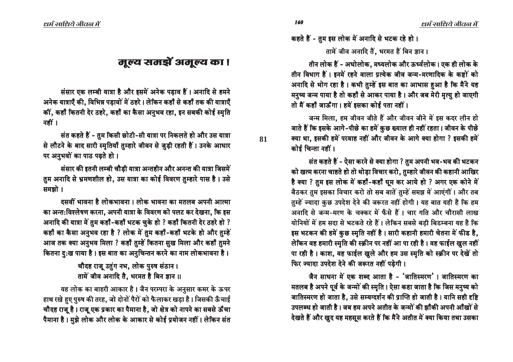### मूल्य समझें अमूल्य का ।

संसार एक लम्बी यात्रा है और इसमें अनेक पड़ाव हैं। अनादि से हमने अनेक यात्राएँ की, विभिन्न पड़ावों में ठहरे। लेकिन कहाँ से कहाँ तक की यात्राएँ कीं, कहाँ कितनी देर ठहरे, कहाँ का कैसा अनुभव रहा, इन सबकी कोई स्मृति नहीं ।

संत कहते हैं - तुम किसी छोटी-सी यात्रा पर निकलते हो और उस यात्रा से लौटने के बाद सारी स्मृतियाँ तुम्हारे जीवन से जुड़ी रहती हैं। उनके आधार पर अनुभवों का पाठ पढते हो।

संसार की इतनी लम्बी चौड़ी यात्रा अन्तहीन और अनन्त की यात्रा जिसमें तुम अनादि से भ्रमणशील हो, उस यात्रा का कोई विवरण तुम्हारे पास है। उसे समझो ।

दमवीं भावना है लोकभावना । लोक भावना का मतलब अपनी आत्मा का अन्त:विश्लेषण करना, अपनी यात्रा के विवरण को पलट कर देखना, कि इस अनादि की यात्रा में तुम कहाँ-कहाँ भटक चुके हो ? कहाँ कितनी देर ठहरे हो ? कहाँ का कैसा अनुभव रहा है ? लोक में तुम कहाँ-कहाँ भटके हो और तुम्हें आज तक क्या अनुभव मिला ? कहाँ तुम्हें कितना सुख मिला और कहाँ तुमने कितना दु:ख पाया है। इस बात का अनुचिन्तन करने का नाम लोकभावना है।

> चौदह राजू उतुंग नभ, लोक पुरुष संठान। तामें जीव अनादि तै, भरमत है बिन ज्ञान ।।

यह लोक का बाहरी आकार है। जैन परम्परा के अनुसार कमर के ऊपर हाथ रखे हुए पुरुष की तरह, जो दोनों पैरों को फैलाकर खड़ा है। जिसकी ऊँचाई चौदह राज् है। राज् एक प्रकार का पैमाना है, जो क्षेत्र को नापने का सबसे ऊँचा पैमाना है। मुझे लोक और लोक के आकार से कोई प्रयोजन नहीं। लेकिन संत

धर्म साधिये जीवल में

कहते हैं - तुम इस लोक में अनादि से भटक रहे हो। तामें जीव अनादि तैं. भरमत हैं बिन ज्ञान ।

तीन लोक हैं - अधोलोक, मध्यलोक और ऊर्ध्वलोक। एक ही लोक के तीन विभाग हैं। इनमें रहने वाला प्रत्येक जीव जन्म-मरणादिक के कष्टों को अनादि से भोग रहा है। कभी तुम्हें इस बात का आभास हुआ है कि मैंने यह मनुष्य जन्म पाया है तो कहाँ से आकर पाया है। और जब मेरी मृत्यु हो जाएगी तो मैं कहाँ जाऊँगा। हमें इसका कोई पता नहीं।

जन्म मिला. हम जीवन जीते हैं और जीवन जीने में इस कदर लीन हो जाते हैं कि इसके आगे-पीछे का हमें कुछ ख्याल ही नहीं रहता। जीवन के पीछे क्या था. इसकी हमें परवाह नहीं और जीवन के आगे क्या होगा ? इसकी हमें कोई चिन्ता नहीं ।

संत कहते हैं - ऐसा करने से क्या होगा ? तुम अपनी भव-भव की भटकन को खत्म करना चाहते हो तो थोड़ा विचार करो, तुम्हारे जीवन की कहानी आखिर है क्या ? तुम इस लोक में कहाँ-कहाँ घुम कर आये हो ? अगर एक कोने में बैठकर तुम इसका विचार करो तो सब बातें तुम्हें समझ में आएंगीं । और तब तुम्हें ज्यादा कुछ उपदेश देने की जरूरत नहीं होगी। यह बात यही है कि हम अनादि से जन्म-मरण के चक्कर में फँसे हैं। चार गति और चौरासी लाख योनियों में हम सदा से भटकते रहे हैं। लेकिन सबसे बड़ी बिडम्बना यह है कि इस भटकन की हमें कुछ स्मृति नहीं है। सारी कहानी हमारी चेतना में फीड है, लेकिन वह हमारी स्मृति की स्क्रीन पर नहीं आ पा रही है। वह फाईल खुल नहीं पा रही है। काश, वह फाईल खुले और हम उस स्मृति को स्क्रीन पर देखें तो फिर ज्यादा उपदेश देने की जरूरत नहीं पड़ेगी।

जैन साधना में एक शब्द आता है - 'जातिस्मरण'। जातिस्मरण का मतलब है अपने पूर्व के जन्मों की स्मृति। ऐसा कहा जाता है कि जिस मनुष्य को जातिस्मरण हो जाता है, उसे सम्यग्दर्शन की प्राप्ति हो जाती है। यानि सही दृष्टि उपलब्ध हो जाती है। जब हम अपने अतीत के जन्मों की झाँकी अपनी आँखों से देखते हैं और खुद यह महसूस करते हैं कि मैंने अतीत में क्या किया तथा उसका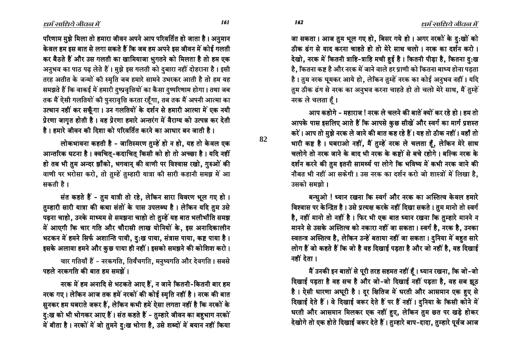धर्म साधिये जीवल में

जा सकता। आज तुम भूल गए हो, बिसर गये हो। अगर नरकों के दु:खों को ठीक ढंग से याद करना चाहते हो तो मेरे साथ चलो। नरक का दर्शन करो। देखो, नरक में कितनी त्राहि-त्राहि मची हुई है। कितनी पीड़ा है, कितना दु:ख है, कितना कष्ट है और नरक में जाने वाले हर प्राणी को कितना बाध्य होना पड़ता है। तुम नरक घुमकर आये हो, लेकिन तुम्हें नरक का कोई अनुभव नहीं। यदि तुम ठीक ढंग से नरक का अनुभव करना चाहते हो तो चलो मेरे साथ, मैं तुम्हें नरक ले चलता हैं।

आप कहोगे - महाराज ! नरक ले चलने की बातें क्यों कर रहे हो । हम तो आपके पास इसलिए आते हैं कि आपसे कुछ सीखें और स्वर्ग का मार्ग प्रशस्त करें। आप तो मुझे नरक ले जाने की बात कह रहे हैं। यह तो ठीक नहीं। वहाँ तो भारी कष्ट है। घबराओ नहीं, मैं तुम्हें नरक ले चलता हैं, लेकिन मेरे साथ चलोगे तो नरक जाने के बाद भी नरक के कष्टों से बचे रहोगे। बल्कि नरक के दर्शन करने की तुम इतनी सामर्थ्य पा लोगे कि भविष्य में कभी नरक जाने की नौबत भी नहीं आ सकेगी। उस नरक का दर्शन करो जो शास्त्रों में लिखा है, उसको समझो ।

बन्धुओ ! ध्यान रखना कि स्वर्ग और नरक का अस्तित्व केवल हमारे विश्वास पर केन्द्रित है। उसे प्रत्यक्ष करके नहीं दिखा सकते। तुम मानो तो स्वर्ग है, नहीं मानो तो नहीं है। फिर भी एक बात ध्यान रखना कि तुम्हारे मानने न मानने से उसके अस्तित्व को नकारा नहीं जा सकता। स्वर्ग है, नरक है, उनका स्वतन्त्र अस्तित्व है, लेकिन उन्हें बताया नहीं जा सकता। दनिया में बहत सारे लोग हैं जो कहते हैं कि जो है वह दिखाई पड़ता है और जो नहीं है, वह दिखाई नहीं देता ।

मैं उनकी इन बातों से पूरी तरह सहमत नहीं हूँ। ध्यान रखना, कि जो-जो दिखाई पड़ता है वह सच है और जो-जो दिखाई नहीं पड़ता है, वह सब झूठ है। ऐसी धारणा अधूरी है। दूर क्षितिज में धरती और आसमान एक हुए से दिखाई देते हैं। वे दिखाई जरूर देते हैं पर हैं नहीं। दुनिया के किसी कोने में धरती और आसमान मिलकर एक नहीं हुए, लेकिन तुम छत पर खड़े होकर देखोगे तो एक होते दिखाई जरूर देते हैं। तुम्हारे बाप-दादा, तुम्हारे पूर्वज आज

परिणाम मुझे मिला तो हमारा जीवन अपने आप परिवर्तित हो जाता है। अनुमान केवल हम इस बात से लगा सकते हैं कि जब हम अपने इस जीवन में कोई गलती कर बैठते हैं और उस गलती का खामियाजा भुगतने को मिलता है तो हम एक अनुभव का पाठ पढ़ लेते हैं। मुझे इस गलती को दुबारा नहीं दोहराना है। इसी तरह अतीत के जन्मों की स्मति जब हमारे सामने उभरकर आती है तो हम यह समझते हैं कि वाकई में हमारी दुष्प्रवृत्तियों का कैसा दुष्परिणाम होगा। तथा जब तक मैं ऐसी गलतियों की पुनरावृत्ति करता रहँगा, तब तक मैं अपनी आत्मा का उत्थान नहीं कर सकूँगा। उन गलतियों के दर्शन से हमारी आत्मा में एक नयी प्रेरणा जागृत होती है। वह प्रेरणा हमारे अन्तरंग में वैराग्य को उत्पन्न कर देती है। हमारे जीवन की दिशा को परिवर्तित करने का आधार बन जाती है।

लोकभावना कहती है - जातिस्मरण तुम्हें हो न हो, यह तो केवल एक आन्तरिक घटना है। क्वचित्-कदाचित् किसी को हो तो अच्छा है। यदि नहीं हो तब भी तुम अन्दर झाँको, भगवान् की वाणी पर विश्वास रखो, गुरुओं की वाणी पर भरोसा करो, तो तुम्हें तुम्हारी यात्रा की सारी कहानी समझ में आ सकती है।

संत कहते हैं - तुम यात्री तो रहे, लेकिन सारा विवरण भूल गए हो। तुम्हारी सारी यात्रा की कथा संतों के पास उपलब्ध है। लेकिन यदि तुम उसे पढ़ना चाहो, उनके माध्यम से समझना चाहो तो तुम्हें यह बात भलीभाँति समझ में आएगी कि चार गति और चौरासी लाख योनियों के, इस अनादिकालीन भटकन में हमने सिर्फ अशान्ति पायी, द:ख पाया, संत्रास पाया, कष्ट पाया है। इसके अलावा हमने और कुछ पाया ही नहीं। इसको समझने की कोशिश करो।

चार गतियाँ हैं - नरकगति, तिर्यंचगति, मनुष्यगति और देवगति । सबसे पहले नरकगति की बात हम समझें ।

नरक में हम अनादि से भटकते आए हैं, न जाने कितनी-कितनी बार हम नरक गए। लेकिन आज तक हमें नरकों की कोई स्मृति नहीं है। नरक की बात सुनकर हम घबराते जरूर हैं, लेकिन कभी हमें ऐसा लगता नहीं है कि नरकों के दुःख को भी भोगकर आए हैं। संत कहते हैं - तुम्हारे जीवन का बहुभाग नरकों में बीता है। नरकों में जो तुमने दु:ख भोगा है, उसे शब्दों में बयान नहीं किया 82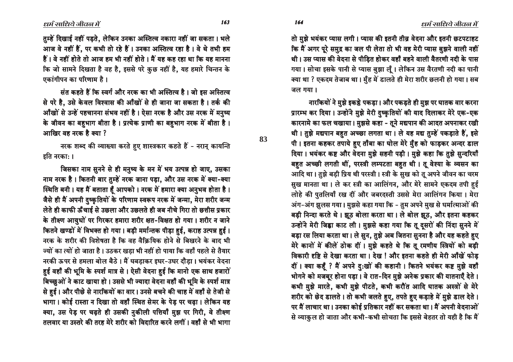धर्म साधिये जीवल में

तुम्हें दिखाई नहीं पड़ते, लेकिन उनका अस्तित्व नकारा नहीं जा सकता। भले आज वे नहीं हैं, पर कभी तो रहे हैं। उनका अस्तित्व रहा है। वे थे तभी हम हैं। वे नहीं होते तो आज हम भी नहीं होते। मैं यह कह रहा था कि यह मानना कि जो सामने दिखता है वह है, इससे परे कुछ नहीं है, यह हमारे चिन्तन के एकांगीपन का परिणाम है।

संत कहते हैं कि स्वर्ग और नरक का भी अस्तित्व है। जो इस अस्तित्व से परे है, उसे केवल विश्वास की आँखों से ही जाना जा सकता है। तर्क की आँखों से उन्हें पहचानना संभव नहीं है। ऐसा नरक है और उस नरक में मनुष्य के जीवन का बहुभाग बीता है। प्रत्येक प्राणी का बहुभाग नरक में बीता है। आखिर वह नरक है क्या ?

नरक शब्द की व्याख्या करते हुए शास्त्रकार कहते हैं - नरान् कायन्ति इति नरका: ।

जिसका नाम सुनने से ही मनुष्य के मन में भय उत्पन्न हो जाए, उसका नाम नरक है। कितनी बार तुम्हें नरक जाना पड़ा, और उस नरक में क्या-क्या स्थिति बनी। यह मैं बताता हूँ आपको। नरक में हमारा क्या अनुभव होता है। जैसे ही मैं अपनी दष्कृतियों के परिणाम स्वरूप नरक में जन्मा, मेरा शरीर जन्म लेते ही काफी ऊँचाई से उछला और उछलते ही जब नीचे गिरा तो छत्तीस प्रकार के तीक्ष्ण आयुधों पर गिरकर हमारा शरीर क्षत-विक्षत हो गया। शरीर न जाने कितने खण्डों में विभक्त हो गया। बड़ी मर्मान्तक पीड़ा हुई, कराह उत्पन्न हुई। नरक के शरीर की विशेषता है कि वह वैक्रियिक होने से बिखरने के बाद भी ज्यों का त्यों हो जाता है। उठकर खड़ा भी नहीं हो पाया कि वहाँ पहले से तैयार नरकी ऊपर से हमला बोल बैठे। मैं घबड़ाकर इधर-उधर दौड़ा। भयंकर वेदना हुई वहाँ की भूमि के स्पर्श मात्र से । ऐसी वेदना हुई कि मानो एक साथ हजारों बिच्छूओं ने काट खाया हो। उससे भी ज्यादा वेदना वहाँ की भूमि के स्पर्श मात्र से हुई। और पीछे से नारकियों का वार। उनसे बचने की चाह में वहाँ से तेजी से भागा। कोई रास्ता न दिखा तो वहाँ स्थित सेमर के पेड़ पर चढ़ा। लेकिन यह क्या, उस पेड़ पर चढ़ते ही उसकी नुकीली पत्तियाँ मुझ पर गिरी, वे तीक्ष्ण तलवार या उस्तरे की तरह मेरे शरीर को विदारित करने लगीं । वहाँ से भी भागा

तो मुझे भयंकर प्यास लगी। प्यास की इतनी तीव्र वेदना और इतनी छटपटाहट कि मैं अगर पूरे समुद्र का जल पी लेता तो भी वह मेरी प्यास बुझने वाली नहीं थी। उस प्यास की वेदना से पीडित होकर वहाँ बहने वाली वैतरणी नदी के पास गया। सोचा इसके पानी से प्यास बुझा लूँ। लेकिन उस वैरतणी नदी का पानी क्या था ? एकदम तेजाब था। मुँह में डालते ही मेरा शरीर छलनी हो गया। सब जल गया।

नारकियों ने मुझे इकड़े पकड़ा। और पकड़ते ही मुझ पर घातक वार करना प्रारम्भ कर दिया। उन्होंने मुझे मेरी दुष्कृतियों की याद दिलाकर मेरे एक-एक कारनामे का फल चखाया। मुझसे कहा - तूने मद्यपान की आदत अपनाकर रखी थी। तुझे मद्यपान बहुत अच्छा लगता था। ले यह मद्य तुम्हें पकड़ाते हैं, इसे पी। इतना कहकर तपाये हुए ताँबा का घोल मेरे मुँह को फाड़कर अन्दर डाल दिया। भयंकर कष्ट और वेदना मुझे सहनी पड़ी। मुझे कहा कि तुझे सुन्दरियाँ बहुत अच्छी लगती थीं, परस्त्री लम्पटता बहुत थी। तू वेश्या के व्यसन का आदि था। तुझे बड़ी प्रिय थी परस्त्री। स्त्री के सुख को तू अपने जीवन का चरम सुख मानता था। ले कर स्त्री का आलिंगन, और मेरे सामने एकदम तपी हुई लोहे की पुतलियाँ रख दीं और जबरदस्ती उससे मेरा आलिंगन किया। मेरा अंग-अंग झूलस गया। मुझसे कहा गया कि - तुम अपने मुख से धर्मात्माओं की बड़ी निन्दा करते थे। झूठ बोला करता था। ले बोल झूठ, और इतना कहकर उन्होंने मेरी जिह्वा काट ली। मुझसे कहा गया कि तू दूसरों की निंदा सूनने में बड़ा रस लिया करता था। ले सून, तुझे अब जितना सुनना है और यह कहते हुए मेरे कानों में कीलें ठोक दीं। मुझे कहते थे कि तू रमणीय स्त्रियों को बड़ी विकारी दृष्टि से देखा करता था। देख ! और इतना कहते ही मेरी आँखें फोड़ दीं। क्या कहूँ ? मैं अपने दु:खों की कहानी। कितने भयंकर कष्ट मुझे वहाँ भोगने को मजबूर होना पड़ा। वे रात-दिन मुझे अनेक प्रकार की यातनाएँ देते। कभी मुझे मारते, कभी मुझे पीटते, कभी करौंत आदि घातक अस्त्रों से मेरे शरीर को छेद डालते। तो कभी जलते हुए, तपते हुए कड़ाहे में मुझे डाल देते। पर मैं लाचार था। उनका कोई प्रतिकार नहीं कर सकता था। मैं अपनी वेदनाओं से व्याकुल हो जाता और कभी-कभी सोचता कि इससे बेहतर तो यही है कि मैं

83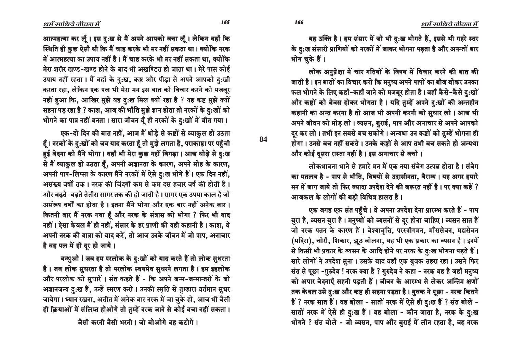यह उक्ति है। हम संसार में जो भी दु:ख भोगते हैं, इससे भी गहरे स्तर के दु:ख संसारी प्राणियों को नरकों में जाकर भोगना पड़ता है और अनन्तों बार भोग चुके हैं।

लोक अनुप्रेक्षा में चार गतियों के विषय में विचार करने की बात की जाती है। इन बातों का विचार करो कि मनुष्य अपने पापों का बीज बोकर उनका फल भोगने के लिए कहाँ-कहाँ जाने को मजबूर होता है। वहाँ कैसे-कैसे दु:खों और कष्टों को बेवस होकर भोगता है। यदि तुम्हें अपने दु:खों की अन्तहीन कहानी का अन्त करना है तो आज भी अपनी करनी को सधार लो। आज भी अपने जीवन को मोड़ लो। व्यसन, बुराई, पाप और अनाचार से अपने आपको दर कर लो। तभी इन सबसे बच सकोगे। अन्यथा उन कष्टों को तुम्हें भोगना ही होगा। उनसे बच नहीं सकते। उनके कष्टों से आप तभी बच सकते हो अन्यथा और कोई दुसरा रास्ता नहीं है। इस अनाचार से बचो।

लोकभावना भाने से हमारे मन में एक नया संवेग उत्पन्न होता है। संवेग का मतलब है - पाप से भीति, विषयों से उदासीनता, वैराग्य। यह अगर हमारे मन में जाग जाये तो फिर ज्यादा उपदेश देने की जरूरत नहीं है। पर क्या कहें ? आजकल के लोगों की बडी विचित्र हालत है।

एक जगह एक संत पहुँचे। वे अपना उपदेश देना प्रारम्भ करते हैं - पाप बुरा है, व्यसन बुरा है। मनुष्यों को व्यसनों से दूर होना चाहिए। व्यसन सात हैं जो नरक पतन के कारण हैं। वेश्यावृत्ति, परस्त्रीगमन, माँससेवन, मद्यसेवन (मदिरा), चोरी, शिकार, झूठ बोलना, यह भी एक प्रकार का व्यसन है। इनमें से किसी भी प्रकार के व्यसन के आदि होने पर नरक के दु:ख भोगना पड़ते हैं। सारे लोगों ने उपदेश सुना। उसके बाद वहाँ एक युवक ठहरा रहा। उसने फिर संत से पूछा -गुरुदेव ! नरक क्या है ? गुरुदेव ने कहा - नरक वह है जहाँ मनुष्य को अपार वेदनाएँ सहनी पड़ती हैं। जीवन के आरम्भ से लेकर अन्तिम क्षणों तक केवल उसे दु:ख और कष्ट ही सहना पड़ता है। युवक ने पूछा - नरक कितने हैं ? नरक सात हैं। वह बोला - सातों नरक में ऐसे ही दु:ख हैं ? संत बोले -सातों नरक में ऐसे ही दु:ख हैं। वह बोला - कौन जाता है, नरक के दु:ख भोगने ? संत बोले - जो व्यसन, पाप और बुराई में लीन रहता है, वह नरक

आत्महत्या कर लूँ। इस दु:ख से मैं अपने आपको बचा लूँ। लेकिन वहाँ कि स्थिति ही कुछ ऐसी थी कि मैं चाह करके भी मर नहीं सकता था। क्योंकि नरक में आत्महत्या का उपाय नहीं है। मैं चाह करके भी मर नहीं सकता था, क्योंकि मेरा शरीर खण्ड-खण्ड होने के बाद भी अखण्डित हो जाता था। मेरे पास कोई उपाय नहीं रहता। मैं वहाँ के दुःख, कष्ट और पीड़ा से अपने आपको दुःखी करता रहा, लेकिन एक पल भी मेरा मन इस बात को विचार करने को मजबूर नहीं हुआ कि, आखिर मुझे यह दुःख मिल क्यों रहा है ? यह कष्ट मुझे क्यों सहना पड़ रहा है ? काश, आज की भाँति मुझे ज्ञान होता तो नरकों के दु:खों को भोगने का पात्र नहीं बनता। सारा जीवन यूँ ही नरकों के दु:खों में बीत गया।

एक-दो दिन की बात नहीं, आज मैं थोड़े से कष्टों से व्याकुल हो उठता हैं। नरकों के दु:खों को जब याद करता हैं तो मुझे लगता है, पराकाष्ठा पर पहुँची हुई वेदना को मैंने भोगा। वहाँ भी मेरा कुछ नहीं बिगड़ा। आज थोड़े से दु:ख से मैं व्याकुल हो उठता हैं, अपनी अज्ञानता के कारण, अपने मोह के कारण, अपनी पाप-लिप्सा के कारण मैंने नरकों में ऐसे दु:ख भोगे हैं। एक दिन नहीं, असंख्य वर्षों तक। नरक की जिंदगी कम से कम दस हजार वर्ष की होती है। और बढ़ते-बढ़ते तेतीस सागर तक की हो जाती है। सागर एक उपमा काल है जो असंख्य वर्षों का होता है। इतना मैंने भोगा और एक बार नहीं अनेक बार। कितनी बार मैं नरक गया हैं और नरक के संत्रास को भोगा ? फिर भी याद नहीं। ऐसा केवल मैं ही नहीं, संसार के हर प्राणी की यही कहानी है। काश, वे अपनी नरक की यात्रा को याद करें, तो आज उनके जीवन में जो पाप, अनाचार है वह पल में ही दूर हो जाये।

बन्धुओ ! जब हम परलोक के दु:खों को याद करते हैं तो लोक सुधरता है। जब लोक सुधरता है तो परलोक स्वयमेव सुधरने लगता है। हम इहलोक और परलोक को सुधारें। संत कहते हैं - कि अपने जन्म-जन्मान्तरों के जो अज्ञानजन्य दुःख हैं, उन्हें स्मरण करो। उनकी स्मृति से तुम्हारा वर्तमान सुधर जायेगा। ध्यान रखना, अतीत में अनेक बार नरक में जा चुके हो, आज भी वैसी ही क्रियाओं में संलिप्त होओगे तो तुम्हें नरक जाने से कोई बचा नहीं सकता।

जैसी करनी वैसी भरनी। जो बोओगे वह कटोगे।

166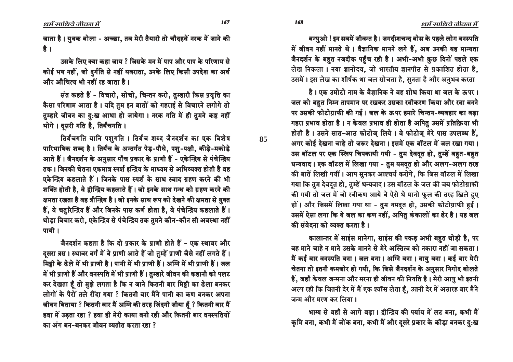धर्म साधिये जीवल में

जाता है। युवक बोला - अच्छा, तब मेरी तैयारी तो चौदहवें नरक में जाने की है ।

उसके लिए क्या कहा जाय ? जिसके मन में पाप और पाप के परिणाम से कोई भय नहीं, जो दुर्गति से नहीं घबराता, उनके लिए किसी उपदेश का अर्थ और औचित्य भी नहीं रह जाता है।

संत कहते हैं - विचारो. सोचो. चिन्तन करो. तम्हारी किस प्रवृत्ति का कैसा परिणाम आता है। यदि तुम इन बातों को गहराई से विचारने लगोगे तो तम्हारे जीवन का दुःख आधा हो जायेगा। नरक गति में ही तुमने कष्ट नहीं भोगे। दुसरी गति है, तिर्यंचगति ।

तिर्यंचगति यानि पशुगति । तिर्यंच शब्द जैनदर्शन का एक विशेष पारिभाषिक शब्द है। तिर्यंच के अन्तर्गत पेड-पौधे, पशु-पक्षी, कीडे-मकोडे आते हैं। जैनदर्शन के अनुसार पाँच प्रकार के प्राणी हैं - एकेन्द्रिय से पंचेन्द्रिय तक। जिनकी चेतना एकमात्र स्पर्श इन्द्रिय के माध्यम से अभिव्यक्त होती है वह एकेन्द्रिय कहलाते हैं। जिनके पास स्पर्श के साथ स्वाद ग्रहण करने की भी शक्ति होती है, वे द्वीन्द्रिय कहलाते हैं। जो इनके साथ गन्ध को ग्रहण करने की क्षमता रखता है वह त्रीन्द्रिय है। जो इनके साथ रूप को देखने की क्षमता से युक्त हैं, वे चतुरिन्द्रिय हैं और जिनके पास कर्ण होता है, वे पंचेन्द्रिय कहलाते हैं। थोड़ा विचार करो, एकेन्द्रिय से पंचेन्द्रिय तक तुमने कौन-कौन सी अवस्था नहीं पायी ।

जैनदर्शन कहता है कि दो प्रकार के प्राणी होते हैं - एक स्थावर और दसरा त्रस। स्थावर वर्ग में वे प्राणी आते हैं जो तुम्हें प्राणी जैसे नहीं लगते हैं। मिट्टी के ढेले में भी प्राणी है। पानी में भी प्राणी हैं। अग्नि में भी प्राणी हैं। जल में भी प्राणी हैं और वनस्पति में भी प्राणी हैं। तुम्हारे जीवन की कहानी को पलट कर देखता हैं तो मुझे लगता है कि न जाने कितनी बार मिट्टी का ढेला बनकर लोगों के पैरों तले रौंदा गया ? कितनी बार मैंने पानी का कण बनकर अपना जीवन बिताया ? कितनी बार मैं अग्नि की तरह जिंदगी जीया हूँ ? कितनी बार मैं हवा में उड़ता रहा ? हवा ही मेरी काया बनी रही और कितनी बार वनस्पतियों का अंग बन-बनकर जीवन व्यतीत करता रहा ?

बन्धुओ ! इन सबमें जीवन्त है। जगदीशचन्द बोस के पहले लोग वनस्पति में जीवन नहीं मानते थे। वैज्ञानिक मानने लगे हैं, अब उनकी यह मान्यता

जैनदर्शन के बहुत नजदीक पहुँच रही है। अभी-अभी कुछ दिनों पहले एक लेख निकला। नया ज्ञानोदय, जो भारतीय ज्ञानपीठ से प्रकाशित होता है, उसमें। इस लेख का शीर्षक था जल सोचता है. सुनता है और अनुभव करता

है। एक उमोटो नाम के वैज्ञानिक ने वह शोध किया था जल के ऊपर। जल को बहत निम्न तापमान पर रखकर उसका रवीकरण किया और रवा बनने पर उसकी फोटोग्राफी की गई। जल के ऊपर हमारे चिन्तन-व्यवहार का बड़ा गहरा प्रभाव होता है। न केवल प्रभाव ही होता है अपितु उसमें प्रतिक्रिया भी होती है। उसने सात-आठ फोटोज़ लिये। वे फोटोज़ मेरे पास उपलब्ध हैं. अगर कोई देखना चाहे तो जरूर देखना। इसमें एक बॉटल में जल रखा गया। उस बॉटल पर एक स्लिप चिपकायी गयी - तुम देवदत हो, तुम्हें बहत-बहत धन्यवाद। एक बॉटल में लिखा गया - तुम यमदत हो और अलग-अलग तरह की बातें लिखी गयीं। आप सुनकर आश्चर्य करोगे, कि जिस बॉटल में लिखा गया कि तुम देवदुत हो, तुम्हें धन्यवाद। उस बॉटल के जल की जब फोटोग्राफी की गयी तो जल में जो रवीकण आये वे ऐसे थे मानो फूल की तरह खिले हुए हों। और जिसमें लिखा गया था - तुम यमदुत हो, उसकी फोटोग्राफी हुई। उसमें ऐसा लगा कि ये जल का कण नहीं, अपितु कंकालों का ढेर है। यह जल की संवेदना को व्यक्त करता है।

कालान्तर में साइंस मानेगा, साइंस की पकड़ अभी बहुत थोड़ी है, पर वह माने चाहे न माने उसके मानने से मेरे अस्तित्व को नकारा नहीं जा सकता। मैं कई बार वनस्पति बना। जल बना। अग्नि बना। वायु बना। कई बार मेरी चेतना तो इतनी कमजोर हो गयी, कि जिसे जैनदर्शन के अनुसार निगोद बोलते हैं, जहाँ केवल जन्मना और मरना ही जीवन की नियति है। मेरी आयु भी इतनी अल्प रही कि जितनी देर में मैं एक श्वॉस लेता हूँ, उतनी देर में अठारह बार मैंने जन्म और मरण कर लिया।

भाग्य से वहाँ से आगे बढ़ा। द्वीन्द्रिय की पर्याय में लट बना, कभी मैं कृमि बना, कभी मैं जोंक बना, कभी मैं और दुसरे प्रकार के कीड़ा बनकर दु:ख

धर्म साधिये जीवन में

85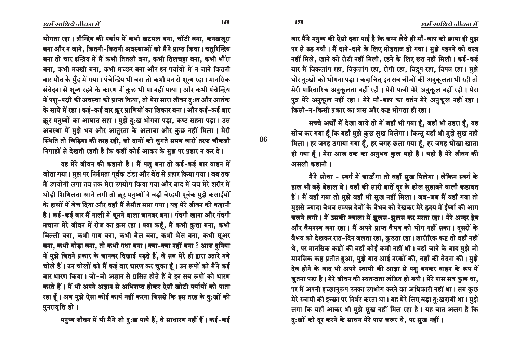बार मैंने मनुष्य की ऐसी दशा पाई है कि जन्म लेते ही माँ-बाप की छाया ही मुझ पर से उठ गयी। मैं दाने-दाने के लिए मोहताज हो गया। मुझे पहनने को वस्त्र नहीं मिले, खाने को रोटी नहीं मिली, रहने के लिए छत नहीं मिली। कई-कई बार मैं विकलांग रहा, विकृतांग रहा, रोगी रहा, विद्रुप रहा, विपन्न रहा। मुझे घोर दु:खों को भोगना पड़ा। कदाचित् इन सब चीजों की अनुकूलता भी रही तो मेरी पारिवारिक अनुकूलता नहीं रही। मेरी पत्नी मेरे अनुकूल नहीं रही। मेरा पुत्र मेरे अनुकूल नहीं रहा। मेरे माँ-बाप का वर्तन मेरे अनुकूल नहीं रहा। किसी-न-किसी प्रकार का त्रास और कष्ट भोगता ही रहा।

सच्चे अर्थों में देखा जाये तो में जहाँ भी गया हैं, जहाँ भी ठहरा हैं, यह सोच कर गया हैं कि यहाँ मुझे कुछ सुख मिलेगा। किन्तु यहाँ भी मुझे सुख नहीं मिला। हर जगह ठगाया गया हैं, हर जगह छला गया हैं, हर जगह धोखा खाता ही गया हूँ। मेरा आज तक का अनुभव कुल यही है। यही है मेरे जीवन की असली कहानी।

मैंने सोचा - स्वर्ग में जाऊँगा तो वहाँ सुख मिलेगा। लेकिन स्वर्ग के हाल भी बड़े बेहाल थे। वहाँ की सारी बातें दूर के ढोल सुहावने वाली कहावत हैं। मैं वहाँ गया तो मुझे वहाँ भी सुख नहीं मिला। जब-जब मैं वहाँ गया तो मुझसे ज्यादा वैभव सम्पन्न देवों के वैभव को देखकर मेरे हृदय में ईर्ष्या की आग जलने लगी। मैं उसकी ज्वाला में झूलस-झूलस कर मरता रहा। मेरे अन्दर द्वेष और वैमनस्य बना रहा। मैं अपने प्राप्त वैभव को भोग नहीं सका। दुसरों के वैभव को देखकर रात-दिन जलता रहा, कुढता रहा। शारीरिक कष्ट तो वहाँ नहीं थे, पर मानसिक कष्टों की वहाँ कोई कमी नहीं थी। वहाँ जाने के बाद मुझे जो मानसिक कष्ट प्रतीत हुआ, मुझे याद आई नरकों की, वहाँ की वेदना की। मुझे देव होने के बाद भी अपने स्वामी की आज्ञा से पशु बनकर वाहन के रूप में जुतना पड़ा है। मेरे जीवन की स्वतन्त्रता खंडित हो गयी। मेरे पास सब कुछ था, पर मैं अपनी इच्छानुरूप उनका उपभोग करने का अधिकारी नहीं था। सब कुछ मेरे स्वामी की इच्छा पर निर्भर करता था। यह मेरे लिए बड़ा दु:खदायी था। मुझे लगा कि यहाँ आकर भी मुझे सुख नहीं मिल रहा है। यह बात अलग है कि दु:खों को दूर करने के साधन मेरे पास जरूर थे, पर सुख नहीं।

भोगता रहा। त्रीन्द्रिय की पर्याय में कभी खटमल बना, चींटी बना, कनखजूरा बना और न जाने, कितनी-कितनी अवस्थाओं को मैंने प्राप्त किया। चतुरिन्द्रिय बना तो चार इन्द्रिय में मैं कभी तितली बना, कभी तिलचट्टा बना, कभी भौंरा बना, कभी मक्खी बना, कभी मच्छर बना और इन पर्यायों में न जाने कितनी बार मौत के मुँह में गया। पंचेन्द्रिय भी बना तो कभी मन से शून्य रहा। मानसिक संवेदना से शून्य रहने के कारण मैं कुछ भी पा नहीं पाया। और कभी पंचेन्द्रिय में पशु-पक्षी की अवस्था को प्राप्त किया, तो मेरा सारा जीवन द:ख और आतंक के साये में रहा। कई-कई बार क्रूर प्राणियों का शिकार बना। और कई-कई बार क्रुर मनुष्यों का आघात सहा। मुझे द:ख भोगना पड़ा, कष्ट सहना पड़ा। उस अवस्था में मुझे भय और आतुरता के अलावा और कुछ नहीं मिला। मेरी स्थिति तो चिड़िया की तरह रही, जो दानों को चुगते समय चारों तरफ चौकन्नी निगाहों से देखती रहती है कि कहीं कोई आकर के मुझ पर प्रहार न कर दे।

यह मेरे जीवन की कहानी है। मैं पशु बना तो कई-कई बार वाहन में जोता गया। मुझ पर निर्ममता पूर्वक डंडा और बेंत से प्रहार किया गया। जब तक मैं उपयोगी लगा तब तक मेरा उपयोग किया गया और बाद में जब मेरे शरीर में थोड़ी शिथिलता आने लगी तो क्रूर मनुष्यों ने बड़ी बेरहमी पूर्वक मुझे कसाईयों के हाथों में बेच दिया और वहाँ मैं बेमौत मारा गया। यह मेरे जीवन की कहानी है। कई-कई बार मैं नाली में घूमने वाला जानवर बना। गंदगी खाना और गंदगी मचाना मेरे जीवन में रोज का क्रम रहा। क्या कहूँ, मैं कभी कुत्ता बना, कभी बिल्ली बना, कभी गाय बना, कभी बैल बना, कभी भैंस बना, कभी सूअर बना, कभी घोड़ा बना, तो कभी गधा बना। क्या-क्या नहीं बना ? आज दुनिया में मुझे जितने प्रकार के जानवर दिखाई पड़ते हैं, वे सब मेरे ही द्वारा उतारे गये चोले हैं। उन चोलों को मैं कई बार धारण कर चुका हूँ। उन रूपों को मैंने कई बार धारण किया। जो-जो अज्ञान से ग्रसित होते हैं वे इन सब रूपों को धारण करते हैं। मैं भी अपने अज्ञान से अभिशप्त होकर ऐसी खोटी पर्यायों को पाता रहा हूँ। अब मुझे ऐसा कोई कार्य नहीं करना जिससे कि इस तरह के दु:खों की पुनरावृत्ति हो ।

मनुष्य जीवन में भी मैंने जो दु:ख पाये हैं, वे साधारण नहीं हैं। कई-कई

86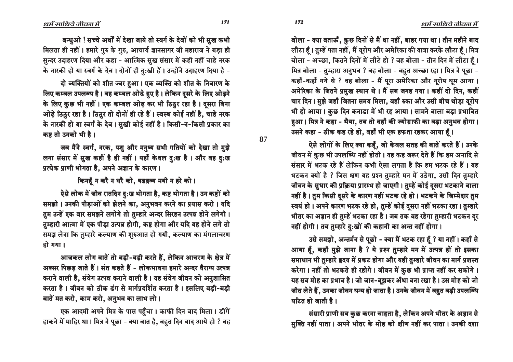बोला - क्या बताऊँ, कुछ दिनों से मैं था नहीं, बाहर गया था। तीन महीने बाद लौटा हैं। तुम्हें पता नहीं, मैं यूरोप और अमेरिका की यात्रा करके लौटा हैं। मित्र बोला - अच्छा, कितने दिनों में लौटे हो ? वह बोला - तीन दिन में लौटा हैं। मित्र बोला - तुम्हारा अनुभव ? वह बोला - बहत अच्छा रहा। मित्र ने पूछा -कहाँ-कहाँ गये थे ? वह बोला - मैं पूरा अमेरिका और यूरोप घुम आया। आमेरिका के जितने प्रमुख स्थान थे। मैं सब जगह गया। कहीं दो दिन, कहीं चार दिन । मुझे जहाँ जितना समय मिला, वहाँ रुका और उसी बीच थोड़ा यूरोप भी हो आया। कुछ दिन कनाडा में भी रह आया। सामने वाला बड़ा प्रभावित हुआ। मित्र ने कहा - भैया, तब तो वहाँ की ज्योग्राफी का बड़ा अनुभव होगा। उसने कहा - ठीक कह रहे हो, वहाँ भी एक हफता रहकर आया हूँ।

ऐसे लोगों के लिए क्या कहूँ, जो केवल सतह की बातें करते हैं। उनके जीवन में कुछ भी उपलब्धि नहीं होती। यह कह जरूर देते हैं कि हम अनादि से संसार में भटक रहे हैं लेकिन कभी ऐसा लगता है कि हम भटक रहे हैं। यह भटकन क्यों है ? जिस क्षण यह प्रश्न तुम्हारे मन में उठेगा, उसी दिन तुम्हारे जीवन के सुधार की प्रक्रिया प्रारम्भ हो जाएगी। तुम्हें कोई दूसरा भटकाने वाला नहीं है। तुम किसी दूसरे के कारण नहीं भटक रहे हो। भटकने के जिम्मेदार तुम स्वयं हो। अपने कारण भटक रहे हो, तुम्हें कोई दुसरा नहीं भटका रहा। तुम्हारे भीतर का अज्ञान ही तुम्हें भटका रहा है। जब तक वह रहेगा तुम्हारी भटकन दूर नहीं होगी। तब तुम्हारे दु:खों की कहानी का अन्त नहीं होगा।

उसे समझो, अन्तर्मन से पूछो - क्या मैं भटक रहा हूँ ? या नहीं। कहाँ से आया है, कहाँ मुझे जाना है ? ये प्रश्न तुम्हारे मन में उत्पन्न हों तो इसका समाधान भी तुम्हारे हृदय में प्रकट होगा और यही तुम्हारे जीवन का मार्ग प्रशस्त करेगा। नहीं तो भटकते ही रहोगे। जीवन में कुछ भी प्राप्त नहीं कर सकोगे। यह सब मोह का प्रभाव है। जो जान-बूझकर अँधा बना रखा है। उस मोह को जो जीत लेते हैं, उनका जीवन धन्य हो जाता है। उनके जीवन में बहुत बड़ी उपलब्धि  $\frac{1}{2}$  घटित हो जाती है ।

संसारी प्राणी सब कुछ करना चाहता है, लेकिन अपने भीतर के अज्ञान से सुक्ति नहीं पाता। अपने भीतर के मोह को क्षीण नहीं कर पाता। उनकी दशा

बन्धुओ ! सच्चे अर्थों में देखा जाये तो स्वर्ग के देवों को भी सुख कभी भिलता ही नहीं। हमारे गुरु के गुरु, आचार्य ज्ञानसागर जी महाराज ने बड़ा ही सन्दर उदाहरण दिया और कहा - आत्मिक सुख संसार में कही नहीं चाहे नरक के नारकी हो या स्वर्ग के देव । दोनों ही दु:खी हैं। उन्होंने उदाहरण दिया है -

दो व्यक्तियों को शीत ज्वर हुआ। एक व्यक्ति को शीत के निवारण के लिए कम्बल उपलब्ध है। वह कम्बल ओढे हुए है। लेकिन दूसरे के लिए ओढ़ने के लिए कुछ भी नहीं। एक कम्बल ओढ़ कर भी ठिठुर रहा है। दसरा बिना ओढ़े ठिठुर रहा है। ठिठुर तो दोनों ही रहे हैं। स्वस्थ कोई नहीं है, चाहे नरक के नारकी हो या स्वर्ग के देव । सुखी कोई नहीं है । किसी-न-किसी प्रकार का कष्ट तो उनको भी है ।

जब मैंने स्वर्ग, नरक, पशु और मनुष्य सभी गतियों को देखा तो मुझे लगा संसार में स़ख कहीं है ही नहीं । यहाँ केवल दु:ख है । और वह दु:ख प्रत्येक प्राणी भोगता है. अपने अज्ञान के कारण ।

किनहँ न करै न धरै को, षडद्रव्य मयी न हरे को।

ऐसे लोक में जीव रातदिन दु:ख भोगता है, कष्ट भोगता है। उन कष्टों को समझो । उनकी पीड़ाओं को झेलने का, अनुभवन करने का प्रयास करो । यदि तुम उन्हें एक बार समझने लगोगे तो तुम्हारे अन्दर सिरहन उत्पन्न होने लगेगी। तुम्हारी आत्मा में एक पीड़ा उत्पन्न होगी, कष्ट होगा और यदि यह होने लगे तो समझ लेना कि तुम्हारे कल्याण की शुरुआत हो गयी, कल्याण का मंगलाचरण  $\overline{a}$ ो गया।

आजकल लोग बातें तो बड़ी-बड़ी करते हैं, लेकिन आचरण के क्षेत्र में अक्सर पिछड़ जाते हैं। संत कहते हैं - लोकभावना हमारे अन्दर वैराग्य उत्पन्न कराने वाली है, संवेग उत्पन्न कराने वाली है। यह संवेग जीवन को अनुशासित करता है। जीवन को ठीक ढंग से मार्गप्रदर्शित करता है। इसलिए बड़ी-बड़ी बातें मत करो, काम करो, अनुभव का लाभ लो।

एक आदमी अपने मित्र के पास पहुँचा। काफी दिन बाद मिला। डींगें हाकने में माहिर था। मित्र ने पूछा - क्या बात है, बहुत दिन बाद आये हो ? वह

**87**

ëóë ëóí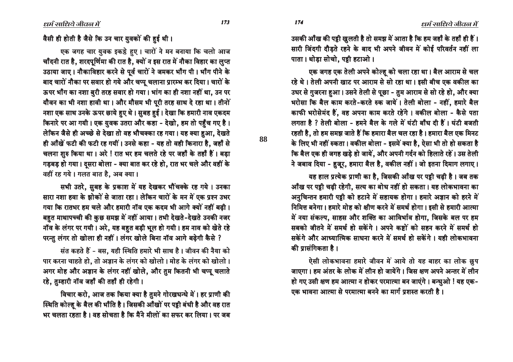उसकी आँख की पट्टी खुलती है तो समझ में आता है कि हम जहाँ के तहाँ ही हैं। सारी जिंदगी दौड़ते रहने के बाद भी अपने जीवन में कोई परिवर्तन नहीं ला पाता। थोडा सोचो. पट्टी हटाओ।

एक जगह एक तेली अपने कोल्हू को चला रहा था। बैल आराम से चल रहे थे। तेली अपनी खाट पर आराम से सो रहा था। इसी बीच एक वकील का उधर से गुजरना हुआ। उसने तेली से पूछा - तुम आराम से सो रहे हो, और क्या भरोसा कि बैल काम करते-करते रुक जायें। तेली बोला - नहीं, हमारे बैल काफी भरोसेमंद हैं. वह अपना काम करते रहेंगे। वकील बोला - कैसे पता लगता है ? तेली बोला - हमने बैल के गले में घंटी बाँध दी हैं। घंटी बजती रहती है, तो हम समझ जाते हैं कि हमारा बैल चल रहा है। हमारा बैल एक मिनट के लिए भी नहीं रुकता। वकील बोला - इसमें क्या है, ऐसा भी तो हो सकता है कि बैल एक ही जगह खड़े हो जायें, और अपनी गर्दन को हिलाते रहें। उस तेली ने जबाव दिया - हुजूर, हमारा बैल है, वकील नहीं। जो इतना दिमाग लगाए।

यह हाल प्रत्येक प्राणी का है, जिसकी आँख पर पट्टी चढ़ी है। जब तक आँख पर पट्टी चढ़ी रहेगी, सत्य का बोध नहीं हो सकता। यह लोकभावना का अनुचिन्तन हमारी पट्टी को हटाने में सहायक होगा। हमारे अज्ञान को हरने में निमित्त बनेगा। हमारे मोह को क्षीण करने में समर्थ होगा। इसी से हमारी आत्मा में नया संकल्प, साहस और शक्ति का आविर्भाव होगा, जिसके बल पर हम सबको जीतने में समर्थ हो सकेंगे । अपने कष्टों को सहन करने में समर्थ हो सकेंगे और आध्यात्मिक साधना करने में समर्थ हो सकेंगे। यही लोकभावना की पासंगिकता है ।

ऐसी लोकभावना हमारे जीवन में आये तो यह बाहर का लोक छुप जाएगा। हम अंतर के लोक में लीन हो जायेंगे। जिस क्षण अपने अन्तर में लीन हो गए उसी क्षण हम आत्मा न होकर परमात्मा बन जाएंगे। बन्धुओ ! यह एक-एक भावना आत्मा से परमात्मा बनने का मार्ग प्रशस्त करती है।

वैसी ही होती है जैसे कि उन चार युवकों की हुई थी।

एक जगह चार युवक इकड़े हुए। चारों ने मन बनाया कि चलो आज चाँदनी रात है, शरदपूर्णिमा की रात है, क्यों न इस रात में नौका विहार का लुप्त उठाया जाए। नौकाविहार करने से पूर्व चारों ने जमकर भाँग पी। भाँग पीने के बाद चारों नौका पर सवार हो गये और चप्पू चलाना प्रारम्भ कर दिया। चारों के ऊपर भाँग का नशा बुरी तरह सवार हो गया। भांग का ही नशा नहीं था, उन पर यौवन का भी नशा हावी था। और मौसम भी पूरी तरह साथ दे रहा था। तीनों नशा एक साथ उनके ऊपर छाये हुए थे। सुबह हुई। देखा कि हमारी नाव एकदम किनारे पर आ गयी। एक युवक उतरा और कहा - देखो, हम तो पहुँच गए है। लेकिन जैसे ही अच्छे से देखा तो वह भौचक्का रह गया। यह क्या हुआ, देखते ही आँखें फटी की फटी रह गयीं। उनसे कहा - यह तो वही किनारा है, जहाँ से चलना शुरु किया था। अरे! रात भर हम चलते रहे पर जहाँ के तहाँ हैं। बड़ा गड़बड़ हो गया। दुसरा बोला - क्या बात कर रहे हो, रात भर चले और वहीं के वहीं रह गये। गलत बात है, अब क्या।

सभी उतरे, सुबह के प्रकाश में यह देखकर भौंचक्के रह गये। उनका सारा नशा हवा के झोकों से जाता रहा। लेकिन चारों के मन में एक प्रश्न उभर गया कि रातभर हम चले और हमारी नॉव एक कदम भी आगे क्यों नहीं बढी। बहुत माथापच्ची की कुछ समझ में नहीं आया। तभी देखते-देखते उनकी नजर नॉव के लंगर पर गयी। अरे, यह बहुत बड़ी भूल हो गयी। हम नाव को खेते रहे परन्तु लंगर तो खोला ही नहीं। लंगर खोले बिना नॉव आगे बढ़ेगी कैसे ?

संत कहते हैं - बस, यही स्थिति हमारे भी साथ है। जीवन की नैया को पार करना चाहते हो, तो अज्ञान के लंगर को खोलो। मोह के लंगर को खोलो। अगर मोह और अज्ञान के लंगर नहीं खोले, और तुम कितनी भी चप्पू चलाते रहे, तुम्हारी नॉव जहाँ की तहाँ ही रहेगी।

विचार करो, आज तक किया क्या है तुमने गोरखधन्धे में। हर प्राणी की स्थिति कोल्हू के बैल की भाँति है। जिसकी आँखों पर पट्टी बंधी है और वह रात भर चलता रहता है । वह सोचता है कि मैंने मीलों का सफर कर लिया । पर जब

174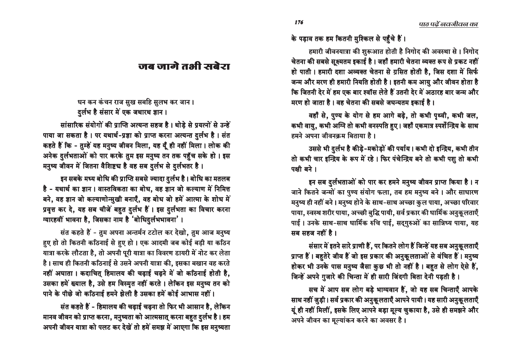के पड़ाव तक हम कितनी मुश्किल से पहुँचे हैं।

हमारी जीवनयात्रा की शुरूआत होती है निगोद की अवस्था से । निगोद चेतना की सबसे सक्ष्मतम इकाई है। जहाँ हमारी चेतना व्यक्त रूप से प्रकट नहीं हो पाती। हमारी दशा अव्यक्त चेतना से ग्रसित होती है, जिस दशा में सिर्फ जन्म और मरण ही हमारी नियति होती है। इतनी कम आयु और जीवन होता है <u>कि जितनी देर में हम एक बार श्वॉस लेते हैं उतनी देर में अठारह बार जन्म और</u> मरण हो जाता है। वह चेतना की सबसे जघन्यतम इकाई है।

वहाँ से, पुण्य के योग से हम आगे बढ़े, तो कभी पृथ्वी, कभी जल, कभी वायु, कभी अग्नि तो कभी वनस्पति हुए। जहाँ एकमात्र स्पर्शेन्द्रिय के साथ हमने अपना जीवनकम बिताया है।

उससे भी दुर्लभ है कीड़े-मकोड़ों की पर्याय। कभी दो इन्द्रिय, कभी तीन तो कभी चार इन्द्रिय के रूप में रहे। फिर पंचेन्द्रिय बने तो कभी पशु तो कभी पक्षी बने ।

इन सब दुर्लभताओं को पार कर हमने मनुष्य जीवन प्राप्त किया है। न जाने कितने जन्मों का पुण्य संयोग फला, तब हम मनुष्य बने । और साधारण मनुष्य ही नहीं बने। मनुष्य होने के साथ-साथ अच्छा कुल पाया, अच्छा परिवार पाया, स्वस्थ शरीर पाया, अच्छी बुद्धि पायी, सर्व प्रकार की धार्मिक अनुकूलताएँ पाई। उनके साथ-साथ धार्मिक रुचि पाई, सद्गुरुओं का सान्निध्य पाया, यह सब सहज नहीं है।

संसार में इतने सारे प्राणी हैं, पर कितने लोग हैं जिन्हें यह सब अनुकूलताएँ प्राप्त हैं। बहुतेरे जीव हैं जो इस प्रकार की अनुकूलताओं से वंचित हैं। मनुष्य होकर भी उनके पास मनुष्य जैसा कुछ भी तो नहीं है। बहुत से लोग ऐसे हैं, जिन्हें अपने ग़ुजारे की चिन्ता में ही सारी जिंदगी बिता देनी पड़ती है।

सच में आप सब लोग बड़े भाग्यवान हैं, जो यह सब चिन्ताएँ आपके साथ नहीं जुड़ी। सर्व प्रकार की अनुकूलताएँ आपने पायी। यह सारी अनुकूलताएँ यूं ही नहीं मिलीं, इसके लिए आपने बड़ा मूल्य चुकाया है, उसे ही समझने और आपने जीवन का मूल्यांकन करने का अवसर है।

### जब जागे तभी सबेरा

# धन कन कंचन राज सुख सबहि सुलभ कर जान ।

दुर्लभ है संसार में एक जथारथ ज्ञान ।

सांसारिक संयोगों की प्राप्ति अत्यन्त सहज है। थोड़े से प्रयत्नों से उन्हें पाया जा सकता है। पर यथार्थ-प्रज्ञा को प्राप्त करना अत्यन्त दुर्लभ है। संत कहते हैं कि - तुम्हें यह मनुष्य जीवन मिला, यह यूँ ही नहीं मिला। लोक की आनेक दुर्लभताओं को पार करके तुम इस मनुष्य तन तक पहुँच सके हो। इस मनुष्य जीवन में जितना वैशिष्ट्य है वह सब दर्लभ से दर्लभतर है।

इन सबके मध्य बोधि की प्राप्ति सबसे ज्यादा दुर्लभ है। बोधि का मतलब है - यथार्थ का ज्ञान । वास्तविकता का बोध, वह ज्ञान जो कल्याण में निमित्त बने, वह ज्ञान जो कल्याणोन्मुखी बनाएँ, वह बोध जो हमें आत्मा के शोध में प्रवृत्त कर दे, यह सब चीजें बहुत दुर्लभ हैं। इस दुर्लभता का विचार करना ग्यारहवीं भावना है, जिसका नाम है 'बोधिदुर्लभभावना'।

संत कहते हैं - तुम अपना अन्तर्मन टटोल कर देखो, तुम आज मनुष्य हुए हो तो कितनी कठिनाई से हुए हो । एक आदमी जब कोई बड़ी या कठिन यात्रा करके लौटता है, तो अपनी पूरी यात्रा का विवरण डायरी में नोट कर लेता है। साथ ही कितनी कठिनाई से उसने अपनी यात्रा की, इसका बखान वह करते नहीं अघाता । कदाचित् हिमालय की चढ़ाई चढ़ने में जो कठिनाई होती है, उसका हमें ख्याल है, उसे हम विस्मृत नहीं करते । लेकिन इस मनुष्य तन को पाने के पीछे जो कठिनाई हमने झेली है उसका हमें कोई आभास नहीं।

संत कहते हैं - हिमालय की चढ़ाई चढ़ना तो फिर भी आसान है, लेकिन मानव जीवन को प्राप्त करना, मनुष्यता को आत्मसात् करना बहुत दुर्लभ है। हम अपनी जीवन यात्रा को पलट कर देखें तो हमें समझ में आएगा कि इस मनुष्यता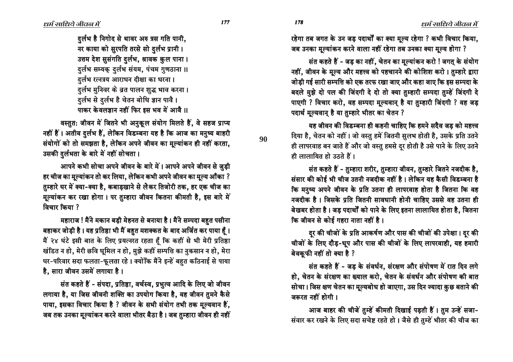दुर्लभ है निगोद से थावर अरु त्रस गति पानी, नर काया को सुरपति तरसे सो दुर्लभ प्रानी। उत्तम देश सुसंगति दुर्लभ, श्रावक कुल पाना। दुर्लभ सम्यक् दुर्लभ संयम, पंचम गुणठाना ॥ दुर्लभ रत्नत्रय आराधन दीक्षा का धरना। दुर्लभ मुनिवर के व्रत पालन शुद्ध भाव करना। दर्लभ से दर्लभ है चेतन बोधि ज्ञान पावै। पाकर केवलज्ञान नहीं फिर इस भव में आवै ।।

वस्तुत: जीवन में जितने भी अनुकूल संयोग मिलते हैं, वे सहज प्राप्य नहीं हैं। अतीव दुर्लभ हैं, लेकिन विडम्बना यह है कि आज का मनुष्य बाहरी संयोगों को तो समझता है, लेकिन अपने जीवन का मूल्यांकन ही नहीं करता, उसकी दुर्लभता के बारे में नहीं सोचता।

आपने कभी सोचा अपने जीवन के बारे में। आपने अपने जीवन से जुड़ी हर चीज का मूल्यांकन तो कर लिया, लेकिन कभी अपने जीवन का मूल्य आँका ? तुम्हारे घर में क्या-क्या है, कबाड़खाने से लेकर तिजोरी तक, हर एक चीज का मूल्यांकन कर रखा होगा। पर तुम्हारा जीवन कितना कीमती है, इस बारे में विचार किया ?

महाराज! मैंने मकान बड़ी मेहनत से बनाया है। मैंने सम्पदा बहत पसीना बहाकर जोड़ी है। यह प्रतिष्ठा भी मैं बहुत मशक्कत के बाद अर्जित कर पाया हूँ। मैं २४ घंटे इसी बात के लिए प्रयत्नरत रहता हैं कि कहीं से भी मेरी प्रतिष्ठा खंडित न हो, मेरी छवि धूमिल न हो, मुझे कहीं सम्पत्ति का नुकसान न हो, मेरा घर-परिवार सदा फलता-फूलता रहे। क्योंकि मैंने इन्हें बहुत कठिनाई से पाया है, सारा जीवन उसमें लगाया है।

संत कहते हैं - संपदा, प्रतिष्ठा, वर्चस्व, प्रभुत्व आदि के लिए जो जीवन लगाया है, या जिस जीवनी शक्ति का उपयोग किया है, वह जीवन तुमने कैसे पाया, इसका विचार किया है ? जीवन के सभी संयोग तभी तक मूल्यवान हैं, जब तक उनका मूल्यांकन करने वाला भीतर बैठा है। जब तुम्हारा जीवन ही नहीं रहेगा तब जगत के उन जड़ पदार्थों का क्या मूल्य रहेगा ? कभी विचार किया,

जब उनका मूल्यांकन करने वाला नहीं रहेगा तब उनका क्या मूल्य होगा ?

संत कहते हैं - जड का नहीं, चेतन का मुल्यांकन करो ! जगत के संयोग नहीं, जीवन के मूल्य और महत्त्व को पहचानने की कोशिश करो। तुम्हारे द्वारा जोडी गई सारी सम्पत्ति को एक तरफ रखा जाए और कहा जाए कि इस सम्पदा के बदले मुझे दो पल की जिंदगी दे दो तो क्या तुम्हारी सम्पदा तुम्हें जिंदगी दे पाएगी ? विचार करो, वह सम्पदा मूल्यवान् है या तुम्हारी जिंदगी ? वह जड़ पदार्थ मुल्यवान है या तम्हारे भीतर का चेतन ?

यह जीवन की विडम्बना ही कहनी चाहिए कि हमने सदैव जड को महत्त्व दिया है, चेतन को नहीं। जो वस्तु हमें जितनी सुलभ होती है, उसके प्रति उतने ही लापरवाह बन जाते हैं और जो वस्तु हमसे दूर होती है उसे पाने के लिए उतने ही लालायित हो उठते हैं ।

संत कहते हैं - तुम्हारा शरीर, तुम्हारा जीवन, तुम्हारे जितने नजदीक है, संसार की कोई भी चीज उतनी नजदीक नहीं है। लेकिन यह कैसी विडम्बना है कि मनुष्य अपने जीवन के प्रति उतना ही लापरवाह होता है जितना कि वह नजदीक है। जिसके प्रति जितनी सावधानी होनी चाहिए उससे वह उतना ही बेखबर होता है। जड़ पदार्थों को पाने के लिए इतना लालायित होता है, जितना कि जीवन से कोई गहरा नाता नहीं है।

दूर की चीजों के प्रति आकर्षण और पास की चीजों की उपेक्षा। दूर की चीजों के लिए दौड़-धूप और पास की चीजों के लिए लापरवाही, यह हमारी बेवकूफी नहीं तो क्या है ?

संत कहते हैं - जड़ के संवर्धन, संरक्षण और संपोषण में रात दिन लगे हो, चेतन के संरक्षण का ख्याल करो, चेतन के संवर्धन और संपोषण की बात सोचा। जिस क्षण चेतन का मूल्यबोध हो जाएगा, उस दिन ज्यादा कुछ बताने की जरूरत नहीं होगी।

आज बाहर की चीजें तुम्हें कीमती दिखाई पड़ती हैं। तुम उन्हें सजा-संवार कर रखने के लिए सदा सचेष्ट रहते हो। जैसे ही तुम्हें भीतर की चीज का

90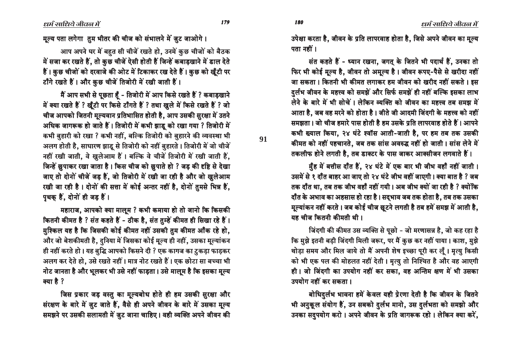179

मूल्य पता लगेगा तुम भीतर की चीज को संभालने में जुट जाओगे।

आप अपने घर में बहत सी चीजें रखते हो, उनमें कुछ चीजों को बैठक में सजा कर रखते हैं, तो कुछ चीजें ऐसी होती हैं जिन्हें कबाडखाने में डाल देते हैं। कुछ चीजों को दरवाजे की ओट में टिकाकर रख देते हैं। कुछ को खूँटी पर टाँगे रखते हैं। और कुछ चीजें तिजोरी में रखी जाती हैं।

मैं आप सभी से पूछता हैं - तिजोरी में आप किसे रखते हैं ? कबाडखाने में क्या रखते हैं ? खूँटी पर किसे टाँगते हैं ? तथा खूले में किसे रखते हैं ? जो चीज आपको जितनी मुल्यवान प्रतिभासित होती है, आप उसकी सुरक्षा में उतने अधिक जागरूक हो जाते हैं। तिजोरी में कभी झाड़ू को रखा गया ? तिजोरी में कभी बुहारी को रखा ? कभी नहीं, बल्कि तिजोरी को बुहारने की व्यवस्था भी अलग होती है, साधारण झाडू से तिजोरी को नहीं बुहारते । तिजोरी में जो चीजें नहीं रखी जाती, वे खुलेआम हैं। बल्कि वे चीजें तिजोरी में रखी जाती हैं, जिन्हें छुपाकर रखा जाता है। किस चीज को छुपाते हो ? जड़ की दृष्टि से देखा जाए तो दोनों चीजें जड़ हैं, जो तिजोरी में रखी जा रही है और जो खुलेआम रखी जा रही है। दोनों की सत्ता में कोई अन्तर नहीं है, दोनों तुमसे भिन्न हैं, पृथक् हैं, दोनों ही जड़ हैं।

महाराज, आपको क्या मालूम ? कभी कमाया हो तो जानो कि किसकी कितनी कीमत है ? संत कहते हैं - ठीक है, संत तुम्हें कीमत ही सिखा रहे हैं । मुश्किल यह है कि जिसकी कोई कीमत नहीं उसकी तुम कीमत आँक रहे हो, और जो बेशकीमती है, दुनिया में जिसका कोई मूल्य ही नहीं, उसका मूल्यांकन ही नहीं करते हो। यह बुद्धि आपको किसने दी ? एक कागज का टुकड़ा फाड़कर अलग कर देते हो, उसे रखते नहीं। मात्र नोट रखते हैं। एक छोटा सा बच्चा भी नोट जानता है और भूलकर भी उसे नहीं फाड़ता। उसे मालूम है कि इसका मूल्य क्या है ?

जिस प्रकार जड़ वस्तु का मुल्यबोध होते ही हम उसकी सुरक्षा और संरक्षण के बारे में जुट जाते हैं, वैसे ही अपने जीवन के बारे में उसका मूल्य समझने पर उसकी सलामती में जुट जाना चाहिए। वही व्यक्ति अपने जीवन की उपेक्षा करता है, जीवन के प्रति लापरवाह होता है, जिसे अपने जीवन का मूल्य पता नहीं ।

संत कहते हैं - ध्यान रखना, जगत के जितने भी पदार्थ हैं, उनका तो फिर भी कोई मूल्य है, जीवन तो अमूल्य है। जीवन रूपए-पैसे से खरीदा नहीं जा सकता। कितनी भी कीमत लगाकर हम जीवन को खरीद नहीं सकते। इस दर्लभ जीवन के महत्त्व को समझें और सिर्फ समझें ही नहीं बल्कि इसका लाभ लेने के बारे में भी सोचें। लेकिन व्यक्ति को जीवन का महत्त्व तब समझ में आता है. जब वह मरने को होता है। जीते जी आदमी जिंदगी के महत्त्व को नहीं समझता। जो चीज हमारे पास होती है हम उसके प्रति लापरवाह होते हैं। आपने कभी ख्याल किया, २४ घंटे श्वॉस आती-जाती है, पर हम तब तक उसकी कीमत को नहीं पहचानते, जब तक सांस अवरुद्ध नहीं हो जाती। सांस लेने में तकलीफ होने लगती है, तब डाक्टर के पास जाकर आक्सीजन लगवाते हैं।

मुँह में बत्तीस दाँत हैं, २४ घंटे में एक बार भी जीभ वहाँ नहीं जाती। उसमें से १ दाँत बाहर आ जाए तो २४ घंटे जीभ वहीं जाएगी। क्या बात है ? जब तक दाँत था. तब तक जीभ वहाँ नहीं गयी। अब जीभ क्यों जा रही है ? क्योंकि

दाँत के अभाव का अहसास हो रहा है। सद्भाव जब तक होता है, तब तक उसका मूल्यांकन नहीं करते। जब कोई चीज छूटने लगती है तब हमें समझ में आती है, यह चीज कितनी कीमती थी।

जिंदगी की कीमत उस व्यक्ति से पूछो - जो मरणासन्न है. जो कह रहा है कि मुझे इतनी बड़ी जिंदगी मिली जरूर, पर मैं कुछ कर नहीं पाया। काश, मुझे थोड़ा समय और मिल जाये तो मैं अपनी शेष इच्छा पूरी कर लूँ। मृत्यु किसी को भी एक पल की मोहलत नहीं देती। मृत्यु तो निश्चित है और वह आएगी ही। जो जिंदगी का उपयोग नहीं कर सका, वह अन्तिम क्षण में भी उसका उपयोग नहीं कर सकता।

बोधिदुर्लभ भावना हमें केवल यही प्रेरणा देती है कि जीवन के जितने भी अनुकूल संयोग हैं, उन सबको दुर्लभ मानो, उस दुर्लभता को समझो और उनका सदुपयोग करो। अपने जीवन के प्रति जागरूक रहो। लेकिन क्या करें,

91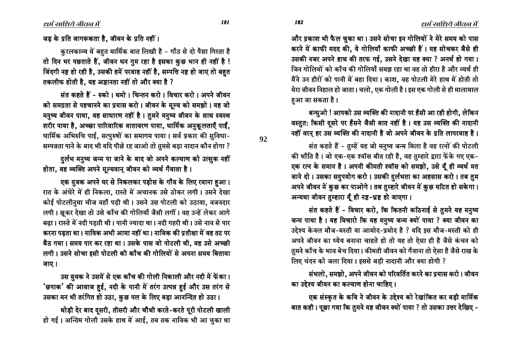और प्रकाश भी फैल चुका था। उसने सोचा इन गोलियों ने मेरे समय को पास करने में काफी मदद की, ये गोलियाँ काफी अच्छी हैं। यह सोचकर जैसे ही उसकी नजर अपने हाथ की तरफ गई, उसने देखा यह क्या ? अनर्थ हो गया। जिन गोलियों को काँच की गोलियाँ समझ रहा था वह तो हीरा है और व्यर्थ ही मैंने उन हीरों को पानी में बहा दिया। काश, वह पोटली मेरे हाथ में होती तो मेरा जीवन निहाल हो जाता। चलो, एक गोली है। इस एक गोली से ही मालामाल हआ जा सकता है।

बन्धुओ ! आपको उस व्यक्ति की नादानी पर हँसी आ रही होगी. लेकिन वस्तुत: किसी दुसरे पर हँसने जैसी बात नहीं है। यह उस व्यक्ति की नादानी नहीं वरन् हर उस व्यक्ति की नादानी है जो अपने जीवन के प्रति लापरवाह है।

संत कहते हैं - तुम्हें यह जो मनुष्य जन्म मिला है वह रत्नों की पोटली की भाँति है। जो एक-एक श्वॉस बीत रही है, वह तुम्हारे द्वारा फेंके गए एक-एक रत्न के समान है। अपनी कीमती श्वॉस को समझो, उसे यूँ ही व्यर्थ मत जाने दो। उसका सदुपयोग करो। उसकी दुर्लभता का अहसास करो। तब तुम अपने जीवन में कुछ कर पाओगे। तब तुम्हारे जीवन में कुछ घटित हो सकेगा। अन्यथा जीवन तुम्हारा यूँ ही नष्ट-भ्रष्ट हो जाएगा।

संत कहते हैं - विचार करो, कि कितनी कठिनाई से तुमने यह मनुष्य जन्म पाया है। यह विचारो कि यह मनुष्य जन्म क्यों पाया ? क्या जीवन का उद्देश्य केवल मौज-मस्ती या आमोद-प्रमोद है ? यदि इस मौज-मस्ती को ही अपने जीवन का ध्येय बनाना चाहते हो तो यह तो ऐसा ही है जैसे कंचन को तुमने काँच के भाव बेच दिया। कीमती जीवन को गँवाना तो ऐसा है जैसे राख के लिए चंदन को जला दिया। इससे बड़ी नादानी और क्या होगी ?

संभलो, समझो, अपने जीवन को परिवर्तित करने का प्रयास करो। जीवन का उद्देश्य जीवन का कल्याण होना चाहिए ।

एक संस्कृत के कवि ने जीवन के उद्देश्य को रेखांकित कर बड़ी मार्मिक बात कही। पूछा गया कि तुमने यह जीवन क्यों पाया ? तो उसका उत्तर देखिए -

जड के प्रति जागरूकता है. जीवन के प्रति नहीं।

कुरलकाव्य में बहुत मार्मिक बात लिखी है - गाँठ से दो पैसा गिरता है तो दिन भर पछताते हैं. जीवन धन ग़म रहा है इसका कुछ भान ही नहीं है ! जिंदगी नष्ट हो रही है, उसकी हमें परवाह नहीं है, सम्पत्ति नष्ट हो जाए तो बहुत तकलीफ होती है, यह अज्ञानता नहीं तो और क्या है ?

संत कहते हैं - रुको । थमो । चिन्तन करो । विचार करो । अपने जीवन को समग्रता से पहचानने का प्रयास करो। जीवन के मूल्य को समझो। यह जो मनुष्य जीवन पाया, वह साधारण नहीं है। तुमने मनुष्य जीवन के साथ स्वस्थ शरीर पाया है, अच्छा पारिवारिक वातावरण पाया, धार्मिक अनुकूलताएँ पाईं, धार्मिक अभिरुचि पाई, सत्पुरुषों का समागम पाया। सर्व प्रकार की सुविधा-सम्पन्नता पाने के बाद भी यदि पीछे रह जाओ तो तुमसे बड़ा नादान कौन होगा ?

दुर्लभ मनुष्य जन्म पा जाने के बाद जो अपने कल्याण को उत्सुक नहीं होता, वह व्यक्ति अपने मूल्यवान् जीवन को व्यर्थ गँवाता है।

एक युवक अपने घर से निकलकर पड़ोस के गाँव के लिए रवाना हुआ। रात के अंधेरे में ही निकला. रास्ते में अचानक उसे ठोकर लगी। उसने देखा कोई पोटलीनुमा चीज वहाँ पड़ी थी। उसने उस पोटली को उठाया, वजनदार लगी। छूकर देखा तो उसे काँच की गोलियाँ जैसी लगीं। वह उन्हें लेकर आगे बढ़ा। रास्ते में नदी पड़ती थी। पानी ज्यादा था। नदी गहरी थी। उसे नाव से पार करना पडता था। नाविक अभी आया नहीं था। नाविक की प्रतीक्षा में वह तट पर बैठ गया। समय पार कर रहा था। उसके पास जो पोटली थी, वह उसे अच्छी लगी। उसने सोचा इसी पोटली की काँच की गोलियों से अपना समय बिताया जाए।

उस युवक ने उसमें से एक काँच की गोली निकाली और नदी में फेंका। 'छपाक' की आवाज हुई, नदी के पानी में तरंग उत्पन्न हुई और उस तरंग से उसका मन भी तरंगित हो उठा, कुछ पल के लिए बड़ा आनन्दित हो उठा।

थोड़ी देर बाद दूसरी, तीसरी और चौथी करते-करते पूरी पोटली खाली हो गई। अन्तिम गोली उसके हाथ में आई, तब तक नाविक भी आ चुका था

182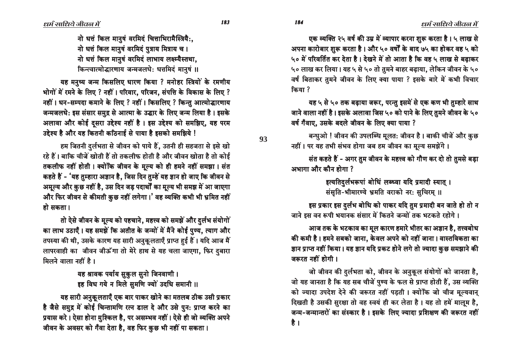नो धत्तं किल मानुषं वरमिदं चित्ताभिरामैस्त्रियै:, नो धत्तं किल मानुषं वरमिदं पुत्राय मित्राय च। नो धत्तं किल मानुषं वरमिदं लाभाय लक्ष्म्यैस्तथा, किन्त्वात्मोद्धारणाय जन्मजलधेः धत्तमिदं मानुषं ॥

यह मनुष्य जन्म किसलिए धारण किया ? मनोहर स्त्रियों के रमणीय भोगों में रमने के लिए ? नहीं। परिवार, परिजन, संपत्ति के विकास के लिए ? नहीं। धन-सम्पदा कमाने के लिए ? नहीं। किसलिए ? किन्तु आत्मोद्धारणाय जन्मजलधे: इस संसार समुद्र से आत्मा के उद्धार के लिए जन्म लिया है। इसके अलावा और कोई दुसरा उद्देश्य नहीं है। इस उद्देश्य को समझिए, यह परम उद्देश्य है और यह कितनी कठिनाई से पाया है इसको समझिये !

हम जितनी दुर्लभता से जीवन को पाये हैं, उतनी ही सहजता से इसे खो रहे हैं। बाकि चीजें खोती हैं तो तकलीफ होती है और जीवन खोता है तो कोई तकलीफ नहीं होती। क्योंकि जीवन के मुल्य को ही हमने नहीं समझा। संत कहते हैं - 'यह तुम्हारा अज्ञान है, जिस दिन तुम्हें यह ज्ञान हो जाए कि जीवन से अमूल्य और कुछ नहीं है, उस दिन जड़ पदार्थों का मूल्य भी समझ में आ जाएगा और फिर जीवन से कीमती कुछ नहीं लगेगा।' वह व्यक्ति कभी भी भ्रमित नहीं हो सकता।

तो ऐसे जीवन के मुल्य को पहचाने, महत्त्व को समझें और दर्लभ संयोगों का लाभ उठाएँ। यह समझें कि अतीत के जन्मों में मैंने कोई पुण्य, त्याग और तपस्या की थी, उसके कारण यह सारी अनुकूलताएँ प्राप्त हुई हैं। यदि आज मैं लापरवाही का जीवन जीऊँगा तो मेरे हाथ से यह चला जाएगा, फिर दुबारा मिलने वाला नहीं है।

> यह श्रावक पर्याय सुकुल सूनो जिनवाणी। इह विध गये न मिले सुमणि ज्यों उदधि समानी ।।

यह सारी अनुकूलताएँ एक बार पाकर खोने का मतलब ठीक उसी प्रकार है जैसे समुद्र में कोई चिन्तामणि रत्न डाल दे और उसे पुन: प्राप्त करने का प्रयास करे। ऐसा होना मुश्किल है, पर असम्भव नहीं। ऐसे ही जो व्यक्ति अपने जीवन के अवसर को गँवा देता है, वह फिर कुछ भी नहीं पा सकता।

एक व्यक्ति २५ वर्ष की उम्र में व्यापार करना शुरू करता है। ५ लाख से अपना कारोबार शुरू करता है। और ५० वर्षों के बाद ७५ का होकर वह ५ को ५० में परिवर्तित कर देता है। देखने में तो आता है कि वह ५ लाख से बढाकर ५० लाख कर लिया। यह ५ से ५० तो तुमने बाहर बढ़ाया, लेकिन जीवन के ५० वर्ष बिताकर तमने जीवन के लिए क्या पाया ? इसके बारे में कभी विचार किया ?

यह ५ से ५० तक बढ़ाया जरूर, परन्तु इसमें से एक कण भी तुम्हारे साथ जाने वाला नहीं है। इसके अलावा जिस ५० को पाने के लिए तुमने जीवन के ५० वर्ष गँवाए. उसके बदले जीवन के लिए क्या पाया ?

बन्धुओ ! जीवन की उपलब्धि मूलत: जीवन है । बाकी चीजें और कुछ नहीं। पर यह तभी संभव होगा जब हम जीवन का मूल्य समझेंगे।

संत कहते हैं - अगर तुम जीवन के महत्त्व को गौण कर दो तो तुमसे बड़ा अभागा और कौन होगा ?

> इत्यतिदर्लभरूपां बोधिं लब्ध्वा यदि प्रमादी स्यात् । संसति-भीमारण्ये भ्रमति वराको नर: सचिरम ।।

इस प्रकार इस दुर्लभ बोधि को पाकर यदि तुम प्रमादी बन जाते हो तो न जाने इस वन रूपी भयानक संसार में कितने जन्मों तक भटकते रहोगे।

आज तक के भटकाव का मूल कारण हमारे भीतर का अज्ञान है, तत्त्वबोध की कमी है। हमने सबको जाना, केवल अपने को नहीं जाना। वास्तविकता का ज्ञान प्राप्त नहीं किया। यह ज्ञान यदि प्रकट होने लगे तो ज्यादा कुछ समझाने की जरूरत नहीं होगी।

जो जीवन की दुर्लभता को, जीवन के अनुकूल संयोगों को जानता है, जो यह जानता है कि यह सब चीजें पुण्य के फल से प्राप्त होती हैं, उस व्यक्ति को ज्यादा उपदेश देने की जरूरत नहीं पड़ती। क्योंकि जो चीज मूल्यवान् दिखती है उसकी सुरक्षा तो वह स्वयं ही कर लेता है। यह तो हमें मालूम है, जन्म-जन्मान्तरों का संस्कार है। इसके लिए ज्यादा प्रशिक्षण की जरूरत नहीं है ।

93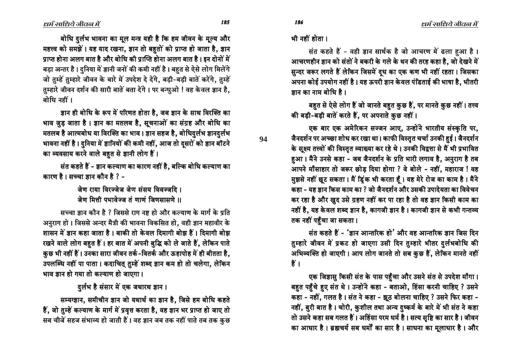बोधि दुर्लभ भावना का मूल मन्त्र यही है कि हम जीवन के मूल्य और महत्त्व को समझें। यह याद रखना, ज्ञान तो बहुतों को प्राप्त हो जाता है, ज्ञान प्राप्त होना अलग बात है और बोधि की प्राप्ति होना अलग बात है। इन दोनों में बड़ा अन्तर है। दुनिया में ज्ञानी जनों की कमी नहीं है। बहुत से ऐसे लोग मिलेंगे जो तम्हें तम्हारे जीवन के बारे में उपदेश दे देंगे. बडी-बडी बातें करेंगे. तम्हें तुम्हारे जीवन दर्शन की सारी बातें बता देंगे। पर बन्धुओ ! वह केवल ज्ञान है, बोधि नहीं ।

ज्ञान ही बोधि के रूप में परिणत होता है. जब ज्ञान के साथ विरक्ति का भाव जुड़ जाता है। ज्ञान का मतलब है, सूचनाओं का संग्रह और बोधि का मतलब है आत्मबोध या विरक्ति का भाव। ज्ञान सहज है, बोधिदुर्लभ ज्ञानदुर्लभ भावना नहीं है। दुनिया में ज्ञानियों की कमी नहीं, आज तो दुसरों को ज्ञान बॉटने का व्यवसाय करने वाले बहुत से ज्ञानी लोग हैं।

संत कहते हैं - ज्ञान कल्याण का कारण नहीं है. बल्कि बोधि कल्याण का कारण है। सच्चा ज्ञान कौन है ? -

> जेण राया विरज्जेज जेण संसय विवज्जटि । जेण मित्ती पभावेज्ज तं णाणं जिणसासणे ॥

सच्चा ज्ञान कौन है ? जिससे राग नष्ट हो और कल्याण के मार्ग के प्रति अनुराग हो। जिससे अन्दर मैत्री की भावना विकसित हो, वही ज्ञान महावीर के शासन में ज्ञान कहा जाता है। बाकी तो केवल दिमागी बोझ हैं। दिमागी बोझ रखने वाले लोग बहुत हैं। हर बात में अपनी बुद्धि को ले जाते हैं, लेकिन पाते कुछ भी नहीं हैं। उनका सारा जीवन तर्क-वितर्क और ऊहापोह में ही बीतता है, उपलब्धि नहीं पा पाता। कदाचित् तुम्हें शब्द ज्ञान कम हो तो चलेगा, लेकिन भाव ज्ञान हो गया तो कल्याण हो जाएगा।

दुर्लभ है संसार में एक जथारथ ज्ञान।

सम्यग्ज्ञान, समीचीन ज्ञान जो यथार्थ का ज्ञान है, जिसे हम बोधि कहते हैं, जो तुम्हें कल्याण के मार्ग में प्रवृत्त करता है, वह ज्ञान भर प्राप्त हो जाए तो सब चीजें सहज संभाव्य हो जाती हैं। वह ज्ञान जब तक नहीं पाते तब तक कुछ 94

185

भी नहीं होता ।

संत कहते हैं - वही ज्ञान सार्थक है जो आचरण में ढला हुआ है। आचरणहीन ज्ञान को संतों ने बकरी के गले के थन की तरह कहा है. जो देखने में सुन्दर जरूर लगते हैं लेकिन जिसमें दूध का एक कण भी नहीं रहता। जिसका अपना कोई उपयोग नहीं है। यह ऊपरी ज्ञान केवल पंडिताई की भाषा है, भीतरी ज्ञान का नाम बोधि है।

बहुत से ऐसे लोग हैं जो जानते बहुत कुछ हैं, पर मानते कुछ नहीं। तत्त्व की बड़ी-बड़ी बातें करते हैं, पर अपनाते कुछ नहीं।

एक बार एक अमेरिकन सज्जन आए, उन्होंने भारतीय संस्कृति पर, जैनदर्शन पर अच्छा शोध कर रखा था। काफी विस्तुत चर्चा उनकी हुई। जैनदर्शन के सूक्ष्म तत्त्वों की विस्तृत व्याख्या कर रहे थे। उनकी विद्वत्ता से मैं भी प्रभावित हुआ। मैंने उनसे कहा - जब जैनदर्शन के प्रति भारी लगाव है, अनुराग है तब आपने माँसाहार तो जरूर छोड़ दिया होगा ? वे बोले - नहीं, महाराज ! वह म़झसे नहीं छूट सकता। मैं ड़िंक भी करता हैं। यह मेरे रोज का काम है। मैंने कहा - यह ज्ञान किस काम का ? जो जैनदर्शन और उसकी उपादेयता का विवेचन कर रहा है और खुद उसे ग्रहण नहीं कर पा रहा है तो वह ज्ञान किसी काम का नहीं है, यह केवल शब्द ज्ञान है, कागजी ज्ञान है। कागजी ज्ञान से कभी गन्तव्य तक नहीं पहुँचा जा सकता।

संत कहते हैं - 'ज्ञान आन्तरिक हो' और वह आन्तरिक ज्ञान जिस दिन तुम्हारे जीवन में प्रकट हो जाएगा उसी दिन तुम्हारे भीतर दुर्लभबोधि की अभिव्यक्ति हो जाएगी। आप लोग जानते तो सब कुछ हैं, लेकिन मानते नहीं हैं।

एक जिज्ञासु किसी संत के पास पहुँचा और उसने संत से उपदेश माँगा। बहुत पहुँचे हुए संत थे। उन्होंने कहा - बताओ, हिंसा करनी चाहिए ? उसने कहा - नहीं, गलत है। संत ने कहा - झूठ बोलना चाहिए ? उसने फिर कहा -नहीं, बुरी बात है। चोरी, कुशील तथा अन्य दुष्कर्म के बारे में भी संत ने कहा तो उसने कहा सब गलत हैं। अहिंसा परम धर्म है। सत्य सृष्टि का सार है। जीवन का आधार है। ब्रह्मचर्य सब धर्मों का सार है। साधना का मूलाधार है। और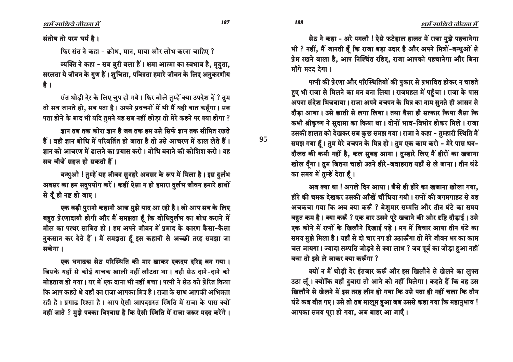187

95

188

संतोष तो परम धर्म है।

फिर संत ने कहा - क्रोध, मान, माया और लोभ करना चाहिए ?

व्यक्ति ने कहा - सब बुरी बला हैं। क्षमा आत्मा का स्वभाव है, मृदता, सरलता ये जीवन के गुण हैं। शुचिता, पवित्रता हमारे जीवन के लिए अनुकरणीय है ।

संत थोड़ी देर के लिए चुप हो गये। फिर बोले तुम्हें क्या उपदेश दें ? तुम तो सब जानते हो, सब पता है। अपने प्रवचनों में भी मैं यही बात कहँगा। सब पता होने के बाद भी यदि तुमने यह सब नहीं छोड़ा तो मेरे कहने पर क्या होगा ?

ज्ञान तब तक कोरा ज्ञान है जब तक हम उसे सिर्फ ज्ञान तक सीमित रखते हैं। वही ज्ञान बोधि में परिवर्तित हो जाता है तो उसे आचरण में ढाल लेते हैं। जान को आचरण में ढालने का प्रयास करो। बोधि बनाने की कोशिश करो। यह सब चीजें सहज हो सकती हैं।

बन्धुओ ! तुम्हें यह जीवन सुनहरे अवसर के रूप में मिला है। इस दुर्लभ अवसर का हम सदुपयोग करें। कहीं ऐसा न हो हमारा दुर्लभ जीवन हमारे हाथों से यूँ ही नष्ट हो जाए।

एक बड़ी पुरानी कहानी आज मुझे याद आ रही है। जो आप सब के लिए बहुत प्रेरणादायी होगी और मैं समझता हैं कि बोधिदुर्लभ का बोध कराने में मील का पत्थर साबित हो। हम अपने जीवन में प्रमाद के कारण कैसा-कैसा नुकसान कर देते हैं। मैं समझता हूँ इस कहानी से अच्छी तरह समझा जा सकेगा ।

एक धनाढच सेठ परिस्थिति की मार खाकर एकदम दरिद्र बन गया। जिसके यहाँ से कोई याचक खाली नहीं लौटता था। वही सेठ दाने-दाने को मोहताज हो गया । घर में एक दाना भी नहीं बचा । पत्नी ने सेठ को प्रेरित किया कि आप कहते थे यहाँ का राजा आपका मित्र है। राजा के साथ आपकी अभिन्नता रही है। प्रगाढ रिश्ता है। आप ऐसी आपदग्रस्त स्थिति में राजा के पास क्यों नहीं जाते ? मुझे पक्का विश्वास है कि ऐसी स्थिति में राजा जरूर मदद करेंगे।

सेठ ने कहा - अरे पगली ! ऐसे फटेहाल हालत में राजा मुझे पहचानेगा भी ? नहीं, मैं जानती हूँ कि राजा बड़ा उदार है और अपने मित्रों-बन्धुओं से प्रेम रखने वाला है. आप निश्चिंत रहिए. राजा आपको पहचानेगा और बिना माँगे मदद देगा।

पत्नी की प्रेरणा और परिस्थितियों की पुकार से प्रभावित होकर न चाहते हुए भी राजा से मिलने का मन बना लिया। राजमहल में पहुँचा। राजा के पास अपना संदेश भिजवाया। राजा अपने बचपन के मित्र का नाम सुनते ही आसन से दौडा आया। उसे छाती से लगा लिया। तथा वैसा ही सत्कार किया जैसा कि कभी श्रीकृष्ण ने सुदामा का किया था। दोनों भाव-विभोर होकर मिले। राजा उसकी हालत को देखकर सब कुछ समझ गया। राजा ने कहा - तुम्हारी स्थिति मैं समझ गया हैं। तुम मेरे बचपन के मित्र हो। तुम एक काम करो - मेरे पास धन-दौलत की कमी नहीं है, कल सुबह आना। तुम्हारे लिए मैं हीरों का खजाना खोल दूँगा। तुम जितना चाहो उतने हीरे-जवाहरात यहाँ से ले जाना। तीन घंटे का समय में तुम्हें देता हैं।

अब क्या था ! अगले दिन आया। जैसे ही हीरे का खजाना खोला गया. हीरे की चमक देखकर उसकी आँखें चौंधिया गयी। रत्नों की जगमगाहट से वह अचकचा गया कि अब क्या करूँ ? बेशुमार सम्पत्ति और तीन घंटे का समय बहुत कम है। क्या करूँ ? एक बार उसने पूरे खजाने की ओर दृष्टि दौड़ाई। उसे एक कोने में रत्नों के खिलौने दिखाई पडे। मन में विचार आया तीन घंटे का समय मुझे मिला है। यहाँ से दो चार नग ही उठाऊँगा तो मेरे जीवन भर का काम चल जायगा। ज्यादा सम्पत्ति जोड़ने से क्या लाभ ? जब पूर्व का जोड़ा हुआ नहीं बचा तो इसे ले जाकर क्या करूँगा ?

क्यों न मैं थोड़ी देर इंतजार करूँ और इस खिलौने से खेलने का लुफ्त उठा लूँ। क्योंकि यहाँ दुबारा तो आने को नहीं मिलेगा। कहते हैं कि वह उस खिलौने से खेलने में इस तरह लीन हो गया कि उसे पता ही नहीं चला कि तीन घंटे कब बीत गए। उसे तो तब मालूम हुआ जब उससे कहा गया कि महानुभाव ! आपका समय पूरा हो गया, अब बाहर आ जाएँ।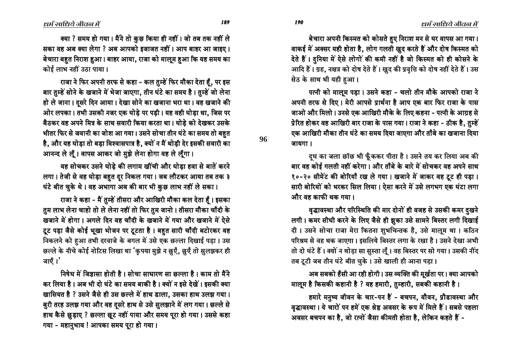बेचारा अपनी किस्मत को कोसते हुए निराश मन से घर वापस आ गया। वाकई में अक्सर यही होता है, लोग गलती खुद करते हैं और दोष किस्मत को देते हैं। दुनिया में ऐसे लोगों की कमी नहीं है जो किस्मत को ही कोसने के आदि हैं। ग्रह, नक्षत्र को दोष देते हैं। ख़ुद की प्रवृत्ति को दोष नहीं देते हैं। उस सेठ के साथ भी यही हआ।

पत्नी को मालूम पड़ा। उसने कहा - चलो तीन मौके आपको राजा ने अपनी तरफ से दिए। मेरी आपसे प्रार्थना है आप एक बार फिर राजा के पास जाओ और मिलो। उनसे एक आखिरी मौके के लिए कहना - पत्नी के आग्रह से प्रेरित होकर वह आखिरी बार राजा के पास गया। राजा ने कहा - ठीक है, तुम्हें एक आखिरी मौका तीन घंटे का समय दिया जाएगा और ताँबे का खजाना दिया जायगा।

दुध का जला छाँछ भी फूँककर पीता है। उसने तय कर लिया अब की बार वह कोई गलती नहीं करेगा । और ताँबे के बारे में सोचकर वह अपने साथ १०-२० सीमेंट की बोरियाँ रख ले गया। खजाने में जाकर वह टूट ही पड़ा। सारी बोरियों को भरकर सिल लिया। ऐसा करने में उसे लगभग एक घंटा लगा और वह काफी थक गया।

वृद्धावस्था और परिस्थिति की मार दोनों ही वजह से उसकी कमर दुखने लगी। कमर सीधी करने के लिए जैसे ही झुका उसे सामने बिस्तर लगी दिखाई दी। उसने सोचा राजा मेरा कितना शुभचिन्तक है, उसे मालूम था। कठिन परिश्रम से वह थक जाएगा। इसलिये बिस्तर लगा के रखा है। उसने देखा अभी तो दो घंटे हैं। क्यों न थोड़ा सा सुस्ता लूँ। वह बिस्तर पर सो गया। उसकी नींद तब टूटी जब तीन घंटे बीत चुके। उसे खाली ही आना पड़ा।

अब सबको हँसी आ रही होगी। उस व्यक्ति की मूर्खता पर। क्या आपको मालूम है किसकी कहानी है ? यह हमारी, तुम्हारी, सबकी कहानी है।

हमारे मनुष्य जीवन के चार-पन हैं - बचपन, यौवन, प्रौढावस्था और वृद्धावस्था। ये चारों पन हमें एक श्रेष्ठ अवसर के रूप में मिले हैं। सबसे पहला अवसर बचपन का है, जो रत्नों जैसा कीमती होता है, लेकिन कहते हैं -

धर्म साधिये जीवल में

क्या ? समय हो गया। मैंने तो कुछ किया ही नहीं। जो तब तक नहीं ले सका वह अब क्या लेगा ? अब आपको इजाजत नहीं। आप बाहर आ जाइए। बेचारा बहुत निराश हुआ। बाहर आया, राजा को मालूम हुआ कि यह समय का कोई लाभ नहीं उठा पाया।

राजा ने फिर अपनी तरफ से कहा - कल तुम्हें फिर मौका देता हूँ, पर इस बार तुम्हें सोने के खजाने में भेजा जाएगा, तीन घंटे का समय है। तुम्हें जो लेना हो ले जाना। दसरे दिन आया। देखा सोने का खजाना भरा था। वह खजाने की ओर लपका। तभी उसकी नजर एक घोडे पर पडी। यह वही घोडा था. जिस पर बैठकर वह अपने मित्र के साथ सवारी किया करता था। घोड़े को देखकर उसके भीतर फिर से जवानी का जोश आ गया। उसने सोचा तीन घंटे का समय तो बहत है, और यह घोड़ा तो बड़ा विश्वासपात्र है, क्यों न मैं थोड़ी देर इसकी सवारी का आनन्द ले लूँ। वापस आकर जो मुझे लेना होगा वह ले लूँगा।

यह सोचकर उसने घोडे की लगाम खींची और घोडा हवा से बातें करने लगा। तेजी से वह घोड़ा बहुत दूर निकल गया। जब लौटकर आया तब तक ३ घंटे बीत चुके थे। वह अभागा अब की बार भी कुछ लाभ नहीं ले सका।

राजा ने कहा - मैं तुम्हें तीसरा और आखिरी मौका कल देता हैं। इसका तुम लाभ लेना चाहो तो ले लेना नहीं तो फिर तुम जानो। तीसरा मौका चाँदी के खजाने में होगा। अगले दिन वह चाँदी के खजाने में गया और खजाने में ऐसे टूट पड़ा जैसे कोई भूखा भोजन पर टूटता है। बहुत सारी चाँदी बटोरकर वह निकलने को हुआ तभी दरवाजे के बगल में उसे एक छल्ला दिखाई पड़ा। उस छल्ले के नीचे कोई नोटिस लिखा था 'कृपया मुझे न छुएँ, छुएँ तो सुलझकर ही जाएँ।'

निषेध में जिज्ञासा होती है। सोचा साधारण सा छल्ला है। काम तो मैंने कर लिया है। अब भी दो घंटे का समय बाकी है। क्यों न इसे देखें। इसकी क्या खासियत है ? उसने जैसे ही उस छल्ले में हाथ डाला, उसका हाथ उलझ गया। बुरी तरह उलझ गया और वह दूसरे हाथ से उसे सुलझाने में लग गया। छल्ले से हाथ कैसे छुड़ाए ? छल्ला छुट नहीं पाया और समय पूरा हो गया। उससे कहा गया - महानुभाव ! आपका समय पूरा हो गया।

96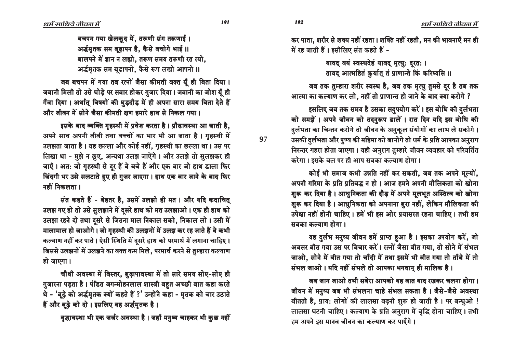बचपन गया खेलकद में. तरूणी संग तरूणाई । अर्द्धमृतक सम बूढ़ापन है, कैसे बचोगे भाई ॥ बालपने में ज्ञान न लह्यो. तरूण समय तरूणी रत रयो. अर्द्धमृतक सम बढ़ापनो, कैसे रूप लखो आपनो ।।

जब बचपन में गया तब रत्नों जैसा कीमती वक्त यूँ ही बिता दिया । जवानी मिली तो उसे घोड़े पर सवार होकर गुजार दिया। जवानी का जोश यूँ ही गँवा दिया। अर्थात् विषयों की घुड़दौड़ में ही अपना सारा समय बिता देते हैं और जीवन में सोने जैसा कीमती क्षण हमारे हाथ से निकल गया ।

इसके बाद व्यक्ति गृहस्थी में प्रवेश करता है। प्रौढावस्था आ जाती है, अपने साथ अपनी बीबी तथा बच्चों का भार भी आ जाता है। गृहस्थी में उलझता जाता है। वह छल्ला और कोई नहीं, गुहस्थी का छल्ला था। उस पर लिखा था - मुझे न छुए, अन्यथा उलझ जाऐंगे। और उलझे तो सुलझकर ही जाएँ। अत: जो गृहस्थी से दूर हैं वे बचे हैं और एक बार जो हाथ डाला फिर खिंदगी भर उसे सलटाते हुए ही गुजर जाएगा। हाथ एक बार जाने के बाद फिर नहीं निकलता ।

संत कहते हैं - बेहतर है, उसमें उलझो ही मत। और यदि कदाचित् उलझ गए हो तो उसे सुलझाने में दूसरे हाथ को मत उलझाओ । एक ही हाथ को उलझा रहने दो तथा दसरे से जितना माल निकाल सको, निकाल लो। उसी में मालामाल हो जाओगे। जो गुहस्थी की उलझनों में उलझ कर रह जाते हैं वे कभी कल्याण नहीं कर पाते। ऐसी स्थिति में दुसरे हाथ को परमार्थ में लगाना चाहिए। जिससे उलझनों में उलझने का वक्त कम मिले, परमार्थ करने से तुम्हारा कल्याण हो जाएगा।

चौथी अवस्था में बिस्तर, बुढ़ापावस्था में तो सारे समय सोए-सोए ही गुजारना पड़ता है। पंडित जगन्मोहनलाल शास्त्री बहुत अच्छी बात कहा करते थे - 'बूढ़े को अर्द्धमृतक क्यों कहते हैं ?' उन्होंने कहा - मृतक को चार उठाते हैं और बूढ़े को दो । इसलिए वह अर्द्धमृतक है।

वृद्धावस्था भी एक जर्जर अवस्था है। जहाँ मनुष्य चाहकर भी कुछ नहीं

कर पाता, शरीर से शक्य नहीं रहता। शक्ति नहीं रहती, मन की भावनाएँ मन ही में रह जाती हैं। इसीलिए संत कहते हैं -

> यावद वयं स्वस्थदेहं यावद् मृत्युः दुरतः । तावद् आत्महितं कुर्यात् तं प्राणान्ते किं करिष्यसि ॥

जब तक तुम्हारा शरीर स्वस्थ है, जब तक मृत्यु तुमसे दूर है तब तक आत्मा का कल्याण कर लो. नहीं तो प्राणान्त हो जाने के बाद क्या करोगे ?

इसलिए जब तक समय है उसका सदुपयोग करें। इस बोधि की दुर्लभता को समझें । अपने जीवन को तदनुरूप ढालें । रात दिन यदि इस बोधि की <u>दु</u>र्लभता का चिन्तन करोगे तो जीवन के अनुकूल संयोगों का लाभ ले सकोगे। उसकी दर्लभता और पुण्य की महिमा को जानोगे तो धर्म के प्रति आपका अनुराग निरन्तर गहरा होता जाएगा। यही अनुराग तुम्हारे जीवन व्यवहार को परिवर्तित करेगा। इसके बल पर ही आप सबका कल्याण होगा।

कोई भी समाज कभी उन्नति नहीं कर सकती, जब तक अपने मूल्यों, अपनी गरिमा के प्रति प्रतिबद्ध न हो । आज हमने अपनी मौलिकता को खोना शुरू कर दिया है। आधुनिकता की दौड़ में अपने मूलभूत अस्तित्व को खोना शुरू कर दिया है। आधुनिकता को अपनाना बुरा नहीं, लेकिन मौलिकता की उपेक्षा नहीं होनी चाहिए । हमें भी इस ओर प्रयासरत रहना चाहिए । तभी हम <u>मबका कल्याण होगा ।</u>

यह दुर्लभ मनुष्य जीवन हमें प्राप्त हुआ है। इसका उपयोग करें, जो अवसर बीत गया उस पर विचार करें। रत्नों जैसा बीत गया. तो सोने में संभल जाओ, सोने में बीत गया तो चाँदी में तथा इसमें भी बीत गया तो ताँबे में तो संभल जाओ। यदि नहीं संभले तो आपका भगवान् ही मालिक है।

<u>जब जाग जाओ तभी सबेरा आपको यह बात याद रखकर चलना होगा।</u> जीवन में मनुष्य जब भी संभलना चाहे संभल सकता है। जैसे-जैसे अवस्था बीतती है, प्राय: लोगों की लालसा बढ़नी शुरू हो जाती है। पर बन्धुओ ! लालसा घटनी चाहिए। कल्याण के प्रति अनुराग में वृद्धि होना चाहिए। तभी हम अपने इस मानव जीवन का कल्याण कर पाएँगे।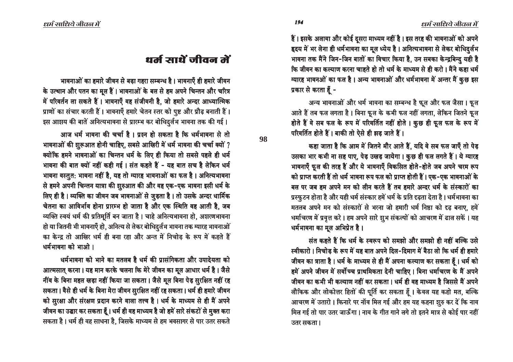हैं। इसके अलावा और कोई दुसरा माध्यम नहीं है। इस तरह की भावनाओं को अपने ह्रदय में भर लेना ही धर्मभावना का मूल ध्येय है । अनित्यभावना से लेकर बोधिदुर्लभ भावना तक मैंने जिन-जिन बातों का विचार किया है, उन सबका केन्द्रबिन्दु यही है कि जीवन का कल्याण करना चाहते हो तो धर्म के माध्यम से ही करो । मैंने कहा धर्म ग्यारह भावनओं का फल है। अन्य भावनाओं और धर्मभावना में अन्तर मैं कुछ इस प्रकार से करता हैं -

अन्य भावनाओं और धर्म भावना का सम्बन्ध है फुल और फल जैसा। फुल आते हैं तब फल लगता है। बिना फूल के कभी फल नहीं लगता, लेकिन जितने फूल होते हैं वे सब फल के रूप में परिवर्तित नहीं होते । कुछ ही फुल फल के रूप में परिवर्तित होते हैं। बाकी तो ऐसे ही झड़ जाते हैं।

कहा जाता है कि आम में जितने मौर आते हैं, यदि वे सब फल जाएँ तो पेड़ उसका भार कभी ना सह पाए, पेड़ उखड़ जायेगा। कुछ ही फल लगते हैं। ये ग्यारह भावनाएँ फूल की तरह हैं और ये भावनाएँ विकसित होते-होते जब अपने चरम रूप को प्राप्त करती हैं तो धर्म भावना रूप फल को प्राप्त होती हैं। एक-एक भावनाओं के बल पर जब हम अपने मन को लीन करते हैं तब हमारे अन्दर धर्म के संस्कारों का प्रस्फूटन होता है और यही धर्म संस्कार हमें धर्म के प्रति दृढ़ता देता है। धर्मभावना का मतलब अपने मन को संस्कारों से भरना जो हमारी धर्म निष्ठा को दृढ़ बनाए, हमें धर्माचरण में प्रवृत्त करे। हम अपने सारे शूभ संकल्पों को आचरण में ढाल सकें। यह धर्मभावना का मूल अभिप्रेत है ।

संत कहते हैं कि धर्म के स्वरूप को समझो और समझो ही नहीं बल्कि उसे स्वीकारो । निचोड के रूप में यह बात अपने दिल-दिमाग में बैठा लो कि धर्म ही हमारे जीवन का त्राता है। धर्म के माध्यम से ही मैं अपना कल्याण कर सकता हूँ। धर्म को हमें अपने जीवन में सर्वोच्च प्राथमिकता देनी चाहिए। बिना धर्माचरण के मैं अपने जीवन का कभी भी कल्याण नहीं कर सकता । धर्म ही वह माध्यम है जिससे मैं अपने लौकिक और लोकोत्तर हितों की पूर्ति कर सकता हूँ। केवल यह कहो मत, बल्कि आचरण में उतारो । किनारे पर नॉव मिल गई और हम यह कहना शूरु कर दें कि नाव मिल गई तो पार उतर जाऊँगा। नाव के गीत गाने लगे तो इतने मात्र से कोई पार नहीं उतर सकता ।

## धर्म माथें जीवन में

भावनाओं का हमारे जीवन से बड़ा गहरा सम्बन्ध है। भावनाएँ ही हमारे जीवन के उत्थान और पतन का मूल हैं। भावनाओं के बल से हम अपने चिन्तन और चरित्र में परिवर्तन ला सकते हैं। भावनाएँ वह संजीवनी है. जो हमारे अन्दर आध्यात्मिक प्राणों का संचार करती हैं। भावनाएँ हमारे चेतन स्तर को पुष्ट और प्रौढ़ बनाती हैं। इस आशय की बातें अनित्यभावना से प्रारम्भ कर बोधिदुर्लभ भावना तक की गई।

आज धर्म भावना की चर्चा है। प्रश्न हो सकता है कि धर्मभावना से तो भावनाओं की शुरूआत होनी चाहिए, सबसे आखिरी में धर्म भावना की चर्चा क्यों ? क्योंकि हमने भावनाओं का चिन्तन धर्म के लिए ही किया तो सबसे पहले ही धर्म भावना की बात क्यों नहीं कही गई। संत कहते हैं - यह बात सच है लेकिन धर्म भावना वस्तुत: भावना नहीं है, यह तो ग्यारह भावनाओं का फल है। अनित्यभावना से हमने अपनी चिन्तन यात्रा की शूरुआत की और वह एक-एक भावना इसी धर्म के लिए ही है। व्यक्ति का जीवन जब भावनाओं से जुड़ता है। तो उसके अन्दर धार्मिक चेतना का आविर्भाव होना प्रारम्भ हो जाता है और एक स्थिति वह आती है, जब व्यक्ति स्वयं धर्म की प्रतिमूर्ति बन जाता है। चाहे अनित्यभावना हो, अशरणभावना हो या जितनी भी भावनाएँ हो, अनित्य से लेकर बोधिदुर्तभ भावना तक ग्यारह भावनाओं का केन्द्र तो आखिर धर्म ही बना रहा और अन्त में निचोड के रूप में कहते हैं धर्मभावना को भाओ।

धर्मभावना को भाने का मतलब है धर्म की प्रासंगिकता और उपाढेयता को आत्मसात् करना। यह मान करके चलना कि मेरे जीवन का मूल आधार धर्म है। जैसे नींव के बिना महल खड़ा नहीं किया जा सकता। जैसे मूल बिना पेड़ सुरक्षित नहीं रह सकता। वैसे ही धर्म के बिना मेरा जीवन सुरक्षित नहीं रह सकता। धर्म ही हमारे जीवन को सुरक्षा और संरक्षण प्रदान करने वाला तत्त्व है। धर्म के माध्यम से ही मैं अपने जीवन का उद्घार कर सकता हूँ। धर्म ही वह माध्यम है जो हमें सारे संकटों से मुक्त करा सकता है। धर्म ही वह साधना है. जिसके माध्यम से हम भवसागर से पार उतर सकते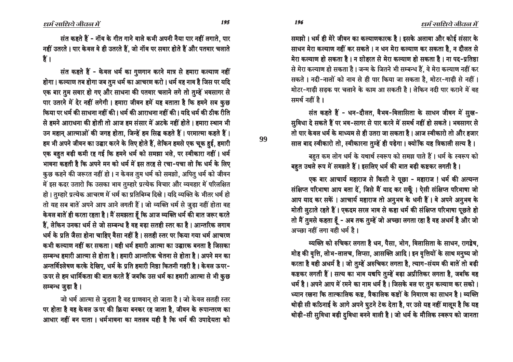समझो । धर्म ही मेरे जीवन का कल्याणकारक है । इसके अलावा और कोई संसार के साधन मेरा कल्याण नहीं कर सकते । न धन मेरा कल्याण कर सकता है. न दौलत से <u>मेरा कल्याण हो सकता है । न शोहरत से मेरा कल्याण हो सकता है । ना पद-प्रतिष्ठा</u> <u>से मेरा कल्याण हो सकता है। जन्म के जितने भी सम्बन्ध हैं, वे मेरा कल्याण नहीं कर</u> सकते । नदी-नालों को नाव से ही पार किया जा सकता है. मोटर-गाडी से नहीं । मोटर-गाडी सडक पर चलाने के काम आ सकती है। लेकिन नदी पार कराने में वह समर्थ नहीं है ।

संत कहते हैं - धन-दौलत, वैभव-विलासिता के साधन जीवन में सुख-सूविधा दे सकते हैं पर भव-सागर से पार करने में समर्थ नहीं हो सकते । भवसागर से तो पार केवल धर्म के माध्यम से ही उतरा जा सकता है । आज स्वीकारो तो और हजार साल बाद स्वीकारो तो, स्वीकारना तूम्हें ही पड़ेगा। क्योंकि यह त्रिकाली सत्य है।

#### बहुत कम लोग धर्म के यथार्थ स्वरूप को समझ पाते हैं। धर्म के स्वरूप को

बहुत उथले रूप में समझते हैं। इसलिए धर्म की बात बड़ी कष्टकर लगती है।

एक बार आचार्य महाराज से किसी ने पूछा - महाराज ! धर्म की अत्यन्त संक्षिप्त परिभाषा आप बता दें, जिसे मैं याद कर सकूँ । ऐसी संक्षिप्त परिभाषा जो आप याद कर सकें। आचार्य महाराज तो अनुभव के धनी हैं। वे अपने अनुभव के hती लुटाते रहते हैं। एकदम सरल भाव से कहा धर्म की संक्षिप्त परिभाषा पूछते हो + तो मैं तुमसे कहता हूँ - अब तक तुम्हें जो अच्छा लगता रहा है वह अधर्म है और जो  $\overline{3}$  अच्छा नहीं लगा वही धर्म है।

<u>न्यक्ति को रुचिकर लगता है धन, पैसा, भोग, विलासिता के साधन, रागद्वेष,</u> मोह की वृत्ति, लोभ-लालच, लिप्सा, आसक्ति आदि। इन वृत्तियों के साथ मनुष्य जो करता है वही अधर्म है । जो तुम्हे अरुचिकर लगता है, त्याग-संयम की बातें तो बड़ी कष्टकर लगती हैं। सत्य का भाव यद्यपि तुम्हें बड़ा अप्रीतिकर लगता है, जबकि वह धर्म है। अपने आप में रमने का नाम धर्म है। जिसके बल पर तुम कल्याण कर सको। ध्यान रखना कि तात्कालिक कष्ट, त्रैकालिक कष्टों के निवारण का साधन है। व्यक्ति थोड़ी सी कठिनाई के आगे अपने घुटने टेक देता है, पर उसे यह नहीं मालूम है कि यह थोड़ी-सी सुविधा बड़ी दुविधा बनने वाली है । जो धर्म के मौलिक स्वरूप को जानता

ëôï ëôñ

**99**

संत कहते हैं - नॉब के गीत गाने वाले कभी अपनी नैया पार नहीं लगाते. पार नहीं उतरते । पार केवल वे ही उतरते हैं, जो नॉव पर सवार होते हैं और पतवार चलाते हैं ।

संत कहते हैं - केवल धर्म का गूणगान करने मात्र से हमारा कल्याण नहीं होगा । कल्याण तब होगा जब तुम धर्म का आचरण करो । धर्म वह नाव है जिस पर यदि एक बार तूम सवार हो गए और साधना की पतवार चलाने लगे तो तुम्हें भवसागर से पार उतरने में देर नहीं लगेगी। हमारा जीवन हमें यह बताता है कि हमने सब कुछ िकया पर धर्म की साधना नहीं की । धर्म की आराधना नहीं की । यदि धर्म की ठीक रीति से हमने आराधना की होती तो आज हम संसार में अटके नहीं होते । हमारा स्थान भी उन महान आत्माओं की जगह होता, जिन्हें हम सिद्ध कहते हैं। परमात्मा कहते हैं। हम भी अपने जीवन का उद्घार करने के लिए होते हैं, लेकिन हमसे एक चूक हई, हमारी एक बहत बड़ी कमी रह गई कि हमने धर्म को समझा भले, पर स्वीकारा नहीं । धर्म भावना कहती है कि अपने मन को धर्म में इस तरह से रचा-पचा लो कि धर्म के लिए कुछ कहने की जरूरत नहीं हो । न केवल तुम धर्म को समझो, अपितु धर्म को जीवन में इस कदर उतारो कि उसका भाव तुम्हारे प्रत्येक विचार और व्यवहार में परिलक्षित हो। तुम्हारे प्रत्येक आचरण में धर्म का प्रतिबिम्ब दिखे। यदि व्यक्ति के भीतर धर्म हो तो यह सब बातें अपने आप आने लगती हैं। जो व्यक्ति धर्म से जुड़ा नहीं होता वह केवल बातें ही करता रहता है। मैं समझता हूँ कि आज व्यक्ति धर्म की बात जरूर करते ै8ं, लेकिन उनका धर्म से जो सम्बन्ध है वह बड़ा सतही स्तर का है । आन्तरिक लगाव धर्म के प्रति जैसा होना चाहिए वैसा नहीं है। सतही स्तर पर किया गया धर्म आचरण • कभी कल्याण नहीं कर सकता । वही धर्म हमारी आत्मा का उद्घारक बनता है जिसका सम्बन्ध हमारी आत्मा से होता है। हमारी आन्तरिक चेतना से होता है। अपने मन का अन्तर्विश्लेषण करके देखिए. धर्म के प्रति हमारी निष्ठा कितनी गहरी है। केवल ऊपर-ऊपर से हम धार्मिकता की बात करते हैं जबकि उस धर्म का हमारी आत्मा से भी <u>क</u>ुछ सम्बन्ध जुड़ा है।

जो धर्म आत्मा से जूड़ता है वह प्राणवान् हो जाता है। जो केवल सतही स्तर पर होता है वह केवल ऊपर की क्रिया बनकर रह जाता है, जीवन के रूपान्तरण का आधार नहीं बन पाता । धर्मभावना का मतलब यही है कि धर्म की उपादेयता को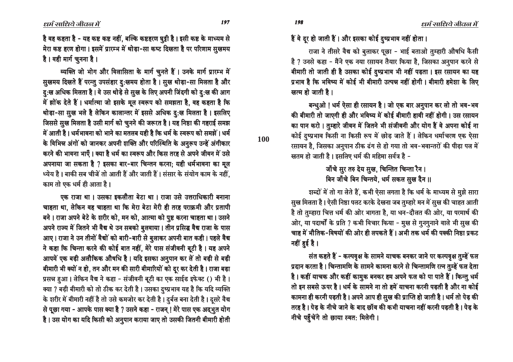है वह कहता है - यह कष्ट कष्ट नहीं, बल्कि कष्टहरण घूट्टी है। इसी कष्ट के माध्यम से hरा कष्ट हरण होगा। इसमें प्रारम्भ में थोड़ा-सा कष्ट दिखता है पर परिणाम सुखमय है। वही मार्ग चूनना है।

व्यक्ति जो भोग और विलासिता के मार्ग चुनते हैं। उनके मार्ग प्रारम्भ में सूखमय दिखते हैं परन्तु उपसंहार दु:खमय होता है। सूख थोड़ा-सा मिलता है और <u>दु</u>:ख अधिक मिलता है। वे उस थोड़े से सुख के लिए अपनी जिंदगी को <u>दु</u>:ख की आग में झोंक देते हैं। धर्मात्मा जो इसके मूल स्वरूप को समझता है, वह कहता है कि थोड़ा-सा सूख भले है लेकिन कालान्तर में इससे अधिक दु:ख मिलता है। इसलिए जिससे सूख मिलता है उसी मार्ग को चूनने की जरूरत है। यह निष्ठा की गहराई समझ <u>में आती है। धर्मभावना को भाने का मतलब यही है कि धर्म के स्वरूप को समझें। धर्म</u> के विभिन्न अंगों को जानकर अपनी शक्ति और परिस्थिति के अनूरूप उन्हें अंगीकार करने की भावना भाएँ । क्या है धर्म का स्वरूप और किस तरह से अपने जीवन में उसे आपनाया जा सकता है ? इसका बार-बार चिन्तन करना; यही धर्मभावना का मूल ध्येय है। बाकी सब चीजें तो आती हैं और जाती हैं। संसार के संयोग काम के नहीं. काम तो एक धर्म ही आता है।

एक राजा था । उसका इकलौता बेटा था । राजा उसे उत्तराधिकारी बनाना चाहता था. लेकिन वह चाहता था कि मेरा बेटा मेरी ही तरह पराक्रमी और प्रतापी बने। राजा अपने बेटे के शरीर को, मन को, आत्मा को पुष्ट करना चाहता था। उसने आपने राज्य में जितने भी वैद्य थे उन सबको बूलवाया। तीन प्रसिद्ध वैद्य राजा के पास आए । राजा ने उन तीनों वैद्यों को बारी-बारी से बुलाकर अपनी बात कही । पहले वैद्य ने कहा कि चिन्ता करने की कोई बात नहीं, मेरे पास संजीवनी बूटी है। यह अपने आपमें एक बड़ी अलौकिक औषधि है। यदि इसका अनूपान कर तें तो बड़ी से बड़ी बीमारी भी क्यों न हो, तन और मन की सारी बीमारियों को दूर कर देती है। राजा बड़ा प्रसन्न हुआ। लेकिन वैद्य ने कहा - संजीवनी बूटी का एक साईड इफेक्ट () भी है। क्या ? बड़ी बीमारी को तो ठीक कर देती है। उसका दुष्प्रभाव यह है कि यदि व्यक्ति के शरीर में बीमारी नहीं है तो उसे कमजोर कर देती है। दुर्बल बना देती है। दुसरे वैद्य से पूछा गया - आपके पास क्या है ? उसने कहा - राजन् ! मेरे पास एक अद्भुत योग है। उस योग का यदि किसी को अनुपान कराया जाए तो उसकी जितनी बीमारी होती हैं वे दूर हो जाती हैं। और इसका कोई दुष्प्रभाव नहीं होता।

राजा ने तीसरे वैद्य को बुलाकर पूछा - भाई बताओ तुम्हारी औषधि कैसी है ? उनसे कहा - मैंने एक नया रसायन तैयार किया है. जिसका अनुपान करने से बीमारी तो जाती ही है उसका कोई दुष्प्रभाव भी नहीं पड़ता। इस रसायन का यह प्रभाव है कि भविष्य में कोई भी बीमारी उत्पन्न नहीं होगी। बीमारी हमेशा के लिए ⁄ खत्म हो जाती है।

बन्धूओ ! धर्म ऐसा ही रसायन है । जो एक बार अनूपान कर लो तो भव-भव की बीमारी तो जाएगी ही और भविष्य में कोई बीमारी हावी नहीं होगी। उस रसायन का पान करो । तुम्हारे जीवन में जितने भी संजीवनी और योग हैं वे अपना कोई ना कोई दुष्प्रभाव किसी ना किसी रूप में छोड़ जाते हैं। लेकिन धर्माचरण एक ऐसा रसायन है, जिसका अनुपान ठीक ढंग से हो गया तो भव-भवान्तरों की पीड़ा पल में खतम हो जाती है। इसलिए धर्म की महिमा सर्वत्र है -

> <u>जॉँचे सु</u>र तरु देय सुख, चिन्तित चिन्ता रैन । बिन जाँचे बिन चिन्तये. धर्म सकल सुख दैन ॥

शब्दों में तो गा लेते हैं, कभी ऐसा लगता है कि धर्म के माध्यम से मूझे सारा सुख मिलता है। ऐसी निष्ठा पलट करके देखना जब तुम्हारे मन में सुख की चाहत आती है तो तुम्हारा चित्त धर्म की ओर भागता है, या धन-दौलत की ओर, या परमार्थ की ओर, या पदार्थों के प्रति ? कभी विचार किया - मूख से गूनगूनाने वाले भी सूख की ँचाह में भौतिक-विषयों की ओर ही लपकते हैं । अभी तक धर्म की पक्की निष्ठा प्रकट नहीं <u>हु</u>ई है ।

संत कहते हैं - कल्पवृक्ष के सामने याचक बनकर जाने पर कल्पवृक्ष तुम्हें फल प्रदान करता है । चिन्तामणि के सामने कामना करने से चिन्तामणि रत्न तूम्हें फल देता ँहै । कहीं याचक और कहीं कामुक बनकर हम अपने फल को पा पाते हैं । किन्तु धर्म तो इन सबसे ऊपर है। धर्म के सामने ना तो हमें याचना करनी पड़ती है और ना कोई कामना ही करनी पड़ती है। अपने आप ही सुख की प्राप्ति हो जाती है। धर्म तो पेड़ की तरह है। पेड़ के नीचे जाने के बाद छॉव की कभी याचना नहीं करनी पड़ती है। पेड़ के नीचे पहुँचेंगे तो छाया स्वत: मिलेगी ।

 $\ell$ धर्म साधिये जीवल में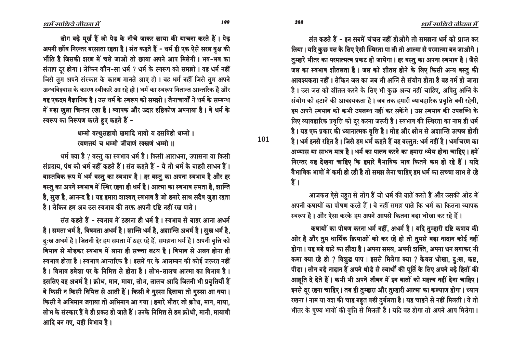संत कहते हैं - इन सबमें चंचल नहीं होओगे तो समझना धर्म को प्राप्त कर लिया। यदि कुछ पल के लिए ऐसी स्थिरता पा ली तो आत्मा से परमात्मा बन जाओगे। तुम्हारे भीतर का परमात्मत्व प्रकट हो जायेगा । हर वस्तु का अपना स्वभाव है । जैसे जल का स्वभाव शीतलता है। जल को शीतल होने के लिए किसी अन्य वस्तू की आवश्यकता नहीं । लेकिन जल का जब भी अग्नि से संयोग होता है वह गर्म हो जाता है। उस जल को शीतल करने के लिए भी कुछ अन्य नहीं चाहिए, अपितु अग्नि के संयोग को हटाने की आवश्यकता है। जब तक हमारी व्यावहारिक प्रवृत्ति बनी रहेगी. हम अपने स्वभाव को कभी उपलब्ध नहीं कर सकेंगे। उस स्वभाव की उपलब्धि के लिए व्यावहारिक प्रवृत्ति को दुर करना जरूरी है । स्वभाव की स्थिरता का नाम ही धर्म है। यह एक प्रकार की ध्यानात्मक वृत्ति है। मोह और क्षोभ से अशान्ति उत्पन्न होती है। धर्म इनसे रहित है। जिसे हम धर्म कहते हैं वह वस्तूत: धर्म नहीं है। धर्माचरण का अभ्यास या साधन मात्र है। धर्म का पालन करने का हमारा ध्येय होना चाहिए। हमें निरन्तर यह देखना चाहिए कि हमारे वैभाविक भाव कितने कम हो रहे हैं। यदि वैभाविक भावों में कमी हो रही है तो समझ लेना चाहिए हम धर्म का सच्चा लाभ ले रहे  $\frac{1}{2}$ .

आजकल ऐसे बहुत से लोग हैं जो धर्म की बातें करते हैं और उसकी ओट में अपनी कषायों का पोषण करते हैं। वे नहीं समझ पाते कि धर्म का कितना व्यापक स्वरूप है । और ऐसा करके हम अपने आपसे कितना बडा धोखा कर रहे हैं ।

कषायों का पोषण करना धर्म नहीं, अधर्म है। यदि तुम्हारी दृष्टि कषाय की ओर है और तूम धार्मिक क्रियाओं को कर रहे हो तो तूमसे बड़ा नादान कोई नहीं होगा । यह बड़े घाटे का सौदा है । अपना समय, अपनी शक्ति, अपना धन लगाकर भी कमा क्या रहे हो ? विशुद्ध पाप । इससे मिलेगा क्या ? केवल धोखा, दु:ख, कष्ट, पीड़ा । लोग बड़े नादान हैं अपने थोड़े से स्वार्थों की पूर्ति के लिए अपने बड़े हितों की आहूति दे देते हैं। कभी भी अपने जीवन में इन बातों को महत्त्व नहीं देना चाहिए। इनसे दूर रहना चाहिए । तब ही तुम्हारा और तुम्हारी आत्मा का कल्याण होगा । ध्यान रखना ! नाम या यश की चाह बहुत बड़ी दुर्बलता है । यह चाहने से नहीं मिलती । ये तो भीतर के पुण्य भावों की वृत्ति से मिलती है। यदि वह होगा तो अपने आप मिलेगा।

तोग बड़े मूर्ख हैं जो पेड़ के नीचे जाकर छाया की याचना करते हैं। पेड़ आपनी छॉव निरन्तर बरसाता रहता है। संत कहते हैं - धर्म ही एक ऐसे सरल वृक्ष की

भाँति है जिसकी शरण में चले जाओ तो छाया अपने आप मिलेगी। भव-भव का संताप दूर होगा। लेकिन कौन-सा धर्म ? धर्म के स्वरूप को समझो। वह धर्म नहीं जिसे तुम अपने संस्कार के कारण मानते आए हो । वह धर्म नहीं जिसे तुम अपने अन्धविश्वास के कारण स्वीकारे आ रहे हो । धर्म का स्वरूप नितान्त आन्तरिक है और वह एकदम वैज्ञानिक है । उस धर्म के स्वरूप को समझो । जैनाचार्यों ने धर्म के सम्बन्ध में बड़ा खुला चिन्तन रखा है। व्यापक और उदार दृष्टिकोण अपनाया है। वे धर्म के स्वरूप का निरूपण करते हुए कहते हैं -

> धम्मो वत्थुसहावो खमादि भावो य दसविहो धम्मो । रयणत्तयं च धम्मो जीवाणं रक्खणं धम्मो ॥

धर्म क्या है ? वस्तू का स्वभाव धर्म है। किसी आराधना, उपासना या किसी संप्रदाय, पंथ को धर्म नहीं कहते हैं। संत कहते हैं - ये तो धर्म के बाहरी साधन हैं। वास्तविक रूप में धर्म वस्तु का स्वभाव है। हर वस्तु का अपना स्वभाव है और हर वस्तू का अपने स्वभाव में स्थिर रहना ही धर्म है। आत्मा का स्वभाव समता है, शान्ति है, सूख है, आनन्द है। यह हमारा शाश्वत् स्वभाव है जो हमारे साथ सदैव जूड़ा रहता है। लेकिन हम अब उस स्वभाव की तरफ अपनी दृष्टि नहीं रख पाते।

संत कहते हैं - स्वभाव में ठहरना ही धर्म है । स्वभाव से बाहर आना अधर्म ै है। समता धर्म है, विषमता अधर्म है। शान्ति धर्म है, अशान्ति अधर्म है। सुख धर्म है, दु:ख अधर्म है। जितनी देर हम समता में ठहर रहे हैं, समझना धर्म है। अपनी वृत्ति को विभाव से मोडकर स्वभाव में लाना ही सच्चा लक्ष्य है। विभाव से अलग होना ही स्वभाव होता है । स्वभाव आन्तरिक है । इसमें पर के आलम्बन की कोई जरूरत नहीं है। विभाव हमेशा पर के निमित्त से होता है। लोभ-लालच आत्मा का विभाव है। इसलिए वह अधर्म है । क्रोध, मान, माया, लोभ, लालच आदि जितनी भी प्रवृत्तियाँ हैं वे किसी न किसी निमित्त से आती हैं। किसी ने गुस्सा दिलाया तो गुस्सा आ गया। किसी ने अभिमान जगाया तो अभिमान आ गया। हमारे भीतर जो क्रोध, मान, माया, लोभ के संस्कार हैं वे ही प्रकट हो जाते हैं। उनके निमित्त से हम क्रोधी, मानी, मायावी आदि बन गए, यही विभाव है।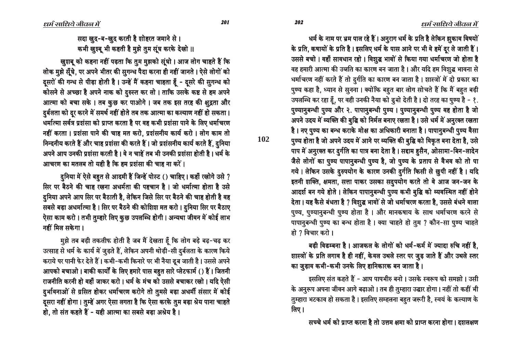धर्म के नाम पर भ्रम पाल रहे हैं। अनूराग धर्म के प्रति है लेकिन झूकाव विषयों के प्रति, कषायों के प्रति है। इसलिए धर्म के पास आने पर भी वे हमें दूर ले जाती हैं। उससे बचो। वहाँ सावधान रहो। विशुद्ध भावों से किया गया धर्माचरण जो होता है वह हमारी आत्मा की उन्नति का कारण बन जाता है। और यदि हम विशुद्ध भावना से धर्माचरण नहीं करते हैं तो दुर्गति का कारण बन जाता है। शास्त्रों में दो प्रकार का पुण्य कहा है, ध्यान से सुनना । क्योंकि बहुत बार लोग सोचते हैं कि मैं बहुत बड़ी उपलब्धि कर रहा हूँ, पर वही उनकी नैया को डूबो देती है। दो तरह का पुण्य है - १. पुण्यानुबन्धी पुण्य और २. पापानुबन्धी पुण्य । पुण्यानुबन्धी पुण्य वह होता है जो अपने उदय में व्यक्ति की बृद्धि को निर्मल बनाए रखता है। उसे धर्म में अनूरक्त रखता है। नए पूण्य का बन्ध कराके मोक्ष का अधिकारी बनाता है। पापानूबन्धी पूण्य वैसा पुण्य होता है जो अपने उदय में आने पर व्यक्ति की बुद्धि को विकृत बना देता है, उसे पाप में अनुरक्त कर दुर्गति का पात्र बना देता है। सद्दाम हुसैन, ओसामा-बिन-लादेन जैसे लोगों का पूण्य पापानूबन्धी पूण्य है, जो पूण्य के प्रताप से वैभव को तो पा गये। लेकिन उसके दुरुपयोग के कारण उनकी दुर्गति किसी से छुपी नहीं है। यदि इतनी शक्ति, क्षमता, सत्ता पाकर उसका सदुपयोग करते तो वे आज जन-जन के आदर्श बन गये होते । लेकिन पापानूबन्धी पूण्य कभी बूद्धि को व्यवस्थित नहीं होने देता। यह कैसे बंधता है ? विशुद्ध भावों से जो धर्माचरण करता है, उससे बंधने वाला पूण्य, पूण्यानूबन्धी पूण्य होता है । और मानकषाय के साथ धर्माचरण करने से पापानुबन्धी पुण्य का बन्ध होता है। क्या चाहते हो तुम ? कौन-सा पुण्य चाहते हो ? विचार करो ।

बडी विडम्बना है। आजकल के लोगों को धर्म-कर्म में ज्यादा रुचि नहीं है. शास्त्रों के प्रति लगाव है ही नहीं, केवल उथले स्तर पर जुड़ जाते हैं और उथले स्तर का जूड़ाव कभी-कभी उनके लिए हानिकारक बन जाता है।

इसलिए संत कहते हैं - आप पापभीरु बनो । उसके स्वरूप को समझो । उसी के अनुरूप अपना जीवन आगे बढ़ाओ। तब ही तुम्हारा उद्धार होगा। नहीं तो कहीं भी तूम्हारा भटकाव हो सकता है । इसलिए सम्हलना बहुत जरूरी है, स्वयं के कल्याण के लिए ।

सच्चे धर्म को प्राप्त करना है तो उत्तम क्षमा को प्राप्त करना होगा । दशलक्षण

सदा खुद-ब-खुद करती है शोहरत जमाने से । कभी खुश्बू भी कहती है मुझे तुम सूंघ करके देखो ॥

खुशबू को कहना नहीं पड़ता कि तुम मुझको सूंघो । आज लोग चाहते हैं कि लोक मुझे सूँघे, पर अपने भीतर की सुगन्ध पैदा करना ही नहीं जानते । ऐसे लोगों को दसरों की गन्ध से पीड़ा होती है। उन्हें मैं कहना चाहता हूँ - दूसरे की सुगन्ध को कोसने से अच्छा है अपने नाक को दुरुस्त कर लो। ताकि उसके कष्ट से हम अपने आत्मा को बचा सके । तब कुछ कर पाओगे । जब तक इस तरह की क्षद्वता और दर्बलता को दर करने में समर्थ नहीं होते तब तक आत्मा का कल्याण नहीं हो सकता। धर्मात्मा सर्वत्र प्रशंसा को प्राप्त करता है पर वह कभी प्रशंसा पाने के लिए धर्माचरण नहीं करता। प्रशंसा पाने की चाह मत करो, प्रशंसनीय कार्य करो। लोग काम तो निन्दनीय करते हैं और चाह प्रशंसा की करते हैं। जो प्रशंसनीय कार्य करते हैं, दुनिया अपने आप उनकी प्रशंसा करती है। वे न चाहें तब भी उनकी प्रशंसा होती है। धर्म के आचरण का मतलब तो यही है कि हम प्रशंसा की चाह ना करें।

दुनिया में ऐसे बहुत से आदमी हैं जिन्हें पोस्ट () चाहिए। कहाँ रखोगे उसे ? सिर पर बैठने की चाह रखना अधर्मता की पहचान है। जो धर्मात्मा होता है उसे दुनिया अपने आप सिर पर बैठाती है, लेकिन जिसे सिर पर बैठने की चाह होती है वह सबसे बड़ा अधर्मात्मा है। सिर पर बैठने की कोशिश मत करो । दुनिया सिर पर बैठाए ऐसा काम करो । तभी तुम्हारे लिए कुछ उपलब्धि होगी । अन्यथा जीवन में कोई लाभ नहीं मिल सकेगा।

मूझे तब बड़ी तकलीफ होती है जब मैं देखता हूँ कि लोग बड़े बढ़-चढ़ कर उत्साह से धर्म के कार्य में जुड़ते हैं, लेकिन अपनी थोड़ी-सी दुर्बलता के कारण किये कराये पर पानी फेर देते हैं। कभी-कभी किनारे पर भी नैया डूब जाती है। उससे अपने आपको बचाओ । बाकी कार्यों के लिए हमारे पास बहुत सारे प्लेटफार्म () हैं । जितनी राजनीति करनी हो वहाँ जाकर करो। धर्म के मंच को उससे बचाकर रखो। यदि ऐसी दुर्भावनाओं से ग्रसित होकर धर्माचरण करोगे तो तुमसे बड़ा अधर्मी संसार में कोई दूसरा नहीं होगा। तुम्हें अगर ऐसा लगता है कि ऐसा करके तुम बड़ा श्रेय पाना चाहते हो, तो संत कहते हैं - यही आत्मा का सबसे बड़ा अश्रेय है।

102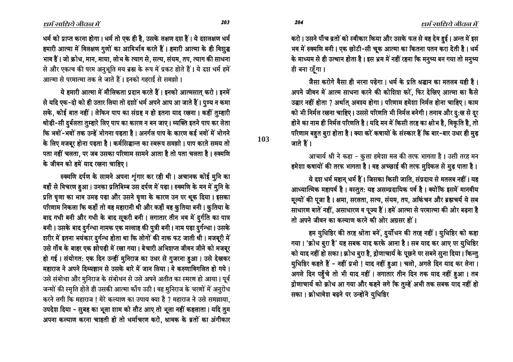203

204

103

धर्म को प्राप्त करना होगा। धर्म तो एक ही है, उसके लक्षण दश हैं। ये दशलक्षण धर्म हमारी आत्मा में विलक्षण गुणों का आविर्भाव करते हैं। हमारी आत्मा के ही विशुद्ध भाव हैं। जो क्रोध, मान, माया, लोभ के त्याग से, सत्य, संयम, तप, त्याग की साधना से और एकत्व की परम अनुभूति मय ब्रह्म के रूप में प्रकट होते हैं। ये दश धर्म हमें आत्मा से परमात्मा तक ले जाते हैं। इनको गहराई से समझो।

ये हमारी आत्मा में मौलिकता प्रदान करते हैं। इनको आत्मसात् करो। इनमें से यदि एक-दो को ही उतार लिया तो दशों धर्म अपने आप आ जाते हैं। पुण्य न कमा सके. कोई बात नहीं। लेकिन पाप का संग्रह न हो इतना याद रखना। कहीं तुम्हारी थोड़ी-सी दुर्बलता तुम्हारे लिए पाप का कारण न बन जाए । व्यक्ति इतने पाप कर लेता कि भवों-भवों तक उन्हें भोगना पड़ता है। अनर्गल पाप के कारण कई भवों में भोगने के लिए मजबूर होना पड़ता है। कर्मसिद्धान्त का स्वरूप समझो। पाप करते समय तो पता नहीं चलता, पर जब उसका परिणाम सामने आता है तो पता चलता है। रुक्मणि के जीवन को हमें याद रखना चाहिए।

रुक्मणि दर्पण के सामने अपना शृंगार कर रही थी। अचानक कोई मुनि का वहाँ से विचरण हुआ। उनका प्रतिबिम्ब उस दर्पण में पड़ा। रुक्मणि के मन में मुनि के प्रति घृणा का भाव उमड़ पड़ा और उसने घृणा के कारण उन पर थूक दिया। इसका परिणाम निकला कि कहाँ तो वह महारानी थी और कहाँ वह कुतिया बनी। कुतिया के बाद गधी बनी और गधी के बाद सूकरी बनी। लगातार तीन भव में दुर्गति का पात्र बनी। उसके बाद दुर्गन्धा नामक एक मल्लाह की पुत्री बनी। नाम पड़ा दुर्गन्धा। उसके शरीर में इतना भयंकार दुर्गन्ध होता था कि लोगों की नाक फट जाती थी। मजबूरी में उसे गाँव के बाहर एक झोपड़ी में रखा गया। बेचारी अभिशप्त जीवन जीने को मजबूर हो गई। संयोगत: एक दिन उन्हीं मुनिराज का उधर से गुजरना हुआ। उसे देखकर महाराज ने अपने दिव्यज्ञान से उसके बारे में जान लिया। वे करुणाविगलित हो गये। उसे संबोधा और मूनिराज के संबोधन से उसे अपने अतीत का स्मरण हो आया। पूर्व जन्मों की स्मृति होते ही उसकी आत्मा काँप उठी। वह मुनिराज के चरणों में अनुरोध करने लगी कि महाराज ! मेरे कल्याण का उपाय क्या है ? महाराज ने उसे समझाया, उपदेश दिया - सुबह का भूला शाम को लौट आए तो भूला नहीं कहलाता। यदि तुम अपना कल्याण करना चाहती हो तो धर्माचरण करो, श्रावक के ब्रतों का अंगीकार करो। उसने पाँच ब्रतों को स्वीकार किया और उसके फल से वह देव हुई। अन्त में इस भव में रुक्मणि बनी। एक छोटी-सी चूक आत्मा का कितना पतन करा देती है। धर्म के माध्यम से ही उत्थान होता है। इस भ्रम में नहीं रहना कि मनुष्य बन गया तो मनुष्य ही बना रहँगा ।

जैसा करोगे वैसा ही भरना पडेगा। धर्म के प्रति श्रद्धान का मतलब यही है। अपने जीवन में आत्म साधना करने की कोशिश करें, फिर देखिए आत्मा का कैसे उद्घार नहीं होता ? अर्थात् अवश्य होगा। परिणाम हमेशा निर्मल होना चाहिए। काम को भी निर्मल रखना चाहिए। उससे परिणति भी निर्मल बनेगी। तनाव और दु:ख से दुर होने का नाम ही निर्मल परिणति है। यदि मन में किसी तरह का क्षोभ है, विकृति है, तो परिणाम बहुत बुरा होता है । क्या करें कषायों के संस्कार हैं कि बार-बार उधर ही मुड़ जाते हैं ।

आचार्य श्री ने कहा - कूत्ता हमेशा मल की तरफ भागता है। उसी तरह मन हमेशा कषायों की तरफ भागता है। वह अच्छाई की तरफ मुश्किल से मुड़ पाता है।

ये दश धर्म महान् धर्म हैं। जिसका किसी जाति, संप्रदाय से मतलब नहीं। यह आध्यात्मिक महापर्व है। वस्तुत: यह असम्प्रदायिक पर्व है। क्योंकि इसमें मानवीय मूल्यों की पूजा है। क्षमा, सरलता, सत्य, संयम, तप, अकिंचन और ब्रह्मचर्य ये सब साधारण बातें नहीं, असाधारण व पूज्य हैं। हमें आत्मा से परमात्मा की ओर बढ़ना है तो अपने जीवन का कल्याण करने की ओर अग्रसर हों।

हम युधिष्ठिर की तरह श्रोता बनें, दुर्योधन की तरह नहीं । युधिष्ठिर को कहा गया। 'क्रोध बूरा है' यह सबक याद करके आना है। सब याद कर आए पर यूधिष्ठिर को याद नहीं हो सका । क्रोध बुरा है, द्रोणाचार्य के पूछने पर सबने सुना दिया । किन्तु युधिष्ठिर कहते हैं - नहीं प्रभो ! याद नहीं हुआ । चलो, अगले दिन याद कर लेना । अगले दिन पहुँचे तो भी याद नहीं । लगातार तीन दिन तक याद नहीं हुआ । तब द्रोणाचार्य को क्रोध आ गया और कहने लगे कि तुम्हें अभी तक सबक याद नहीं हो सका। क्रोधावेश बढ़ने पर उन्होंने यूधिष्ठिर